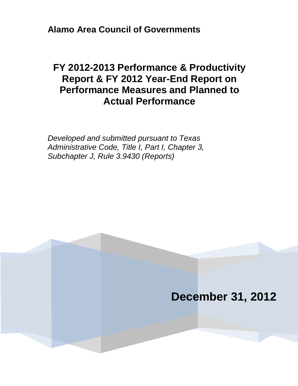**Alamo Area Council of Governments**

# **FY 2012-2013 Performance & Productivity Report & FY 2012 Year-End Report on Performance Measures and Planned to Actual Performance**

*Developed and submitted pursuant to Texas Administrative Code, Title I, Part I, Chapter 3, Subchapter J, Rule 3.9430 (Reports)*

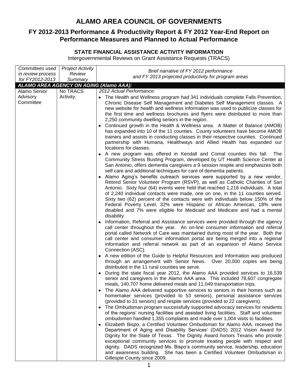# **ALAMO AREA COUNCIL OF GOVERNMENTS**

## **FY 2012-2013 Performance & Productivity Report & FY 2012 Year-End Report on Performance Measures and Planned to Actual Performance**

# **STATE FINANCIAL ASSISTANCE ACTIVITY INFORMATION**

Intergovernmental Reviews on Grant Assistance Requests (TRACS)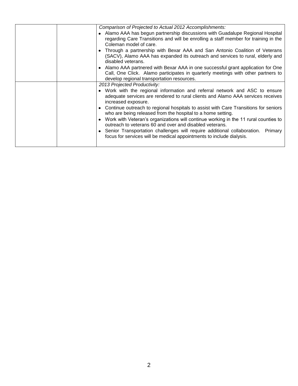| Comparison of Projected to Actual 2012 Accomplishments:                                                                                                                                                          |
|------------------------------------------------------------------------------------------------------------------------------------------------------------------------------------------------------------------|
| • Alamo AAA has begun partnership discussions with Guadalupe Regional Hospital<br>regarding Care Transitions and will be enrolling a staff member for training in the<br>Coleman model of care.                  |
| Through a partnership with Bexar AAA and San Antonio Coalition of Veterans<br>(SACV), Alamo AAA has expanded its outreach and services to rural, elderly and<br>disabled veterans.                               |
| Alamo AAA partnered with Bexar AAA in one successful grant application for One<br>Call, One Click. Alamo participates in quarterly meetings with other partners to<br>develop regional transportation resources. |
| 2013 Projected Productivity:                                                                                                                                                                                     |
| • Work with the regional information and referral network and ASC to ensure<br>adequate services are rendered to rural clients and Alamo AAA services receives<br>increased exposure.                            |
| • Continue outreach to regional hospitals to assist with Care Transitions for seniors<br>who are being released from the hospital to a home setting.                                                             |
| • Work with Veteran's organizations will continue working in the 11 rural counties to<br>outreach to veterans 60 and over and disabled veterans.                                                                 |
| • Senior Transportation challenges will require additional collaboration.<br>Primary<br>focus for services will be medical appointments to include dialysis.                                                     |
|                                                                                                                                                                                                                  |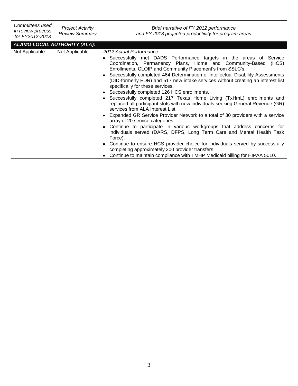| Committees used<br>in review process<br>for FY2012-2013 | <b>Project Activity</b><br>Review Summary | Brief narrative of FY 2012 performance<br>and FY 2013 projected productivity for program areas                                                                                                                                                                                                                                                                                                                                                                                                                                                                                                                                                                                                                                                                                                                                                                                                                                                                                                                                                                                                                                                                                                                 |
|---------------------------------------------------------|-------------------------------------------|----------------------------------------------------------------------------------------------------------------------------------------------------------------------------------------------------------------------------------------------------------------------------------------------------------------------------------------------------------------------------------------------------------------------------------------------------------------------------------------------------------------------------------------------------------------------------------------------------------------------------------------------------------------------------------------------------------------------------------------------------------------------------------------------------------------------------------------------------------------------------------------------------------------------------------------------------------------------------------------------------------------------------------------------------------------------------------------------------------------------------------------------------------------------------------------------------------------|
|                                                         | ALAMO LOCAL AUTHORITY (ALA):              |                                                                                                                                                                                                                                                                                                                                                                                                                                                                                                                                                                                                                                                                                                                                                                                                                                                                                                                                                                                                                                                                                                                                                                                                                |
| Not Applicable                                          | Not Applicable                            | 2012 Actual Performance:<br>• Successfully met DADS Performance targets in the areas of Service<br>Coordination, Permanency Plans, Home and Community-Based<br>(HCS)<br>Enrollments, CLOIP and Community Placement's from SSLC's.<br>• Successfully completed 464 Determination of Intellectual Disability Assessments<br>(DID-formerly EDR) and 517 new intake services without creating an interest list<br>specifically for these services.<br>• Successfully completed 126 HCS enrollments.<br>• Successfully completed 217 Texas Home Living (TxHmL) enrollments and<br>replaced all participant slots with new individuals seeking General Revenue (GR)<br>services from ALA Interest List.<br>• Expanded GR Service Provider Network to a total of 30 providers with a service<br>array of 20 service categories.<br>• Continue to participate in various workgroups that address concerns for<br>individuals served (DARS, DFPS, Long Term Care and Mental Health Task<br>Force).<br>• Continue to ensure HCS provider choice for individuals served by successfully<br>completing approximately 200 provider transfers.<br>Continue to maintain compliance with TMHP Medicaid billing for HIPAA 5010. |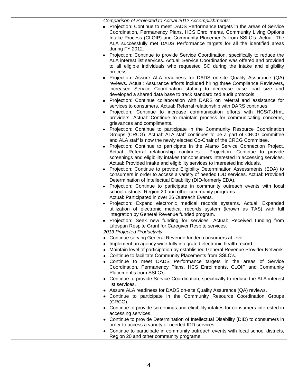| Comparison of Projected to Actual 2012 Accomplishments:                                                                                                                                                                                                                                                                                                                                                                                                                                                                                                      |
|--------------------------------------------------------------------------------------------------------------------------------------------------------------------------------------------------------------------------------------------------------------------------------------------------------------------------------------------------------------------------------------------------------------------------------------------------------------------------------------------------------------------------------------------------------------|
| • Projection: Continue to meet DADS Performance targets in the areas of Service<br>Coordination, Permanency Plans, HCS Enrollments, Community Living Options<br>Intake Process (CLOIP) and Community Placement's from SSLC's. Actual: The<br>ALA successfully met DADS Performance targets for all the identified areas<br>during FY 2012.                                                                                                                                                                                                                   |
| Projection: Continue to provide Service Coordination, specifically to reduce the<br>ALA interest list services. Actual: Service Coordination was offered and provided<br>to all eligible individuals who requested SC during the intake and eligibility                                                                                                                                                                                                                                                                                                      |
| process.<br>Projection: Assure ALA readiness for DADS on-site Quality Assurance (QA)<br>reviews. Actual: Assurance efforts included hiring three Compliance Reviewers,<br>increased Service Coordination staffing to decrease case load size and<br>developed a shared data base to track standardized audit protocols.<br>Projection: Continue collaboration with DARS on referral and assistance for<br>services to consumers. Actual: Referral relationship with DARS continues.<br>Projection: Continue to increase communication efforts with HCS/TxHmL |
| providers. Actual: Continue to maintain process for communicating concerns,                                                                                                                                                                                                                                                                                                                                                                                                                                                                                  |
| grievances and compliments.<br>Projection: Continue to participate in the Community Resource Coordination<br>$\bullet$<br>Groups (CRCG). Actual: ALA staff continues to be a part of CRCG committee<br>and ALA staff is now the newly elected Co-Chair of the CRCG Committee.<br>• Projection: Continue to participate in the Alamo Service Connection Project.<br>Actual: Referral relationship continues.<br>Projection: Continue to provide                                                                                                               |
| screenings and eligibility intakes for consumers interested in accessing services.                                                                                                                                                                                                                                                                                                                                                                                                                                                                           |
| Actual: Provided intake and eligibility services to interested individuals.<br>Projection: Continue to provide Eligibility Determination Assessments (EDA) to                                                                                                                                                                                                                                                                                                                                                                                                |
| consumers in order to access a variety of needed IDD services. Actual: Provided<br>Determination of Intellectual Disability (DID-formerly EDA).                                                                                                                                                                                                                                                                                                                                                                                                              |
| Projection: Continue to participate in community outreach events with local<br>school districts, Region 20 and other community programs.                                                                                                                                                                                                                                                                                                                                                                                                                     |
| Actual: Participated in over 26 Outreach Events.<br>Projection: Expand electronic medical records systems. Actual: Expanded                                                                                                                                                                                                                                                                                                                                                                                                                                  |
| utilization of electronic medical records system (known as TAS) with full<br>integration by General Revenue funded program.                                                                                                                                                                                                                                                                                                                                                                                                                                  |
| Projection: Seek new funding for services. Actual: Received funding from<br>Lifespan Respite Grant for Caregiver Respite services.                                                                                                                                                                                                                                                                                                                                                                                                                           |
| 2013 Projected Productivity:                                                                                                                                                                                                                                                                                                                                                                                                                                                                                                                                 |
| Continue serving General Revenue funded consumers at level.<br>٠                                                                                                                                                                                                                                                                                                                                                                                                                                                                                             |
| Implement an agency wide fully integrated electronic health record.<br>٠                                                                                                                                                                                                                                                                                                                                                                                                                                                                                     |
| Maintain level of participation by established General Revenue Provider Network.<br>٠                                                                                                                                                                                                                                                                                                                                                                                                                                                                        |
| Continue to facilitate Community Placements from SSLC's.<br>٠<br>Continue to meet DADS Performance targets in the areas of Service                                                                                                                                                                                                                                                                                                                                                                                                                           |
| Coordination, Permanency Plans, HCS Enrollments, CLOIP and Community<br>Placement's from SSLC's.                                                                                                                                                                                                                                                                                                                                                                                                                                                             |
| Continue to provide Service Coordination, specifically to reduce the ALA interest<br>list services.                                                                                                                                                                                                                                                                                                                                                                                                                                                          |
| Assure ALA readiness for DADS on-site Quality Assurance (QA) reviews.                                                                                                                                                                                                                                                                                                                                                                                                                                                                                        |
| Continue to participate in the Community Resource Coordination Groups<br>٠<br>(CRCG).                                                                                                                                                                                                                                                                                                                                                                                                                                                                        |
| • Continue to provide screenings and eligibility intakes for consumers interested in<br>accessing services.                                                                                                                                                                                                                                                                                                                                                                                                                                                  |
| Continue to provide Determination of Intellectual Disability (DID) to consumers in<br>$\bullet$                                                                                                                                                                                                                                                                                                                                                                                                                                                              |
| order to access a variety of needed IDD services.                                                                                                                                                                                                                                                                                                                                                                                                                                                                                                            |
| Continue to participate in community outreach events with local school districts,<br>٠<br>Region 20 and other community programs.                                                                                                                                                                                                                                                                                                                                                                                                                            |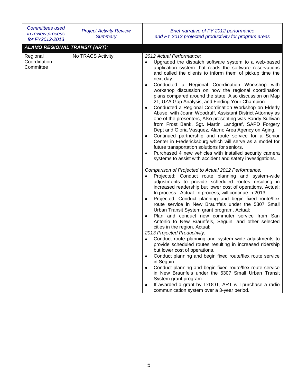| <b>Committees used</b><br>in review process<br>for FY2012-2013 | <b>Project Activity Review</b><br><b>Summary</b> | Brief narrative of FY 2012 performance<br>and FY 2013 projected productivity for program areas                                                                                                                                                                                                                                                                                                                                                                                                                                                                                                                                                                                                                                                                                                                                                                                                                                                                                                                                                                                             |
|----------------------------------------------------------------|--------------------------------------------------|--------------------------------------------------------------------------------------------------------------------------------------------------------------------------------------------------------------------------------------------------------------------------------------------------------------------------------------------------------------------------------------------------------------------------------------------------------------------------------------------------------------------------------------------------------------------------------------------------------------------------------------------------------------------------------------------------------------------------------------------------------------------------------------------------------------------------------------------------------------------------------------------------------------------------------------------------------------------------------------------------------------------------------------------------------------------------------------------|
| <b>ALAMO REGIONAL TRANSIT (ART):</b>                           |                                                  |                                                                                                                                                                                                                                                                                                                                                                                                                                                                                                                                                                                                                                                                                                                                                                                                                                                                                                                                                                                                                                                                                            |
| Regional<br>Coordination<br>Committee                          | No TRACS Activity.                               | 2012 Actual Performance:<br>Upgraded the dispatch software system to a web-based<br>$\bullet$<br>application system that reads the software reservations<br>and called the clients to inform them of pickup time the<br>next day.<br>Conducted a Regional Coordination Workshop with<br>$\bullet$<br>workshop discussion on how the regional coordination<br>plans compared around the state. Also discussion on Map<br>21, UZA Gap Analysis, and Finding Your Champion.<br>Conducted a Regional Coordination Workshop on Elderly<br>$\bullet$<br>Abuse, with Joann Woodruff, Assistant District Attorney as<br>one of the presenters, Also presenting was Sandy Sullivan<br>from Frost Bank, Sgt. Martin Landgraf, SAPD Forgery<br>Dept and Gloria Vasquez, Alamo Area Agency on Aging.<br>Continued partnership and route service for a Senior<br>٠<br>Center in Fredericksburg which will serve as a model for<br>future transportation solutions for seniors.<br>Purchased 4 new vehicles with installed security camera<br>systems to assist with accident and safety investigations. |
|                                                                |                                                  | Comparison of Projected to Actual 2012 Performance:<br>Projected: Conduct route planning and system-wide<br>adjustments to provide scheduled routes resulting in<br>increased readership but lower cost of operations. Actual:<br>In process. Actual: In process, will continue in 2013.<br>Projected: Conduct planning and begin fixed route/flex<br>$\bullet$<br>route service in New Braunfels under the 5307 Small<br>Urban Transit System grant program. Actual:<br>Plan and conduct new commuter service from San<br>$\bullet$<br>Antonio to New Braunfels, Seguin, and other selected<br>cities in the region. Actual:                                                                                                                                                                                                                                                                                                                                                                                                                                                              |
|                                                                |                                                  | 2013 Projected Productivity:                                                                                                                                                                                                                                                                                                                                                                                                                                                                                                                                                                                                                                                                                                                                                                                                                                                                                                                                                                                                                                                               |
|                                                                |                                                  | Conduct route planning and system wide adjustments to<br>٠<br>provide scheduled routes resulting in increased ridership<br>but lower cost of operations.                                                                                                                                                                                                                                                                                                                                                                                                                                                                                                                                                                                                                                                                                                                                                                                                                                                                                                                                   |
|                                                                |                                                  | Conduct planning and begin fixed route/flex route service<br>٠<br>in Seguin.                                                                                                                                                                                                                                                                                                                                                                                                                                                                                                                                                                                                                                                                                                                                                                                                                                                                                                                                                                                                               |
|                                                                |                                                  | Conduct planning and begin fixed route/flex route service<br>in New Braunfels under the 5307 Small Urban Transit<br>System grant program.<br>If awarded a grant by TxDOT, ART will purchase a radio<br>٠                                                                                                                                                                                                                                                                                                                                                                                                                                                                                                                                                                                                                                                                                                                                                                                                                                                                                   |
|                                                                |                                                  | communication system over a 3-year period.                                                                                                                                                                                                                                                                                                                                                                                                                                                                                                                                                                                                                                                                                                                                                                                                                                                                                                                                                                                                                                                 |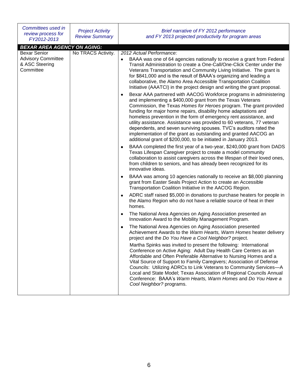| Committees used in<br>review process for<br>FY2012-2013                                               | <b>Project Activity</b><br><b>Review Summary</b>                                                                                                                                                                                                                                                                                                                                                                                                                                                                                                                                                                                                                                                                                                                                                                                                                                                                                                                                                                                                                                                                                       | Brief narrative of FY 2012 performance<br>and FY 2013 projected productivity for program areas                                                                                                                                                                                                                                                                                                                                                                                                                               |
|-------------------------------------------------------------------------------------------------------|----------------------------------------------------------------------------------------------------------------------------------------------------------------------------------------------------------------------------------------------------------------------------------------------------------------------------------------------------------------------------------------------------------------------------------------------------------------------------------------------------------------------------------------------------------------------------------------------------------------------------------------------------------------------------------------------------------------------------------------------------------------------------------------------------------------------------------------------------------------------------------------------------------------------------------------------------------------------------------------------------------------------------------------------------------------------------------------------------------------------------------------|------------------------------------------------------------------------------------------------------------------------------------------------------------------------------------------------------------------------------------------------------------------------------------------------------------------------------------------------------------------------------------------------------------------------------------------------------------------------------------------------------------------------------|
| <b>BEXAR AREA AGENCY ON AGING:</b>                                                                    |                                                                                                                                                                                                                                                                                                                                                                                                                                                                                                                                                                                                                                                                                                                                                                                                                                                                                                                                                                                                                                                                                                                                        |                                                                                                                                                                                                                                                                                                                                                                                                                                                                                                                              |
| <b>Bexar Senior</b><br>No TRACS Activity.<br><b>Advisory Committee</b><br>& ASC Steering<br>Committee | 2012 Actual Performance:<br>BAAA was one of 64 agencies nationally to receive a grant from Federal<br>٠<br>Transit Administration to create a One-Call/One-Click Center under the<br>Veterans Transportation and Community Living Initiative. The grant is<br>for \$841,000 and is the result of BAAA's organizing and leading a<br>collaborative, the Alamo Area Accessible Transportation Coalition<br>Initiative (AAATCI) in the project design and writing the grant proposal.<br>Bexar AAA partnered with AACOG Workforce programs in administering<br>$\bullet$<br>and implementing a \$400,000 grant from the Texas Veterans<br>Commission, the Texas Homes for Heroes program. The grant provided<br>funding for major home repairs, disability home adaptations and<br>homeless prevention in the form of emergency rent assistance, and<br>utility assistance. Assistance was provided to 60 veterans, 77 veteran<br>dependents, and seven surviving spouses. TVC's auditors rated the<br>implementation of the grant as outstanding and granted AACOG an<br>additional grant of \$200,000, to be initiated in January 2013. |                                                                                                                                                                                                                                                                                                                                                                                                                                                                                                                              |
|                                                                                                       |                                                                                                                                                                                                                                                                                                                                                                                                                                                                                                                                                                                                                                                                                                                                                                                                                                                                                                                                                                                                                                                                                                                                        | BAAA completed the first year of a two-year, \$240,000 grant from DADS<br>Texas Lifespan Caregiver project to create a model community<br>collaboration to assist caregivers across the lifespan of their loved ones,<br>from children to seniors, and has already been recognized for its<br>innovative ideas.                                                                                                                                                                                                              |
|                                                                                                       |                                                                                                                                                                                                                                                                                                                                                                                                                                                                                                                                                                                                                                                                                                                                                                                                                                                                                                                                                                                                                                                                                                                                        | BAAA was among 10 agencies nationally to receive an \$8,000 planning<br>grant from Easter Seals Project Action to create an Accessible<br>Transportation Coalition Initiative in the AACOG Region.                                                                                                                                                                                                                                                                                                                           |
|                                                                                                       | ADRC staff raised \$5,000 in donations to purchase heaters for people in<br>the Alamo Region who do not have a reliable source of heat in their<br>homes.                                                                                                                                                                                                                                                                                                                                                                                                                                                                                                                                                                                                                                                                                                                                                                                                                                                                                                                                                                              |                                                                                                                                                                                                                                                                                                                                                                                                                                                                                                                              |
|                                                                                                       |                                                                                                                                                                                                                                                                                                                                                                                                                                                                                                                                                                                                                                                                                                                                                                                                                                                                                                                                                                                                                                                                                                                                        | The National Area Agencies on Aging Association presented an<br>$\bullet$<br>Innovation Award to the Mobility Management Program.                                                                                                                                                                                                                                                                                                                                                                                            |
|                                                                                                       |                                                                                                                                                                                                                                                                                                                                                                                                                                                                                                                                                                                                                                                                                                                                                                                                                                                                                                                                                                                                                                                                                                                                        | The National Area Agencies on Aging Association presented<br>$\bullet$<br>Achievement Awards to the Warm Hearts, Warm Homes heater delivery<br>project and the Do You Have a Cool Neighbor? project.                                                                                                                                                                                                                                                                                                                         |
|                                                                                                       |                                                                                                                                                                                                                                                                                                                                                                                                                                                                                                                                                                                                                                                                                                                                                                                                                                                                                                                                                                                                                                                                                                                                        | Martha Spinks was invited to present the following: International<br>Conference on Active Aging: Adult Day Health Care Centers as an<br>Affordable and Often Preferable Alternative to Nursing Homes and a<br>Vital Source of Support to Family Caregivers; Association of Defense<br>Councils: Utilizing ADRCs to Link Veterans to Community Services-A<br>Local and State Model; Texas Association of Regional Councils Annual<br>Conference: BAAA's Warm Hearts, Warm Homes and Do You Have a<br>Cool Neighbor? programs. |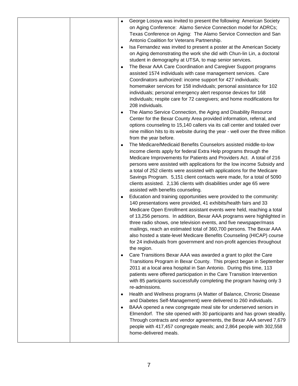|   | George Losoya was invited to present the following: American Society                                                                           |
|---|------------------------------------------------------------------------------------------------------------------------------------------------|
|   | on Aging Conference: Alamo Service Connection model for ADRCs;                                                                                 |
|   | Texas Conference on Aging: The Alamo Service Connection and San                                                                                |
|   | Antonio Coalition for Veterans Partnership.                                                                                                    |
|   | Isa Fernandez was invited to present a poster at the American Society                                                                          |
|   | on Aging demonstrating the work she did with Chun-lin Lin, a doctoral                                                                          |
|   | student in demography at UTSA, to map senior services.                                                                                         |
|   | The Bexar AAA Care Coordination and Caregiver Support programs                                                                                 |
|   | assisted 1574 individuals with case management services. Care                                                                                  |
|   | Coordinators authorized: income support for 427 individuals;                                                                                   |
|   | homemaker services for 158 individuals; personal assistance for 102                                                                            |
|   | individuals; personal emergency alert response devices for 168                                                                                 |
|   | individuals; respite care for 72 caregivers; and home modifications for                                                                        |
|   | 208 individuals.                                                                                                                               |
|   | The Alamo Service Connection, the Aging and Disability Resource                                                                                |
|   | Center for the Bexar County Area provided information, referral, and                                                                           |
|   | options counseling to 15,140 callers via its call center and totaled over                                                                      |
|   | nine million hits to its website during the year - well over the three million                                                                 |
|   | from the year before.<br>The Medicare/Medicaid Benefits Counselors assisted middle-to-low                                                      |
|   | income clients apply for federal Extra Help programs through the                                                                               |
|   | Medicare Improvements for Patients and Providers Act. A total of 216                                                                           |
|   | persons were assisted with applications for the low income Subsidy and                                                                         |
|   | a total of 252 clients were assisted with applications for the Medicare                                                                        |
|   | Savings Program. 5,151 client contacts were made, for a total of 5090                                                                          |
|   | clients assisted. 2,136 clients with disabilities under age 65 were                                                                            |
|   | assisted with benefits counseling.                                                                                                             |
|   | Education and training opportunities were provided to the community:                                                                           |
|   | 140 presentations were provided, 41 exhibits/health fairs and 33                                                                               |
|   | Medicare Open Enrollment assistant events were held, reaching a total                                                                          |
|   | of 13,256 persons. In addition, Bexar AAA programs were highlighted in                                                                         |
|   | three radio shows, one television events, and five newspaper/mass                                                                              |
|   | mailings, reach an estimated total of 360,700 persons. The Bexar AAA                                                                           |
|   | also hosted a state-level Medicare Benefits Counseling (HICAP) course                                                                          |
|   | for 24 individuals from government and non-profit agencies throughout                                                                          |
|   | the region.                                                                                                                                    |
|   | Care Transitions Bexar AAA was awarded a grant to pilot the Care                                                                               |
|   | Transitions Program in Bexar County. This project began in September                                                                           |
|   | 2011 at a local area hospital in San Antonio. During this time, 113<br>patients were offered participation in the Care Transition Intervention |
|   | with 85 participants successfully completing the program having only 3                                                                         |
|   | re-admissions.                                                                                                                                 |
| ٠ | Health and Wellness programs (A Matter of Balance, Chronic Disease                                                                             |
|   | and Diabetes Self-Management) were delivered to 260 individuals.                                                                               |
|   | BAAA opened a new congregate meal site for underserved seniors in                                                                              |
|   | Elmendorf. The site opened with 30 participants and has grown steadily.                                                                        |
|   | Through contracts and vendor agreements, the Bexar AAA served 7,679                                                                            |
|   | people with 417,457 congregate meals; and 2,864 people with 302,558                                                                            |
|   | home-delivered meals.                                                                                                                          |
|   |                                                                                                                                                |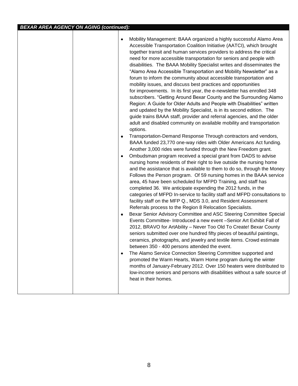|  |                        | Mobility Management: BAAA organized a highly successful Alamo Area<br>Accessible Transportation Coalition Initiative (AATCI), which brought<br>together transit and human services providers to address the critical<br>need for more accessible transportation for seniors and people with<br>disabilities. The BAAA Mobility Specialist writes and disseminates the<br>"Alamo Area Accessible Transportation and Mobility Newsletter" as a<br>forum to inform the community about accessible transportation and<br>mobility issues, and discuss best practices and opportunities<br>for improvements. In its first year, the e-newsletter has enrolled 348<br>subscribers. "Getting Around Bexar County and the Surrounding Alamo<br>Region: A Guide for Older Adults and People with Disabilities" written<br>and updated by the Mobility Specialist, is in its second edition. The<br>guide trains BAAA staff, provider and referral agencies, and the older<br>adult and disabled community on available mobility and transportation<br>options. |
|--|------------------------|-------------------------------------------------------------------------------------------------------------------------------------------------------------------------------------------------------------------------------------------------------------------------------------------------------------------------------------------------------------------------------------------------------------------------------------------------------------------------------------------------------------------------------------------------------------------------------------------------------------------------------------------------------------------------------------------------------------------------------------------------------------------------------------------------------------------------------------------------------------------------------------------------------------------------------------------------------------------------------------------------------------------------------------------------------|
|  | $\bullet$<br>$\bullet$ | Transportation-Demand Response Through contractors and vendors,<br>BAAA funded 23,770 one-way rides with Older Americans Act funding.<br>Another 3,000 rides were funded through the New Freedom grant.<br>Ombudsman program received a special grant from DADS to advise<br>nursing home residents of their right to live outside the nursing home<br>and the assistance that is available to them to do so, through the Money<br>Follows the Person program. Of 59 nursing homes in the BAAA service<br>area, 45 have been scheduled for MFPD Training, and staff has<br>completed 36. We anticipate expending the 2012 funds, in the<br>categories of MFPD In-service to facility staff and MFPD consultations to<br>facility staff on the MFP Q., MDS 3.0, and Resident Assessment<br>Referrals process to the Region 8 Relocation Specialists.                                                                                                                                                                                                   |
|  | $\bullet$              | Bexar Senior Advisory Committee and ASC Steering Committee Special<br>Events Committee- Introduced a new event -Senior Art Exhibit Fall of<br>2012, BRAVO for ArtAbility - Never Too Old To Create! Bexar County<br>seniors submitted over one hundred fifty pieces of beautiful paintings,<br>ceramics, photographs, and jewelry and textile items. Crowd estimate<br>between 350 - 400 persons attended the event.<br>The Alamo Service Connection Steering Committee supported and<br>promoted the Warm Hearts, Warm Home program during the winter<br>months of January-February 2012. Over 150 heaters were distributed to<br>low-income seniors and persons with disabilities without a safe source of<br>heat in their homes.                                                                                                                                                                                                                                                                                                                  |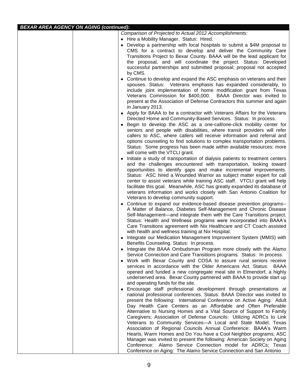### *BEXAR AREA AGENCY ON AGING (continued):*

| Comparison of Projected to Actual 2012 Accomplishments:                                                                                                                                                                                                                              |
|--------------------------------------------------------------------------------------------------------------------------------------------------------------------------------------------------------------------------------------------------------------------------------------|
| • Hire a Mobility Manager. Status: Hired.                                                                                                                                                                                                                                            |
| • Develop a partnership with local hospitals to submit a \$4M proposal to<br>CMS for a contract to develop and deliver the Community Care                                                                                                                                            |
| Transitions Project to Bexar County. BAAA will be the lead applicant for                                                                                                                                                                                                             |
| the proposal, and will coordinate the project. Status: Developed<br>successful partnerships and submitted proposal; proposal not accepted                                                                                                                                            |
| by CMS.                                                                                                                                                                                                                                                                              |
| Continue to develop and expand the ASC emphasis on veterans and their<br>٠                                                                                                                                                                                                           |
| spouses. Status: Veterans emphasis has expanded considerably, to<br>include joint implementation of home modification grant from Texas<br>Veterans Commission for \$400,000. BAAA Director was invited to<br>present at the Association of Defense Contractors this summer and again |
| in January 2013.                                                                                                                                                                                                                                                                     |
| • Apply for BAAA to be a contractor with Veterans Affairs for the Veterans<br>Directed Home and Community-Based Services. Status: In process.                                                                                                                                        |
| Begin to develop the ASC as a one-call/one-click mobility center for<br>seniors and people with disabilities, where transit providers will refer                                                                                                                                     |
| callers to ASC, where callers will receive information and referral and<br>options counseling to find solutions to complex transportation problems.                                                                                                                                  |
| Status: Some progress has been made within available resources; more<br>will come with the VTCLI grant.                                                                                                                                                                              |
| Initiate a study of transportation of dialysis patients to treatment centers                                                                                                                                                                                                         |
| and the challenges encountered with transportation, looking toward                                                                                                                                                                                                                   |
| opportunities to identify gaps and make incremental improvements.                                                                                                                                                                                                                    |
| Status: ASC hired a Wounded Warrior as subject matter expert for call<br>center to assist veterans while training ASC staff. VTCLI grant will help                                                                                                                                   |
| facilitate this goal. Meanwhile, ASC has greatly expanded its database of                                                                                                                                                                                                            |
| veterans information and works closely with San Antonio Coalition for                                                                                                                                                                                                                |
| Veterans to develop community support.                                                                                                                                                                                                                                               |
| • Continue to expand our evidence-based disease prevention programs--<br>A Matter of Balance, Diabetes Self-Management and Chronic Disease                                                                                                                                           |
| Self-Management—and integrate them with the Care Transitions project.                                                                                                                                                                                                                |
| Status: Health and Wellness programs were incorporated into BAAA's                                                                                                                                                                                                                   |
| Care Transitions agreement with Nix Healthcare and CT Coach assisted                                                                                                                                                                                                                 |
| with health and wellness training at Nix Hospital.                                                                                                                                                                                                                                   |
| Integrate our Medication Management Improvement System (MMIS) with<br>Benefits Counseling. Status: In process.                                                                                                                                                                       |
| Integrate the BAAA Ombudsman Program more closely with the Alamo                                                                                                                                                                                                                     |
| Service Connection and Care Transitions programs. Status: In process.                                                                                                                                                                                                                |
| • Work with Bexar County and COSA to assure rural seniors receive<br>services in accordance with the Older Americans Act. Status: BAAA                                                                                                                                               |
| opened and funded a new congregate meal site in Elmendorf, a highly<br>underserved area. Bexar County partnered with BAAA to provide start up                                                                                                                                        |
| and operating funds for the site.                                                                                                                                                                                                                                                    |
| Encourage staff professional development through presentations at                                                                                                                                                                                                                    |
| national professional conferences. Status: BAAA Director was invited to                                                                                                                                                                                                              |
| present the following: International Conference on Active Aging: Adult                                                                                                                                                                                                               |
| Day Health Care Centers as an Affordable and Often Preferable<br>Alternative to Nursing Homes and a Vital Source of Support to Family                                                                                                                                                |
| Caregivers; Association of Defense Councils: Utilizing ADRCs to Link                                                                                                                                                                                                                 |
| Veterans to Community Services-A Local and State Model; Texas                                                                                                                                                                                                                        |
| Association of Regional Councils Annual Conference: BAAA's Warm                                                                                                                                                                                                                      |
| Hearts, Warm Homes and Do You have a Cool Neighbor programs; ASC                                                                                                                                                                                                                     |
| Manager was invited to present the following: American Society on Aging<br>Conference: Alamo Service Connection model for ADRCs; Texas                                                                                                                                               |
| Conference on Aging: The Alamo Service Connection and San Antonio                                                                                                                                                                                                                    |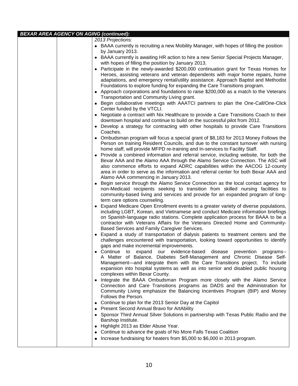|  | <b>BEXAR AREA AGENCY ON AGING (continued):</b>                                                                                                                         |
|--|------------------------------------------------------------------------------------------------------------------------------------------------------------------------|
|  | 2013 Projections:                                                                                                                                                      |
|  | • BAAA currently is recruiting a new Mobility Manager, with hopes of filling the position                                                                              |
|  | by January 2013.                                                                                                                                                       |
|  | BAAA currently is awaiting HR action to hire a new Senior Special Projects Manager,                                                                                    |
|  | with hopes of filling the position by January 2013.                                                                                                                    |
|  | Participate in the newly-awarded \$200,000 continuation grant for Texas Homes for                                                                                      |
|  | Heroes, assisting veterans and veteran dependents with major home repairs, home                                                                                        |
|  | adaptations, and emergency rental/utility assistance. Approach Baptist and Methodist                                                                                   |
|  | Foundations to explore funding for expanding the Care Transitions program.                                                                                             |
|  | Approach corporations and foundations to raise \$200,000 as a match to the Veterans                                                                                    |
|  | Transportation and Community Living grant.                                                                                                                             |
|  | • Begin collaborative meetings with AAATCI partners to plan the One-Call/One-Click                                                                                     |
|  | Center funded by the VTCLI.                                                                                                                                            |
|  | • Negotiate a contract with Nix Healthcare to provide a Care Transitions Coach to their                                                                                |
|  | downtown hospital and continue to build on the successful pilot from 2012.                                                                                             |
|  | • Develop a strategy for contracting with other hospitals to provide Care Transitions                                                                                  |
|  | Coaches.                                                                                                                                                               |
|  | • Ombudsman program will focus a special grant of \$8,183 for 2013 Money Follows the                                                                                   |
|  | Person on training Resident Councils, and due to the constant turnover with nursing                                                                                    |
|  | home staff, will provide MFPD re-training and In-services to Facility Staff.                                                                                           |
|  | • Provide a combined information and referral service, including website, for both the                                                                                 |
|  | Bexar AAA and the Alamo AAA through the Alamo Service Connection. The ASC will                                                                                         |
|  | also commence efforts to expand ADRC capabilities within the AACOG 12-county                                                                                           |
|  | area in order to serve as the information and referral center for both Bexar AAA and                                                                                   |
|  | Alamo AAA commencing in January 2013.                                                                                                                                  |
|  | Begin service through the Alamo Service Connection as the local contact agency for<br>non-Medicaid recipients seeking to transition from skilled nursing facilities to |
|  | community-based living and services and provide for an expanded program of long-                                                                                       |
|  | term care options counseling.                                                                                                                                          |
|  | Expand Medicare Open Enrollment events to a greater variety of diverse populations,                                                                                    |
|  | including LGBT, Korean, and Vietnamese and conduct Medicare information briefings                                                                                      |
|  | on Spanish-language radio stations. Complete application process for BAAA to be a                                                                                      |
|  | contractor with Veterans Affairs for the Veterans Directed Home and Community-                                                                                         |
|  | Based Services and Family Caregiver Services.                                                                                                                          |
|  | • Expand a study of transportation of dialysis patients to treatment centers and the                                                                                   |
|  | challenges encountered with transportation, looking toward opportunities to identify                                                                                   |
|  | gaps and make incremental improvements.                                                                                                                                |
|  | • Continue to expand our evidence-based disease prevention programs--                                                                                                  |
|  | A Matter of Balance, Diabetes Self-Management and Chronic Disease Self-                                                                                                |
|  | Management—and integrate them with the Care Transitions project. To include                                                                                            |
|  | expansion into hospital systems as well as into senior and disabled public housing                                                                                     |
|  | complexes within Bexar County.                                                                                                                                         |
|  | Integrate the BAAA Ombudsman Program more closely with the Alamo Service                                                                                               |
|  | Connection and Care Transitions programs as DADS and the Administration for                                                                                            |
|  | Community Living emphasize the Balancing Incentives Program (BIP) and Money<br>Follows the Person.                                                                     |
|  |                                                                                                                                                                        |
|  | Continue to plan for the 2013 Senior Day at the Capitol<br>٠<br>• Present Second Annual Bravo for ArtAbility                                                           |
|  | • Sponsor Third Annual Silver Solutions in partnership with Texas Public Radio and the                                                                                 |
|  | Barshop Institute.                                                                                                                                                     |
|  | Highlight 2013 as Elder Abuse Year.<br>٠                                                                                                                               |
|  | Continue to advance the goals of No More Falls Texas Coalition<br>٠                                                                                                    |
|  | Increase fundraising for heaters from \$5,000 to \$6,000 in 2013 program.<br>٠                                                                                         |
|  |                                                                                                                                                                        |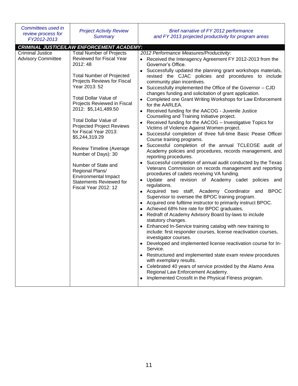| Committees used in<br>review process for<br>FY2012-2013 | <b>Project Activity Review</b><br><b>Summary</b>                                                                                                                                                                                                                                                                                                                                                                                                                                                                                                               | Brief narrative of FY 2012 performance<br>and FY 2013 projected productivity for program areas                                                                                                                                                                                                                                                                                                                                                                                                                                                                                                                                                                                                                                                                                                                                                                                                                                                                                                                                                                                                                                                                                                                                                                                                                                                                                                                                                                                                                                                                                                                                                                                                                                                                                                                                                                                                                                                                                                                                            |
|---------------------------------------------------------|----------------------------------------------------------------------------------------------------------------------------------------------------------------------------------------------------------------------------------------------------------------------------------------------------------------------------------------------------------------------------------------------------------------------------------------------------------------------------------------------------------------------------------------------------------------|-------------------------------------------------------------------------------------------------------------------------------------------------------------------------------------------------------------------------------------------------------------------------------------------------------------------------------------------------------------------------------------------------------------------------------------------------------------------------------------------------------------------------------------------------------------------------------------------------------------------------------------------------------------------------------------------------------------------------------------------------------------------------------------------------------------------------------------------------------------------------------------------------------------------------------------------------------------------------------------------------------------------------------------------------------------------------------------------------------------------------------------------------------------------------------------------------------------------------------------------------------------------------------------------------------------------------------------------------------------------------------------------------------------------------------------------------------------------------------------------------------------------------------------------------------------------------------------------------------------------------------------------------------------------------------------------------------------------------------------------------------------------------------------------------------------------------------------------------------------------------------------------------------------------------------------------------------------------------------------------------------------------------------------------|
|                                                         | <b>CRIMINAL JUSTICE/LAW ENFORCEMENT ACADEMY:</b>                                                                                                                                                                                                                                                                                                                                                                                                                                                                                                               |                                                                                                                                                                                                                                                                                                                                                                                                                                                                                                                                                                                                                                                                                                                                                                                                                                                                                                                                                                                                                                                                                                                                                                                                                                                                                                                                                                                                                                                                                                                                                                                                                                                                                                                                                                                                                                                                                                                                                                                                                                           |
| <b>Criminal Justice</b><br><b>Advisory Committee</b>    | <b>Total Number of Projects</b><br>Reviewed for Fiscal Year<br>2012: 48<br><b>Total Number of Projected</b><br>Projects Reviews for Fiscal<br>Year 2013: 52<br><b>Total Dollar Value of</b><br>Projects Reviewed in Fiscal<br>2012: \$5,141,489.50<br><b>Total Dollar Value of</b><br><b>Projected Project Reviews</b><br>for Fiscal Year 2013:<br>\$5,244,319.29<br>Review Timeline (Average<br>Number of Days): 30<br>Number of State and<br>Regional Plans/<br><b>Environmental Impact</b><br><b>Statements Reviewed for</b><br><b>Fiscal Year 2012: 12</b> | 2012 Performance Measures/Productivity:<br>Received the Interagency Agreement FY 2012-2013 from the<br>Governor's Office.<br>• Successfully updated the planning grant workshops materials,<br>revised the CJAC policies and procedures to include<br>community plan incentives.<br>• Successfully implemented the Office of the Governor - CJD<br>changes funding and solicitation of grant application.<br>• Completed one Grant Writing Workshops for Law Enforcement<br>for the AARLEA.<br>• Received funding for the AACOG - Juvenile Justice<br>Counseling and Training Initiative project.<br>• Received funding for the AACOG - Investigative Topics for<br>Victims of Violence Against Women project.<br>• Successful completion of three full-time Basic Pease Officer<br>Course training programs.<br>Successful completion of the annual TCLEOSE audit of<br>$\bullet$<br>Academy policies and procedures, records management, and<br>reporting procedures.<br>• Successful completion of annual audit conducted by the Texas<br>Veterans Commission on records management and reporting<br>procedures of cadets receiving VA funding.<br>Update and revision of Academy cadet policies and<br>$\bullet$<br>regulations.<br>• Acquired two staff, Academy Coordinator and BPOC<br>Supervisor to oversee the BPOC training program.<br>• Acquired one fulltime instructor to primarily instruct BPOC.<br>Achieved 68% hire rate for BPOC graduates.<br>Redraft of Academy Advisory Board by-laws to include<br>statutory changes.<br>Enhanced In-Service training catalog with new training to<br>include: first responder courses, license reactivation courses,<br>investigator courses.<br>Developed and implemented license reactivation course for In-<br>Service.<br>• Restructured and implemented state exam review procedures<br>with exemplary results.<br>• Celebrated 40 years of service provided by the Alamo Area<br>Regional Law Enforcement Academy.<br>Implemented Crossfit in the Physical Fitness program. |
|                                                         |                                                                                                                                                                                                                                                                                                                                                                                                                                                                                                                                                                |                                                                                                                                                                                                                                                                                                                                                                                                                                                                                                                                                                                                                                                                                                                                                                                                                                                                                                                                                                                                                                                                                                                                                                                                                                                                                                                                                                                                                                                                                                                                                                                                                                                                                                                                                                                                                                                                                                                                                                                                                                           |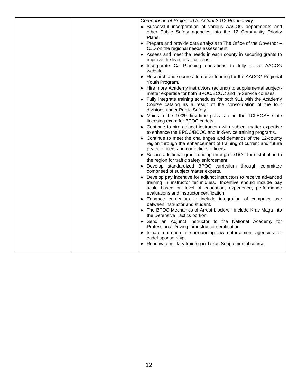| Comparison of Projected to Actual 2012 Productivity:                                                                                                                                                                                            |
|-------------------------------------------------------------------------------------------------------------------------------------------------------------------------------------------------------------------------------------------------|
| • Successful incorporation of various AACOG departments and<br>other Public Safety agencies into the 12 Community Priority<br>Plans.                                                                                                            |
| • Prepare and provide data analysis to The Office of the Governor -<br>CJD on the regional needs assessment.                                                                                                                                    |
| • Assess and meet the needs in each county in securing grants to<br>improve the lives of all citizens.                                                                                                                                          |
| • Incorporate CJ Planning operations to fully utilize AACOG<br>website.                                                                                                                                                                         |
| • Research and secure alternative funding for the AACOG Regional<br>Youth Program.                                                                                                                                                              |
| • Hire more Academy instructors (adjunct) to supplemental subject-<br>matter expertise for both BPOC/BCOC and In-Service courses.                                                                                                               |
| • Fully integrate training schedules for both 911 with the Academy<br>Course catalog as a result of the consolidation of the four<br>divisions under Public Safety.                                                                             |
| • Maintain the 100% first-time pass rate in the TCLEOSE state<br>licensing exam for BPOC cadets.                                                                                                                                                |
| • Continue to hire adjunct instructors with subject matter expertise<br>to enhance the BPOC/BCOC and In-Service training programs.                                                                                                              |
| • Continue to meet the challenges and demands of the 12-county<br>region through the enhancement of training of current and future<br>peace officers and corrections officers.                                                                  |
| • Secure additional grant funding through TxDOT for distribution to<br>the region for traffic safety enforcement                                                                                                                                |
| · Develop standardized BPOC curriculum through committee<br>comprised of subject matter experts.                                                                                                                                                |
| Develop pay incentive for adjunct instructors to receive advanced<br>training in instructor techniques. Incentive should include pay<br>scale based on level of education, experience, performance<br>evaluations and instructor certification. |
| • Enhance curriculum to include integration of computer use<br>between instructor and student.                                                                                                                                                  |
| • The BPOC Mechanics of Arrest block will include Krav Maga into<br>the Defensive Tactics portion.                                                                                                                                              |
| • Send an Adjunct Instructor to the National Academy for<br>Professional Driving for instructor certification.                                                                                                                                  |
| Initiate outreach to surrounding law enforcement agencies for<br>cadet sponsorship.                                                                                                                                                             |
| • Reactivate military training in Texas Supplemental course.                                                                                                                                                                                    |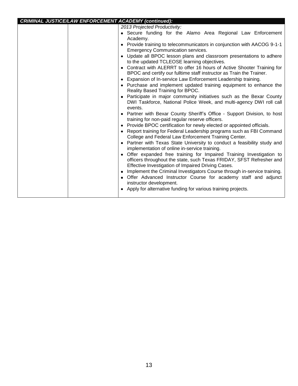| <b>CRIMINAL JUSTICE/LAW ENFORCEMENT ACADEMY (continued):</b> | 2013 Projected Productivity:<br>• Secure funding for the Alamo Area Regional Law Enforcement<br>Academy.<br>• Provide training to telecommunicators in conjunction with AACOG 9-1-1<br><b>Emergency Communication services.</b><br>• Update all BPOC lesson plans and classroom presentations to adhere<br>to the updated TCLEOSE learning objectives.<br>• Contract with ALERRT to offer 16 hours of Active Shooter Training for<br>BPOC and certify our fulltime staff instructor as Train the Trainer.<br>• Expansion of In-service Law Enforcement Leadership training.<br>• Purchase and implement updated training equipment to enhance the<br>Reality Based Training for BPOC.<br>• Participate in major community initiatives such as the Bexar County<br>DWI Taskforce, National Police Week, and multi-agency DWI roll call<br>events.<br>• Partner with Bexar County Sheriff's Office - Support Division, to host<br>training for non-paid regular reserve officers.<br>• Provide BPOC certification for newly elected or appointed officials.<br>• Report training for Federal Leadership programs such as FBI Command<br>College and Federal Law Enforcement Training Center.<br>• Partner with Texas State University to conduct a feasibility study and<br>implementation of online in-service training.<br>• Offer expanded free training for Impaired Training Investigation to<br>officers throughout the state, such Texas FRIDAY, SFST Refresher and<br>Effective Investigation of Impaired Driving Cases. |
|--------------------------------------------------------------|--------------------------------------------------------------------------------------------------------------------------------------------------------------------------------------------------------------------------------------------------------------------------------------------------------------------------------------------------------------------------------------------------------------------------------------------------------------------------------------------------------------------------------------------------------------------------------------------------------------------------------------------------------------------------------------------------------------------------------------------------------------------------------------------------------------------------------------------------------------------------------------------------------------------------------------------------------------------------------------------------------------------------------------------------------------------------------------------------------------------------------------------------------------------------------------------------------------------------------------------------------------------------------------------------------------------------------------------------------------------------------------------------------------------------------------------------------------------------------------------------------------------------------|
|                                                              | • Implement the Criminal Investigators Course through in-service training.<br>· Offer Advanced Instructor Course for academy staff and adjunct<br>instructor development.<br>• Apply for alternative funding for various training projects.                                                                                                                                                                                                                                                                                                                                                                                                                                                                                                                                                                                                                                                                                                                                                                                                                                                                                                                                                                                                                                                                                                                                                                                                                                                                                    |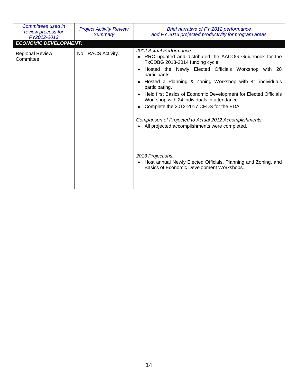| Committees used in<br>review process for<br>FY2012-2013 | <b>Project Activity Review</b><br>Summary | Brief narrative of FY 2012 performance<br>and FY 2013 projected productivity for program areas                                                                                                                                                                                                                                                                                                                                                                                                                                                                                                                                                                                           |
|---------------------------------------------------------|-------------------------------------------|------------------------------------------------------------------------------------------------------------------------------------------------------------------------------------------------------------------------------------------------------------------------------------------------------------------------------------------------------------------------------------------------------------------------------------------------------------------------------------------------------------------------------------------------------------------------------------------------------------------------------------------------------------------------------------------|
| <b>ECONOMIC DEVELOPMENT:</b>                            |                                           |                                                                                                                                                                                                                                                                                                                                                                                                                                                                                                                                                                                                                                                                                          |
| <b>Regional Review</b><br>Committee                     | No TRACS Activity.                        | 2012 Actual Performance:<br>RRC updated and distributed the AACOG Guidebook for the<br>TxCDBG 2013-2014 funding cycle.<br>Hosted the Newly Elected Officials Workshop with 28<br>participants.<br>Hosted a Planning & Zoning Workshop with 41 individuals<br>participating.<br>Held first Basics of Economic Development for Elected Officials<br>Workshop with 24 individuals in attendance.<br>Complete the 2012-2017 CEDS for the EDA.<br>Comparison of Projected to Actual 2012 Accomplishments:<br>All projected accomplishments were completed.<br>2013 Projections:<br>Host annual Newly Elected Officials, Planning and Zoning, and<br>Basics of Economic Development Workshops. |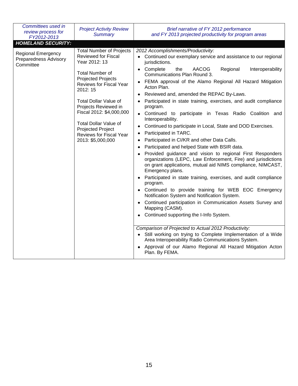| Committees used in<br>review process for<br>FY2012-2013                | <b>Project Activity Review</b><br><b>Summary</b>                                                                                                                                                                                                                                                                                                                      | Brief narrative of FY 2012 performance<br>and FY 2013 projected productivity for program areas                                                                                                                                                                                                                                                                                                                                                                                                                                                                                                                                                                                                                                                                                                                                                                                                                                                                                                                                                                                                                                                                                                                                                                                                                                                                                                                                                                                                                                                         |
|------------------------------------------------------------------------|-----------------------------------------------------------------------------------------------------------------------------------------------------------------------------------------------------------------------------------------------------------------------------------------------------------------------------------------------------------------------|--------------------------------------------------------------------------------------------------------------------------------------------------------------------------------------------------------------------------------------------------------------------------------------------------------------------------------------------------------------------------------------------------------------------------------------------------------------------------------------------------------------------------------------------------------------------------------------------------------------------------------------------------------------------------------------------------------------------------------------------------------------------------------------------------------------------------------------------------------------------------------------------------------------------------------------------------------------------------------------------------------------------------------------------------------------------------------------------------------------------------------------------------------------------------------------------------------------------------------------------------------------------------------------------------------------------------------------------------------------------------------------------------------------------------------------------------------------------------------------------------------------------------------------------------------|
| <b>HOMELAND SECURITY:</b>                                              |                                                                                                                                                                                                                                                                                                                                                                       |                                                                                                                                                                                                                                                                                                                                                                                                                                                                                                                                                                                                                                                                                                                                                                                                                                                                                                                                                                                                                                                                                                                                                                                                                                                                                                                                                                                                                                                                                                                                                        |
| <b>Regional Emergency</b><br><b>Preparedness Advisory</b><br>Committee | <b>Total Number of Projects</b><br><b>Reviewed for Fiscal</b><br>Year 2012: 13<br><b>Total Number of</b><br>Projected Projects<br>Reviews for Fiscal Year<br>2012: 15<br><b>Total Dollar Value of</b><br>Projects Reviewed in<br>Fiscal 2012: \$4,000,000<br><b>Total Dollar Value of</b><br><b>Projected Project</b><br>Reviews for Fiscal Year<br>2013: \$5,000,000 | 2012 Accomplishments/Productivity:<br>• Continued our exemplary service and assistance to our regional<br>jurisdictions.<br>• Complete<br><b>AACOG</b><br>the<br>Regional<br>Interoperability<br>Communications Plan Round 3.<br>FEMA approval of the Alamo Regional All Hazard Mitigation<br>Acton Plan.<br>Reviewed and, amended the REPAC By-Laws.<br>$\bullet$<br>Participated in state training, exercises, and audit compliance<br>program.<br>Continued to participate in Texas Radio Coalition and<br>Interoperability.<br>Continued to participate in Local, State and DOD Exercises.<br>٠<br>Participated in TARC.<br>٠<br>Participated in CI/KR and other Data Calls.<br>٠<br>Participated and helped State with BSIR data.<br>٠<br>Provided guidance and vision to regional First Responders<br>organizations (LEPC, Law Enforcement, Fire) and jurisdictions<br>on grant applications, mutual aid NIMS compliance, NIMCAST,<br>Emergency plans.<br>Participated in state training, exercises, and audit compliance<br>program.<br>Continued to provide training for WEB EOC Emergency<br>$\bullet$<br>Notification System and Notification System.<br>Continued participation in Communication Assets Survey and<br>$\bullet$<br>Mapping (CASM).<br>Continued supporting the I-Info System.<br>Comparison of Projected to Actual 2012 Productivity:<br>• Still working on trying to Complete Implementation of a Wide<br>Area Interoperability Radio Communications System.<br>Approval of our Alamo Regional All Hazard Mitigation Acton |
|                                                                        |                                                                                                                                                                                                                                                                                                                                                                       | Plan. By FEMA.                                                                                                                                                                                                                                                                                                                                                                                                                                                                                                                                                                                                                                                                                                                                                                                                                                                                                                                                                                                                                                                                                                                                                                                                                                                                                                                                                                                                                                                                                                                                         |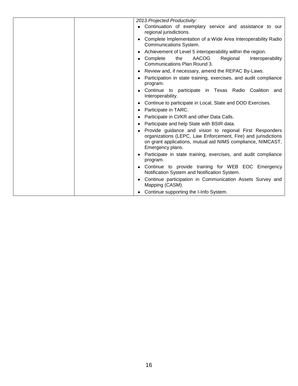| 2013 Projected Productivity:<br>Continuation of exemplary service and assistance to our<br>regional jurisdictions.                                                                                           |
|--------------------------------------------------------------------------------------------------------------------------------------------------------------------------------------------------------------|
|                                                                                                                                                                                                              |
|                                                                                                                                                                                                              |
| Complete Implementation of a Wide Area Interoperability Radio<br>Communications System.                                                                                                                      |
| Achievement of Level 5 interoperability within the region.                                                                                                                                                   |
| Complete<br>AACOG<br>Regional<br>the<br>Interoperability<br>Communications Plan Round 3.                                                                                                                     |
| Review and, if necessary, amend the REPAC By-Laws.                                                                                                                                                           |
| Participation in state training, exercises, and audit compliance<br>program.                                                                                                                                 |
| Continue to participate in Texas Radio Coalition and<br>Interoperability.                                                                                                                                    |
| Continue to participate in Local, State and DOD Exercises.                                                                                                                                                   |
| Participate in TARC.<br>٠                                                                                                                                                                                    |
| Participate in CI/KR and other Data Calls.                                                                                                                                                                   |
| Participate and help State with BSIR data.                                                                                                                                                                   |
| Provide guidance and vision to regional First Responders<br>organizations (LEPC, Law Enforcement, Fire) and jurisdictions<br>on grant applications, mutual aid NIMS compliance, NIMCAST,<br>Emergency plans. |
| Participate in state training, exercises, and audit compliance<br>program.                                                                                                                                   |
| Continue to provide training for WEB EOC Emergency<br>Notification System and Notification System.                                                                                                           |
| Continue participation in Communication Assets Survey and<br>Mapping (CASM).                                                                                                                                 |
| Continue supporting the I-Info System.                                                                                                                                                                       |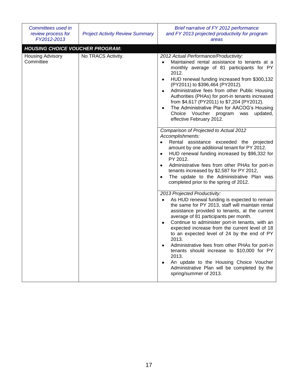| Committees used in<br>review process for<br>FY2012-2013 | <b>Project Activity Review Summary</b> | Brief narrative of FY 2012 performance<br>and FY 2013 projected productivity for program<br>areas                                                                                                                                                                                                                                                                                                                                                                                                                                                                                                                                         |
|---------------------------------------------------------|----------------------------------------|-------------------------------------------------------------------------------------------------------------------------------------------------------------------------------------------------------------------------------------------------------------------------------------------------------------------------------------------------------------------------------------------------------------------------------------------------------------------------------------------------------------------------------------------------------------------------------------------------------------------------------------------|
| <b>HOUSING CHOICE VOUCHER PROGRAM:</b>                  |                                        |                                                                                                                                                                                                                                                                                                                                                                                                                                                                                                                                                                                                                                           |
| Housing Advisory<br>Committee                           | No TRACS Activity.                     | 2012 Actual Performance/Productivity:<br>Maintained rental assistance to tenants at a<br>٠<br>monthly average of 81 participants for PY<br>2012.<br>HUD renewal funding increased from \$300,132<br>٠<br>(PY2011) to \$396,464 (PY2012).<br>Administrative fees from other Public Housing<br>٠<br>Authorities (PHAs) for port-in tenants increased<br>from \$4,617 (PY2011) to \$7,204 (PY2012).<br>The Administrative Plan for AACOG's Housing<br>٠<br>Choice Voucher program was<br>updated,<br>effective February 2012.                                                                                                                |
|                                                         |                                        | Comparison of Projected to Actual 2012<br>Accomplishments:<br>Rental assistance exceeded the projected<br>amount by one additional tenant for PY 2012.<br>HUD renewal funding increased by \$96,332 for<br>$\bullet$<br>PY 2012.<br>Administrative fees from other PHAs for port-in<br>٠<br>tenants increased by \$2,587 for PY 2012,<br>The update to the Administrative Plan was<br>$\bullet$<br>completed prior to the spring of 2012.                                                                                                                                                                                                 |
|                                                         |                                        | 2013 Projected Productivity:<br>As HUD renewal funding is expected to remain<br>$\bullet$<br>the same for PY 2013, staff will maintain rental<br>assistance provided to tenants, at the current<br>average of 81 participants per month.<br>Continue to administer port-in tenants, with an<br>٠<br>expected increase from the current level of 18<br>to an expected level of 24 by the end of PY<br>2013.<br>Administrative fees from other PHAs for port-in<br>tenants should increase to \$10,000 for PY<br>2013.<br>An update to the Housing Choice Voucher<br>Administrative Plan will be completed by the<br>spring/summer of 2013. |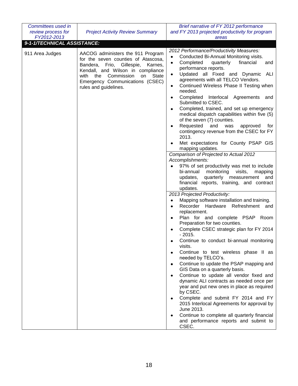| Committees used in          |                                                                                                                                                                                                                                                                   | Brief narrative of FY 2012 performance                                                                                                                                                                                                                                                                                                                                                                                                                                                                                                                                                                                                                                                                                                                                                                                                                                                                                                                                                                                                                                                                                                                                                                                                                                                                                                                                                                                                                                                                                                                                                                                                                                                                                                          |
|-----------------------------|-------------------------------------------------------------------------------------------------------------------------------------------------------------------------------------------------------------------------------------------------------------------|-------------------------------------------------------------------------------------------------------------------------------------------------------------------------------------------------------------------------------------------------------------------------------------------------------------------------------------------------------------------------------------------------------------------------------------------------------------------------------------------------------------------------------------------------------------------------------------------------------------------------------------------------------------------------------------------------------------------------------------------------------------------------------------------------------------------------------------------------------------------------------------------------------------------------------------------------------------------------------------------------------------------------------------------------------------------------------------------------------------------------------------------------------------------------------------------------------------------------------------------------------------------------------------------------------------------------------------------------------------------------------------------------------------------------------------------------------------------------------------------------------------------------------------------------------------------------------------------------------------------------------------------------------------------------------------------------------------------------------------------------|
| review process for          | <b>Project Activity Review Summary</b>                                                                                                                                                                                                                            | and FY 2013 projected productivity for program                                                                                                                                                                                                                                                                                                                                                                                                                                                                                                                                                                                                                                                                                                                                                                                                                                                                                                                                                                                                                                                                                                                                                                                                                                                                                                                                                                                                                                                                                                                                                                                                                                                                                                  |
| FY2012-2013                 |                                                                                                                                                                                                                                                                   | areas                                                                                                                                                                                                                                                                                                                                                                                                                                                                                                                                                                                                                                                                                                                                                                                                                                                                                                                                                                                                                                                                                                                                                                                                                                                                                                                                                                                                                                                                                                                                                                                                                                                                                                                                           |
| 9-1-1/TECHNICAL ASSISTANCE: |                                                                                                                                                                                                                                                                   |                                                                                                                                                                                                                                                                                                                                                                                                                                                                                                                                                                                                                                                                                                                                                                                                                                                                                                                                                                                                                                                                                                                                                                                                                                                                                                                                                                                                                                                                                                                                                                                                                                                                                                                                                 |
| 911 Area Judges             | AACOG administers the 911 Program<br>for the seven counties of Atascosa,<br>Bandera, Frio, Gillespie,<br>Karnes,<br>Kendall, and Wilson in compliance<br>Commission<br><b>State</b><br>with the<br>on<br>Emergency Communications (CSEC)<br>rules and guidelines. | 2012 Performance/Productivity Measures:<br>Conducted Bi-Annual Monitoring visits.<br>$\bullet$<br>Completed<br>financial<br>quarterly<br>$\bullet$<br>and<br>performance reports.<br>Updated all Fixed and Dynamic ALI<br>٠<br>agreements with all TELCO Vendors.<br>Continued Wireless Phase II Testing when<br>$\bullet$<br>needed.<br>Completed Interlocal Agreements<br>and<br>٠<br>Submitted to CSEC.<br>Completed, trained, and set up emergency<br>medical dispatch capabilities within five (5)<br>of the seven (7) counties.<br>Requested<br>and<br>was<br>approved<br>tor<br>contingency revenue from the CSEC for FY<br>2013.<br>Met expectations for County PSAP GIS<br>mapping updates.<br>Comparison of Projected to Actual 2012<br>Accomplishments:<br>97% of set productivity was met to include<br>bi-annual<br>monitoring<br>visits,<br>mapping<br>updates,<br>quarterly<br>measurement<br>and<br>financial reports, training, and contract<br>updates.<br>2013 Projected Productivity:<br>Mapping software installation and training.<br>Recorder Hardware Refreshment and<br>replacement.<br>Plan for and complete PSAP Room<br>Preparation for two counties.<br>Complete CSEC strategic plan for FY 2014<br>$-2015.$<br>Continue to conduct bi-annual monitoring<br>visits.<br>Continue to test wireless phase II as<br>needed by TELCO's.<br>Continue to update the PSAP mapping and<br>GIS Data on a quarterly basis.<br>Continue to update all vendor fixed and<br>dynamic ALI contracts as needed once per<br>year and put new ones in place as required<br>by CSEC.<br>Complete and submit FY 2014 and FY<br>2015 Interlocal Agreements for approval by<br>June 2013.<br>Continue to complete all quarterly financial |
|                             |                                                                                                                                                                                                                                                                   | and performance reports and submit to<br>CSEC.                                                                                                                                                                                                                                                                                                                                                                                                                                                                                                                                                                                                                                                                                                                                                                                                                                                                                                                                                                                                                                                                                                                                                                                                                                                                                                                                                                                                                                                                                                                                                                                                                                                                                                  |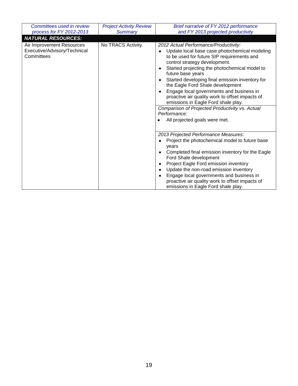| Committees used in review                                               | <b>Project Activity Review</b> | Brief narrative of FY 2012 performance                                                                                                                                                                                                                                                                                                                                                                                                                                                                                                                                                                      |
|-------------------------------------------------------------------------|--------------------------------|-------------------------------------------------------------------------------------------------------------------------------------------------------------------------------------------------------------------------------------------------------------------------------------------------------------------------------------------------------------------------------------------------------------------------------------------------------------------------------------------------------------------------------------------------------------------------------------------------------------|
| process for FY 2012-2013                                                | <b>Summary</b>                 | and FY 2013 projected productivity                                                                                                                                                                                                                                                                                                                                                                                                                                                                                                                                                                          |
| <b>NATURAL RESOURCES:</b>                                               |                                |                                                                                                                                                                                                                                                                                                                                                                                                                                                                                                                                                                                                             |
| Air Improvement Resources<br>Executive/Advisory/Technical<br>Committees | No TRACS Activity.             | 2012 Actual Performance/Productivity:<br>Update local base case photochemical modeling<br>$\bullet$<br>to be used for future SIP requirements and<br>control strategy development.<br>Started projecting the photochemical model to<br>٠<br>future base years<br>Started developing final emission inventory for<br>$\bullet$<br>the Eagle Ford Shale development<br>Engage local governments and business in<br>proactive air quality work to offset impacts of<br>emissions in Eagle Ford shale play.<br>Comparison of Projected Productivity vs. Actual<br>Performance:<br>All projected goals were met. |
|                                                                         |                                | 2013 Projected Performance Measures:<br>Project the photochemical model to future base<br>years<br>Completed final emission inventory for the Eagle<br>Ford Shale development<br>Project Eagle Ford emission inventory<br>$\bullet$<br>Update the non-road emission inventory<br>$\bullet$<br>Engage local governments and business in<br>proactive air quality work to offset impacts of<br>emissions in Eagle Ford shale play.                                                                                                                                                                            |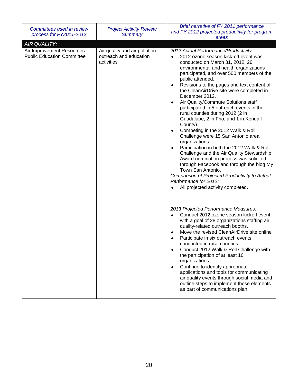| Committees used in review                                      | <b>Project Activity Review</b>                                        | Brief narrative of FY 2011 performance<br>and FY 2012 projected productivity for program                                                                                                                                                                                                                                                                                                                                                                                                                                                                                                                                                                                                                                                                                                                                                                                                                                                                    |
|----------------------------------------------------------------|-----------------------------------------------------------------------|-------------------------------------------------------------------------------------------------------------------------------------------------------------------------------------------------------------------------------------------------------------------------------------------------------------------------------------------------------------------------------------------------------------------------------------------------------------------------------------------------------------------------------------------------------------------------------------------------------------------------------------------------------------------------------------------------------------------------------------------------------------------------------------------------------------------------------------------------------------------------------------------------------------------------------------------------------------|
| process for FY2011-2012                                        | <b>Summary</b>                                                        | areas                                                                                                                                                                                                                                                                                                                                                                                                                                                                                                                                                                                                                                                                                                                                                                                                                                                                                                                                                       |
| <b>AIR QUALITY:</b>                                            |                                                                       |                                                                                                                                                                                                                                                                                                                                                                                                                                                                                                                                                                                                                                                                                                                                                                                                                                                                                                                                                             |
| Air Improvement Resources<br><b>Public Education Committee</b> | Air quality and air pollution<br>outreach and education<br>activities | 2012 Actual Performance/Productivity:<br>2012 ozone season kick-off event was<br>conducted on March 31, 2012, 26<br>environmental and health organizations<br>participated, and over 500 members of the<br>public attended.<br>Revisions to the pages and text content of<br>٠<br>the CleanAirDrive site were completed in<br>December 2012.<br>Air Quality/Commute Solutions staff<br>٠<br>participated in 5 outreach events in the<br>rural counties during 2012 (2 in<br>Guadalupe, 2 in Frio, and 1 in Kendall<br>County).<br>Competing in the 2012 Walk & Roll<br>٠<br>Challenge were 15 San Antonio area<br>organizations.<br>Participation in both the 2012 Walk & Roll<br>٠<br>Challenge and the Air Quality Stewardship<br>Award nomination process was solicited<br>through Facebook and through the blog My<br>Town San Antonio.<br>Comparison of Projected Productivity to Actual<br>Performance for 2012:<br>All projected activity completed. |
|                                                                |                                                                       | 2013 Projected Performance Measures:<br>Conduct 2012 ozone season kickoff event,<br>with a goal of 28 organizations staffing air<br>quality-related outreach booths.<br>Move the revised CleanAirDrive site online<br>Participate in six outreach events<br>conducted in rural counties<br>Conduct 2012 Walk & Roll Challenge with<br>the participation of at least 16<br>organizations<br>Continue to identify appropriate<br>٠<br>applications and tools for communicating<br>air quality events through social media and<br>outline steps to implement these elements<br>as part of communications plan.                                                                                                                                                                                                                                                                                                                                                 |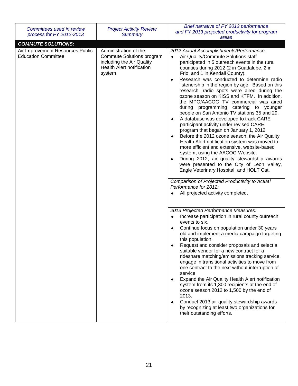| Committees used in review                                      | <b>Project Activity Review</b>                                                                       | Brief narrative of FY 2012 performance<br>and FY 2013 projected productivity for program                                                                                                                                                                                                                                                                                                                                                                                                                                                                                                                                                                                                                                                                                                                                                                                                                                                                                                                                                        |
|----------------------------------------------------------------|------------------------------------------------------------------------------------------------------|-------------------------------------------------------------------------------------------------------------------------------------------------------------------------------------------------------------------------------------------------------------------------------------------------------------------------------------------------------------------------------------------------------------------------------------------------------------------------------------------------------------------------------------------------------------------------------------------------------------------------------------------------------------------------------------------------------------------------------------------------------------------------------------------------------------------------------------------------------------------------------------------------------------------------------------------------------------------------------------------------------------------------------------------------|
| process for FY 2012-2013                                       | Summary                                                                                              | areas                                                                                                                                                                                                                                                                                                                                                                                                                                                                                                                                                                                                                                                                                                                                                                                                                                                                                                                                                                                                                                           |
| <b>COMMUTE SOLUTIONS:</b>                                      |                                                                                                      |                                                                                                                                                                                                                                                                                                                                                                                                                                                                                                                                                                                                                                                                                                                                                                                                                                                                                                                                                                                                                                                 |
| Air Improvement Resources Public<br><b>Education Committee</b> | Commute Solutions program<br>including the Air Quality<br><b>Health Alert notification</b><br>system | 2012 Actual Accomplishments/Performance:<br>Air Quality/Commute Solutions staff<br>participated in 5 outreach events in the rural<br>counties during 2012 (2 in Guadalupe, 2 in<br>Frio, and 1 in Kendall County).<br>Research was conducted to determine radio<br>$\bullet$<br>listenership in the region by age. Based on this<br>research, radio spots were aired during the<br>ozone season on KISS and KTFM. In addition,<br>the MPO/AACOG TV commercial was aired<br>during programming catering to younger<br>people on San Antonio TV stations 35 and 29.<br>A database was developed to track CARE<br>participant activity under revised CARE<br>program that began on January 1, 2012<br>Before the 2012 ozone season, the Air Quality<br>٠<br>Health Alert notification system was moved to<br>more efficient and extensive, website-based<br>system, using the AACOG Website.<br>During 2012, air quality stewardship awards<br>$\bullet$<br>were presented to the City of Leon Valley,<br>Eagle Veterinary Hospital, and HOLT Cat. |
|                                                                |                                                                                                      | Comparison of Projected Productivity to Actual<br>Performance for 2012:<br>All projected activity completed.                                                                                                                                                                                                                                                                                                                                                                                                                                                                                                                                                                                                                                                                                                                                                                                                                                                                                                                                    |
|                                                                |                                                                                                      | 2013 Projected Performance Measures:<br>Increase participation in rural county outreach<br>٠<br>events to six.<br>Continue focus on population under 30 years<br>old and implement a media campaign targeting<br>this population.<br>Request and consider proposals and select a<br>suitable vendor for a new contract for a<br>rideshare matching/emissions tracking service,<br>engage in transitional activities to move from<br>one contract to the next without interruption of<br>service<br>Expand the Air Quality Health Alert notification<br>٠<br>system from its 1,300 recipients at the end of<br>ozone season 2012 to 1,500 by the end of<br>2013.<br>Conduct 2013 air quality stewardship awards<br>$\bullet$<br>by recognizing at least two organizations for<br>their outstanding efforts.                                                                                                                                                                                                                                      |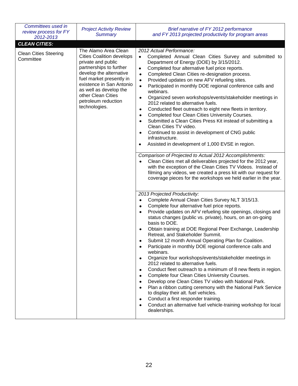| Committees used in<br>review process for FY<br>2012-2013          | <b>Project Activity Review</b><br><b>Summary</b>                                                                                                                                                                                                                                     | Brief narrative of FY 2012 performance<br>and FY 2013 projected productivity for program areas                                                                                                                                                                                                                                                                                                                                                                                                                                                                                                                                                                                                                                                                                                                                                                                                                                                                                                                                                                                                                                             |
|-------------------------------------------------------------------|--------------------------------------------------------------------------------------------------------------------------------------------------------------------------------------------------------------------------------------------------------------------------------------|--------------------------------------------------------------------------------------------------------------------------------------------------------------------------------------------------------------------------------------------------------------------------------------------------------------------------------------------------------------------------------------------------------------------------------------------------------------------------------------------------------------------------------------------------------------------------------------------------------------------------------------------------------------------------------------------------------------------------------------------------------------------------------------------------------------------------------------------------------------------------------------------------------------------------------------------------------------------------------------------------------------------------------------------------------------------------------------------------------------------------------------------|
| <b>CLEAN CITIES:</b><br><b>Clean Cities Steering</b><br>Committee | The Alamo Area Clean<br><b>Cities Coalition develops</b><br>private and public<br>partnerships to further<br>develop the alternative<br>fuel market presently in<br>existence in San Antonio<br>as well as develop the<br>other Clean Cities<br>petroleum reduction<br>technologies. | 2012 Actual Performance:<br>Completed Annual Clean Cities Survey and submitted to<br>$\bullet$<br>Department of Energy (DOE) by 3/15/2012.<br>Completed four alternative fuel price reports.<br>٠<br>Completed Clean Cities re-designation process.<br>٠<br>Provided updates on new AFV refueling sites.<br>٠<br>Participated in monthly DOE regional conference calls and<br>$\bullet$<br>webinars.<br>Organized seven workshops/events/stakeholder meetings in<br>٠<br>2012 related to alternative fuels.<br>Conducted fleet outreach to eight new fleets in territory.<br>٠<br>Completed four Clean Cities University Courses.<br>٠<br>Submitted a Clean Cities Press Kit instead of submitting a<br>٠<br>Clean Cities TV video.<br>Continued to assist in development of CNG public<br>$\bullet$<br>infrastructure.<br>Assisted in development of 1,000 EVSE in region.<br>$\bullet$                                                                                                                                                                                                                                                   |
|                                                                   |                                                                                                                                                                                                                                                                                      | Comparison of Projected to Actual 2012 Accomplishments:<br>Clean Cities met all deliverables projected for the 2012 year,<br>with the exception of the Clean Cities TV Videos. Instead of<br>filming any videos, we created a press kit with our request for<br>coverage pieces for the workshops we held earlier in the year.                                                                                                                                                                                                                                                                                                                                                                                                                                                                                                                                                                                                                                                                                                                                                                                                             |
|                                                                   |                                                                                                                                                                                                                                                                                      | 2013 Projected Productivity:<br>Complete Annual Clean Cities Survey NLT 3/15/13.<br>Complete four alternative fuel price reports.<br>Provide updates on AFV refueling site openings, closings and<br>status changes (public vs. private), hours, on an on-going<br>basis to DOE.<br>Obtain training at DOE Regional Peer Exchange, Leadership<br>Retreat, and Stakeholder Summit.<br>Submit 12 month Annual Operating Plan for Coalition.<br>Participate in monthly DOE regional conference calls and<br>$\bullet$<br>webinars.<br>Organize four workshops/events/stakeholder meetings in<br>$\bullet$<br>2012 related to alternative fuels.<br>Conduct fleet outreach to a minimum of 8 new fleets in region.<br>$\bullet$<br>Complete four Clean Cities University Courses.<br>$\bullet$<br>Develop one Clean Cities TV video with National Park.<br>$\bullet$<br>Plan a ribbon cutting ceremony with the National Park Service<br>$\bullet$<br>to display their alt. fuel vehicles.<br>Conduct a first responder training.<br>$\bullet$<br>Conduct an alternative fuel vehicle-training workshop for local<br>$\bullet$<br>dealerships. |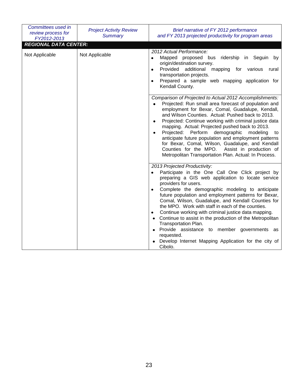| Committees used in<br>review process for<br>FY2012-2013 | <b>Project Activity Review</b><br><b>Summary</b>                                                                                                                                                                                                                                                                                                                                                                                                                                                                                                                                                                              | Brief narrative of FY 2012 performance<br>and FY 2013 projected productivity for program areas                                                                                                                                                                                                                                                                                                                                                                                                                                                                                                                                                                               |
|---------------------------------------------------------|-------------------------------------------------------------------------------------------------------------------------------------------------------------------------------------------------------------------------------------------------------------------------------------------------------------------------------------------------------------------------------------------------------------------------------------------------------------------------------------------------------------------------------------------------------------------------------------------------------------------------------|------------------------------------------------------------------------------------------------------------------------------------------------------------------------------------------------------------------------------------------------------------------------------------------------------------------------------------------------------------------------------------------------------------------------------------------------------------------------------------------------------------------------------------------------------------------------------------------------------------------------------------------------------------------------------|
| Not Applicable                                          | <b>REGIONAL DATA CENTER:</b><br>Not Applicable                                                                                                                                                                                                                                                                                                                                                                                                                                                                                                                                                                                | 2012 Actual Performance:<br>Mapped proposed bus<br>in Seguin by<br>ridership<br>$\bullet$<br>origin/destination survey.<br>Provided additional<br>mapping for<br>various<br>rural<br>$\bullet$<br>transportation projects.<br>Prepared a sample web mapping application for<br>٠<br>Kendall County.                                                                                                                                                                                                                                                                                                                                                                          |
|                                                         | Comparison of Projected to Actual 2012 Accomplishments:<br>Projected: Run small area forecast of population and<br>employment for Bexar, Comal, Guadalupe, Kendall,<br>and Wilson Counties. Actual: Pushed back to 2013.<br>Projected: Continue working with criminal justice data<br>٠<br>mapping. Actual: Projected pushed back to 2013.<br>demographic<br>Projected:<br>Perform<br>modeling<br>to<br>anticipate future population and employment patterns<br>for Bexar, Comal, Wilson, Guadalupe, and Kendall<br>Counties for the MPO.<br>Assist in production of<br>Metropolitan Transportation Plan. Actual: In Process. |                                                                                                                                                                                                                                                                                                                                                                                                                                                                                                                                                                                                                                                                              |
|                                                         |                                                                                                                                                                                                                                                                                                                                                                                                                                                                                                                                                                                                                               | 2013 Projected Productivity:<br>Participate in the One Call One Click project by<br>preparing a GIS web application to locate service<br>providers for users.<br>Complete the demographic modeling to anticipate<br>future population and employment patterns for Bexar,<br>Comal, Wilson, Guadalupe, and Kendall Counties for<br>the MPO. Work with staff in each of the counties.<br>Continue working with criminal justice data mapping.<br>$\bullet$<br>Continue to assist in the production of the Metropolitan<br>Transportation Plan.<br>Provide assistance to member governments as<br>requested.<br>Develop Internet Mapping Application for the city of<br>Cibolo. |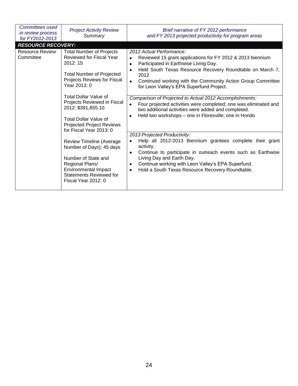| Committees used<br>in review process<br>for FY2012-2013 | <b>Project Activity Review</b><br><b>Summary</b>                                                                                                                                                                                                                                                                                                                                                                                                                                                                                  | Brief narrative of FY 2012 performance<br>and FY 2013 projected productivity for program areas                                                                                                                                                                                                                                                                                                                                                                                                                                                                                                                                                                                                                                                                                                                                                                                                                                                                  |
|---------------------------------------------------------|-----------------------------------------------------------------------------------------------------------------------------------------------------------------------------------------------------------------------------------------------------------------------------------------------------------------------------------------------------------------------------------------------------------------------------------------------------------------------------------------------------------------------------------|-----------------------------------------------------------------------------------------------------------------------------------------------------------------------------------------------------------------------------------------------------------------------------------------------------------------------------------------------------------------------------------------------------------------------------------------------------------------------------------------------------------------------------------------------------------------------------------------------------------------------------------------------------------------------------------------------------------------------------------------------------------------------------------------------------------------------------------------------------------------------------------------------------------------------------------------------------------------|
| <b>RESOURCE RECOVERY:</b>                               |                                                                                                                                                                                                                                                                                                                                                                                                                                                                                                                                   |                                                                                                                                                                                                                                                                                                                                                                                                                                                                                                                                                                                                                                                                                                                                                                                                                                                                                                                                                                 |
| <b>Resource Review</b><br>Committee                     | <b>Total Number of Projects</b><br>Reviewed for Fiscal Year<br>2012: 15<br><b>Total Number of Projected</b><br>Projects Reviews for Fiscal<br>Year 2013: 0<br>Total Dollar Value of<br>Projects Reviewed in Fiscal<br>2012: \$391,855.10<br><b>Total Dollar Value of</b><br><b>Projected Project Reviews</b><br>for Fiscal Year 2013: 0<br>Review Timeline (Average<br>Number of Days): 45 days<br>Number of State and<br>Regional Plans/<br><b>Environmental Impact</b><br><b>Statements Reviewed for</b><br>Fiscal Year 2012: 0 | 2012 Actual Performance:<br>Reviewed 15 grant applications for FY 2012 & 2013 biennium<br>٠<br>Participated in Earthwise Living Day.<br>$\bullet$<br>Held South Texas Resource Recovery Roundtable on March 7,<br>$\bullet$<br>2012<br>Continued working with the Community Action Group Committee<br>$\bullet$<br>for Leon Valley's EPA Superfund Project.<br>Comparison of Projected to Actual 2012 Accomplishments:<br>Four projected activities were completed; one was eliminated and<br>two additional activities were added and completed.<br>Held two workshops - one in Floresville; one in Hondo<br>٠<br>2013 Projected Productivity:<br>Help all 2012-2013 Biennium grantees complete their grant<br>activity.<br>Continue to participate in outreach events such as Earthwise<br>$\bullet$<br>Living Day and Earth Day.<br>Continue working with Leon Valley's EPA Superfund.<br>٠<br>Hold a South Texas Resource Recovery Roundtable.<br>$\bullet$ |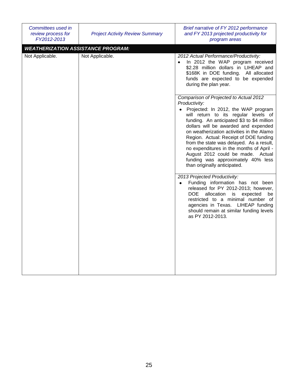| Committees used in<br>review process for<br>FY2012-2013 | <b>Project Activity Review Summary</b> | Brief narrative of FY 2012 performance<br>and FY 2013 projected productivity for<br>program areas                                                                                                                                                                                                                                                                                                                                                                                                                        |
|---------------------------------------------------------|----------------------------------------|--------------------------------------------------------------------------------------------------------------------------------------------------------------------------------------------------------------------------------------------------------------------------------------------------------------------------------------------------------------------------------------------------------------------------------------------------------------------------------------------------------------------------|
| <b>WEATHERIZATION ASSISTANCE PROGRAM:</b>               |                                        |                                                                                                                                                                                                                                                                                                                                                                                                                                                                                                                          |
| Not Applicable.                                         | Not Applicable.                        | 2012 Actual Performance/Productivity:<br>In 2012 the WAP program received<br>\$2.28 million dollars in LIHEAP and<br>\$168K in DOE funding. All allocated<br>funds are expected to be expended<br>during the plan year.                                                                                                                                                                                                                                                                                                  |
|                                                         |                                        | Comparison of Projected to Actual 2012<br>Productivity:<br>• Projected: In 2012, the WAP program<br>will return to its regular levels of<br>funding. An anticipated \$3 to \$4 million<br>dollars will be awarded and expended<br>on weatherization activities in the Alamo<br>Region. Actual: Receipt of DOE funding<br>from the state was delayed. As a result,<br>no expenditures in the months of April -<br>August 2012 could be made. Actual<br>funding was approximately 40% less<br>than originally anticipated. |
|                                                         |                                        | 2013 Projected Productivity:<br>Funding information has not been<br>$\bullet$<br>released for PY 2012-2013; however,<br>DOE.<br>allocation is<br>expected<br>be<br>restricted to a minimal number of<br>agencies in Texas. LIHEAP funding<br>should remain at similar funding levels<br>as PY 2012-2013.                                                                                                                                                                                                                 |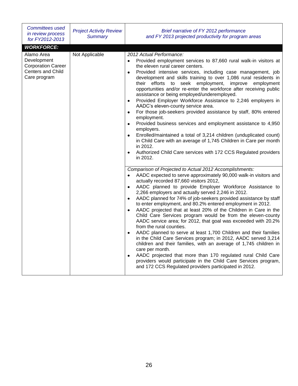| Committees used<br>in review process<br>for FY2012-2013                                     | <b>Project Activity Review</b><br><b>Summary</b> | Brief narrative of FY 2012 performance<br>and FY 2013 projected productivity for program areas                                                                                                                                                                                                                                                                                                                                                                                                                                                                                                                                                                                                                                                                                                                                                                                                                                                                                                                                                                                                                                                                                                                                                                                                                                                                                                                                                                                                                                                                                                                                                                                                                                      |
|---------------------------------------------------------------------------------------------|--------------------------------------------------|-------------------------------------------------------------------------------------------------------------------------------------------------------------------------------------------------------------------------------------------------------------------------------------------------------------------------------------------------------------------------------------------------------------------------------------------------------------------------------------------------------------------------------------------------------------------------------------------------------------------------------------------------------------------------------------------------------------------------------------------------------------------------------------------------------------------------------------------------------------------------------------------------------------------------------------------------------------------------------------------------------------------------------------------------------------------------------------------------------------------------------------------------------------------------------------------------------------------------------------------------------------------------------------------------------------------------------------------------------------------------------------------------------------------------------------------------------------------------------------------------------------------------------------------------------------------------------------------------------------------------------------------------------------------------------------------------------------------------------------|
| <b>WORKFORCE:</b>                                                                           |                                                  |                                                                                                                                                                                                                                                                                                                                                                                                                                                                                                                                                                                                                                                                                                                                                                                                                                                                                                                                                                                                                                                                                                                                                                                                                                                                                                                                                                                                                                                                                                                                                                                                                                                                                                                                     |
| Alamo Area<br>Development<br><b>Corporation Career</b><br>Centers and Child<br>Care program | Not Applicable                                   | 2012 Actual Performance:<br>Provided employment services to 87,660 rural walk-in visitors at<br>the eleven rural career centers.<br>Provided intensive services, including case management, job<br>$\bullet$<br>development and skills training to over 1,086 rural residents in<br>their efforts to seek employment, improve employment<br>opportunities and/or re-enter the workforce after receiving public<br>assistance or being employed/underemployed.<br>Provided Employer Workforce Assistance to 2,246 employers in<br>$\bullet$<br>AADC's eleven-county service area.<br>For those job-seekers provided assistance by staff, 80% entered<br>$\bullet$<br>employment.<br>Provided business services and employment assistance to 4,950<br>$\bullet$<br>employers.<br>Enrolled/maintained a total of 3,214 children (unduplicated count)<br>$\bullet$<br>in Child Care with an average of 1,745 Children in Care per month<br>in 2012.<br>Authorized Child Care services with 172 CCS Regulated providers<br>$\bullet$<br>in 2012.<br>Comparison of Projected to Actual 2012 Accomplishments:<br>AADC expected to serve approximately 90,000 walk-in visitors and<br>actually recorded 87,660 visitors 2012,<br>AADC planned to provide Employer Workforce Assistance to<br>$\bullet$<br>2,266 employers and actually served 2,246 in 2012.<br>AADC planned for 74% of job-seekers provided assistance by staff<br>to enter employment, and 80.2% entered employment in 2012.<br>AADC projected that at least 20% of the Children in Care in the<br>$\bullet$<br>Child Care Services program would be from the eleven-county<br>AADC service area; for 2012, that goal was exceeded with 20.2%<br>from the rural counties. |
|                                                                                             |                                                  | AADC planned to serve at least 1,700 Children and their families<br>$\bullet$<br>in the Child Care Services program; in 2012, AADC served 3,214<br>children and their families, with an average of 1,745 children in<br>care per month.<br>AADC projected that more than 170 regulated rural Child Care<br>$\bullet$<br>providers would participate in the Child Care Services program,                                                                                                                                                                                                                                                                                                                                                                                                                                                                                                                                                                                                                                                                                                                                                                                                                                                                                                                                                                                                                                                                                                                                                                                                                                                                                                                                             |
|                                                                                             |                                                  | and 172 CCS Regulated providers participated in 2012.                                                                                                                                                                                                                                                                                                                                                                                                                                                                                                                                                                                                                                                                                                                                                                                                                                                                                                                                                                                                                                                                                                                                                                                                                                                                                                                                                                                                                                                                                                                                                                                                                                                                               |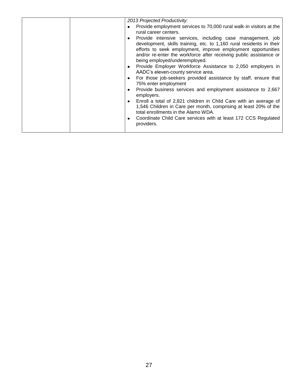| 2013 Projected Productivity:                                                                                                                                                                                                                                                                                                                                                               |
|--------------------------------------------------------------------------------------------------------------------------------------------------------------------------------------------------------------------------------------------------------------------------------------------------------------------------------------------------------------------------------------------|
| Provide employment services to 70,000 rural walk-in visitors at the<br>٠<br>rural career centers.                                                                                                                                                                                                                                                                                          |
| Provide intensive services, including case management, job<br>٠<br>development, skills training, etc. to 1,160 rural residents in their<br>efforts to seek employment, improve employment opportunities<br>and/or re-enter the workforce after receiving public assistance or<br>being employed/underemployed.<br>Provide Employer Workforce Assistance to 2,050 employers in<br>$\bullet$ |
| AADC's eleven-county service area.                                                                                                                                                                                                                                                                                                                                                         |
| For those job-seekers provided assistance by staff, ensure that<br>٠<br>75% enter employment                                                                                                                                                                                                                                                                                               |
| Provide business services and employment assistance to 2,667<br>٠<br>employers.                                                                                                                                                                                                                                                                                                            |
| Enroll a total of 2,821 children in Child Care with an average of<br>٠<br>1,546 Children in Care per month, comprising at least 20% of the<br>total enrollments in the Alamo WDA.                                                                                                                                                                                                          |
| Coordinate Child Care services with at least 172 CCS Regulated<br>٠<br>providers.                                                                                                                                                                                                                                                                                                          |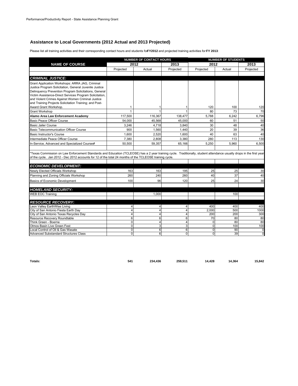#### **Assistance to Local Governments (2012 Actual and 2013 Projected)**

Please list all training activities and their corresponding contact hours and students for **FY2012** and projected training activities for **FY 2013**:

|                                                                                                                                                                                                                                                                                                                                                                       |                     | <b>NUMBER OF CONTACT HOURS</b> |                     | <b>NUMBER OF STUDENTS</b> |          |           |
|-----------------------------------------------------------------------------------------------------------------------------------------------------------------------------------------------------------------------------------------------------------------------------------------------------------------------------------------------------------------------|---------------------|--------------------------------|---------------------|---------------------------|----------|-----------|
| <b>NAME OF COURSE</b>                                                                                                                                                                                                                                                                                                                                                 |                     | 2012                           | 2013                | 2012                      |          | 2013      |
|                                                                                                                                                                                                                                                                                                                                                                       | Projected           | Actual                         | Projected           | Projected                 | Actual   | Projected |
|                                                                                                                                                                                                                                                                                                                                                                       |                     |                                |                     |                           |          |           |
| <b>CRIMINAL JUSTICE:</b>                                                                                                                                                                                                                                                                                                                                              |                     |                                |                     |                           |          |           |
| Grant Application Workshops: ARRA JAG, Criminal<br>Justice Program Solicitation, General Juvenile Justice<br>Delinguency Prevention Program Solicitations, General<br>Victim Assistance-Direct Services Program Solicitation,<br>and Violent Crimes Against Women Criminal Justice<br>and Training Projects Solicitation Training; and Post-<br>Award Grant Workshop. | 1                   |                                |                     | 120                       | 100      | 120       |
| <b>Grant Workshop</b>                                                                                                                                                                                                                                                                                                                                                 | 1                   |                                |                     | 80                        | 73       | 70        |
| Alamo Area Law Enforcement Academy                                                                                                                                                                                                                                                                                                                                    | 117,500             | 116,367                        | 138,477             | 5,788                     | 6,242    | 6,796     |
| Basic Peace Officer Course                                                                                                                                                                                                                                                                                                                                            | 54.000              | 45.568                         | 45.000              | 60                        | 51       | 50        |
| <b>Basic Jailer Course</b>                                                                                                                                                                                                                                                                                                                                            | 3,246               | 4,718                          | 3,840               | 30                        | 48       | 40        |
| <b>Basic Telecommunication Officer Course</b>                                                                                                                                                                                                                                                                                                                         | 900                 | 1,560                          | 1,440               | 20                        | 39       | 36        |
| <b>Basic Instructor's Course</b>                                                                                                                                                                                                                                                                                                                                      | 1,600               | 2,520                          | 1,600               | 40                        | 63       | 40        |
| Intermediate Peace Officer Course                                                                                                                                                                                                                                                                                                                                     | 7.380               | 2,808                          | 3.380               | 280                       | 113      | 130       |
| In-Service, Advanced and Specialized Courses*                                                                                                                                                                                                                                                                                                                         | 50.500              | 59,357                         | 65,166              | 5.250                     | 5,960    | 6,500     |
| Texas Commission on Law Enforcement Standards and Education (TCLEOSE) has a 2 year training cycle. Traditionally, student attendance usually drops in the first year<br>of the cycle. Jan 2012 - Dec 2012 accounts for 12 of the total 24 months of the TCLEOSE training cycle.                                                                                       |                     |                                |                     |                           |          |           |
| <b>ECONOMIC DEVELOPMENT:</b>                                                                                                                                                                                                                                                                                                                                          |                     |                                |                     |                           |          |           |
| Newly Elected Officials Workshop                                                                                                                                                                                                                                                                                                                                      | 163                 | 163                            | 195                 | 25                        | 25       | 30        |
| Planning and Zoning Officials Workshop                                                                                                                                                                                                                                                                                                                                | 260                 | 240                            | 260                 | 40                        | 37       | 40        |
| Basics of Economic Development                                                                                                                                                                                                                                                                                                                                        | 100                 | 96                             | 120                 | 25                        | 24       | 30        |
|                                                                                                                                                                                                                                                                                                                                                                       |                     |                                |                     |                           |          |           |
| <b>HOMELAND SECURITY:</b>                                                                                                                                                                                                                                                                                                                                             |                     |                                |                     |                           |          |           |
| <b>WEB EOC Training</b>                                                                                                                                                                                                                                                                                                                                               |                     | 1.000                          |                     |                           | 100      |           |
|                                                                                                                                                                                                                                                                                                                                                                       |                     |                                |                     |                           |          |           |
| <b>RESOURCE RECOVERY:</b>                                                                                                                                                                                                                                                                                                                                             |                     |                                |                     |                           |          |           |
| Leon Valley EarthWise Living                                                                                                                                                                                                                                                                                                                                          | 4                   | 4                              | 4                   | 400                       | 400      | 400       |
| City of San Antonio Fiesta Earth Day                                                                                                                                                                                                                                                                                                                                  | $\Delta$            | 4                              |                     | 2,000                     | 500      | 1000      |
| City of San Antonio Texas Recycles Day                                                                                                                                                                                                                                                                                                                                | $\overline{4}$      | 4                              |                     | 200                       | 200      | 300       |
| Resource Recovery Roundtable<br>Think Green - Boerne                                                                                                                                                                                                                                                                                                                  | 6<br>$\overline{0}$ | 6<br>4                         | 6<br>$\overline{4}$ | 70<br>$\Omega$            | 80<br>80 | 80<br>80  |
| Olmos Basin Live Green Fest                                                                                                                                                                                                                                                                                                                                           | $\Omega$            | 3                              | 3                   | $\Omega$                  | 100      | 100       |
| Local Control of Oil & Gas Wasate                                                                                                                                                                                                                                                                                                                                     | $\mathbf 0$         | 6                              | 6                   | $\mathbf{0}$              | 90       | 0         |
| <b>Advanced Substandard Structures Class</b>                                                                                                                                                                                                                                                                                                                          | $\Omega$            | 6                              | $\Omega$            | $\Omega$                  | 39       | 0         |

**Totals: 541 234,436 259,511 14,428 14,364 15,842**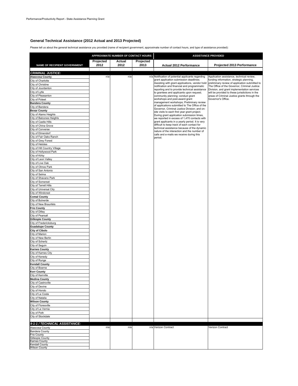#### **General Technical Assistance (2012 Actual and 2013 Projected)**

Please tell us about the general technical assistance you provided (name of recipient government, approximate number of contact hours, and type of assistance provided):

|                                                  | APPROXIMATE NUMBER OF CONTACT HOURS |        | <b>ASSISTANCE PROVIDED</b> |                                                                                                |                                                                                             |
|--------------------------------------------------|-------------------------------------|--------|----------------------------|------------------------------------------------------------------------------------------------|---------------------------------------------------------------------------------------------|
|                                                  | Projected                           | Actual | Projected                  |                                                                                                |                                                                                             |
| NAME OF RECIPIENT GOVERNMENT                     | 2012                                | 2012   | 2013                       | Actual 2012 Performance                                                                        | Projected 2013 Performance                                                                  |
|                                                  |                                     |        |                            |                                                                                                |                                                                                             |
| <b>CRIMINAL JUSTICE:</b>                         | n/a                                 | n/a    |                            | n/a Notification of potential applicants regarding                                             | Application assistance, technical review,                                                   |
| <b>Atascosa County</b><br>City of Charlotte      |                                     |        |                            | grant application submission deadlines;                                                        | funding information, strategic planning,                                                    |
| City of Christine                                |                                     |        |                            | Assisting with grant applications, vendor hold                                                 | preliminary review of application submitted to                                              |
| City of Jourdanton                               |                                     |        |                            | notification and financial and programmatic<br>reporting and to provide technical assistance   | The Office of the Governor, Criminal Justice<br>Division, and grant implementation services |
| City of Lytle                                    |                                     |        |                            | to grantees and applicants upon request;                                                       | will be provided to these jurisdictions in the                                              |
| City of Pleasanton                               |                                     |        |                            | community planning; conduct grant                                                              | areas of Criminal Justice grants through the                                                |
| City of Poteet<br><b>Bandera County</b>          |                                     |        |                            | workshops and post-award grant<br>management workshops; Preliminary review                     | Governor's Office.                                                                          |
| City of Bandera                                  |                                     |        |                            | of applications submitted to The Office of the                                                 |                                                                                             |
| <b>Bexar County</b>                              |                                     |        |                            | Governor, Criminal Justice Division; and on-                                                   |                                                                                             |
| City of Alamo Heights                            |                                     |        |                            | site visits to each first year grant project.<br>During grant application submission times,    |                                                                                             |
| City of Balcones Heights                         |                                     |        |                            | we reported in excess of 1,470 contacts with                                                   |                                                                                             |
| City of Castle Hills                             |                                     |        |                            | grant applicants in a yearly period. It is very<br>difficult to keep track of each contact for |                                                                                             |
| City of China Grove<br>City of Converse          |                                     |        |                            | technical assistance because of the dynamic                                                    |                                                                                             |
| City of Elmendorf                                |                                     |        |                            | nature of the interaction and the number of                                                    |                                                                                             |
| City of Fair Oaks Ranch                          |                                     |        |                            | calls and e-mails we receive during this<br>period.                                            |                                                                                             |
| City of Grey Forest                              |                                     |        |                            |                                                                                                |                                                                                             |
| City of Helotes                                  |                                     |        |                            |                                                                                                |                                                                                             |
| City of Hill Country Village                     |                                     |        |                            |                                                                                                |                                                                                             |
| City of Hollywood Park<br>City of Kirby          |                                     |        |                            |                                                                                                |                                                                                             |
| City of Leon Valley                              |                                     |        |                            |                                                                                                |                                                                                             |
| City of Live Oak                                 |                                     |        |                            |                                                                                                |                                                                                             |
| City of Olmos Park                               |                                     |        |                            |                                                                                                |                                                                                             |
| City of San Antonio                              |                                     |        |                            |                                                                                                |                                                                                             |
| City of Selma                                    |                                     |        |                            |                                                                                                |                                                                                             |
| City of Shavano Park<br>City of Somerset         |                                     |        |                            |                                                                                                |                                                                                             |
| City of Terrell Hills                            |                                     |        |                            |                                                                                                |                                                                                             |
| City of Universal City                           |                                     |        |                            |                                                                                                |                                                                                             |
| City of Windcrest                                |                                     |        |                            |                                                                                                |                                                                                             |
| <b>Comal County</b>                              |                                     |        |                            |                                                                                                |                                                                                             |
| City of Bulverde                                 |                                     |        |                            |                                                                                                |                                                                                             |
| City of New Braunfels<br><b>Frio County</b>      |                                     |        |                            |                                                                                                |                                                                                             |
| City of Dilley                                   |                                     |        |                            |                                                                                                |                                                                                             |
| City of Pearsall                                 |                                     |        |                            |                                                                                                |                                                                                             |
| <b>Gillespie County</b>                          |                                     |        |                            |                                                                                                |                                                                                             |
| City of Fredericksburg                           |                                     |        |                            |                                                                                                |                                                                                             |
| <b>Guadalupe County</b><br><b>City of Cibolo</b> |                                     |        |                            |                                                                                                |                                                                                             |
| City of Marion                                   |                                     |        |                            |                                                                                                |                                                                                             |
| City of New Berlin                               |                                     |        |                            |                                                                                                |                                                                                             |
| City of Schertz                                  |                                     |        |                            |                                                                                                |                                                                                             |
| City of Seguin                                   |                                     |        |                            |                                                                                                |                                                                                             |
| <b>Karnes County</b>                             |                                     |        |                            |                                                                                                |                                                                                             |
| City of Karnes City<br>City of Kenedy            |                                     |        |                            |                                                                                                |                                                                                             |
| City of Runge                                    |                                     |        |                            |                                                                                                |                                                                                             |
| <b>Kendall County</b>                            |                                     |        |                            |                                                                                                |                                                                                             |
| City of Boerne                                   |                                     |        |                            |                                                                                                |                                                                                             |
| <b>Kerr County</b>                               |                                     |        |                            |                                                                                                |                                                                                             |
| City of Kerrville                                |                                     |        |                            |                                                                                                |                                                                                             |
| <b>Medina County</b><br>City of Castroville      |                                     |        |                            |                                                                                                |                                                                                             |
| City of Devine                                   |                                     |        |                            |                                                                                                |                                                                                             |
| City of Hondo                                    |                                     |        |                            |                                                                                                |                                                                                             |
| City of La Coste                                 |                                     |        |                            |                                                                                                |                                                                                             |
| City of Natalia                                  |                                     |        |                            |                                                                                                |                                                                                             |
| <b>Wilson County</b>                             |                                     |        |                            |                                                                                                |                                                                                             |
| City of Floresville<br>City of La Vernia         |                                     |        |                            |                                                                                                |                                                                                             |
| City of Poth                                     |                                     |        |                            |                                                                                                |                                                                                             |
| City of Stockdale                                |                                     |        |                            |                                                                                                |                                                                                             |
|                                                  |                                     |        |                            |                                                                                                |                                                                                             |
| 9-1-1 / TECHNICAL ASSISTANCE:                    |                                     |        |                            |                                                                                                |                                                                                             |
| Atascosa County                                  | n/a                                 | n/a    |                            | n/a Verizon Contract                                                                           | Verizon Contract                                                                            |
| <b>Bandera County</b><br><b>Frio County</b>      |                                     |        |                            |                                                                                                |                                                                                             |
| Gillespie County                                 |                                     |        |                            |                                                                                                |                                                                                             |
| <b>Karnes County</b>                             |                                     |        |                            |                                                                                                |                                                                                             |
| <b>Kendall County</b><br><b>Wilson County</b>    |                                     |        |                            |                                                                                                |                                                                                             |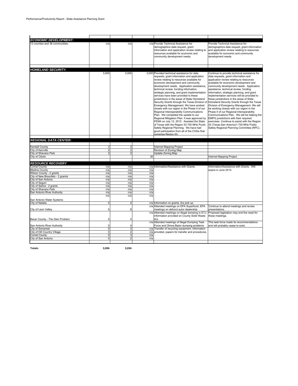| <b>ECONOMIC DEVELOPMENT:</b>                                 |                |                |     |                                                                                                                                                                                                                                                                                                                                                                                                                                                                                                                                                                                                                                                                                                                                                                                                                                                                                                                                                     |                                                                                                                                                                                                                                                                                                                                                                                                                                                                                                                                                                                                                                                                                                                                                                                  |
|--------------------------------------------------------------|----------------|----------------|-----|-----------------------------------------------------------------------------------------------------------------------------------------------------------------------------------------------------------------------------------------------------------------------------------------------------------------------------------------------------------------------------------------------------------------------------------------------------------------------------------------------------------------------------------------------------------------------------------------------------------------------------------------------------------------------------------------------------------------------------------------------------------------------------------------------------------------------------------------------------------------------------------------------------------------------------------------------------|----------------------------------------------------------------------------------------------------------------------------------------------------------------------------------------------------------------------------------------------------------------------------------------------------------------------------------------------------------------------------------------------------------------------------------------------------------------------------------------------------------------------------------------------------------------------------------------------------------------------------------------------------------------------------------------------------------------------------------------------------------------------------------|
| 12 counties and 38 communities.                              | n/a            | n/a            |     | n/a Provide Technical Assistance for<br>demographics data request, grant<br>information and application review relating to<br>resources available for economic and<br>community development needs.                                                                                                                                                                                                                                                                                                                                                                                                                                                                                                                                                                                                                                                                                                                                                  | Provide Technical Assistance for<br>demographics data request, grant information<br>and application review relating to resources<br>available for economic and community<br>development needs.                                                                                                                                                                                                                                                                                                                                                                                                                                                                                                                                                                                   |
|                                                              |                |                |     |                                                                                                                                                                                                                                                                                                                                                                                                                                                                                                                                                                                                                                                                                                                                                                                                                                                                                                                                                     |                                                                                                                                                                                                                                                                                                                                                                                                                                                                                                                                                                                                                                                                                                                                                                                  |
| <b>HOMELAND SECURITY:</b>                                    | 3,000          | 3,000          |     | 3,000 Provided technical assistance for data<br>requests, grant information and application<br>review relating to resources available for<br>economic development and community<br>development needs. Application assistance,<br>technical review, funding information,<br>strategic planning, and grant implementation<br>services have been provided to these<br>jurisdictions in the areas of State Homeland<br>Security Grants through the Texas Division of Homeland Security Grants through the Texas<br>Emergency Management. We have worked<br>closely with our region in the Phase II of our<br>Regional Interoperability Communications<br>Plan. We completed the update to our<br>Regional Mitigation Plan. It was approved by<br>FEMA on July 12, 2012. Assisted the State<br>of Texas with the Region 53 700 MHz Puclic<br>Safety Regional Planning. We have had<br>good participation from all of the COGs that<br>comprise Region 53 | Continue to provide technical assistance for<br>data requests, grant information and<br>application review relating to resources<br>available for economic development and<br>community development needs. Application<br>assistance, technical review, funding<br>information, strategic planning, and grant<br>implementation services will be provided to<br>these jurisdictions in the areas of State<br>Division of Emergency Management. We will<br>be working closely with our region in the<br>Phase II of our Regional Interoperability<br>Communications Plan. We will be helping the<br>EMPG jursdictions with their required<br>exercises. Continue to assist with the Region<br>53 (Texas-San Antonio)1 700 MHz Public<br>Safety Regional Planning Committee (RPC). |
| <b>REGIONAL DATA CENTER:</b>                                 |                |                |     |                                                                                                                                                                                                                                                                                                                                                                                                                                                                                                                                                                                                                                                                                                                                                                                                                                                                                                                                                     |                                                                                                                                                                                                                                                                                                                                                                                                                                                                                                                                                                                                                                                                                                                                                                                  |
|                                                              |                |                |     |                                                                                                                                                                                                                                                                                                                                                                                                                                                                                                                                                                                                                                                                                                                                                                                                                                                                                                                                                     |                                                                                                                                                                                                                                                                                                                                                                                                                                                                                                                                                                                                                                                                                                                                                                                  |
| <b>Kendall County</b>                                        |                |                |     | <b>Internet Mapping Project</b>                                                                                                                                                                                                                                                                                                                                                                                                                                                                                                                                                                                                                                                                                                                                                                                                                                                                                                                     |                                                                                                                                                                                                                                                                                                                                                                                                                                                                                                                                                                                                                                                                                                                                                                                  |
| City of Kerrville                                            |                | $\overline{2}$ |     | Revision of Zoning Map                                                                                                                                                                                                                                                                                                                                                                                                                                                                                                                                                                                                                                                                                                                                                                                                                                                                                                                              |                                                                                                                                                                                                                                                                                                                                                                                                                                                                                                                                                                                                                                                                                                                                                                                  |
| City of Shavano Park                                         | 2              | 2              |     | Update Zoning Map                                                                                                                                                                                                                                                                                                                                                                                                                                                                                                                                                                                                                                                                                                                                                                                                                                                                                                                                   |                                                                                                                                                                                                                                                                                                                                                                                                                                                                                                                                                                                                                                                                                                                                                                                  |
| City of Cibolo                                               |                |                | 20  |                                                                                                                                                                                                                                                                                                                                                                                                                                                                                                                                                                                                                                                                                                                                                                                                                                                                                                                                                     | Internet Mapping Project                                                                                                                                                                                                                                                                                                                                                                                                                                                                                                                                                                                                                                                                                                                                                         |
|                                                              |                |                |     |                                                                                                                                                                                                                                                                                                                                                                                                                                                                                                                                                                                                                                                                                                                                                                                                                                                                                                                                                     |                                                                                                                                                                                                                                                                                                                                                                                                                                                                                                                                                                                                                                                                                                                                                                                  |
| <b>RESOURCE RECOVERY</b>                                     |                |                |     |                                                                                                                                                                                                                                                                                                                                                                                                                                                                                                                                                                                                                                                                                                                                                                                                                                                                                                                                                     |                                                                                                                                                                                                                                                                                                                                                                                                                                                                                                                                                                                                                                                                                                                                                                                  |
| <b>Comal County</b><br>Medina County                         | n/a<br>n/a     | n/a<br>n/a     | n/a | n/a Information/Assistance with Grants.                                                                                                                                                                                                                                                                                                                                                                                                                                                                                                                                                                                                                                                                                                                                                                                                                                                                                                             | Information/Assistance with Grants. Will<br>expire in June 2013.                                                                                                                                                                                                                                                                                                                                                                                                                                                                                                                                                                                                                                                                                                                 |
|                                                              | n/a            | n/a            | n/a |                                                                                                                                                                                                                                                                                                                                                                                                                                                                                                                                                                                                                                                                                                                                                                                                                                                                                                                                                     |                                                                                                                                                                                                                                                                                                                                                                                                                                                                                                                                                                                                                                                                                                                                                                                  |
| Wilson County - 2 grants<br>City of New Braunfels - 2 gramts | n/a            | n/a            | n/a |                                                                                                                                                                                                                                                                                                                                                                                                                                                                                                                                                                                                                                                                                                                                                                                                                                                                                                                                                     |                                                                                                                                                                                                                                                                                                                                                                                                                                                                                                                                                                                                                                                                                                                                                                                  |
| City of San Antonio                                          | n/a            | n/a            | n/a |                                                                                                                                                                                                                                                                                                                                                                                                                                                                                                                                                                                                                                                                                                                                                                                                                                                                                                                                                     |                                                                                                                                                                                                                                                                                                                                                                                                                                                                                                                                                                                                                                                                                                                                                                                  |
| City of Sequin                                               | n/a            | n/a            | n/a |                                                                                                                                                                                                                                                                                                                                                                                                                                                                                                                                                                                                                                                                                                                                                                                                                                                                                                                                                     |                                                                                                                                                                                                                                                                                                                                                                                                                                                                                                                                                                                                                                                                                                                                                                                  |
| City of Selma - 2 grants                                     | n/a            | n/a            | n/a |                                                                                                                                                                                                                                                                                                                                                                                                                                                                                                                                                                                                                                                                                                                                                                                                                                                                                                                                                     |                                                                                                                                                                                                                                                                                                                                                                                                                                                                                                                                                                                                                                                                                                                                                                                  |
| City of Shavano Park                                         | n/a            | n/a            | n/a |                                                                                                                                                                                                                                                                                                                                                                                                                                                                                                                                                                                                                                                                                                                                                                                                                                                                                                                                                     |                                                                                                                                                                                                                                                                                                                                                                                                                                                                                                                                                                                                                                                                                                                                                                                  |
| San Antonio River Authority                                  | n/a            | n/a            | n/a |                                                                                                                                                                                                                                                                                                                                                                                                                                                                                                                                                                                                                                                                                                                                                                                                                                                                                                                                                     |                                                                                                                                                                                                                                                                                                                                                                                                                                                                                                                                                                                                                                                                                                                                                                                  |
|                                                              | n/a            | n/a            | n/a |                                                                                                                                                                                                                                                                                                                                                                                                                                                                                                                                                                                                                                                                                                                                                                                                                                                                                                                                                     |                                                                                                                                                                                                                                                                                                                                                                                                                                                                                                                                                                                                                                                                                                                                                                                  |
| San Antonio Water Systems                                    |                |                |     |                                                                                                                                                                                                                                                                                                                                                                                                                                                                                                                                                                                                                                                                                                                                                                                                                                                                                                                                                     |                                                                                                                                                                                                                                                                                                                                                                                                                                                                                                                                                                                                                                                                                                                                                                                  |
| City of Natalia                                              | 0              | $\overline{2}$ |     | n/a Information on grants, tire pick up.                                                                                                                                                                                                                                                                                                                                                                                                                                                                                                                                                                                                                                                                                                                                                                                                                                                                                                            |                                                                                                                                                                                                                                                                                                                                                                                                                                                                                                                                                                                                                                                                                                                                                                                  |
|                                                              |                |                |     | n/a Attended meetings on EPA Superfund, EPA                                                                                                                                                                                                                                                                                                                                                                                                                                                                                                                                                                                                                                                                                                                                                                                                                                                                                                         | Continue to attend meetings and review                                                                                                                                                                                                                                                                                                                                                                                                                                                                                                                                                                                                                                                                                                                                           |
| City of Leon Valley                                          | $\mathbf 0$    | 8              |     | meetings on defunct autor dealership                                                                                                                                                                                                                                                                                                                                                                                                                                                                                                                                                                                                                                                                                                                                                                                                                                                                                                                | presentations.                                                                                                                                                                                                                                                                                                                                                                                                                                                                                                                                                                                                                                                                                                                                                                   |
|                                                              |                |                |     | n/a Attended meetings on illegal dumping in ETJ;<br>information provided on County Solid Waste                                                                                                                                                                                                                                                                                                                                                                                                                                                                                                                                                                                                                                                                                                                                                                                                                                                      | Proposed legislation may end the need for<br>these meetings.                                                                                                                                                                                                                                                                                                                                                                                                                                                                                                                                                                                                                                                                                                                     |
| Bexar County - The Glen Problem                              | $\Omega$       | 4              |     | Act.<br>n/a Attended meetings of Illegal Dumping Task                                                                                                                                                                                                                                                                                                                                                                                                                                                                                                                                                                                                                                                                                                                                                                                                                                                                                               | This task force made its recommendations                                                                                                                                                                                                                                                                                                                                                                                                                                                                                                                                                                                                                                                                                                                                         |
| San Antonio River Authority                                  | $\Omega$       | 4              |     | Force and Olmos Basin dumping problems                                                                                                                                                                                                                                                                                                                                                                                                                                                                                                                                                                                                                                                                                                                                                                                                                                                                                                              | and will probably cease to exist.                                                                                                                                                                                                                                                                                                                                                                                                                                                                                                                                                                                                                                                                                                                                                |
| City of Somerset                                             | 0              | 3              |     | n/a Transfer of recycling equipment, information                                                                                                                                                                                                                                                                                                                                                                                                                                                                                                                                                                                                                                                                                                                                                                                                                                                                                                    |                                                                                                                                                                                                                                                                                                                                                                                                                                                                                                                                                                                                                                                                                                                                                                                  |
| City of Hill Country Village                                 | $\overline{0}$ | $\overline{2}$ |     | n/a provided, papers for transfer and procedures.                                                                                                                                                                                                                                                                                                                                                                                                                                                                                                                                                                                                                                                                                                                                                                                                                                                                                                   |                                                                                                                                                                                                                                                                                                                                                                                                                                                                                                                                                                                                                                                                                                                                                                                  |
| <b>Comal County</b>                                          | Ō              | 3              | n/a |                                                                                                                                                                                                                                                                                                                                                                                                                                                                                                                                                                                                                                                                                                                                                                                                                                                                                                                                                     |                                                                                                                                                                                                                                                                                                                                                                                                                                                                                                                                                                                                                                                                                                                                                                                  |
| City of San Antonio                                          | 0              | $\overline{2}$ | n/a |                                                                                                                                                                                                                                                                                                                                                                                                                                                                                                                                                                                                                                                                                                                                                                                                                                                                                                                                                     |                                                                                                                                                                                                                                                                                                                                                                                                                                                                                                                                                                                                                                                                                                                                                                                  |
|                                                              |                |                |     |                                                                                                                                                                                                                                                                                                                                                                                                                                                                                                                                                                                                                                                                                                                                                                                                                                                                                                                                                     |                                                                                                                                                                                                                                                                                                                                                                                                                                                                                                                                                                                                                                                                                                                                                                                  |

**Totals: 3,006 3,034**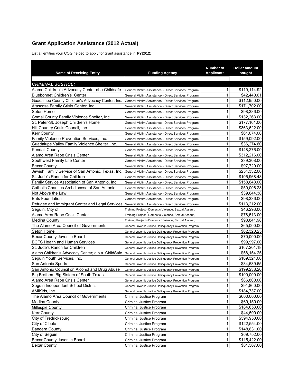### **Grant Application Assistance (2012 Actual)**

List all entities your COG helped to apply for grant assistance in **FY2012**:

| <b>Name of Receiving Entity</b>                                                          | <b>Funding Agency</b>                                   | <b>Number of</b><br><b>Applicants</b> | <b>Dollar amount</b><br>sought |
|------------------------------------------------------------------------------------------|---------------------------------------------------------|---------------------------------------|--------------------------------|
| <b>CRIMINAL JUSTICE:</b>                                                                 |                                                         |                                       |                                |
| Alamo Children's Advocacy Center dba Childsafe                                           |                                                         | 1                                     | \$119,114.92                   |
|                                                                                          | General Victim Assistance - Direct Services Program     | 1                                     |                                |
| <b>Bluebonnet Children's Center</b><br>Guadalupe County Children's Advocacy Center, Inc. | General Victim Assistance - Direct Services Program     | 1                                     | \$42,440.61                    |
|                                                                                          | General Victim Assistance - Direct Services Program     | 1                                     | \$112,950.00<br>\$171,702.00   |
| Atascosa Family Crisis Center, Inc.<br>Seton Home                                        | General Victim Assistance - Direct Services Program     | 1                                     |                                |
|                                                                                          | General Victim Assistance - Direct Services Program     | 1                                     | \$98,386.00<br>\$132,263.00    |
| Comal County Family Violence Shelter, Inc.                                               | General Victim Assistance - Direct Services Program     | 1                                     |                                |
| St. Peter-St. Joseph Children's Home                                                     | General Victim Assistance - Direct Services Program     | 1                                     | \$177,161.00                   |
| Hill Country Crisis Council, Inc.                                                        | General Victim Assistance - Direct Services Program     | 1                                     | \$363,622.00                   |
| <b>Kerr County</b>                                                                       | General Victim Assistance - Direct Services Program     | 1                                     | \$61,074.00                    |
| Family Violence Prevention Services, Inc.                                                | General Victim Assistance - Direct Services Program     |                                       | \$159,092.00                   |
| Guadalupe Valley Family Violence Shelter, Inc.                                           | General Victim Assistance - Direct Services Program     | 1                                     | \$36,274.60                    |
| Kendall County                                                                           | General Victim Assistance - Direct Services Program     | 1                                     | \$148,276.00                   |
| Alamo Area Rape Crisis Center                                                            | General Victim Assistance - Direct Services Program     | 1                                     | \$312,216.00                   |
| Southwest Family Life Center                                                             | General Victim Assistance - Direct Services Program     | 1                                     | \$39,308.00                    |
| Bexar County                                                                             | General Victim Assistance - Direct Services Program     | 1                                     | \$97,720.00                    |
| Jewish Family Service of San Antonio, Texas, Inc.                                        | General Victim Assistance - Direct Services Program     | 1                                     | \$254,332.00                   |
| St. Jude's Ranch for Children                                                            | General Victim Assistance - Direct Services Program     | 1                                     | \$105,968.48                   |
| Family Service Association of San Antonio, Inc.                                          | General Victim Assistance - Direct Services Program     | 1                                     | \$158,648.00                   |
| Catholic Charities Archdiocese of San Antonio                                            | General Victim Assistance - Direct Services Program     | 1                                     | \$50,006.23                    |
| Not Above the Law                                                                        | General Victim Assistance - Direct Services Program     | 1                                     | \$39,644.38                    |
| <b>Eats Foundation</b>                                                                   | General Victim Assistance - Direct Services Program     | 1                                     | \$98,336.00                    |
| Refugee and Immigrant Center and Legal Services                                          | General Victim Assistance - Direct Services Program     | 1                                     | \$113,212.00                   |
| Seguin, City of                                                                          | Training Project - Domestic Violence, Sexual Assault,   | 1                                     | \$46,293.00                    |
| Alamo Area Rape Crisis Center                                                            | Training Project - Domestic Violence, Sexual Assault,   | 1                                     | \$78,513.00                    |
| Medina County                                                                            | Training Project - Domestic Violence, Sexual Assault,   | 1                                     | \$98,841.98                    |
| The Alamo Area Council of Governments                                                    | General Juvenile Justice Delinquency Prevention Program | 1                                     | \$65,000.00                    |
| Seton Home                                                                               | General Juvenile Justice Delinquency Prevention Program | 1                                     | \$62,320.25                    |
| Bexar County Juvenile Board                                                              | General Juvenile Justice Delinquency Prevention Program | 1                                     | \$70,000.00                    |
| BCFS Health and Human Services                                                           | General Juvenile Justice Delinquency Prevention Program | 1                                     | \$99,997.00                    |
| St. Jude's Ranch for Children                                                            | General Juvenile Justice Delinquency Prevention Program | 1                                     | \$167,201.18                   |
| Alamo Children's Advocacy Center; d.b.a. ChildSafe                                       | General Juvenile Justice Delinquency Prevention Program | 1                                     | \$58,154.25                    |
| Seguin Youth Services, Inc.                                                              | General Juvenile Justice Delinquency Prevention Program | 1                                     | \$109,324.00                   |
| San Antonio Sports                                                                       | General Juvenile Justice Delinquency Prevention Program | 1                                     | \$34,639.65                    |
| San Antonio Council on Alcohol and Drug Abuse                                            | General Juvenile Justice Delinquency Prevention Program | 1                                     | \$199,238.20                   |
| Big Brothers Big Sisters of South Texas                                                  | General Juvenile Justice Delinquency Prevention Program | 1                                     | \$100,000.00                   |
| Alamo Area Rape Crisis Center                                                            | General Juvenile Justice Delinquency Prevention Program | 1                                     | \$86,800.00                    |
| Seguin Independent School District                                                       | General Juvenile Justice Delinquency Prevention Program | 1                                     | \$91,860.00                    |
| AMIKids, Inc.                                                                            | General Juvenile Justice Delinquency Prevention Program | 1                                     | \$184,737.00                   |
| The Alamo Area Council of Governments                                                    | Criminal Justice Program                                | 1                                     | \$600,000.00                   |
| Medina County                                                                            | Criminal Justice Program                                | 1                                     | \$69,150.00                    |
| <b>Gillespie County</b>                                                                  | Criminal Justice Program                                | 1                                     | \$184,653.00                   |
| <b>Kerr County</b>                                                                       | Criminal Justice Program                                | 1                                     | \$44,500.00                    |
| City of Fredricksburg                                                                    | Criminal Justice Program                                | 1                                     | \$394,950.00                   |
| City of Cibolo                                                                           | Criminal Justice Program                                | 1                                     | \$122,554.00                   |
| <b>Bandera County</b>                                                                    | Criminal Justice Program                                | 1                                     | \$148,831.00                   |
| City of Seguin                                                                           | Criminal Justice Program                                | 1                                     | \$69,752.00                    |
| Bexar County Juvenile Board                                                              | Criminal Justice Program                                | 1                                     | \$115,422.00                   |
| <b>Bexar County</b>                                                                      | Criminal Justice Program                                | 1                                     | \$81,367.00                    |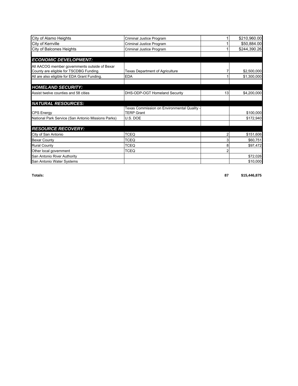| City of Alamo Heights                              | Criminal Justice Program                    |    | \$210,960.00 |
|----------------------------------------------------|---------------------------------------------|----|--------------|
| City of Kerrville                                  | Criminal Justice Program                    |    | \$50,884.00  |
| City of Balcones Heights                           | Criminal Justice Program                    |    | \$244,390.26 |
|                                                    |                                             |    |              |
| <b>ECONOMIC DEVELOPMENT:</b>                       |                                             |    |              |
| All AACOG member governments outside of Bexar      |                                             |    |              |
| County are eligible for TSCDBG Funding.            | Texas Department of Agriculture             |    | \$2,500,000  |
| All are also eligible for EDA Grant Funding.       | <b>EDA</b>                                  |    | \$1,300,000  |
|                                                    |                                             |    |              |
| <b>HOMELAND SECURITY:</b>                          |                                             |    |              |
| Assist twelve counties and 58 cities               | DHS-ODP-OGT Homeland Security               | 13 | \$4,200,000  |
|                                                    |                                             |    |              |
| <b>NATURAL RESOURCES:</b>                          |                                             |    |              |
|                                                    | Texas Commission on Environmental Quality - |    |              |
| <b>CPS Energy</b>                                  | <b>TERP Grant</b>                           |    | \$100,000    |
| National Park Service (San Antonio Missions Parks) | U.S. DOE                                    |    | \$172,940    |
|                                                    |                                             |    |              |
| <b>RESOURCE RECOVERY:</b>                          |                                             |    |              |
| City of San Antonio                                | <b>TCEQ</b>                                 |    | \$151,606    |
| <b>Bexar County</b>                                | <b>TCEQ</b>                                 |    | \$60,751     |
| <b>Rural County</b>                                | <b>TCEQ</b>                                 | 8  | \$97,472     |
| Other local government                             | <b>TCEQ</b>                                 |    |              |
| San Antonio River Authority                        |                                             |    | \$72,026     |
| San Antonio Water Systems                          |                                             |    | \$10,000     |

**Totals: 87 \$15,446,875**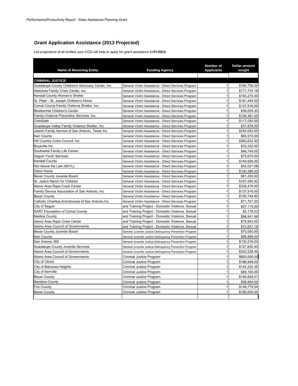#### **Grant Application Assistance (2013 Projected)**

List projections of all entities your COG will help to apply for grant assistance for **FY2013**:

| <b>Name of Receiving Entity</b>                      | <b>Funding Agency</b>                                   | Number of<br><b>Applicants</b> | <b>Dollar amount</b><br>sought |
|------------------------------------------------------|---------------------------------------------------------|--------------------------------|--------------------------------|
|                                                      |                                                         |                                |                                |
| <b>CRIMINAL JUSTICE:</b>                             |                                                         |                                |                                |
| Guadalupe County Children's Advocacy Center, Inc.    | General Victim Assistance - Direct Services Program     | $\mathbf{1}$                   | \$160,756.00                   |
| Atascosa Family Crisis Center, Inc.                  | General Victim Assistance - Direct Services Program     | 1                              | \$171,743.18                   |
| Kendall County Women's Shelter                       | General Victim Assistance - Direct Services Program     | 1                              | \$193,270.00                   |
| St. Peter - St. Joseph Children's Home               | General Victim Assistance - Direct Services Program     | $\mathbf{1}$                   | \$181,445.00                   |
| Comal County Family Violence Shelter, Inc.           | General Victim Assistance - Direct Services Program     | 1                              | \$137.916.00                   |
| <b>Bluebonnet Children's Center</b>                  | General Victim Assistance - Direct Services Program     | 1                              | \$36,055.30                    |
| Family Violence Prevention Services, Inc.            | General Victim Assistance - Direct Services Program     | $\mathbf{1}$                   | \$109,361.00                   |
| ChildSafe                                            | General Victim Assistance - Direct Services Program     | 1                              | \$117,050.00                   |
| Guadalupe Valley Family Violence Shelter, Inc.       | General Victim Assistance - Direct Services Program     | $\mathbf{1}$                   | \$37,878.00                    |
| Jewish Family Service of San Antonio, Texas Inc.     | General Victim Assistance - Direct Services Program     | $\mathbf{1}$                   | \$254.083.00                   |
| Kerr County                                          | General Victim Assistance - Direct Services Program     | $\mathbf{1}$                   | \$65,570.00                    |
| Hill Country Crisis Council, Inc.                    | General Victim Assistance - Direct Services Program     | $\mathbf{1}$                   | \$363.622.00                   |
| Boysville Inc.                                       | General Victim Assistance - Direct Services Program     | 1                              | \$33,332.00                    |
| Southwest Family Life Center                         | General Victim Assistance - Direct Services Program     | $\mathbf{1}$                   | \$46,749.00                    |
| Seguin Youth Services                                | General Victim Assistance - Direct Services Program     | $\mathbf{1}$                   | \$76,670.00                    |
| Kendall County                                       | General Victim Assistance - Direct Services Program     | $\mathbf{1}$                   | \$145,926.00                   |
| Not Above the Law (NATL)                             | General Victim Assistance - Direct Services Program     | $\mathbf{1}$                   | \$42,021.08                    |
| Seton Home                                           | General Victim Assistance - Direct Services Program     | $\mathbf{1}$                   | \$100,386.00                   |
| Bexar County Juvenile Board                          | General Victim Assistance - Direct Services Program     | $\mathbf{1}$                   | \$81,200.00                    |
| St. Jude's Ranch for Children                        | General Victim Assistance - Direct Services Program     | 1                              | \$167,585.92                   |
| Alamo Area Rape Crisis Center                        | General Victim Assistance - Direct Services Program     | 1                              | \$330,478.00                   |
| Family Service Association of San Antonio, Inc.      | General Victim Assistance - Direct Services Program     | 1                              | \$137,916.00                   |
| <b>Bexar County</b>                                  | General Victim Assistance - Direct Services Program     | $\mathbf{1}$                   | \$105,749.80                   |
| Catholic Charities, Archdiocese of San Antonio, Inc. | General Victim Assistance - Direct Services Program     | $\mathbf{1}$                   | \$71,707.00                    |
| City of Seguin                                       | and Training Project - Domestic Violence, Sexual        | $\mathbf{1}$                   | \$47,115.00                    |
| <b>SART Foundation of Comal County</b>               | and Training Project - Domestic Violence, Sexual        | $\mathbf{1}$                   | \$5,178.23                     |
| <b>Medina County</b>                                 | and Training Project - Domestic Violence, Sexual        | 1                              | \$98.841.98                    |
| Alamo Area Rape Crisis Center                        | and Training Project - Domestic Violence, Sexual        | $\mathbf{1}$                   | \$79,942.00                    |
| Alamo Area Council of Governments                    | and Training Project - Domestic Violence, Sexual        | 1                              | \$72,651.18                    |
| Bexar County Juvenile Board                          | General Juvenile Justice Delinquency Prevention Program | $\mathbf{1}$                   | \$70,000.00                    |
| <b>Kerr County</b>                                   | General Juvenile Justice Delinquency Prevention Program | 1                              | \$99,999.00                    |
| San Antonio ISD                                      | General Juvenile Justice Delinguency Prevention Program | $\mathbf{1}$                   | \$130,216.04                   |
| <b>Guadalupe County Juvenile Services</b>            | General Juvenile Justice Delinquency Prevention Program | 1                              | \$127,652.40                   |
| Alamo Area Council of Governments                    | General Juvenile Justice Delinquency Prevention Program | 1                              | \$242,528.49                   |
| Alamo Area Council of Governments                    | Criminal Justice Program                                | $\mathbf{1}$                   | \$600,000.00                   |
| City of Cibolo                                       | Criminal Justice Program                                | 1                              | \$188,948.00                   |
| City of Balcones Heights                             | Criminal Justice Program                                | $\mathbf{1}$                   | \$142,225.35                   |
| City of Kerrville                                    | Criminal Justice Program                                | $\mathbf{1}$                   | \$49,160.00                    |
| <b>Bexar County</b>                                  | Criminal Justice Program                                | $\mathbf{1}$                   | \$184.828.01                   |
| <b>Bandera County</b>                                | Criminal Justice Program                                | $\mathbf{1}$                   | \$99,954.00                    |
| Frio County                                          | Criminal Justice Program                                | $\mathbf{1}$                   | \$148,779.54                   |
| <b>Bexar County</b>                                  | Criminal Justice Program                                | 1                              | \$185.000.00                   |
|                                                      |                                                         |                                |                                |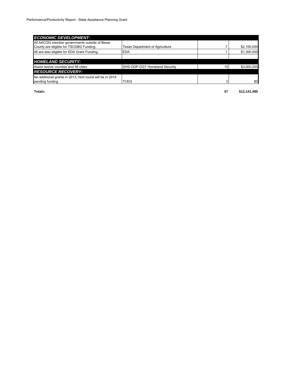| <b>ECONOMIC DEVELOPMENT:</b>                             |                                 |    |             |
|----------------------------------------------------------|---------------------------------|----|-------------|
| All AACOG member governments outside of Bexar            |                                 |    |             |
| County are eligible for TSCDBG Funding.                  | Texas Department of Agriculture |    | \$2,100,000 |
| All are also eligible for EDA Grant Funding.             | <b>EDA</b>                      |    | \$1,300,000 |
|                                                          |                                 |    |             |
| <b>HOMELAND SECURITY:</b>                                |                                 |    |             |
| Assist twelve counties and 58 cities                     | DHS-ODP-OGT Homeland Security   | 15 | \$3,000,000 |
| <b>RESOURCE RECOVERY:</b>                                |                                 |    |             |
| No additional grants in 2013; next round will be in 2014 |                                 |    |             |
| pending funding.                                         | <b>TCEQ</b>                     |    | \$0         |

**Totals: 57 \$12,141,490**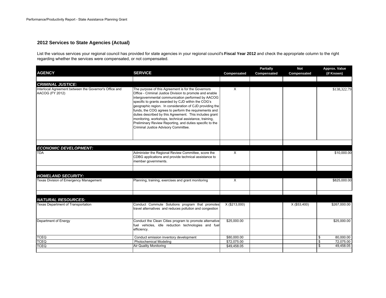#### **2012 Services to State Agencies (Actual)**

List the various services your regional council has provided for state agencies in your regional council's **Fiscal Year 2012** and check the appropriate column to the right regarding whether the services were compensated, or not compensated.

| <b>AGENCY</b>                                                                                         | <b>SERVICE</b>                                                                                                                                                                                                                                                                                                                                                                                                                                                                                                                                                           | Compensated   | <b>Partially</b><br>Compensated | <b>Not</b><br>Compensated | Approx. Value<br>(if Known) |
|-------------------------------------------------------------------------------------------------------|--------------------------------------------------------------------------------------------------------------------------------------------------------------------------------------------------------------------------------------------------------------------------------------------------------------------------------------------------------------------------------------------------------------------------------------------------------------------------------------------------------------------------------------------------------------------------|---------------|---------------------------------|---------------------------|-----------------------------|
|                                                                                                       |                                                                                                                                                                                                                                                                                                                                                                                                                                                                                                                                                                          |               |                                 |                           |                             |
| <b>CRIMINAL JUSTICE:</b><br>Interlocal Agreement between the Governor's Office and<br>AACOG (FY 2012) | The purpose of this Agreement is for the Governors<br>Office - Criminal Justice Division to promote and enable<br>intergovernmental communication performed by AACOG<br>specific to grants awarded by CJD within the COG's<br>geographic region. In consideration of CJD providing the<br>funds, the COG agrees to perform the requirements and<br>duties described by this Agreement. This includes grant<br>monitoring, workshops, technical assistance, training,<br>Preliminary Review Reporting, and duties specific to the<br>Criminal Justice Advisory Committee. | X             |                                 |                           | \$138,322.79                |
|                                                                                                       |                                                                                                                                                                                                                                                                                                                                                                                                                                                                                                                                                                          |               |                                 |                           |                             |
| <b>ECONOMIC DEVELOPMENT:</b><br><b>TDA</b>                                                            | Administer the Regional Review Committee, score the<br>CDBG applications and provide technical assistance to<br>member governments.                                                                                                                                                                                                                                                                                                                                                                                                                                      | X             |                                 |                           | \$10,000.00                 |
| <b>HOMELAND SECURITY:</b>                                                                             |                                                                                                                                                                                                                                                                                                                                                                                                                                                                                                                                                                          |               |                                 |                           |                             |
| Texas Division of Emergency Management                                                                | Planning, training, exercises and grant monitoring                                                                                                                                                                                                                                                                                                                                                                                                                                                                                                                       | X             |                                 |                           | \$825,000.00                |
| <b>NATURAL RESOURCES:</b>                                                                             |                                                                                                                                                                                                                                                                                                                                                                                                                                                                                                                                                                          |               |                                 |                           |                             |
| <b>Texas Department of Transportation</b>                                                             | Conduct Commute Solutions program that promotes<br>travel alternatives and reduces pollution and congestion                                                                                                                                                                                                                                                                                                                                                                                                                                                              | X (\$213,000) |                                 | X (\$53,400)              | \$267,000.00                |
| Department of Energy                                                                                  | Conduct the Clean Cities program to promote alternative<br>fuel vehicles, idle reduction technologies and fuel<br>efficiency.                                                                                                                                                                                                                                                                                                                                                                                                                                            | \$25,000.00   |                                 |                           | \$25,000.00                 |
| <b>TCEQ</b>                                                                                           | Conduct emission inventory development                                                                                                                                                                                                                                                                                                                                                                                                                                                                                                                                   | \$80,000.00   |                                 |                           | \$<br>80,000.00             |
| <b>TCEQ</b>                                                                                           | Photochemical Modeling                                                                                                                                                                                                                                                                                                                                                                                                                                                                                                                                                   | \$72,075.00   |                                 |                           | 72.075.00<br>\$             |
| <b>TCEQ</b>                                                                                           | <b>Air Quality Monitoring</b>                                                                                                                                                                                                                                                                                                                                                                                                                                                                                                                                            | \$49,458.05   |                                 |                           | 49,458.05<br>\$             |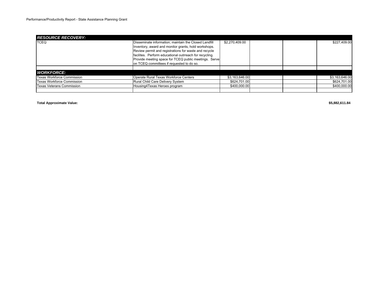| <b>RESOURCE RECOVERY:</b>        |                                                         |                |  |                |
|----------------------------------|---------------------------------------------------------|----------------|--|----------------|
| <b>TCEO</b>                      | Disseminate information; maintain the Closed Landfill   | \$2,270,409.00 |  | \$227,409.00   |
|                                  | Inventory, award and monitor grants, hold workshops.    |                |  |                |
|                                  | Review permit and registrations for waste and recycle   |                |  |                |
|                                  | facilites. Perform educational outrreach for recycling. |                |  |                |
|                                  | Provide meeting space for TCEQ public meetings. Serve   |                |  |                |
|                                  | on TCEQ committees if requested to do so.               |                |  |                |
|                                  |                                                         |                |  |                |
| <b>WORKFORCE:</b>                |                                                         |                |  |                |
| Texas Workforce Commission       | Operate Rural Texas Workforce Centers                   | \$3,163,646.00 |  | \$3,163,646.00 |
| Texas Workforce Commission       | Rural Child Care Delivery System                        | \$624.701.00   |  | \$624,701.00   |
| <b>Texas Veterans Commission</b> | Housing4Texas Heroes program                            | \$400,000,00   |  | \$400,000.00   |
|                                  |                                                         |                |  |                |

**Total Approximate Value: \$5,882,611.84**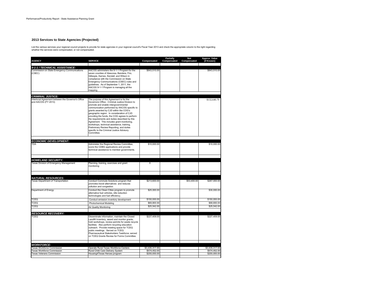### **2013 Services to State Agencies (Projected)**

List the various services your regional council provide for saint of the sequencies in your regional council's Fiscal Year 2013 and check the appropriate column to the right regarding<br>whether the services were compensated,

| <b>AGENCY</b>                                                                           | <b>SERVICE</b>                                                                                                                                                                                                                                                                                                                                                                                                                                                                                                                                                                    | Compensated    | <b>Partially</b><br>Compensated | Not<br>Compensated | Approx. Value<br>(if Known) |
|-----------------------------------------------------------------------------------------|-----------------------------------------------------------------------------------------------------------------------------------------------------------------------------------------------------------------------------------------------------------------------------------------------------------------------------------------------------------------------------------------------------------------------------------------------------------------------------------------------------------------------------------------------------------------------------------|----------------|---------------------------------|--------------------|-----------------------------|
|                                                                                         |                                                                                                                                                                                                                                                                                                                                                                                                                                                                                                                                                                                   |                |                                 |                    |                             |
| 9-1-1 / TECHNICAL ASSISTANCE:<br>Commission on State Emergency Communications<br>(CSEC) | AACOG administers the 9-1-1 Program for the<br>seven counties of Atascosa, Bandera, Frio,<br>Gillespie, Karnes, Kendall, and Wilson in<br>compliance with the Commission on State<br>Emergency Communications (CSEC) rules and<br>quidelines. As of September 1, 2011, the<br>AACOG 9-1-1 Program is managing all the<br>mapping.                                                                                                                                                                                                                                                 | \$843,510.00   |                                 |                    | \$843,510.00                |
| <b>CRIMINAL JUSTICE:</b>                                                                |                                                                                                                                                                                                                                                                                                                                                                                                                                                                                                                                                                                   |                |                                 |                    |                             |
| Interlocal Agreement between the Governor's Office<br>and AACOG (FY 2013)               | The purpose of this Agreement is for the<br>Governors Office - Criminal Justice Division to<br>promote and enable intergovernmental<br>communication performed by AACOG specific to<br>grants awarded by CJD within the COG's<br>geographic region. In consideration of CJD<br>providing the funds, the COG agrees to perform<br>the requirements and duties described by this<br>Agreement. This includes grant monitoring,<br>workshops, technical assistance, training,<br>Preliminary Review Reporting, and duties<br>specific to the Criminal Justice Advisory<br>Committee. | X              |                                 |                    | \$132,640.79                |
|                                                                                         |                                                                                                                                                                                                                                                                                                                                                                                                                                                                                                                                                                                   |                |                                 |                    |                             |
| <b>ECONOMIC DEVELOPMENT:</b><br><b>TDA</b>                                              | Administer the Regional Review Committee,<br>score the CDBG applications and provide<br>technical assistance to member governments.                                                                                                                                                                                                                                                                                                                                                                                                                                               | \$10,000.00    |                                 |                    | \$10,000.00                 |
|                                                                                         |                                                                                                                                                                                                                                                                                                                                                                                                                                                                                                                                                                                   |                |                                 |                    |                             |
| <b>HOMELAND SECURITY:</b>                                                               |                                                                                                                                                                                                                                                                                                                                                                                                                                                                                                                                                                                   |                |                                 |                    |                             |
| Texas Division of Emergency Management                                                  | Planning, training, exercises and grant<br>monitoring                                                                                                                                                                                                                                                                                                                                                                                                                                                                                                                             | X              |                                 |                    |                             |
|                                                                                         |                                                                                                                                                                                                                                                                                                                                                                                                                                                                                                                                                                                   |                |                                 |                    |                             |
| <b>NATURAL RESOURCES:</b>                                                               |                                                                                                                                                                                                                                                                                                                                                                                                                                                                                                                                                                                   |                |                                 |                    |                             |
| <b>Texas Department of Transportation</b>                                               | Conduct Commute Solutions program that<br>promotes travel alternatives and reduces<br>pollution and congestion                                                                                                                                                                                                                                                                                                                                                                                                                                                                    | \$213,600.00   |                                 | \$53,400.00        | \$267,000.00                |
| Department of Energy                                                                    | Conduct the Clean Cities program to promote<br>alternative fuel vehicles, idle reduction<br>technologies and fuel efficiency.                                                                                                                                                                                                                                                                                                                                                                                                                                                     | \$25,000.00    |                                 |                    | \$30,000.00                 |
| <b>TCEQ</b>                                                                             | Conduct emission inventory development                                                                                                                                                                                                                                                                                                                                                                                                                                                                                                                                            | \$150,000.00   |                                 |                    | \$150,000.00                |
| TCEQ                                                                                    | Photochemical Modeling                                                                                                                                                                                                                                                                                                                                                                                                                                                                                                                                                            | \$69,800.00    |                                 |                    | \$69,800.00                 |
| <b>TCEQ</b>                                                                             | Air Quality Monitoring                                                                                                                                                                                                                                                                                                                                                                                                                                                                                                                                                            | \$25,542.00    |                                 |                    | \$25,542.00                 |
| <b>RESOURCE RECOVERY:</b>                                                               |                                                                                                                                                                                                                                                                                                                                                                                                                                                                                                                                                                                   |                |                                 |                    |                             |
| TCEQ                                                                                    | Disseminate information, maintain the Closed<br>Landfill Inventory, award and monitor grants.<br>hold workshops, review permits for waste recycle<br>facilities. Also perform recycling education<br>outreach. Provide meeting space for TCEQ<br>public meetings. Served on TCEQ<br>Pharmaceutical Stakeholders Taskforce; served<br>on TCEQ Grants Review for Forms Committee.                                                                                                                                                                                                   | \$227,409.00   |                                 |                    | \$227,409.00                |
|                                                                                         |                                                                                                                                                                                                                                                                                                                                                                                                                                                                                                                                                                                   |                |                                 |                    |                             |
| <b>WORKFORCE:</b><br><b>Texas Workforce Commission</b>                                  | Operate Rural Texas Workforce Centers                                                                                                                                                                                                                                                                                                                                                                                                                                                                                                                                             | \$3,435,317.00 |                                 |                    | \$3,435,317.00              |
| Fexas Workforce Commission                                                              | Rural Child Care Delivery System                                                                                                                                                                                                                                                                                                                                                                                                                                                                                                                                                  | \$574,452.00   |                                 |                    | \$574,452.00                |
| <b>Texas Veterans Commission</b>                                                        | Housing4Texas Heroes program                                                                                                                                                                                                                                                                                                                                                                                                                                                                                                                                                      | \$200,000.00   |                                 |                    | \$200,000.00                |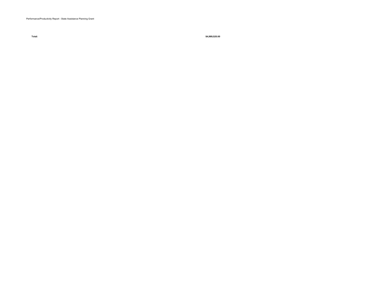**Total:**

**\$4,989,520.00**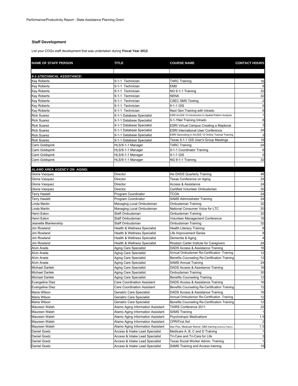# **Staff Development**

List your COGs staff development that was undertaken during **Fiscal Year 2012**:

| <b>NAME OF STAFF PERSON</b> | <b>TITLE</b>                       | <b>COURSE NAME</b>                                        | <b>CONTACT HOURS</b>    |
|-----------------------------|------------------------------------|-----------------------------------------------------------|-------------------------|
|                             |                                    |                                                           |                         |
| 9-1-1/TECHNICAL ASSISTANCE: |                                    |                                                           |                         |
| <b>Kay Roberts</b>          | 9-1-1 Technician                   | TARC Training                                             | 16                      |
| <b>Kay Roberts</b>          | 9-1-1 Technician                   | EMD                                                       | 8                       |
| <b>Kay Roberts</b>          | 9-1-1 Technician                   | NG 9-1-1 Training                                         | 32                      |
| <b>Kay Roberts</b>          | 9-1-1 Technician                   | <b>NENA</b>                                               | 32                      |
| <b>Kay Roberts</b>          | 9-1-1 Technician                   | <b>CSEC SMS Texting</b>                                   | 2                       |
| <b>Kay Roberts</b>          | 9-1-1 Technician                   | 9-1-1 GIS                                                 | 5                       |
| <b>Kay Roberts</b>          | 9-1-1 Technician                   | Next Gen Training with Intrado                            | 6                       |
| <b>Rick Suarez</b>          | 9-1-1 Database Specialist          | ESRI ArcGIS 10 Introduction to Spatial Pattern Analysis   | $\mathbf{1}$            |
| <b>Rick Suarez</b>          | 9-1-1 Database Specialist          | 9-1-1Net Training Intrado                                 | 8                       |
| <b>Rick Suarez</b>          | 9-1-1 Database Specialist          | ESRI Virtual Campus Creating a Mapbook                    | 3                       |
| <b>Rick Suarez</b>          | 9-1-1 Database Specialist          | <b>ESRI International User Conference</b>                 | 24                      |
| <b>Rick Suarez</b>          | 9-1-1 Database Specialist          | ESRI Geocoding in ArcGIS 10 Online Tutorial Training      | 3                       |
| <b>Rick Suarez</b>          | 9-1-1 Database Specialist          | Texas 9-1-1 GIS User's Group Meetings                     | 18                      |
| Cami Goldspink              | HLS/9-1-1 Manager                  | <b>TARC Training</b>                                      | 24                      |
| Cami Goldspink              | HLS/9-1-1 Manager                  | 9-1-1 Coordinator Training                                | 8                       |
| Cami Goldspink              | HLS/9-1-1 Manager                  | 9-1-1 GIS                                                 | 5                       |
| Cami Goldspink              | HLS/9-1-1 Manager                  | NG 9-1-1 Training                                         | 32                      |
|                             |                                    |                                                           |                         |
| ALAMO AREA AGENCY ON AGING: |                                    |                                                           |                         |
| Gloria Vasquez              | Director                           | t4a DADS Quarterly Training                               | 48                      |
| Gloria Vasquez              | Director                           | Texas Conference on Aging                                 | 24                      |
| Gloria Vasquez              | Director                           | <b>Access &amp; Assistance</b>                            | 24                      |
| Gloria Vasquez              | Director                           | Certified Volunteer Ombudsman                             | 30                      |
| Terry Haslett               | Program Coordinator                | TCOA                                                      | 24                      |
| <b>Terry Haslett</b>        | Program Coordinator                | <b>SAMS Administrator Training</b>                        | 24                      |
| Linda Martin                | Managing Local Ombudsman           | Ombudsman Training                                        | 32                      |
| Linda Martin                | Managing Local Ombudsman           | National Consumer Voice for LTC                           | 20                      |
| Henri Eaton                 | Staff Ombudsman                    | Ombudsman Training                                        | 32                      |
| Henri Eaton                 | Staff Ombudsman                    | Volunteer Management Conference                           | 16                      |
| Jeanette Blankenship        | Staff Ombudsman                    | Ombudsman Training                                        | 32                      |
| Jim Rowland                 | Health & Wellness Specialist       | Health Literacy Training                                  | 8                       |
| Jim Rowland                 | Health & Wellness Specialist       | Life Improvement Series                                   | 8                       |
| Jim Rowland                 | Health & Wellness Specialist       | Dementia & Aging                                          | $\overline{\mathbf{4}}$ |
| <b>Jim Rowland</b>          | Health & Wellness Specialist       | Roselyn Carter Insttute for Caregivers                    | 24                      |
| Alvin Arada                 | Aging Care Specialist              | DADS Access & Assistance Training                         | 16                      |
| Alvin Arada                 |                                    | Annual Ombudsman Re-Certification Training                | 12                      |
|                             | Aging Care Specialist              |                                                           | 12                      |
| Alvin Arada                 | Aging Care Specialist              | Benefits Counseling Re-Certification Training             |                         |
| Alvin Arada                 | Aging Care Specialist              | <b>SAMS Annual Training</b>                               | 24                      |
| <b>Michael Darilek</b>      | Aging Care Specialist              | DADS Access & Assistance Training                         | 16                      |
| Michael Darilek             | <b>Aging Care Specialist</b>       | Ombudsman Training                                        | 30                      |
| <b>Michael Darilek</b>      | Aging Care Specialist              | <b>Benefits Counseling Training</b>                       | 12                      |
| <b>Evangeline Diaz</b>      | Care Coordination Assistant        | DADS Access & Assistance Training                         | 16                      |
| <b>Evangeline Diaz</b>      | <b>Care Coordination Assistant</b> | Benefits Counseling Re-Certification Training             | 12                      |
| Maria Wilson                | Geriatric Care Specialist          | DADS Access & Assistance Training                         | 16                      |
| Maria Wilson                | Geriatric Care Specialist          | Annual Ombudsman Re-Certification Training                | 12                      |
| Maria Wilson                | Geriatric Care Specialist          | Benefits Counseling Re-Certification Training             | 12                      |
| Maureen Walsh               | Alamo Aging Information Assistant  | TAIRS Conference 2011                                     | 22                      |
| Maureen Walsh               | Alamo Aging Information Assistant  | <b>SAMS Training</b>                                      |                         |
| Maureen Walsh               | Alamo Aging Information Assistant  | <b>Psychotropic Medications</b>                           | 1.5                     |
| Maureen Walsh               | Alamo Aging Information Assistant  | <b>CPR/First Aid</b>                                      | $\overline{c}$          |
| Maureen Walsh               | Alamo Aging Information Assistant  | Star Plus, Medicaid Waiver, DBA training (Anthony Patron) | 1.5                     |
| Daniel Goetz                | Access & Intake Lead Specialist    | Medicare A, B, C and D Training                           | 1                       |
| Daniel Goetz                | Access & Intake Lead Specialist    | Tri-Care and Tri-Care for Life                            | $\mathbf{3}$            |
| Daniel Goetz                | Access & Intake Lead Specialist    | Texas Social Worker Admin. Training                       | 1                       |
| Daniel Goetz                | Access & Intake Lead Specialist    | SAMS Training and Access training                         | 15                      |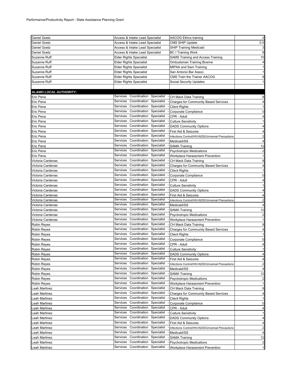| <b>Daniel Goetz</b>               | Access & Intake Lead Specialist                                                  | <b>AACOG Ethics training</b>                                        | $\overline{2}$              |
|-----------------------------------|----------------------------------------------------------------------------------|---------------------------------------------------------------------|-----------------------------|
| Daniel Goetz                      | Access & Intake Lead Specialist                                                  | <b>CMS SHIP Update</b>                                              | 0.5                         |
| Daniel Goetz                      | Access & Intake Lead Specialist                                                  | <b>SHIP Training Medicaid</b>                                       | 3                           |
| Daniel Goetz                      | Access & Intake Lead Specialist                                                  | <b>BC I Training Work</b>                                           | 8                           |
| Suzanne Ruff                      | <b>Elder Rights Specialist</b>                                                   | SAMS Training and Access Training                                   | 15                          |
| Suzanne Ruff                      | <b>Elder Rights Specialist</b>                                                   | Ombudsman Training Boerne                                           | 4                           |
| Suzanne Ruff                      | <b>Elder Rights Specialist</b>                                                   | MIPAA and Sam Training                                              | $\mathbf{1}$                |
| Suzanne Ruff                      | <b>Elder Rights Specialist</b>                                                   | San Antonio Bar Assoc.                                              | $\mathbf{1}$                |
| Suzanne Ruff                      | <b>Elder Rights Specialist</b>                                                   | CMS Train the Trainer AACOG                                         | 8                           |
| Suzanne Ruff                      | <b>Elder Rights Specialist</b>                                                   | <b>Social Security Updates</b>                                      | $\mathbf{1}$                |
|                                   |                                                                                  |                                                                     |                             |
| ALAMO LOCAL AUTHORITY:            |                                                                                  |                                                                     |                             |
| Eric Pena                         | Services<br>Coordination Specialist                                              | CH Mack Data Training                                               | 8                           |
| Eric Pena                         | Coordination<br>Specialist<br>Services                                           | <b>Charges for Community Based Services</b>                         | 4                           |
| Eric Pena                         | Services<br>Coordination Specialist                                              | <b>Client Rights</b>                                                | $\mathbf{1}$                |
| Eric Pena                         | Coordination<br>Services<br>Specialist                                           | Corporate Compliance                                                | 0                           |
| Eric Pena                         | Services<br>Coordination Specialist                                              | CPR - Adult                                                         | 4                           |
| Eric Pena                         | Services<br>Coordination<br>Specialist -                                         | <b>Culture Sensitivity</b>                                          | $\mathbf{1}$                |
| Eric Pena                         | Services<br>Coordination<br>Specialist                                           | <b>DADS Community Options</b>                                       | 4                           |
| Eric Pena                         | Services<br>Coordination<br>Specialist                                           | First Aid & Seizures                                                | 4                           |
| Eric Pena                         | Services<br>Coordination<br>Specialist                                           | Infections Control/HIV/AIDS/Universal Precautions                   | $\overline{\mathbf{c}}$     |
| Eric Pena                         | Services<br>Coordination<br>Specialist                                           | Medicaid/SS                                                         | 4                           |
| Eric Pena                         | Services<br>Coordination<br>Specialist                                           | <b>SAMA Training</b>                                                | 12                          |
| Eric Pena                         | Services<br>Coordination<br>Specialist                                           | <b>Psychotropic Medications</b>                                     | $\overline{2}$              |
| Eric Pena                         | Services<br>Coordination<br>Specialist                                           | Workplace Harassment Prevention                                     | $\mathbf{1}$                |
| Victoria Cardenas                 | Services<br>Coordination<br>Specialist                                           | CH Mack Data Training                                               | 8                           |
| Victoria Cardenas                 | Services<br>Coordination<br>Specialist                                           | <b>Charges for Community Based Services</b>                         | $\overline{4}$              |
|                                   | Services<br>Coordination<br>Specialist                                           |                                                                     | $\mathbf{1}$                |
| Victoria Cardenas                 | Services<br>Coordination<br>Specialist                                           | <b>Client Rights</b>                                                | $\mathbf 0$                 |
| Victoria Cardenas                 | Services<br>Coordination Specialist                                              | Corporate Compliance                                                | $\overline{4}$              |
| Victoria Cardenas                 | Services<br>Coordination Specialist                                              | CPR - Adult                                                         |                             |
| Victoria Cardenas                 | Services<br>Coordination<br>Specialist                                           | <b>Culture Sensitivity</b>                                          | 1                           |
| Victoria Cardenas                 | Coordination Specialist<br>Services                                              | <b>DADS Community Options</b>                                       | $\overline{4}$              |
| Victoria Cardenas                 | Coordination<br>Specialist<br>Services                                           | First Aid & Seizures                                                | 4                           |
| Victoria Cardenas                 | Coordination<br>Services<br>Specialist                                           | Infections Control/HIV/AIDS/Universal Precautions                   | $\overline{2}$              |
| Victoria Cardenas                 | Services<br>Coordination<br>Specialist                                           | Medicaid/SS                                                         | $\overline{4}$              |
| Victoria Cardenas                 | Services<br>Coordination<br>Specialist                                           | <b>SAMA Training</b>                                                | 12                          |
| Victoria Cardenas                 | Services<br>Coordination<br>Specialist                                           | <b>Psychotropic Medications</b>                                     | $\overline{\mathbf{c}}$     |
| Victoria Cardenas                 | Services<br>Coordination<br>Specialist                                           | Workplace Harassment Prevention                                     | $\mathbf{1}$                |
| Robin Reyes                       | Services<br>Coordination<br>Specialist                                           | CH Mack Data Training                                               | 8                           |
| Robin Reyes                       | Coordination<br>Services<br>Specialist                                           | <b>Charges for Community Based Services</b><br><b>Client Rights</b> | $\overline{4}$              |
| Robin Reyes<br><b>Robin Reyes</b> | Services<br>Coordination Specialist                                              |                                                                     | $\mathbf{1}$<br>$\mathbf 0$ |
| Robin Reyes                       | Services<br>Coordination Specialist                                              | Corporate Compliance<br>CPR - Adult                                 | $\overline{4}$              |
|                                   | Services Coordination Specialist                                                 |                                                                     | $\mathbf{1}$                |
| <b>Robin Reyes</b>                |                                                                                  | <b>Culture Sensitivity</b>                                          |                             |
| Robin Reyes                       | Services<br>Coordination<br>Specialist<br>Services<br>Coordination<br>Specialist | <b>DADS Community Options</b>                                       | 4                           |
| Robin Reyes                       | Coordination<br>Services<br>Specialist                                           | First Aid & Seizures                                                | $\overline{4}$              |
| Robin Reyes                       | Services<br>Coordination<br>Specialist                                           | Infections Control/HIV/AIDS/Universal Precautions                   | $\overline{2}$              |
| <b>Robin Reyes</b>                | Coordination<br>Specialist<br>Services                                           | Medicaid/SS                                                         | $\overline{4}$              |
| Robin Reyes                       | Coordination<br>Services<br>Specialist                                           | <b>SAMA Training</b>                                                | 12                          |
| Robin Reyes                       | Coordination<br>Specialist<br>Services                                           | <b>Psychotropic Medications</b>                                     | $\overline{\mathbf{c}}$     |
| Robin Reyes                       | Coordination<br>Services<br>Specialist                                           | Workplace Harassment Prevention                                     | 1                           |
| Leah Martinez                     | Coordination<br>Services<br>Specialist                                           | CH Mack Data Training                                               | 8                           |
| eah Martinez                      | Services<br>Coordination<br>Specialist                                           | <b>Charges for Community Based Services</b>                         | 4                           |
| eah Martinez                      | Coordination<br>Services<br>Specialist                                           | <b>Client Rights</b>                                                | 1                           |
| eah Martinez                      | Coordination<br>Services<br>Specialist                                           | Corporate Compliance                                                | 0                           |
| eah Martinez                      | Services<br>Coordination                                                         | CPR - Adult                                                         | 4                           |
| Leah Martinez                     | Specialist<br>Coordination                                                       | <b>Culture Sensitivity</b>                                          | $\mathbf{1}$                |
| eah Martinez.                     | Specialist<br>Services<br>Coordination                                           | <b>DADS Community Options</b>                                       | 4                           |
| eah Martinez                      | Services<br>Specialist                                                           | First Aid & Seizures                                                | 4                           |
| eah Martinez                      | Coordination<br>Specialist<br>Services                                           | Infections Control/HIV/AIDS/Universal Precautions                   | $\overline{\mathbf{c}}$     |
| Leah Martinez                     | Services<br>Coordination<br>Specialist                                           | Medicaid/SS                                                         | $\overline{4}$              |
| eah Martinez                      | Services<br>Coordination<br>Specialist<br>Services<br>Coordination<br>Specialist | <b>SAMA Training</b>                                                | 12                          |
| eah Martinez                      |                                                                                  | <b>Psychotropic Medications</b>                                     | $\overline{\mathbf{c}}$     |
| eah Martinez                      | Services<br>Coordination<br>Specialist                                           | Workplace Harassment Prevention                                     | $\mathbf{1}$                |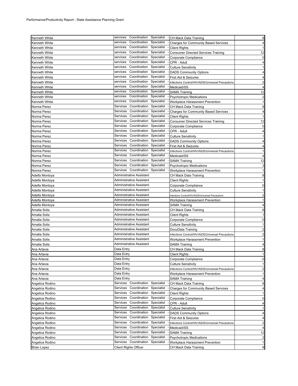| <b>Kenneth White</b>           | services<br>Coordination Specialist    | - CH Mack Data Training                                  | 8                                                                       |
|--------------------------------|----------------------------------------|----------------------------------------------------------|-------------------------------------------------------------------------|
|                                | Coordination<br>Specialist<br>services |                                                          |                                                                         |
| Kenneth White                  | services                               | <b>Charges for Community Based Services</b>              | $\overline{4}$                                                          |
| Kenneth White                  | Coordination<br>Specialist             | <b>Client Rights</b>                                     | $\mathbf{1}$                                                            |
| Kenneth White                  | Coordination<br>Specialist<br>services | <b>Consumer Directed Services Training</b>               | 12                                                                      |
| Kenneth White                  | Coordination<br>Specialist<br>services | Corporate Compliance                                     | 0                                                                       |
| Kenneth White                  | Coordination<br>Specialist<br>services | CPR - Adult                                              | 4                                                                       |
| Kenneth White                  | Coordination<br>Specialist<br>services | <b>Culture Sensitivity</b>                               | 1                                                                       |
| Kenneth White                  | Coordination<br>Specialist<br>services | <b>DADS Community Options</b>                            | 4                                                                       |
| Kenneth White                  | Coordination<br>Specialist<br>services | First Aid & Seizures                                     | 4                                                                       |
| Kenneth White                  | Coordination<br>Specialist<br>services | Infections Control/HIV/AIDS/Universal Precautions        | $\overline{c}$                                                          |
| Kenneth White                  | Coordination<br>Specialist<br>services | Medicaid/SS                                              | 4                                                                       |
| Kenneth White                  | Coordination<br>Specialist<br>services | <b>SAMA Training</b>                                     | 12                                                                      |
| Kenneth White                  | Coordination<br>Specialist<br>services | <b>Psychotropic Medications</b>                          | $\overline{\mathbf{c}}$                                                 |
| Kenneth White                  | Coordination<br>Specialist<br>services | Workplace Harassment Prevention                          | $\mathbf{1}$                                                            |
| Norma Perez                    | Coordination<br>Specialist<br>Services | CH Mack Data Training                                    | 8                                                                       |
| Norma Perez                    | Coordination<br>Specialist<br>Services | <b>Charges for Community Based Services</b>              | 4                                                                       |
| Norma Perez                    | Coordination<br>Specialist<br>Services | <b>Client Rights</b>                                     | $\mathbf{1}$                                                            |
| Norma Perez                    | Services<br>Coordination<br>Specialist | <b>Consumer Directed Services Training</b>               | 12                                                                      |
| Norma Perez                    | Coordination<br>Specialist<br>Services | Corporate Compliance                                     | 0                                                                       |
|                                | Coordination<br>Specialist<br>Services |                                                          |                                                                         |
| Norma Perez                    | Coordination<br>Specialist<br>Services | CPR - Adult                                              | 4<br>$\mathbf{1}$                                                       |
| Norma Perez                    | Coordination<br>Specialist<br>Services | <b>Culture Sensitivity</b>                               |                                                                         |
| Norma Perez                    |                                        | <b>DADS Community Options</b>                            | 4                                                                       |
| Norma Perez                    | Coordination<br>Specialist<br>Services | First Aid & Seizures                                     | 4                                                                       |
| Norma Perez                    | Coordination<br>Specialist<br>Services | Infections Control/HIV/AIDS/Universal Precautions        | 1                                                                       |
| Norma Perez                    | Coordination<br>Specialist<br>Services | Medicaid/SS                                              | 4                                                                       |
| Norma Perez                    | Coordination<br>Specialist<br>Services | <b>SAMA Training</b>                                     | 12                                                                      |
| Norma Perez                    | Coordination<br>Specialist<br>Services | <b>Psychotropic Medications</b>                          | 3                                                                       |
| Norma Perez                    | Services<br>Coordination<br>Specialist | Workplace Harassment Prevention                          | $\mathbf{1}$                                                            |
| Adelfa Montoya                 | Administrative Assistant               | CH Mack Data Training                                    | 8                                                                       |
| Adelfa Montoya                 | Administrative Assistant               | <b>Client Rights</b>                                     | $\mathbf{1}$                                                            |
| Adelfa Montoya                 | Administrative Assistant               | Corporate Compliance                                     | 0                                                                       |
| Adelfa Montoya                 | Administrative Assistant               | Culture Sensitivity                                      | 1                                                                       |
| Adelfa Montoya                 | Administrative Assistant               | Infections Control/HIV/AIDS/Universal Precautions        | $\overline{2}$                                                          |
| Adelfa Montoya                 | Administrative Assistant               | Workplace Harassment Prevention                          | 1                                                                       |
| Adelfa Montoya                 | Administrative Assistant               | SAMA Training                                            | $\overline{4}$                                                          |
| Amalia Solis                   | Administrative Assistant               | CH Mack Data Training                                    | 8                                                                       |
| Amalia Solis                   | Administrative Assistant               | <b>Client Rights</b>                                     | $\mathbf{1}$                                                            |
| Amalia Solis                   | Administrative Assistant               | Corporate Compliance                                     | 0                                                                       |
| Amalia Solis                   | Administrative Assistant               | <b>Culture Sensitivity</b>                               | 1                                                                       |
| Amalia Solis                   | Administrative Assistant               | DocuData Training                                        | $\overline{\mathbf{c}}$                                                 |
|                                | Administrative Assistant               |                                                          |                                                                         |
| Amalia Solis                   |                                        | Infections Control/HIV/AIDS/Universal Precautions        | $\overline{2}$                                                          |
| Amalia Solis                   | Administrative Assistant               | Workplace Harassment Prevention                          | $\mathbf{1}$                                                            |
| Amalia Solis                   | Administrative Assistant               | SAMA Training                                            | $\overline{4}$                                                          |
| Ana Artavia                    | Data Entry                             | CH Mack Data Training                                    | 8                                                                       |
| Ana Artavia                    | Data Entry                             | <b>Client Rights</b>                                     | 1                                                                       |
| Ana Artavia                    | Data Entry                             | Corporate Compliance                                     | 0                                                                       |
| Ana Artavia                    | Data Entry                             | <b>Culture Sensitivity</b>                               | 1                                                                       |
| Ana Artavia                    | Data Entry                             | Infections Control/HIV/AIDS/Universal Precautions        | $\overline{\mathbf{c}}$                                                 |
| Ana Artavia                    | Data Entry                             | Workplace Harassment Prevention                          | 1                                                                       |
| Ana Artavia                    | Data Entry                             | <b>SAMA Training</b>                                     | 4                                                                       |
| Angelica Rodino                | Coordination<br>Services<br>Specialist | CH Mack Data Training                                    | 8                                                                       |
| Angelica Rodino                | Coordination<br>Specialist<br>Services | <b>Charges for Community Based Services</b>              | 4                                                                       |
| Angelica Rodino                | Coordination<br>Services<br>Specialist | <b>Client Rights</b>                                     | $\mathbf{1}$                                                            |
| Angelica Rodino                | Coordination<br>Specialist<br>Services | Corporate Compliance                                     | 0                                                                       |
| Angelica Rodino                | Coordination<br>Specialist<br>Services | CPR - Adult                                              | 4                                                                       |
| Angelica Rodino                | Services<br>Coordination<br>Specialist | <b>Culture Sensitivity</b>                               | 1                                                                       |
| Angelica Rodino                | Services<br>Coordination<br>Specialist | <b>DADS Community Options</b>                            | 4                                                                       |
|                                |                                        |                                                          | 4                                                                       |
| Angelica Rodino                | Coordination<br>Specialist<br>Services | First Aid & Seizures                                     |                                                                         |
| Angelica Rodino                | Coordination<br>Specialist<br>Services | Infections Control/HIV/AIDS/Universal Precautions        |                                                                         |
|                                | Coordination<br>Specialist<br>Services | Medicaid/SS                                              |                                                                         |
| Angelica Rodino                | Coordination<br>Specialist<br>Services |                                                          |                                                                         |
| Angelica Rodino                | Services<br>Coordination<br>Specialist | <b>SAMA Training</b>                                     |                                                                         |
| Angelica Rodino                | Coordination<br>Services<br>Specialist | <b>Psychotropic Medications</b>                          |                                                                         |
| Angelica Rodino<br>Brian Lopez | Client Rights Officer                  | Workplace Harassment Prevention<br>CH Mack Data Training | $\overline{\mathbf{c}}$<br>4<br>12<br>$\overline{\mathbf{c}}$<br>1<br>8 |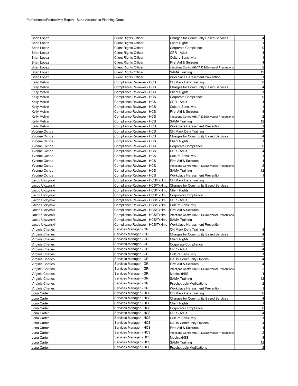| <b>Brian Lopez</b>  | <b>Client Rights Officer</b>    | <b>Charges for Community Based Services</b>       | 4                       |
|---------------------|---------------------------------|---------------------------------------------------|-------------------------|
| <b>Brian Lopez</b>  | <b>Client Rights Officer</b>    | <b>Client Rights</b>                              | $\mathbf{1}$            |
| <b>Brian Lopez</b>  | <b>Client Rights Officer</b>    | Corporate Compliance                              | $\mathbf 0$             |
| <b>Brian Lopez</b>  | <b>Client Rights Officer</b>    | CPR - Adult                                       | $\overline{4}$          |
| <b>Brian Lopez</b>  | <b>Client Rights Officer</b>    | <b>Culture Sensitivity</b>                        | $\mathbf{1}$            |
| <b>Brian Lopez</b>  | <b>Client Rights Officer</b>    | First Aid & Seizures                              | 4                       |
| Brian Lopez         | <b>Client Rights Officer</b>    | Infections Control/HIV/AIDS/Universal Precautions | $\overline{\mathbf{c}}$ |
| <b>Brian Lopez</b>  | <b>Client Rights Officer</b>    | SAMA Training                                     | 12                      |
| <b>Brian Lopez</b>  | <b>Client Rights Officer</b>    | Workplace Harassment Prevention                   | 1                       |
| Kelly Melvin        | Compliance Reviewer - HCS       | CH Mack Data Training                             | 8                       |
| <b>Kelly Melvin</b> | Compliance Reviewer - HCS       | <b>Charges for Community Based Services</b>       | $\overline{\mathbf{4}}$ |
| <b>Kelly Melvin</b> | Compliance Reviewer - HCS       | <b>Client Rights</b>                              | $\mathbf{1}$            |
| <b>Kelly Melvin</b> | Compliance Reviewer - HCS       | Corporate Compliance                              | $\mathbf 0$             |
| <b>Kelly Melvin</b> | Compliance Reviewer - HCS       | CPR - Adult                                       | 4                       |
| <b>Kelly Melvin</b> | Compliance Reviewer - HCS       | <b>Culture Sensitivity</b>                        | $\mathbf{1}$            |
| <b>Kelly Melvin</b> | Compliance Reviewer - HCS       | First Aid & Seizures                              | $\overline{\mathbf{4}}$ |
| <b>Kelly Melvin</b> | Compliance Reviewer - HCS       | Infections Control/HIV/AIDS/Universal Precautions | $\overline{a}$          |
| Kelly Melvin        | Compliance Reviewer - HCS       | SAMA Training                                     | 12                      |
| <b>Kelly Melvin</b> | Compliance Reviewer - HCS       | Workplace Harassment Prevention                   | $\mathbf{1}$            |
| Yvonne Ochoa        | Compliance Reviewer - HCS       | CH Mack Data Training                             | 8                       |
| Yvonne Ochoa        | Compliance Reviewer - HCS       | <b>Charges for Community Based Services</b>       | 4                       |
| Yvonne Ochoa        | Compliance Reviewer - HCS       | <b>Client Rights</b>                              | $\mathbf{1}$            |
| Yvonne Ochoa        | Compliance Reviewer - HCS       | Corporate Compliance                              | $\mathbf 0$             |
| Yvonne Ochoa        | Compliance Reviewer - HCS       | CPR - Adult                                       | 4                       |
| Yvonne Ochoa        | Compliance Reviewer - HCS       | <b>Culture Sensitivity</b>                        | 1                       |
| Yvonne Ochoa        | Compliance Reviewer - HCS       | First Aid & Seizures                              | $\overline{\mathbf{4}}$ |
| Yvonne Ochoa        | Compliance Reviewer - HCS       | Infections Control/HIV/AIDS/Universal Precautions | $\overline{\mathbf{c}}$ |
| Yvonne Ochoa        | Compliance Reviewer - HCS       | SAMA Training                                     | 12                      |
| Yvonne Ochoa        | Compliance Reviewer - HCS       | Workplace Harassment Prevention                   | $\mathbf{1}$            |
| Jacob Ulczynski     | Compliance Reviewer - HCS/TxHmL | CH Mack Data Training                             |                         |
| Jacob Ulczynski     | Compliance Reviewer - HCS/TxHmL | <b>Charges for Community Based Services</b>       |                         |
| Jacob Ulczynski     | Compliance Reviewer - HCS/TxHmL | <b>Client Rights</b>                              |                         |
| Jacob Ulczynski     | Compliance Reviewer - HCS/TxHmL | Corporate Compliance                              |                         |
| Jacob Ulczynski     | Compliance Reviewer - HCS/TxHmL | CPR - Adult                                       |                         |
| Jacob Ulczynski     | Compliance Reviewer - HCS/TxHmL | <b>Culture Sensitivity</b>                        |                         |
| Jacob Ulczynski     | Compliance Reviewer - HCS/TxHmL | First Aid & Seizures                              |                         |
| Jacob Ulczynski     | Compliance Reviewer - HCS/TxHmL | Infections Control/HIV/AIDS/Universal Precautions |                         |
| Jacob Ulczynski     | Compliance Reviewer - HCS/TxHmL | <b>SAMA Training</b>                              |                         |
| Jacob Ulczynski     | Compliance Reviewer - HCS/TxHmL | Workplace Harassment Prevention                   |                         |
| Virginia Charles    | Services Manager - GR           | CH Mack Data Training                             | 8                       |
| Virginia Charles    | Services Manager - GR           | <b>Charges for Community Based Services</b>       | 4                       |
| Virginia Charles    | Services Manager - GR           | <b>Client Rights</b>                              | $\mathbf{1}$            |
| Virginia Charles    | Services Manager - GR           | Corporate Compliance                              | $\mathbf 0$             |
| Virginia Charles    | Services Manager - GR           | CPR - Adult                                       | 4                       |
| Virginia Charles    | Services Manager - GR           | <b>Culture Sensitivity</b>                        |                         |
| Virginia Charles    | Services Manager - GR           | <b>DADS Community Options</b>                     | 4                       |
| Virginia Charles    | Services Manager - GR           | First Aid & Seizures                              | 4                       |
| Virginia Charles    | Services Manager - GR           | Infections Control/HIV/AIDS/Universal Precautions | $\overline{a}$          |
| Virginia Charles    | Services Manager - GR           | Medicaid/SS                                       | $\overline{\mathbf{r}}$ |
| Virginia Charles    | Services Manager - GR           | <b>SAMA Training</b>                              | 12                      |
| Virginia Charles    | Services Manager - GR           | <b>Psychotropic Medications</b>                   | $\overline{\mathbf{c}}$ |
| Virginia Charles    | Services Manager - GR           | Workplace Harassment Prevention                   | $\mathbf{1}$            |
| Lona Carter         | Services Manager - HCS          | CH Mack Data Training                             | 8                       |
| Lona Carter         | Services Manager - HCS          | <b>Charges for Community Based Services</b>       | $\overline{\mathbf{4}}$ |
| Lona Carter         | Services Manager - HCS          | <b>Client Rights</b>                              | $\mathbf{1}$            |
| Lona Carter         | Services Manager - HCS          | Corporate Compliance                              | $\mathbf 0$             |
| Lona Carter         | Services Manager - HCS          | CPR - Adult                                       | 4                       |
| Lona Carter         | Services Manager - HCS          | <b>Culture Sensitivity</b>                        | $\mathbf{1}$            |
| Lona Carter         | Services Manager - HCS          | <b>DADS Community Options</b>                     | 4                       |
| Lona Carter         | Services Manager - HCS          | First Aid & Seizures                              | 4                       |
| Lona Carter         | Services Manager - HCS          | Infections Control/HIV/AIDS/Universal Precautions | $\overline{a}$          |
| Lona Carter         | Services Manager - HCS          | Medicaid/SS                                       | $\overline{\mathbf{4}}$ |
| Lona Carter         | Services Manager - HCS          | <b>SAMA Training</b>                              | 12                      |
| Lona Carter         | Services Manager - HCS          | <b>Psychotropic Medications</b>                   | $\overline{a}$          |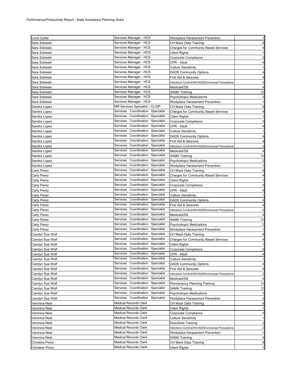| Lona Carter             | Services Manager - HCS                 | Workplace Harassment Prevention                   | $\mathbf{1}$            |
|-------------------------|----------------------------------------|---------------------------------------------------|-------------------------|
| Sara Sobieski           | Services Manager - HCS                 | CH Mack Data Training                             | 8                       |
| Sara Sobieski           | Services Manager - HCS                 | <b>Charges for Community Based Services</b>       | 4                       |
| Sara Sobieski           | Services Manager - HCS                 | Client Rights                                     | $\mathbf{1}$            |
| Sara Sobieski           | Services Manager - HCS                 | Corporate Compliance                              | $\mathbf 0$             |
| Sara Sobieski           | Services Manager - HCS                 | CPR - Adult                                       | 4                       |
| Sara Sobieski           | Services Manager - HCS                 | Culture Sensitivity                               | $\mathbf{1}$            |
| Sara Sobieski           | Services Manager - HCS                 | <b>DADS Community Options</b>                     | $\overline{\mathbf{4}}$ |
| Sara Sobieski           | Services Manager - HCS                 | First Aid & Seizures                              | 4                       |
| Sara Sobieski           | Services Manager - HCS                 | Infections Control/HIV/AIDS/Universal Precautions | $\overline{\mathbf{c}}$ |
| Sara Sobieski           | Services Manager - HCS                 | Medicaid/SS                                       | $\overline{a}$          |
| Sara Sobieski           | Services Manager - HCS                 | <b>SAMA Training</b>                              | 12                      |
| Sara Sobieski           | Services Manager - HCS                 | <b>Psychotropic Medications</b>                   | $\overline{\mathbf{c}}$ |
| Sara Sobieski           | Services Manager - HCS                 | Workplace Harassment Prevention                   | 1                       |
| Sandra Lopez            | MR Services Specialist - CLOIP         | CH Mack Data Training                             | 8                       |
| Sandra Lopez            | Services Coordination Specialist       | <b>Charges for Community Based Services</b>       | 4                       |
| Sandra Lopez            | Services<br>Coordination<br>Specialist | <b>Client Rights</b>                              | 1                       |
| Sandra Lopez            | Services<br>Coordination<br>Specialist | Corporate Compliance                              | $\overline{0}$          |
| Sandra Lopez            | Services<br>Coordination Specialist    | CPR - Adult                                       | 4                       |
| Sandra Lopez            | Services<br>Coordination<br>Specialist | <b>Culture Sensitivity</b>                        | $\mathbf{1}$            |
| Sandra Lopez            | Coordination<br>Specialist<br>Services | <b>DADS Community Options</b>                     | $\overline{a}$          |
| Sandra Lopez            | Services<br>Coordination Specialist    | First Aid & Seizures                              | 4                       |
| Sandra Lopez            | Services<br>Coordination<br>Specialist | Infections Control/HIV/AIDS/Universal Precautions | $\overline{a}$          |
| Sandra Lopez            | Coordination<br>Specialist<br>Services | Medicaid/SS                                       | 4                       |
| Sandra Lopez            | Services<br>Coordination<br>Specialist | <b>SAMA Training</b>                              | 12                      |
| Sandra Lopez            | Coordination<br>Specialist<br>Services | <b>Psychotropic Medications</b>                   | $\overline{c}$          |
| Sandra Lopez            | Services<br>Coordination<br>Specialist | Workplace Harassment Prevention                   | $\mathbf{1}$            |
| Carly Perez             | Coordination<br>Services<br>Specialist | CH Mack Data Training                             | 8                       |
| Carly Perez             | Coordination<br>Specialist<br>Services | <b>Charges for Community Based Services</b>       | $\overline{\mathbf{4}}$ |
| Carly Perez             | Services<br>Coordination<br>Specialist | <b>Client Rights</b>                              | 1                       |
| Carly Perez             | Coordination<br>Services<br>Specialist | Corporate Compliance                              | $\mathbf 0$             |
| Carly Perez             | Coordination<br>Specialist<br>Services | CPR - Adult                                       | $\overline{4}$          |
| Carly Perez             | Services<br>Coordination Specialist    | <b>Culture Sensitivity</b>                        | $\mathbf{1}$            |
| Carly Perez             | Services<br>Coordination<br>Specialist | <b>DADS Community Options</b>                     | $\overline{4}$          |
| Carly Perez             | Coordination<br>Specialist<br>Services | First Aid & Seizures                              | 4                       |
| Carly Perez             | Coordination<br>Services<br>Specialist | Infections Control/HIV/AIDS/Universal Precautions | $\overline{\mathbf{c}}$ |
| Carly Perez             | Services<br>Coordination<br>Specialist | Medicaid/SS                                       | 4                       |
| Carly Perez             | Coordination<br>Specialist<br>Services | <b>SAMA Training</b>                              | 12                      |
| Carly Perez             | Services<br>Coordination<br>Specialist | <b>Psychotropic Medications</b>                   | $\overline{a}$          |
| Carly Perez             | Services<br>Coordination<br>Specialist | Workplace Harassment Prevention                   | $\mathbf{1}$            |
| Carolyn Sue Wolf        | Services<br>Coordination<br>Specialist | CH Mack Data Training                             | 8                       |
| Carolyn Sue Wolf        | Services<br>Coordination<br>Specialist | <b>Charges for Community Based Services</b>       | $\overline{a}$          |
| Carolyn Sue Wolf        | Services<br>Coordination Specialist    | <b>Client Rights</b>                              | $\mathbf{1}$            |
| Carolyn Sue Wolf        | Services Coordination Specialist       | Corporate Compliance                              | 0                       |
| Carolyn Sue Wolf        | Services Coordination Specialist       | CPR - Adult                                       |                         |
| Carolyn Sue Wolf        | Services Coordination Specialist       | <b>Culture Sensitivity</b>                        | $\mathbf{1}$            |
| Carolyn Sue Wolf        | Services Coordination Specialist       | <b>DADS Community Options</b>                     | 4                       |
| Carolyn Sue Wolf        | Services<br>Coordination<br>Specialist | First Aid & Seizures                              | $\overline{4}$          |
| Carolyn Sue Wolf        | Coordination<br>Services<br>Specialist | Infections Control/HIV/AIDS/Universal Precautions | $\overline{c}$          |
| Carolyn Sue Wolf        | Services<br>Coordination<br>Specialist | Medicaid/SS                                       | 4                       |
| Carolyn Sue Wolf        | Services<br>Coordination<br>Specialist | Permanency Planning Training                      | 13                      |
| Carolyn Sue Wolf        | Services<br>Coordination<br>Specialist | <b>SAMA Training</b>                              | 12                      |
| Carolyn Sue Wolf        | Services Coordination<br>Specialist    | <b>Psychotropic Medications</b>                   | 3                       |
| Carolyn Sue Wolf        | Services Coordination<br>Specialist    | Workplace Harassment Prevention                   | $\overline{2}$          |
| Veronica Neal           | <b>Medical Records Clerk</b>           | CH Mack Data Training                             | 8                       |
| Veronica Neal           | <b>Medical Records Clerk</b>           | <b>Client Rights</b>                              | $\mathbf{1}$            |
| Veronica Neal           | <b>Medical Records Clerk</b>           | Corporate Compliance                              | $\mathbf 0$             |
| Veronica Neal           | <b>Medical Records Clerk</b>           | <b>Culture Sensitivity</b>                        | $\mathbf{1}$            |
| Veronica Neal           | <b>Medical Records Clerk</b>           | DocuData Training                                 | $\overline{a}$          |
| Veronica Neal           | <b>Medical Records Clerk</b>           | Infections Control/HIV/AIDS/Universal Precautions | $\overline{a}$          |
| Veronica Neal           | <b>Medical Records Clerk</b>           | Workplace Harassment Prevention                   | $\mathbf{1}$            |
| Veronica Neal           | <b>Medical Records Clerk</b>           | SAMA Training                                     | $\overline{a}$          |
| <b>Christine Pintor</b> | Medical Records Clerk                  | CH Mack Data Training                             | 8                       |
| <b>Christine Pintor</b> | <b>Medical Records Clerk</b>           | <b>Client Rights</b>                              | $\mathbf{1}$            |
|                         |                                        |                                                   |                         |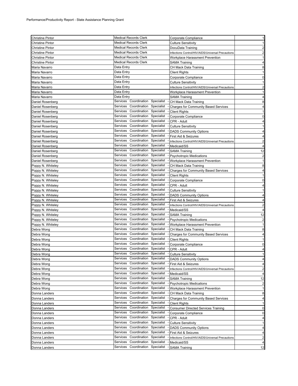| <b>Christine Pintor</b> | <b>Medical Records Clerk</b>           | Corporate Compliance                              | $\mathbf{1}$            |
|-------------------------|----------------------------------------|---------------------------------------------------|-------------------------|
| Christine Pintor        | <b>Medical Records Clerk</b>           | Culture Sensitivity                               | $\mathbf{1}$            |
| <b>Christine Pintor</b> | <b>Medical Records Clerk</b>           | DocuData Training                                 | $\overline{c}$          |
| Christine Pintor        | <b>Medical Records Clerk</b>           | Infections Control/HIV/AIDS/Universal Precautions | $\overline{c}$          |
| <b>Christine Pintor</b> | <b>Medical Records Clerk</b>           | Workplace Harassment Prevention                   | $\mathbf{1}$            |
| <b>Christine Pintor</b> | <b>Medical Records Clerk</b>           | <b>SAMA Training</b>                              | 4                       |
| Maria Navarro           | Data Entry                             | CH Mack Data Training                             | 8                       |
| Maria Navarro           | Data Entry                             | <b>Client Rights</b>                              | $\mathbf{1}$            |
| Maria Navarro           | Data Entry                             | Corporate Compliance                              | $\mathbf 0$             |
| Maria Navarro           | Data Entry                             | <b>Culture Sensitivity</b>                        | $\mathbf{1}$            |
| Maria Navarro           | Data Entry                             | Infections Control/HIV/AIDS/Universal Precautions | $\overline{a}$          |
| Maria Navarro           | Data Entry                             | Workplace Harassment Prevention                   | $\mathbf{1}$            |
| Maria Navarro           | Data Entry                             | SAMA Training                                     | 4                       |
| Daniel Rosenberg        | Services<br>Coordination<br>Specialist | CH Mack Data Training                             | 8                       |
| Daniel Rosenberg        | Services<br>Coordination<br>Specialist | <b>Charges for Community Based Services</b>       | $\overline{\mathbf{4}}$ |
| Daniel Rosenberg        | Services Coordination Specialist       | <b>Client Rights</b>                              | $\mathbf{1}$            |
| Daniel Rosenberg        | Services<br>Coordination<br>Specialist | Corporate Compliance                              | $\mathbf 0$             |
| Daniel Rosenberg        | Services<br>Coordination<br>Specialist | CPR - Adult                                       | 4                       |
| Daniel Rosenberg        | Services<br>Coordination<br>Specialist | <b>Culture Sensitivity</b>                        | $\mathbf{1}$            |
| Daniel Rosenberg        | Services<br>Coordination<br>Specialist | <b>DADS Community Options</b>                     | $\overline{\mathbf{4}}$ |
| Daniel Rosenberg        | Coordination<br>Specialist<br>Services | First Aid & Seizures                              | 4                       |
| Daniel Rosenberg        | Services<br>Coordination<br>Specialist | Infections Control/HIV/AIDS/Universal Precautions | $\overline{\mathbf{c}}$ |
| Daniel Rosenberg        | Services<br>Coordination<br>Specialist | Medicaid/SS                                       | $\overline{\mathbf{4}}$ |
| Daniel Rosenberg        | Services<br>Coordination<br>Specialist | <b>SAMA Training</b>                              | 12                      |
| Daniel Rosenberg        | Services<br>Coordination<br>Specialist | <b>Psychotropic Medications</b>                   | $\overline{a}$          |
| Daniel Rosenberg        | Services<br>Coordination<br>Specialist | Workplace Harassment Prevention                   | $\mathbf{1}$            |
| Poppy N. Whiteley       | Coordination<br>Services<br>Specialist | CH Mack Data Training                             | 8                       |
| Poppy N. Whiteley       | Services<br>Coordination<br>Specialist | <b>Charges for Community Based Services</b>       | 4                       |
| Poppy N. Whiteley       | Coordination<br>Specialist<br>Services | <b>Client Rights</b>                              | $\mathbf{1}$            |
| Poppy N. Whiteley       | Services<br>Coordination Specialist    | Corporate Compliance                              | $\mathbf 0$             |
| Poppy N. Whiteley       | Services<br>Coordination<br>Specialist | CPR - Adult                                       | 4                       |
| Poppy N. Whiteley       | Coordination<br>Specialist<br>Services | <b>Culture Sensitivity</b>                        | $\mathbf{1}$            |
| Poppy N. Whiteley       | Coordination<br>Services<br>Specialist | <b>DADS Community Options</b>                     | 4                       |
| Poppy N. Whiteley       | Coordination<br>Services<br>Specialist | First Aid & Seizures                              | 4                       |
| Poppy N. Whiteley       | Services<br>Coordination<br>Specialist | Infections Control/HIV/AIDS/Universal Precautions | $\overline{\mathbf{c}}$ |
| Poppy N. Whiteley       | Services<br>Coordination<br>Specialist | Medicaid/SS                                       | 4                       |
| Poppy N. Whiteley       | Services<br>Coordination<br>Specialist | <b>SAMA Training</b>                              | 12                      |
| Poppy N. Whiteley       | Services<br>Coordination<br>Specialist | <b>Psychotropic Medications</b>                   | $\overline{\mathbf{c}}$ |
| Poppy N. Whiteley       | Services<br>Coordination<br>Specialist | Workplace Harassment Prevention                   | $\mathbf{1}$            |
| Debra Wong              | Services<br>Coordination<br>Specialist | CH Mack Data Training                             | 8                       |
| Debra Wong              | Services<br>Coordination Specialist    | <b>Charges for Community Based Services</b>       | 4                       |
| Debra Wong              | Services<br>Coordination<br>Specialist | <b>Client Rights</b>                              | $\mathbf{1}$            |
| Debra Wong              | Services<br>Coordination<br>Specialist | Corporate Compliance                              | $\mathbf 0$             |
| Debra Wong              | Services Coordination Specialist       | CPR - Adult                                       | $\overline{4}$          |
| Debra Wong              | Services Coordination Specialist       | Culture Sensitivity                               |                         |
| Debra Wong              | Services Coordination Specialist       | <b>DADS Community Options</b>                     | 4                       |
| Debra Wong              | Services Coordination<br>Specialist    | First Aid & Seizures                              | 4                       |
| Debra Wong              | Services<br>Coordination Specialist    | Infections Control/HIV/AIDS/Universal Precautions | $\overline{a}$          |
| Debra Wong              | Coordination<br>Services<br>Specialist | Medicaid/SS                                       | $\overline{\mathbf{r}}$ |
| Debra Wong              | Services<br>Coordination<br>Specialist | <b>SAMA Training</b>                              | 12                      |
| Debra Wong              | Services<br>Coordination<br>Specialist | <b>Psychotropic Medications</b>                   | $\overline{a}$          |
| Debra Wong              | Coordination<br>Services<br>Specialist | Workplace Harassment Prevention                   | $\mathbf{1}$            |
| Donna Landers           | Coordination<br>Specialist<br>Services | CH Mack Data Training                             | 8                       |
| Donna Landers           | Coordination<br>Specialist<br>Services | <b>Charges for Community Based Services</b>       | $\overline{\mathbf{4}}$ |
| Donna Landers           | Services<br>Coordination<br>Specialist | <b>Client Rights</b>                              | $\mathbf{1}$            |
| Donna Landers           | Services<br>Coordination<br>Specialist | <b>Consumer Directed Services Training</b>        | $\mathbf 0$             |
| Donna Landers           | Coordination<br>Specialist<br>Services | Corporate Compliance                              | $\mathbf 0$             |
| Donna Landers           | Services<br>Coordination<br>Specialist | CPR - Adult                                       | $\overline{\mathbf{r}}$ |
| Donna Landers           | Services<br>Coordination<br>Specialist | <b>Culture Sensitivity</b>                        | $\mathbf{1}$            |
| Donna Landers           | Services<br>Coordination<br>Specialist | <b>DADS Community Options</b>                     | 4                       |
| Donna Landers           | Coordination<br>Specialist<br>Services | First Aid & Seizures                              | $\overline{\mathbf{r}}$ |
| Donna Landers           | Coordination<br>Services<br>Specialist | Infections Control/HIV/AIDS/Universal Precautions | $\overline{a}$          |
| Donna Landers           | Services<br>Coordination<br>Specialist | Medicaid/SS                                       | 4                       |
| Donna Landers           | Services Coordination<br>Specialist    | <b>SAMA Training</b>                              | 12                      |
|                         |                                        |                                                   |                         |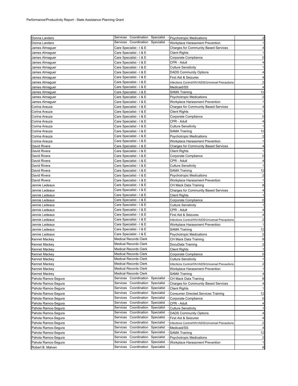| Donna Landers        | Services Coordination Specialist       | - Psychotropic Medications                        | $\overline{2}$          |
|----------------------|----------------------------------------|---------------------------------------------------|-------------------------|
| Donna Landers        | Services Coordination<br>Specialist    | Workplace Harassment Prevention                   | $\mathbf{1}$            |
| James Almaguer       | Care Specialist - I & E                | <b>Charges for Community Based Services</b>       | 4                       |
| James Almaguer       | Care Specialist - I & E                | Client Rights                                     | $\mathbf{1}$            |
| James Almaguer       | Care Specialist - I & E                | Corporate Compliance                              | 0                       |
| James Almaguer       | Care Specialist - I & E                | CPR - Adult                                       | 4                       |
| James Almaquer       | Care Specialist - I & E                | Culture Sensitivity                               | 1                       |
| James Almaguer       | Care Specialist - I & E                | <b>DADS Community Options</b>                     | 4                       |
| James Almaguer       | Care Specialist - I & E                | First Aid & Seizures                              | 4                       |
| James Almaguer       | Care Specialist - I & E                | Infections Control/HIV/AIDS/Universal Precautions | $\overline{2}$          |
| James Almaguer       | Care Specialist - I & E                | Medicaid/SS                                       | 4                       |
| James Almaguer       | Care Specialist - I & E                | SAMA Training                                     | 12                      |
| James Almaquer       | Care Specialist - I & E                | Psychotropic Medications                          | 2                       |
| James Almaguer       | Care Specialist - I & E                | Workplace Harassment Prevention                   | $\mathbf{1}$            |
| Corina Arauza        | Care Specialist - I & E                | <b>Charges for Community Based Services</b>       | 4                       |
| Corina Arauza        | Care Specialist - I & E                | <b>Client Rights</b>                              | 1                       |
| Corina Arauza        | Care Specialist - I & E                | Corporate Compliance                              | $\mathbf 0$             |
| Corina Arauza        | Care Specialist - I & E                | CPR - Adult                                       | 4                       |
| Corina Arauza        | Care Specialist - I & E                | Culture Sensitivity                               | -1                      |
| Corina Arauza        | Care Specialist - I & E                | SAMA Training                                     | 12                      |
| Corina Arauza        | Care Specialist - I & E                | <b>Psychotropic Medications</b>                   | $\overline{2}$          |
| Corina Arauza        | Care Specialist - I & E                | Workplace Harassment Prevention                   | -1                      |
| David Rivera         | Care Specialist - I & E                | <b>Charges for Community Based Services</b>       | 4                       |
| David Rivera         | Care Specialist - I & E                | Client Rights                                     | $\mathbf{1}$            |
| David Rivera         | Care Specialist - I & E                | Corporate Compliance                              | 0                       |
| David Rivera         | Care Specialist - I & E                | CPR - Adult                                       | 4                       |
| David Rivera         | Care Specialist - I & E                | <b>Culture Sensitivity</b>                        | $\mathbf{1}$            |
| David Rivera         | Care Specialist - I & E                | SAMA Training                                     | 12                      |
| David Rivera         | Care Specialist - I & E                | <b>Psychotropic Medications</b>                   | $\overline{2}$          |
| David Rivera         | Care Specialist - I & E                | Workplace Harassment Prevention                   | $\mathbf{1}$            |
| Jennie Ledeaux       | Care Specialist - I & E                | CH Mack Data Training                             | 8                       |
| Jennie Ledeaux       | Care Specialist - I & E                | Charges for Community Based Services              | 4                       |
| Jennie Ledeaux       | Care Specialist - I & E                | Client Rights                                     | $\mathbf{1}$            |
| Jennie Ledeaux       | Care Specialist - I & E                | Corporate Compliance                              | 0                       |
| Jennie Ledeaux       | Care Specialist - I & E                | Culture Sensitivity                               | $\mathbf{1}$            |
| Jennie Ledeaux       | Care Specialist - I & E                | CPR - Adult                                       | 4                       |
| Jennie Ledeaux       | Care Specialist - I & E                | First Aid & Seizures                              | 4                       |
| Jennie Ledeaux       | Care Specialist - I & E                | Infections Control/HIV/AIDS/Universal Precautions | 2                       |
| Jennie Ledeaux       | Care Specialist - I & E                | Workplace Harassment Prevention                   | $\mathbf{1}$            |
| Jennie Ledeaux       | Care Specialist - I & E                | SAMA Training                                     | 12                      |
| Jennie Ledeaux       | Care Specialist - I & E                | Psychotropic Medications                          | $\overline{2}$          |
| Kennet Mackey        | <b>Medical Records Clerk</b>           | CH Mack Data Training                             | 8                       |
| Kennet Mackey        | <b>Medical Records Clerk</b>           | DocuData Training                                 | $\overline{2}$          |
| Kennet Mackey        | <b>Medical Records Clerk</b>           | Client Rights                                     | 1                       |
| Kennet Mackey        | <b>Medical Records Clerk</b>           | Corporate Compliance                              | 0                       |
| Kennet Mackey        | <b>Medical Records Clerk</b>           | Culture Sensitivity                               | $\mathbf{1}$            |
| <b>Kennet Mackey</b> | <b>Medical Records Clerk</b>           | Infections Control/HIV/AIDS/Universal Precautions | $\overline{\mathbf{c}}$ |
| Kennet Mackey        | <b>Medical Records Clerk</b>           | Workplace Harassment Prevention                   | 1                       |
| <b>Kennet Mackey</b> | <b>Medical Records Clerk</b>           | <b>SAMA Training</b>                              | 4                       |
| Pahola Ramos-Segura  | Services Coordination<br>Specialist    | CH Mack Data Training                             | 8                       |
| Pahola Ramos-Segura  | Services<br>Coordination<br>Specialist | <b>Charges for Community Based Services</b>       | 4                       |
| Pahola Ramos-Segura  | Coordination<br>Services<br>Specialist | <b>Client Rights</b>                              | $\mathbf{1}$            |
| Pahola Ramos-Segura  | Coordination<br>Services<br>Specialist | <b>Consumer Directed Services Training</b>        | 12                      |
| Pahola Ramos-Segura  | Services<br>Coordination<br>Specialist | Corporate Compliance                              | 0                       |
| Pahola Ramos-Segura  | Coordination<br>Specialist<br>Services | CPR - Adult                                       | 4                       |
| Pahola Ramos-Segura  | Coordination<br>Services<br>Specialist | <b>Culture Sensitivity</b>                        | 1                       |
| Pahola Ramos-Segura  | Coordination<br>Specialist<br>Services | <b>DADS Community Options</b>                     | 4                       |
| Pahola Ramos-Segura  | Services<br>Coordination<br>Specialist | First Aid & Seizures                              | 4                       |
| Pahola Ramos-Segura  | Coordination<br>Services<br>Specialist | Infections Control/HIV/AIDS/Universal Precautions | $\overline{2}$          |
| Pahola Ramos-Segura  | Coordination<br>Specialist<br>Services | Medicaid/SS                                       | 4                       |
| Pahola Ramos-Segura  | Coordination<br>Specialist<br>Services | <b>SAMA Training</b>                              | 12                      |
| Pahola Ramos-Segura  | Coordination<br>Specialist<br>Services | <b>Psychotropic Medications</b>                   | $\overline{\mathbf{c}}$ |
| Pahola Ramos-Segura  | Services<br>Coordination<br>Specialist | Workplace Harassment Prevention                   | 1                       |
| Robert B. Malven     | Services Coordination<br>Specialist    |                                                   | 8                       |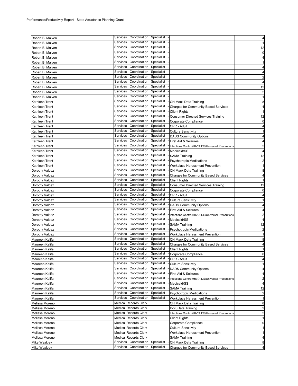| Robert B. Malven    |          | Services Coordination Specialist |            |                                                   | $\overline{\mathbf{4}}$ |
|---------------------|----------|----------------------------------|------------|---------------------------------------------------|-------------------------|
| Robert B. Malven    | Services | Coordination                     | Specialist |                                                   | $\mathbf{1}$            |
| Robert B. Malven    | Services | Coordination                     | Specialist |                                                   | 12                      |
|                     | Services | Coordination Specialist          |            |                                                   |                         |
| Robert B. Malven    | Services | Coordination                     | Specialist |                                                   | 0                       |
| Robert B. Malven    |          |                                  |            |                                                   | $\overline{\mathbf{r}}$ |
| Robert B. Malven    | Services | Coordination                     | Specialist |                                                   | 11                      |
| Robert B. Malven    | Services | Coordination                     | Specialist |                                                   | 4                       |
| Robert B. Malven    | Services | Coordination Specialist          |            |                                                   | 4                       |
| Robert B. Malven    | Services | Coordination                     | Specialist |                                                   | $\overline{a}$          |
| Robert B. Malven    | Services | Coordination                     | Specialist |                                                   | 4                       |
| Robert B. Malven    | Services | Coordination                     | Specialist |                                                   | 12                      |
| Robert B. Malven    | Services | Coordination                     | Specialist |                                                   | $\overline{a}$          |
| Robert B. Malven    | Services | Coordination                     | Specialist |                                                   | 1                       |
| Kathleen Trent      | Services | Coordination Specialist          |            | CH Mack Data Training                             | 8                       |
| Kathleen Trent      | Services | Coordination                     | Specialist | <b>Charges for Community Based Services</b>       | $\overline{\mathbf{r}}$ |
| Kathleen Trent      | Services | Coordination                     | Specialist | <b>Client Rights</b>                              |                         |
| Kathleen Trent      | Services | Coordination                     | Specialist | <b>Consumer Directed Services Training</b>        | 12                      |
| Kathleen Trent      | Services | Coordination                     | Specialist | Corporate Compliance                              | $\mathbf 0$             |
|                     | Services | Coordination                     | Specialist |                                                   |                         |
| Kathleen Trent      |          |                                  | Specialist | CPR - Adult                                       | 4                       |
| Kathleen Trent      | Services | Coordination                     |            | <b>Culture Sensitivity</b>                        | 1                       |
| Kathleen Trent      | Services | Coordination                     | Specialist | <b>DADS Community Options</b>                     | 4                       |
| Kathleen Trent      | Services | Coordination                     | Specialist | First Aid & Seizures                              | 4                       |
| Kathleen Trent      | Services | Coordination                     | Specialist | Infections Control/HIV/AIDS/Universal Precautions | $\overline{\mathbf{c}}$ |
| Kathleen Trent      | Services | Coordination                     | Specialist | Medicaid/SS                                       | 4                       |
| Kathleen Trent      | Services | Coordination                     | Specialist | <b>SAMA Training</b>                              | 12                      |
| Kathleen Trent      | Services | Coordination Specialist          |            | <b>Psychotropic Medications</b>                   | 2                       |
| Kathleen Trent      | Services | Coordination                     | Specialist | Workplace Harassment Prevention                   | $\mathbf{1}$            |
| Dorothy Valdez      | Services | Coordination                     | Specialist | CH Mack Data Training                             | 8                       |
| Dorothy Valdez      | Services | Coordination                     | Specialist | <b>Charges for Community Based Services</b>       | 4                       |
| Dorothy Valdez      | Services | Coordination                     | Specialist | <b>Client Rights</b>                              | 1                       |
| Dorothy Valdez      | Services | Coordination                     | Specialist | <b>Consumer Directed Services Training</b>        | 12                      |
| Dorothy Valdez      | Services | Coordination                     | Specialist | Corporate Compliance                              | 0                       |
| Dorothy Valdez      | Services | Coordination Specialist          |            | CPR - Adult                                       | $\overline{\mathbf{4}}$ |
| Dorothy Valdez      | Services | Coordination                     | Specialist | <b>Culture Sensitivity</b>                        | $\mathbf{1}$            |
| Dorothy Valdez      | Services | Coordination                     | Specialist | <b>DADS Community Options</b>                     | 4                       |
| Dorothy Valdez      | Services | Coordination                     | Specialist | First Aid & Seizures                              | $\overline{\mathbf{4}}$ |
| Dorothy Valdez      | Services | Coordination                     | Specialist | Infections Control/HIV/AIDS/Universal Precautions | $\overline{a}$          |
| Dorothy Valdez      | Services | Coordination                     | Specialist | Medicaid/SS                                       | 4                       |
|                     | Services | Coordination                     | Specialist | <b>SAMA Training</b>                              | 12                      |
| Dorothy Valdez      | Services | Coordination                     | Specialist |                                                   |                         |
| Dorothy Valdez      |          |                                  |            | <b>Psychotropic Medications</b>                   | $\overline{\mathbf{c}}$ |
| Dorothy Valdez      | Services | Coordination                     | Specialist | Workplace Harassment Prevention                   | 1                       |
| Maureen Kalifa      | Services | Coordination Specialist          |            | CH Mack Data Training                             | 8                       |
| Maureen Kalifa      | Services | Coordination                     | Specialist | <b>Charges for Community Based Services</b>       | $\overline{\mathbf{r}}$ |
| Maureen Kalifa      |          | Services Coordination Specialist |            | <b>Client Rights</b>                              |                         |
| Maureen Kalifa      |          | Services Coordination Specialist |            | - Corporate Compliance                            | 0                       |
| Maureen Kalifa      |          | Services Coordination            | Specialist | CPR - Adult                                       | $\overline{\mathbf{r}}$ |
| Maureen Kalifa      | Services | Coordination                     | Specialist | <b>Culture Sensitivity</b>                        | $\mathbf{1}$            |
| Maureen Kalifa      | Services | Coordination                     | Specialist | <b>DADS Community Options</b>                     | $\overline{\mathbf{r}}$ |
| Maureen Kalifa      | Services | Coordination                     | Specialist | First Aid & Seizures                              | 4                       |
| Maureen Kalifa      | Services | Coordination                     | Specialist | Infections Control/HIV/AIDS/Universal Precautions | $\overline{a}$          |
| Maureen Kalifa      | Services | Coordination                     | Specialist | Medicaid/SS                                       | 4                       |
| Maureen Kalifa      | Services | Coordination                     | Specialist | <b>SAMA Training</b>                              | 12                      |
| Maureen Kalifa      | Services | Coordination                     | Specialist | <b>Psychotropic Medications</b>                   | $\overline{a}$          |
| Maureen Kalifa      | Services | Coordination                     | Specialist | Workplace Harassment Prevention                   | $\mathbf{1}$            |
| Melissa Moreno      |          | <b>Medical Records Clerk</b>     |            | CH Mack Data Training                             | 8                       |
|                     |          | <b>Medical Records Clerk</b>     |            |                                                   | $\overline{a}$          |
| Melissa Moreno      |          |                                  |            | DocuData Training                                 |                         |
| Melissa Moreno      |          | <b>Medical Records Clerk</b>     |            | Infections Control/HIV/AIDS/Universal Precautions | $\overline{2}$          |
| Melissa Moreno      |          | <b>Medical Records Clerk</b>     |            | Client Rights                                     | $\mathbf{1}$            |
| Melissa Moreno      |          | <b>Medical Records Clerk</b>     |            | Corporate Compliance                              | $\overline{0}$          |
| Melissa Moreno      |          | <b>Medical Records Clerk</b>     |            | <b>Culture Sensitivity</b>                        | 1                       |
| Melissa Moreno      |          | <b>Medical Records Clerk</b>     |            | Workplace Harassment Prevention                   | 1                       |
| Melissa Moreno      |          | <b>Medical Records Clerk</b>     |            | <b>SAMA Training</b>                              | $\overline{4}$          |
| Mike Weakley        |          | Services Coordination            | Specialist | CH Mack Data Training                             | 8                       |
| <b>Mike Weakley</b> |          | Services Coordination            | Specialist | <b>Charges for Community Based Services</b>       | $\overline{4}$          |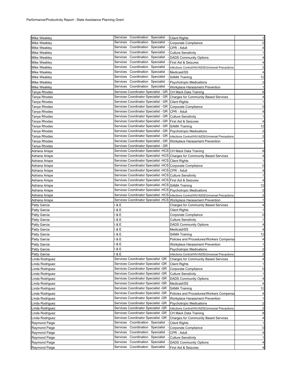| <b>Mike Weakley</b>  | Services Coordination Specialist                                       | - Client Rights                                                                          | $\mathbf{1}$                   |
|----------------------|------------------------------------------------------------------------|------------------------------------------------------------------------------------------|--------------------------------|
| Mike Weakley         | Services<br>Coordination<br>Specialist                                 | Corporate Compliance                                                                     | $\mathbf 0$                    |
| <b>Mike Weakley</b>  | Coordination<br>Specialist<br>Services                                 | CPR - Adult                                                                              | 4                              |
| <b>Mike Weakley</b>  | Coordination Specialist<br>Services                                    | <b>Culture Sensitivity</b>                                                               | $\mathbf{1}$                   |
| Mike Weakley         | Services<br>Coordination Specialist                                    | <b>DADS Community Options</b>                                                            | $\overline{4}$                 |
| <b>Mike Weakley</b>  | Coordination Specialist<br>Services                                    | First Aid & Seizures                                                                     | 4                              |
| Mike Weakley         | Coordination Specialist<br>Services                                    | Infections Control/HIV/AIDS/Universal Precautions                                        | $\overline{a}$                 |
| Mike Weakley         | Coordination Specialist<br>Services                                    | Medicaid/SS                                                                              | $\overline{4}$                 |
|                      | Services<br>Coordination Specialist - SAMA Training                    |                                                                                          | 12                             |
| Mike Weakley         | Coordination Specialist - Psychotropic Medications<br>Services         |                                                                                          |                                |
| Mike Weakley         | Services Coordination Specialist - Workplace Harassment Prevention     |                                                                                          | $\overline{c}$<br>$\mathbf{1}$ |
| <b>Mike Weakley</b>  |                                                                        |                                                                                          |                                |
| Tanya Rhodes         | Services Coordinator Specialist - GR CH Mack Data Training             |                                                                                          | 8                              |
| Tanya Rhodes         |                                                                        | Services Coordinator Specialist - GR Charges for Community Based Services                | $\overline{\mathbf{r}}$        |
| Tanya Rhodes         | Services Coordinator Specialist - GR Client Rights                     |                                                                                          | $\mathbf{1}$                   |
| Tanya Rhodes         | Services Coordinator Specialist - GR   Corporate Compliance            |                                                                                          | $\mathbf 0$                    |
| Tanya Rhodes         | Services Coordinator Specialist - GR   CPR - Adult                     |                                                                                          | $\overline{a}$                 |
| Tanya Rhodes         | Services Coordinator Specialist - GR Culture Sensitivity               |                                                                                          | $\mathbf{1}$                   |
| Tanya Rhodes         | Services Coordinator Specialist - GR   First Aid & Seizures            |                                                                                          | $\overline{4}$                 |
| Tanya Rhodes         | Services Coordinator Specialist - GR SAMA Training                     |                                                                                          | 12                             |
| Tanya Rhodes         | Services Coordinator Specialist - GR   Psychotropic Medications        |                                                                                          | $\overline{c}$                 |
| Tanya Rhodes         |                                                                        | Services Coordinator Specialist - GR   Infections Control/HIV/AIDS/Universal Precautions | $\overline{a}$                 |
| Tanya Rhodes         | Services Coordinator Specialist - GR   Workplace Harassment Prevention |                                                                                          | $\mathbf{1}$                   |
| Tanya Rhodes         | Services Coordinator Specialist - GR                                   |                                                                                          |                                |
| Adriana Arispe       | Services Coordinator Specialist -HCS CH Mack Data Training             |                                                                                          | 8                              |
| Adriana Arispe       |                                                                        | Services Coordinator Specialist -HCS Charges for Community Based Services                | $\overline{a}$                 |
| Adriana Arispe       | Services Coordinator Specialist -HCS Client Rights                     |                                                                                          | $\mathbf{1}$                   |
| Adriana Arispe       | Services Coordinator Specialist -HCS Corporate Compliance              |                                                                                          | $\mathbf 0$                    |
| Adriana Arispe       | Services Coordinator Specialist -HCS CPR - Adult                       |                                                                                          | $\overline{a}$                 |
| Adriana Arispe       | Services Coordinator Specialist -HCS Culture Sensitivity               |                                                                                          | $\mathbf{1}$                   |
| Adriana Arispe       | Services Coordinator Specialist -HCS First Aid & Seizures              |                                                                                          | $\overline{\mathbf{4}}$        |
| Adriana Arispe       | Services Coordinator Specialist -HCS SAMA Training                     |                                                                                          | 12                             |
| Adriana Arispe       | Services Coordinator Specialist -HCS Psychotropic Medications          |                                                                                          | $\overline{c}$                 |
| Adriana Arispe       |                                                                        | Services Coordinator Specialist -HCS Infections Control/HIV/AIDS/Universal Precautions   | $\overline{a}$                 |
| Adriana Arispe       | Services Coordinator Specialist -HCS Workplace Harassment Prevention   |                                                                                          | $\mathbf{1}$                   |
| <b>Patty Garcia</b>  | 1 & E                                                                  | <b>Charges for Community Based Services</b>                                              | $\overline{a}$                 |
| <b>Patty Garcia</b>  | 1 & E                                                                  | Client Rights                                                                            | $\mathbf{1}$                   |
| <b>Patty Garcia</b>  | 1 & E                                                                  | Corporate Compliance                                                                     | $\mathbf 0$                    |
| <b>Patty Garcia</b>  | 1 & E                                                                  | Culture Sensitivity                                                                      | $\mathbf{1}$                   |
|                      |                                                                        |                                                                                          | $\overline{4}$                 |
| Patty Garcia         | 1 & E<br>8 E                                                           | <b>DADS Community Options</b>                                                            |                                |
| Patty Garcia         |                                                                        | Medicaid/SS                                                                              | $\overline{\mathbf{4}}$        |
| Patty Garcia         | 1 & E                                                                  | SAMA Training                                                                            | 12                             |
| Patty Garcia         | 1 & E                                                                  | Policies and Procedures/Workers Compensa                                                 | $\overline{a}$                 |
| <b>Patty Garcia</b>  | 1 & E                                                                  | Workplace Harassment Prevention                                                          | $\mathbf{1}$                   |
| <b>Patty Garcia</b>  | 1 & E                                                                  | <b>Psychotropic Medications</b>                                                          | $\overline{2}$                 |
| <b>Patty Garcia</b>  | 1 & E                                                                  | Infections Control/HIV/AIDS/Universal Precautions                                        | 2                              |
| Linda Rodriguez      | Services Coordinator Specialist -GR                                    | <b>Charges for Community Based Services</b>                                              | 4                              |
| Linda Rodriguez      | Services Coordinator Specialist -GR                                    | <b>Client Rights</b>                                                                     | $\mathbf{1}$                   |
| Linda Rodriguez      | Services Coordinator Specialist -GR                                    | Corporate Compliance                                                                     | 0                              |
| Linda Rodriguez      | Services Coordinator Specialist -GR                                    | <b>Culture Sensitivity</b>                                                               | $\mathbf{1}$                   |
| Linda Rodriguez      | Services Coordinator Specialist -GR                                    | <b>DADS Community Options</b>                                                            | $\overline{a}$                 |
| Linda Rodriguez      | Services Coordinator Specialist -GR                                    | Medicaid/SS                                                                              | 4                              |
| Linda Rodriguez      | Services Coordinator Specialist -GR                                    | SAMA Training                                                                            | 12                             |
| Linda Rodriguez      | Services Coordinator Specialist -GR                                    | Policies and Procedures/Workers Compensa                                                 | $\overline{a}$                 |
| Linda Rodriguez      | Services Coordinator Specialist -GR                                    | Workplace Harassment Prevention                                                          | $\mathbf{1}$                   |
| Linda Rodriguez      | Services Coordinator Specialist -GR                                    | <b>Psychotropic Medications</b>                                                          | $\overline{a}$                 |
| Linda Rodriguez      | Services Coordinator Specialist -GR                                    | Infections Control/HIV/AIDS/Universal Precautions                                        | $\overline{c}$                 |
| Linda Rodriguez      | Services Coordinator Specialist -GR                                    | CH Mack Data Training                                                                    | 8                              |
| Linda Rodriguez      | Services Coordinator Specialist -GR                                    | <b>Charges for Community Based Services</b>                                              | $\overline{4}$                 |
| Raymond Paige        | Coordination<br>Specialist<br>Services                                 | <b>Client Rights</b>                                                                     | $\mathbf{1}$                   |
| Raymond Paige        | Services<br>Coordination<br>Specialist                                 | Corporate Compliance                                                                     | $\mathbf 0$                    |
| Raymond Paige        | Coordination<br>Specialist<br>Services                                 | CPR - Adult                                                                              | $\overline{a}$                 |
| <b>Raymond Paige</b> | Coordination<br>Specialist<br>Services                                 | <b>Culture Sensitivity</b>                                                               | 1                              |
| Raymond Paige        | Coordination<br>Services<br>Specialist                                 | <b>DADS Community Options</b>                                                            | $\overline{a}$                 |
| Raymond Paige        | Coordination<br>Specialist<br>Services                                 | First Aid & Seizures                                                                     | $\overline{\mathbf{4}}$        |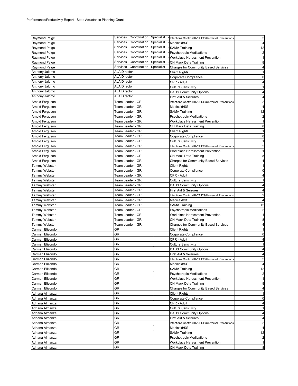| Raymond Paige        | Services Coordination Specialist       | Infections Control/HIV/AIDS/Universal Precautions                | $\overline{2}$          |
|----------------------|----------------------------------------|------------------------------------------------------------------|-------------------------|
| <b>Raymond Paige</b> | Services<br>Coordination<br>Specialist | Medicaid/SS                                                      | 4                       |
| Raymond Paige        | Coordination<br>Specialist<br>Services | <b>SAMA Training</b>                                             | 12                      |
| Raymond Paige        | Services<br>Coordination Specialist    | <b>Psychotropic Medications</b>                                  | $\overline{\mathbf{c}}$ |
| Raymond Paige        | Services<br>Coordination Specialist    | Workplace Harassment Prevention                                  | $\mathbf{1}$            |
| Raymond Paige        | Specialist<br>Services<br>Coordination | CH Mack Data Training                                            | 8                       |
| Raymond Paige        | Services Coordination Specialist       | <b>Charges for Community Based Services</b>                      | 4                       |
| Anthony Jalomo       | <b>ALA Director</b>                    | Client Rights                                                    | $\mathbf{1}$            |
| Anthony Jalomo       | <b>ALA Director</b>                    | Corporate Compliance                                             | 0                       |
| Anthony Jalomo       | <b>ALA Director</b>                    | CPR - Adult                                                      | $\overline{4}$          |
| Anthony Jalomo       | <b>ALA Director</b>                    | Culture Sensitivity                                              | $\mathbf{1}$            |
| Anthony Jalomo       | <b>ALA Director</b>                    | <b>DADS Community Options</b>                                    | 4                       |
| Anthony Jalomo       | ALA Director                           | First Aid & Seizures                                             | 4                       |
|                      | Team Leader - GR                       |                                                                  | $\overline{2}$          |
| Arnold Ferguson      | Team Leader - GR                       | Infections Control/HIV/AIDS/Universal Precautions<br>Medicaid/SS | 4                       |
| Arnold Ferguson      | Team Leader - GR                       |                                                                  |                         |
| Arnold Ferguson      |                                        | SAMA Training                                                    | 12                      |
| Arnold Ferguson      | Team Leader - GR                       | <b>Psychotropic Medications</b>                                  | $\overline{2}$          |
| Arnold Ferguson      | Team Leader - GR                       | Workplace Harassment Prevention                                  | $\mathbf{1}$            |
| Arnold Ferguson      | Team Leader - GR                       | CH Mack Data Training                                            | 8                       |
| Arnold Ferguson      | Team Leader - GR                       | <b>Client Rights</b>                                             | $\mathbf{1}$            |
| Arnold Ferguson      | Team Leader - GR                       | Corporate Compliance                                             | 0                       |
| Arnold Ferguson      | Team Leader - GR                       | <b>Culture Sensitivity</b>                                       | $\mathbf{1}$            |
| Arnold Ferguson      | Team Leader - GR                       | Infections Control/HIV/AIDS/Universal Precautions                | $\overline{2}$          |
| Arnold Ferguson      | Team Leader - GR                       | Workplace Harassment Prevention                                  | $\mathbf{1}$            |
| Arnold Ferguson      | Team Leader - GR                       | CH Mack Data Training                                            | 8                       |
| Arnold Ferguson      | Team Leader - GR                       | <b>Charges for Community Based Services</b>                      | 4                       |
| Tammy Webster        | Team Leader - GR                       | <b>Client Rights</b>                                             | $\mathbf{1}$            |
| Tammy Webster        | Team Leader - GR                       | Corporate Compliance                                             | 0                       |
| Tammy Webster        | Team Leader - GR                       | CPR - Adult                                                      | 4                       |
| Tammy Webster        | Team Leader - GR                       | <b>Culture Sensitivity</b>                                       | 1                       |
| Tammy Webster        | Team Leader - GR                       | <b>DADS Community Options</b>                                    | 4                       |
| Tammy Webster        | Team Leader - GR                       | First Aid & Seizures                                             | 4                       |
| Tammy Webster        | Team Leader - GR                       | Infections Control/HIV/AIDS/Universal Precautions                | $\overline{2}$          |
| Tammy Webster        | Team Leader - GR                       | Medicaid/SS                                                      | 4                       |
| Tammy Webster        | Team Leader - GR                       | SAMA Training                                                    | 12                      |
| Tammy Webster        | Team Leader - GR                       | Psychotropic Medications                                         | $\overline{\mathbf{c}}$ |
| Tammy Webster        | Team Leader - GR                       | Workplace Harassment Prevention                                  | $\mathbf{1}$            |
| Tammy Webster        | Team Leader - GR                       | CH Mack Data Training                                            | 8                       |
| Tammy Webster        | Team Leader - GR                       | <b>Charges for Community Based Services</b>                      | 4                       |
| Carmen Elizondo      | GR                                     |                                                                  | $\mathbf{1}$            |
|                      | GR                                     | <b>Client Rights</b>                                             | 0                       |
| Carmen Elizondo      | GR                                     | Corporate Compliance                                             | $\overline{4}$          |
| Carmen Elizondo      |                                        | CPR - Adult                                                      |                         |
| Carmen Elizondo      | GR                                     | <b>Culture Sensitivity</b>                                       | 1                       |
| Carmen Elizondo      | GR                                     | <b>DADS Community Options</b>                                    | $\overline{4}$          |
| Carmen Elizondo      | GR                                     | First Aid & Seizures                                             | 4                       |
| Carmen Elizondo      | GR                                     | Infections Control/HIV/AIDS/Universal Precautions                | $\overline{2}$          |
| Carmen Elizondo      | GR                                     | Medicaid/SS                                                      | 4                       |
| Carmen Elizondo      | GR                                     | <b>SAMA Training</b>                                             | 12                      |
| Carmen Elizondo      | GR                                     | <b>Psychotropic Medications</b>                                  | $\overline{c}$          |
| Carmen Elizondo      | GR                                     | Workplace Harassment Prevention                                  | 1                       |
| Carmen Elizondo      | GR                                     | CH Mack Data Training                                            | 8                       |
| Carmen Elizondo      | GR                                     | <b>Charges for Community Based Services</b>                      | 4                       |
| Adriana Almanza      | GR                                     | <b>Client Rights</b>                                             | -1                      |
| Adriana Almanza      | GR                                     | Corporate Compliance                                             | 0                       |
| Adriana Almanza      | GR                                     | CPR - Adult                                                      | 4                       |
| Adriana Almanza      | GR                                     | <b>Culture Sensitivity</b>                                       | 1                       |
| Adriana Almanza      | GR                                     | <b>DADS Community Options</b>                                    | 4                       |
| Adriana Almanza      | GR                                     | First Aid & Seizures                                             | 4                       |
| Adriana Almanza      | GR                                     | Infections Control/HIV/AIDS/Universal Precautions                | $\overline{\mathbf{c}}$ |
| Adriana Almanza      | GR                                     | Medicaid/SS                                                      | 4                       |
| Adriana Almanza      | GR                                     | SAMA Training                                                    | 12                      |
| Adriana Almanza      | GR                                     | <b>Psychotropic Medications</b>                                  | $\overline{\mathbf{c}}$ |
| Adriana Almanza      | GR                                     | Workplace Harassment Prevention                                  | 1                       |
| Adriana Almanza      | GR                                     | CH Mack Data Training                                            | 8                       |
|                      |                                        |                                                                  |                         |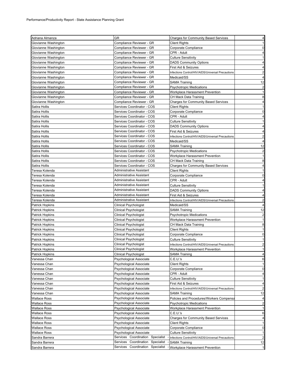| Adriana Almanza        | GR                                     | <b>Charges for Community Based Services</b>       | 4                       |
|------------------------|----------------------------------------|---------------------------------------------------|-------------------------|
| Giovianne Washington   | Compliance Reviewer - GR               | Client Rights                                     | 1                       |
| Giovianne Washington   | Compliance Reviewer - GR               | Corporate Compliance                              | 0                       |
| Giovianne Washington   | Compliance Reviewer - GR               | CPR - Adult                                       | $\overline{4}$          |
| Giovianne Washington   | Compliance Reviewer - GR               | <b>Culture Sensitivity</b>                        | -1                      |
| Giovianne Washington   | Compliance Reviewer - GR               | <b>DADS Community Options</b>                     | 4                       |
| Giovianne Washington   | Compliance Reviewer - GR               | First Aid & Seizures                              | 4                       |
| Giovianne Washington   | Compliance Reviewer - GR               | Infections Control/HIV/AIDS/Universal Precautions | $\overline{2}$          |
| Giovianne Washington   | Compliance Reviewer - GR               | Medicaid/SS                                       | 4                       |
| Giovianne Washington   | Compliance Reviewer - GR               | SAMA Training                                     | 12                      |
| Giovianne Washington   | Compliance Reviewer - GR               | <b>Psychotropic Medications</b>                   | $\overline{2}$          |
| Giovianne Washington   | Compliance Reviewer - GR               | Workplace Harassment Prevention                   | $\mathbf{1}$            |
| Giovianne Washington   | Compliance Reviewer - GR               | CH Mack Data Training                             | 8                       |
| Giovianne Washington   | Compliance Reviewer - GR               | <b>Charges for Community Based Services</b>       | 4                       |
| Satira Hollis          | Services Coordinator - COS             | <b>Client Rights</b>                              | 1                       |
|                        | Services Coordinator - COS             |                                                   | 0                       |
| Satira Hollis          |                                        | Corporate Compliance                              |                         |
| Satira Hollis          | Services Coordinator - COS             | CPR - Adult                                       | 4<br>1                  |
| Satira Hollis          | Services Coordinator - COS             | Culture Sensitivity                               |                         |
| Satira Hollis          | Services Coordinator - COS             | <b>DADS Community Options</b>                     | 4                       |
| Satira Hollis          | Services Coordinator - COS             | First Aid & Seizures                              | 4                       |
| Satira Hollis          | Services Coordinator - COS             | Infections Control/HIV/AIDS/Universal Precautions | 2                       |
| Satira Hollis          | Services Coordinator - COS             | Medicaid/SS                                       | $\overline{4}$          |
| Satira Hollis          | Services Coordinator - COS             | <b>SAMA Training</b>                              | 12                      |
| Satira Hollis          | Services Coordinator - COS             | <b>Psychotropic Medications</b>                   | $\overline{2}$          |
| Satira Hollis          | Services Coordinator - COS             | Workplace Harassment Prevention                   | $\mathbf{1}$            |
| Satira Hollis          | Services Coordinator - COS             | CH Mack Data Training                             | 8                       |
| Satira Hollis          | Services Coordinator - COS             | <b>Charges for Community Based Services</b>       | $\overline{4}$          |
| Teresa Kolenda         | Administrative Assistant               | <b>Client Rights</b>                              | $\mathbf{1}$            |
| Teresa Kolenda         | Administrative Assistant               | Corporate Compliance                              | $\mathbf 0$             |
| Teresa Kolenda         | Administrative Assistant               | CPR - Adult                                       | 4                       |
| Teresa Kolenda         | Administrative Assistant               | <b>Culture Sensitivity</b>                        | 1                       |
| Teresa Kolenda         | Administrative Assistant               | <b>DADS Community Options</b>                     | 4                       |
| Teresa Kolenda         | Administrative Assistant               | First Aid & Seizures                              | 4                       |
| Teresa Kolenda         | Administrative Assistant               | Infections Control/HIV/AIDS/Universal Precautions | $\overline{2}$          |
| Patrick Hopkins        | Clinical Psychologist                  | Medicaid/SS                                       | $\overline{4}$          |
| Patrick Hopkins        | Clinical Psychologist                  | SAMA Training                                     | 12                      |
| Patrick Hopkins        | Clinical Psychologist                  | <b>Psychotropic Medications</b>                   | $\overline{\mathbf{c}}$ |
| Patrick Hopkins        | Clinical Psychologist                  | Workplace Harassment Prevention                   | 1                       |
| Patrick Hopkins        | Clinical Psychologist                  | CH Mack Data Training                             | 8                       |
| <b>Patrick Hopkins</b> | Clinical Psychologist                  | <b>Client Rights</b>                              | 1                       |
| Patrick Hopkins        | Clinical Psychologist                  | Corporate Compliance                              | 0                       |
| Patrick Hopkins        | Clinical Psychologist                  | <b>Culture Sensitivity</b>                        | 1                       |
| Patrick Hopkins        | Clinical Psychologist                  | Infections Control/HIV/AIDS/Universal Precautions | $\overline{2}$          |
| <b>Patrick Hopkins</b> | Clinical Psychologist                  | Workplace Harassment Prevention                   | $\mathbf{1}$            |
| <b>Patrick Hopkins</b> | <b>Clinical Psychologist</b>           | <b>SAMA Training</b>                              | 4                       |
| Vanessa Chan           | Psychological Associate                | C.E.U.'s                                          | 6                       |
| Vanessa Chan           | Psychological Associate                | <b>Client Rights</b>                              | $\mathbf{1}$            |
| Vanessa Chan           | Psychological Associate                | Corporate Compliance                              | 0                       |
| Vanessa Chan           | Psychological Associate                | CPR - Adult                                       | 4                       |
| Vanessa Chan           | Psychological Associate                | <b>Culture Sensitivity</b>                        | 1                       |
| Vanessa Chan           | Psychological Associate                | First Aid & Seizures                              | 4                       |
| Vanessa Chan           | Psychological Associate                | Infections Control/HIV/AIDS/Universal Precautions | $\overline{\mathbf{c}}$ |
| Vanessa Chan           | Psychological Associate                | <b>SAMA Training</b>                              | 12                      |
| Wallace Ross           | Psychological Associate                | Policies and Procedures/Workers Compensa          | 4                       |
| Wallace Ross           | Psychological Associate                | <b>Psychotropic Medications</b>                   | $\overline{\mathbf{c}}$ |
| Wallace Ross           | Psychological Associate                | Workplace Harassment Prevention                   | $\mathbf{1}$            |
| Wallace Ross           | Psychological Associate                | C.E.U.'s                                          | 6                       |
| Wallace Ross           | Psychological Associate                | <b>Charges for Community Based Services</b>       | 4                       |
| Wallace Ross           | Psychological Associate                | Client Rights                                     | $\mathbf{1}$            |
| Wallace Ross           | Psychological Associate                | Corporate Compliance                              | 0                       |
| <b>Wallace Ross</b>    | Psychological Associate                | <b>Culture Sensitivity</b>                        | 1                       |
| Sandra Barrera         | Services Coordination<br>Specialist    | Infections Control/HIV/AIDS/Universal Precautions | $\overline{\mathbf{c}}$ |
| Sandra Barrera         | Coordination<br>Services<br>Specialist | <b>SAMA Training</b>                              | 12                      |
| Sandra Barrera         | Coordination<br>Specialist<br>Services | Workplace Harassment Prevention                   | $\mathbf{1}$            |
|                        |                                        |                                                   |                         |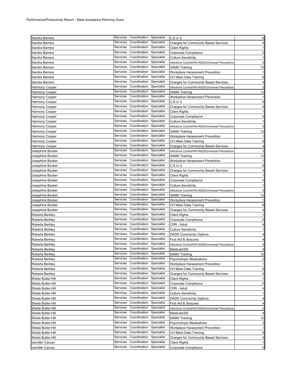| Sandra Barrera     |                      | Services Coordination Specialist - C.E.U.'s |            |                                                   | 6                       |
|--------------------|----------------------|---------------------------------------------|------------|---------------------------------------------------|-------------------------|
| Sandra Barrera     | Services             | Coordination                                | Specialist | <b>Charges for Community Based Services</b>       | 4                       |
| Sandra Barrera     | Services             | Coordination                                | Specialist | <b>Client Rights</b>                              | 1                       |
| Sandra Barrera     | Services             | Coordination Specialist                     |            | Corporate Compliance                              | 0                       |
| Sandra Barrera     | Services             | Coordination Specialist                     |            | <b>Culture Sensitivity</b>                        | 1                       |
| Sandra Barrera     | Services             | Coordination                                | Specialist | Infections Control/HIV/AIDS/Universal Precautions | $\overline{2}$          |
| Sandra Barrera     | Services             | Coordination                                | Specialist | <b>SAMA Training</b>                              | 12                      |
| Sandra Barrera     | Services             | Coordination                                | Specialist | Workplace Harassment Prevention                   | $\mathbf{1}$            |
| Sandra Barrera     | Services             | Coordination                                | Specialist | CH Mack Data Training                             | 8                       |
| Sandra Barrera     | Services             | Coordination                                | Specialist | <b>Charges for Community Based Services</b>       | 4                       |
|                    | Services             | Coordination                                | Specialist |                                                   |                         |
| Harmony Cooper     |                      |                                             |            | Infections Control/HIV/AIDS/Universal Precautions | $\overline{\mathbf{c}}$ |
| Harmony Cooper     | Services             | Coordination                                | Specialist | <b>SAMA Training</b>                              | 12                      |
| Harmony Cooper     | Services             | Coordination                                | Specialist | Workplace Harassment Prevention                   | 1                       |
| Harmony Cooper     | Services             | Coordination                                | Specialist | C.E.U.'s                                          | 6                       |
| Harmony Cooper     | Services             | Coordination                                | Specialist | <b>Charges for Community Based Services</b>       | 4                       |
| Harmony Cooper     | Services             | Coordination                                | Specialist | <b>Client Rights</b>                              | $\mathbf{1}$            |
| Harmony Cooper     | Services             | Coordination                                | Specialist | Corporate Compliance                              | 0                       |
| Harmony Cooper     | Services             | Coordination Specialist                     |            | <b>Culture Sensitivity</b>                        | $\mathbf{1}$            |
| Harmony Cooper     | Services             | Coordination                                | Specialist | Infections Control/HIV/AIDS/Universal Precautions | $\overline{2}$          |
| Harmony Cooper     | Services             | Coordination Specialist                     |            | <b>SAMA Training</b>                              | 12                      |
| Harmony Cooper     | Services             | Coordination                                | Specialist | Workplace Harassment Prevention                   | $\mathbf{1}$            |
| Harmony Cooper     | Services             | Coordination                                | Specialist | CH Mack Data Training                             | 8                       |
| Harmony Cooper     | Services             | Coordination Specialist                     |            | <b>Charges for Community Based Services</b>       | 4                       |
| Josephine Booker   | Services             | Coordination                                | Specialist | Infections Control/HIV/AIDS/Universal Precautions | $\overline{c}$          |
|                    | Services             | Coordination                                | Specialist |                                                   |                         |
| Josephine Booker   | Services             | Coordination                                | Specialist | <b>SAMA Training</b>                              | 12                      |
| Josephine Booker   |                      |                                             |            | Workplace Harassment Prevention                   | $\mathbf{1}$            |
| Josephine Booker   | Services             | Coordination                                | Specialist | C.E.U.'s                                          | 6                       |
| Josephine Booker   | Services             | Coordination                                | Specialist | <b>Charges for Community Based Services</b>       | 4                       |
| Josephine Booker   | Services             | Coordination                                | Specialist | <b>Client Rights</b>                              | $\mathbf{1}$            |
| Josephine Booker   | Services             | Coordination Specialist                     |            | Corporate Compliance                              | 0                       |
| Josephine Booker   | Services             | Coordination                                | Specialist | <b>Culture Sensitivity</b>                        | 1                       |
| Josephine Booker   | Services             | Coordination                                | Specialist | Infections Control/HIV/AIDS/Universal Precautions | $\overline{2}$          |
| Josephine Booker   | Services             | Coordination                                | Specialist | <b>SAMA Training</b>                              | 12                      |
| Josephine Booker   | Services             | Coordination                                | Specialist | Workplace Harassment Prevention                   | $\mathbf{1}$            |
| Josephine Booker   | Services             | Coordination                                | Specialist | CH Mack Data Training                             | 8                       |
| Josephine Booker   | Services             | Coordination                                | Specialist | <b>Charges for Community Based Services</b>       | 4                       |
| Roberta Berkley    | Services             | Coordination                                | Specialist | <b>Client Rights</b>                              | $\mathbf{1}$            |
| Roberta Berkley    | Services             | Coordination                                | Specialist | Corporate Compliance                              | 0                       |
| Roberta Berkley    | Services             | Coordination                                | Specialist | CPR - Adult                                       | 4                       |
| Roberta Berkley    | Services             | Coordination                                | Specialist | <b>Culture Sensitivity</b>                        | $\mathbf{1}$            |
| Roberta Berkley    | Services             | Coordination                                | Specialist | <b>DADS Community Options</b>                     | 4                       |
| Roberta Berkley    | Services             | Coordination                                | Specialist | First Aid & Seizures                              | 4                       |
| Roberta Berkley    | Services             | Coordination                                | Specialist | Infections Control/HIV/AIDS/Universal Precautions | $\overline{2}$          |
| Roberta Berkley    |                      | Services Coordination Specialist            |            | Medicaid/SS                                       | $\overline{4}$          |
| Roberta Berkley    |                      | Services Coordination Specialist            |            | <b>SAMA Training</b>                              | 12                      |
|                    | Services             | Coordination                                | Specialist | <b>Psychotropic Medications</b>                   | $\overline{\mathbf{c}}$ |
| Roberta Berkley    | Services             | Coordination                                | Specialist |                                                   |                         |
| Roberta Berkley    | Services             | Coordination Specialist                     |            | Workplace Harassment Prevention                   | $\mathbf{1}$            |
| Roberta Berkley    |                      | Coordination                                | Specialist | CH Mack Data Training                             | 8                       |
| Roberta Berkley    | Services             |                                             |            | <b>Charges for Community Based Services</b>       | 4                       |
| Sheila Butler-Hill | Services             | Coordination                                | Specialist | <b>Client Rights</b>                              | -1                      |
| Sheila Butler-Hill | Services             | Coordination                                | Specialist | Corporate Compliance                              | 0                       |
| Sheila Butler-Hill | Services             | Coordination                                | Specialist | CPR - Adult                                       | 4                       |
| Sheila Butler-Hill | Services             | Coordination                                | Specialist | <b>Culture Sensitivity</b>                        | 1                       |
| Sheila Butler-Hill | Services             | Coordination                                | Specialist | <b>DADS Community Options</b>                     | 4                       |
| Sheila Butler-Hill | Services             | Coordination                                | Specialist | First Aid & Seizures                              | 4                       |
| Sheila Butler-Hill | Services             | Coordination                                | Specialist | Infections Control/HIV/AIDS/Universal Precautions | $\overline{\mathbf{c}}$ |
| Sheila Butler-Hill | Services             | Coordination                                | Specialist | Medicaid/SS                                       | 4                       |
| Sheila Butler-Hill | Services             | Coordination                                | Specialist | <b>SAMA Training</b>                              | 12                      |
| Sheila Butler-Hill | Services             | Coordination                                | Specialist | <b>Psychotropic Medications</b>                   | $\overline{\mathbf{c}}$ |
| Sheila Butler-Hill | Services             | Coordination                                | Specialist | Workplace Harassment Prevention                   | 1                       |
| Sheila Butler-Hill | Services             | Coordination                                | Specialist | CH Mack Data Training                             | 8                       |
| Sheila Butler-Hill | Services             | Coordination                                | Specialist | <b>Charges for Community Based Services</b>       | 4                       |
| Jennifer Caruso    |                      | Coordination                                | Specialist | <b>Client Rights</b>                              | 1                       |
|                    |                      |                                             |            |                                                   |                         |
| Jennifer Caruso    | Services<br>Services | Coordination                                | Specialist | Corporate Compliance                              | 0                       |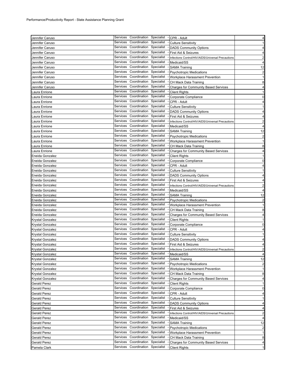| Jennifer Caruso              | Services Coordination Specialist<br>- CPR - Adult                                                                                                       | 4                                                                                                                                                                                                                                                        |
|------------------------------|---------------------------------------------------------------------------------------------------------------------------------------------------------|----------------------------------------------------------------------------------------------------------------------------------------------------------------------------------------------------------------------------------------------------------|
| Jennifer Caruso              | Coordination<br>Specialist<br>Services<br><b>Culture Sensitivity</b>                                                                                    | $\mathbf{1}$                                                                                                                                                                                                                                             |
| Jennifer Caruso              | Services<br>Coordination<br>Specialist<br><b>DADS Community Options</b>                                                                                 | 4                                                                                                                                                                                                                                                        |
| Jennifer Caruso              | Coordination<br>Specialist<br>Services<br>First Aid & Seizures                                                                                          | 4                                                                                                                                                                                                                                                        |
| Jennifer Caruso              | Coordination<br>Specialist<br>Services<br>Infections Control/HIV/AIDS/Universal Precautions                                                             | $\overline{2}$                                                                                                                                                                                                                                           |
| Jennifer Caruso              | Coordination Specialist<br>Services<br>Medicaid/SS                                                                                                      | 4                                                                                                                                                                                                                                                        |
| Jennifer Caruso              | Coordination<br>Specialist<br>Services<br><b>SAMA Training</b>                                                                                          | 12                                                                                                                                                                                                                                                       |
| Jennifer Caruso              | Coordination<br>Specialist<br>Services<br><b>Psychotropic Medications</b>                                                                               | $\overline{2}$                                                                                                                                                                                                                                           |
| Jennifer Caruso              | Coordination<br>Specialist<br>Services<br>Workplace Harassment Prevention                                                                               | $\mathbf{1}$                                                                                                                                                                                                                                             |
| Jennifer Caruso              | Coordination<br>Specialist<br>Services<br>CH Mack Data Training                                                                                         | 8                                                                                                                                                                                                                                                        |
| Jennifer Caruso              | Coordination<br>Specialist<br>Services<br><b>Charges for Community Based Services</b>                                                                   | 4                                                                                                                                                                                                                                                        |
|                              | Coordination<br>Specialist<br>Services                                                                                                                  | $\mathbf{1}$                                                                                                                                                                                                                                             |
| aura Enrione.                | <b>Client Rights</b><br>Coordination<br>Specialist<br>Services                                                                                          |                                                                                                                                                                                                                                                          |
| aura Enrione                 | Corporate Compliance                                                                                                                                    | 0                                                                                                                                                                                                                                                        |
| aura Enrione.                | Coordination<br>Specialist<br>Services<br>CPR - Adult                                                                                                   | 4                                                                                                                                                                                                                                                        |
| aura Enrione.                | Coordination<br>Specialist<br>Services<br><b>Culture Sensitivity</b>                                                                                    | 1                                                                                                                                                                                                                                                        |
| aura Enrione.                | Coordination<br>Specialist<br>Services<br><b>DADS Community Options</b>                                                                                 | 4                                                                                                                                                                                                                                                        |
| aura Enrione.                | Coordination Specialist<br>Services<br>First Aid & Seizures                                                                                             | 4                                                                                                                                                                                                                                                        |
| aura Enrione.                | Services<br>Coordination<br>Specialist<br>Infections Control/HIV/AIDS/Universal Precautions                                                             | $\overline{2}$                                                                                                                                                                                                                                           |
| aura Enrione.                | Coordination<br>Specialist<br>Services<br>Medicaid/SS                                                                                                   | 4                                                                                                                                                                                                                                                        |
| aura Enrione                 | Coordination<br>Specialist<br>Services<br><b>SAMA Training</b>                                                                                          | 12                                                                                                                                                                                                                                                       |
| aura Enrione.                | Coordination<br>Specialist<br>Services<br><b>Psychotropic Medications</b>                                                                               | $\overline{\mathbf{c}}$                                                                                                                                                                                                                                  |
| aura Enrione.                | Coordination<br>Specialist<br>Services<br>Workplace Harassment Prevention                                                                               | 1                                                                                                                                                                                                                                                        |
| aura Enrione.                | Coordination<br>Specialist<br>Services<br>CH Mack Data Training                                                                                         | 8                                                                                                                                                                                                                                                        |
| aura Enrione.                | Coordination<br>Specialist<br>Services<br>Charges for Community Based Services                                                                          | $\overline{4}$                                                                                                                                                                                                                                           |
| Eneida Gonzalez              | Coordination<br>Specialist<br>Services<br><b>Client Rights</b>                                                                                          | $\mathbf{1}$                                                                                                                                                                                                                                             |
| Eneida Gonzalez              | Coordination<br>Specialist<br>Services                                                                                                                  | 0                                                                                                                                                                                                                                                        |
|                              | Corporate Compliance<br>Coordination<br>Specialist<br>Services                                                                                          |                                                                                                                                                                                                                                                          |
| Eneida Gonzalez              | CPR - Adult                                                                                                                                             | 4                                                                                                                                                                                                                                                        |
| Eneida Gonzalez              | Services<br>Coordination<br>Specialist<br><b>Culture Sensitivity</b>                                                                                    | 1                                                                                                                                                                                                                                                        |
| Eneida Gonzalez              | Coordination<br>Services<br>Specialist<br><b>DADS Community Options</b>                                                                                 | 4                                                                                                                                                                                                                                                        |
| Eneida Gonzalez              | Coordination Specialist<br>Services<br>First Aid & Seizures                                                                                             | 4                                                                                                                                                                                                                                                        |
| Eneida Gonzalez              | Coordination<br>Specialist<br>Services<br>Infections Control/HIV/AIDS/Universal Precautions                                                             | 2                                                                                                                                                                                                                                                        |
| Eneida Gonzalez              | Coordination<br>Specialist<br>Services<br>Medicaid/SS                                                                                                   | 4                                                                                                                                                                                                                                                        |
|                              |                                                                                                                                                         |                                                                                                                                                                                                                                                          |
| Eneida Gonzalez              | Specialist<br>Coordination<br>Services<br><b>SAMA Training</b>                                                                                          |                                                                                                                                                                                                                                                          |
| Eneida Gonzalez              | Coordination<br>Specialist<br>Services<br><b>Psychotropic Medications</b>                                                                               |                                                                                                                                                                                                                                                          |
| Eneida Gonzalez              | Coordination<br>Specialist<br>Services<br>Workplace Harassment Prevention                                                                               |                                                                                                                                                                                                                                                          |
| Eneida Gonzalez              | Coordination<br>Specialist<br>Services<br>CH Mack Data Training                                                                                         |                                                                                                                                                                                                                                                          |
| Eneida Gonzalez              | Coordination<br>Specialist<br>Services<br><b>Charges for Community Based Services</b>                                                                   |                                                                                                                                                                                                                                                          |
| Krystal Gonzalez             | Coordination<br>Specialist<br>Services<br><b>Client Rights</b>                                                                                          |                                                                                                                                                                                                                                                          |
|                              | Coordination<br>Specialist<br>Services                                                                                                                  |                                                                                                                                                                                                                                                          |
| Krystal Gonzalez             | Corporate Compliance<br>Coordination<br>Specialist<br>Services<br>CPR - Adult                                                                           |                                                                                                                                                                                                                                                          |
| Krystal Gonzalez             | Coordination<br>Specialist<br>Services                                                                                                                  |                                                                                                                                                                                                                                                          |
| Krystal Gonzalez             | <b>Culture Sensitivity</b><br>Services                                                                                                                  |                                                                                                                                                                                                                                                          |
| Krystal Gonzalez             | Coordination Specialist<br><b>DADS Community Options</b><br>Services                                                                                    |                                                                                                                                                                                                                                                          |
| Krystal Gonzalez             | Coordination<br>Specialist<br>First Aid & Seizures                                                                                                      |                                                                                                                                                                                                                                                          |
| Krystal Gonzalez             | Services Coordination Specialist - Infections Control/HIV/AIDS/Universal Precautions                                                                    |                                                                                                                                                                                                                                                          |
| Krystal Gonzalez             | Services<br>Coordination<br>Specialist<br>- Medicaid/SS                                                                                                 |                                                                                                                                                                                                                                                          |
| Krystal Gonzalez             | Coordination<br>Specialist<br>Services<br><b>SAMA Training</b>                                                                                          |                                                                                                                                                                                                                                                          |
| Krystal Gonzalez             | Coordination<br>Specialist<br>Services<br><b>Psychotropic Medications</b>                                                                               |                                                                                                                                                                                                                                                          |
| Krystal Gonzalez             | Coordination<br>Specialist<br>Services<br>Workplace Harassment Prevention                                                                               |                                                                                                                                                                                                                                                          |
| Krystal Gonzalez             | Coordination<br>Specialist<br>Services<br>CH Mack Data Training                                                                                         |                                                                                                                                                                                                                                                          |
| Krystal Gonzalez             | Coordination<br>Specialist<br>Services<br><b>Charges for Community Based Services</b>                                                                   |                                                                                                                                                                                                                                                          |
| Gerald Perez                 | Coordination<br>Specialist<br>Services<br><b>Client Rights</b>                                                                                          |                                                                                                                                                                                                                                                          |
| Gerald Perez                 | Coordination<br>Specialist<br>Services<br>Corporate Compliance                                                                                          |                                                                                                                                                                                                                                                          |
| Gerald Perez                 | Coordination<br>Services<br>Specialist<br>CPR - Adult                                                                                                   |                                                                                                                                                                                                                                                          |
| Gerald Perez                 | Coordination<br>Specialist<br>Services<br><b>Culture Sensitivity</b>                                                                                    |                                                                                                                                                                                                                                                          |
| Gerald Perez                 | Coordination<br>Specialist<br>Services<br><b>DADS Community Options</b>                                                                                 |                                                                                                                                                                                                                                                          |
| Gerald Perez                 | Coordination<br>Specialist<br>Services<br>First Aid & Seizures                                                                                          |                                                                                                                                                                                                                                                          |
|                              | Coordination<br>Specialist<br>Services                                                                                                                  |                                                                                                                                                                                                                                                          |
| Gerald Perez                 | Infections Control/HIV/AIDS/Universal Precautions<br>Coordination<br>Specialist<br>Services                                                             |                                                                                                                                                                                                                                                          |
| Gerald Perez                 | Medicaid/SS<br>Coordination<br>Services                                                                                                                 |                                                                                                                                                                                                                                                          |
| Gerald Perez                 | Specialist<br><b>SAMA Training</b>                                                                                                                      |                                                                                                                                                                                                                                                          |
| Gerald Perez                 | Coordination<br>Specialist<br>Services<br><b>Psychotropic Medications</b>                                                                               |                                                                                                                                                                                                                                                          |
| Gerald Perez                 | Coordination<br>Specialist<br>Services<br>Workplace Harassment Prevention                                                                               |                                                                                                                                                                                                                                                          |
| Gerald Perez                 | Coordination<br>Specialist<br>Services<br>CH Mack Data Training                                                                                         |                                                                                                                                                                                                                                                          |
| Gerald Perez<br>Pamela Clark | Coordination<br>Specialist<br>Services<br><b>Charges for Community Based Services</b><br>Coordination<br>Specialist<br>Services<br><b>Client Rights</b> | 12<br>$\overline{\mathbf{c}}$<br>1<br>8<br>4<br>1<br>0<br>4<br>-1<br>4<br>4<br>2<br>4<br>12<br>$\overline{\mathbf{c}}$<br>$\mathbf{1}$<br>8<br>4<br>$\mathbf{1}$<br>0<br>4<br>1<br>4<br>4<br>2<br>4<br>12<br>$\overline{\mathbf{c}}$<br>1<br>8<br>4<br>1 |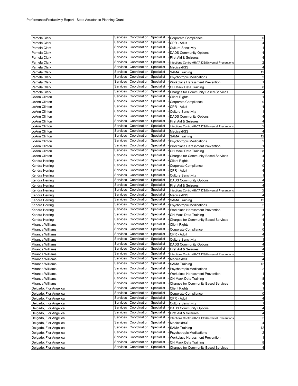| Pamela Clark           |          |                                  |            | Services Coordination Specialist - Corporate Compliance | 0                       |
|------------------------|----------|----------------------------------|------------|---------------------------------------------------------|-------------------------|
| Pamela Clark           | Services | Coordination                     | Specialist | CPR - Adult                                             | 4                       |
| Pamela Clark           | Services | Coordination                     | Specialist | <b>Culture Sensitivity</b>                              | $\mathbf{1}$            |
| Pamela Clark           | Services | Coordination Specialist          |            | <b>DADS Community Options</b>                           | 4                       |
| Pamela Clark           | Services | Coordination                     | Specialist | First Aid & Seizures                                    | $\overline{4}$          |
| Pamela Clark           | Services | Coordination                     | Specialist | Infections Control/HIV/AIDS/Universal Precautions       | $\overline{\mathbf{c}}$ |
| Pamela Clark           | Services | Coordination                     | Specialist | Medicaid/SS                                             | 4                       |
| Pamela Clark           | Services | Coordination                     | Specialist | <b>SAMA Training</b>                                    | 12                      |
| Pamela Clark           | Services | Coordination                     | Specialist | <b>Psychotropic Medications</b>                         | $\overline{\mathbf{c}}$ |
| Pamela Clark           | Services | Coordination Specialist          |            | Workplace Harassment Prevention                         | $\mathbf{1}$            |
| Pamela Clark           | Services | Coordination                     | Specialist | CH Mack Data Training                                   | 8                       |
| Pamela Clark           | Services | Coordination                     | Specialist | <b>Charges for Community Based Services</b>             | $\overline{a}$          |
| JoAnn Clinton          | Services | Coordination Specialist          |            | <b>Client Rights</b>                                    | $\mathbf{1}$            |
| JoAnn Clinton          | Services | Coordination                     | Specialist | Corporate Compliance                                    | $\mathbf 0$             |
| JoAnn Clinton          | Services | Coordination                     | Specialist | CPR - Adult                                             | 4                       |
| JoAnn Clinton          | Services | Coordination                     | Specialist | <b>Culture Sensitivity</b>                              | $\mathbf{1}$            |
| JoAnn Clinton          | Services | Coordination                     | Specialist | <b>DADS Community Options</b>                           | $\overline{4}$          |
| JoAnn Clinton          | Services | Coordination                     | Specialist | First Aid & Seizures                                    | 4                       |
|                        | Services | Coordination                     | Specialist |                                                         | $\overline{c}$          |
| JoAnn Clinton          | Services | Coordination                     | Specialist | Infections Control/HIV/AIDS/Universal Precautions       | $\overline{4}$          |
| JoAnn Clinton          | Services | Coordination                     | Specialist | Medicaid/SS                                             |                         |
| JoAnn Clinton          | Services | Coordination                     | Specialist | <b>SAMA Training</b>                                    | 12                      |
| JoAnn Clinton          | Services | Coordination                     | Specialist | <b>Psychotropic Medications</b>                         | $\overline{a}$          |
| JoAnn Clinton          |          |                                  |            | Workplace Harassment Prevention                         | $\mathbf{1}$            |
| JoAnn Clinton          | Services | Coordination                     | Specialist | CH Mack Data Training                                   | 8                       |
| JoAnn Clinton          | Services | Coordination                     | Specialist | <b>Charges for Community Based Services</b>             | 4                       |
| Kendra Herring         | Services | Coordination                     | Specialist | <b>Client Rights</b>                                    | $\mathbf{1}$            |
| Kendra Herring         | Services | Coordination                     | Specialist | Corporate Compliance                                    | $\mathbf 0$             |
| Kendra Herring         | Services | Coordination                     | Specialist | CPR - Adult                                             | $\overline{a}$          |
| Kendra Herring         | Services | Coordination                     | Specialist | <b>Culture Sensitivity</b>                              | $\mathbf{1}$            |
| Kendra Herring         | Services | Coordination                     | Specialist | <b>DADS Community Options</b>                           | $\overline{\mathbf{4}}$ |
| Kendra Herring         | Services | Coordination                     | Specialist | First Aid & Seizures                                    | $\overline{a}$          |
| Kendra Herring         | Services | Coordination                     | Specialist | Infections Control/HIV/AIDS/Universal Precautions       | $\overline{\mathbf{c}}$ |
| Kendra Herring         | Services | Coordination                     | Specialist | Medicaid/SS                                             | $\overline{4}$          |
| Kendra Herring         | Services | Coordination                     | Specialist | <b>SAMA Training</b>                                    | 12                      |
| Kendra Herring         | Services | Coordination Specialist          |            | <b>Psychotropic Medications</b>                         | $\overline{c}$          |
| Kendra Herring         | Services | Coordination                     | Specialist | Workplace Harassment Prevention                         | $\mathbf{1}$            |
| Kendra Herring         | Services | Coordination                     | Specialist | CH Mack Data Training                                   | 8                       |
| Kendra Herring         | Services | Coordination Specialist          |            | <b>Charges for Community Based Services</b>             | $\overline{\mathbf{r}}$ |
| Miranda Williams       | Services | Coordination                     | Specialist | <b>Client Rights</b>                                    | $\mathbf{1}$            |
| Miranda Williams       | Services | Coordination                     | Specialist | Corporate Compliance                                    | 0                       |
| Miranda Williams       | Services | Coordination                     | Specialist | CPR - Adult                                             | 4                       |
| Miranda Williams       | Services | Coordination Specialist          |            | <b>Culture Sensitivity</b>                              | $\mathbf{1}$            |
| Miranda Williams       | Services | Coordination Specialist          |            | <b>DADS Community Options</b>                           | 4                       |
| Miranda Williams       |          | Services Coordination Specialist |            | First Aid & Seizures                                    | 4                       |
| Miranda Williams       |          | Services Coordination Specialist |            | Infections Control/HIV/AIDS/Universal Precautions       | $\mathbf{z}$            |
| Miranda Williams       |          | Services Coordination            | Specialist | Medicaid/SS                                             | 4                       |
| Miranda Williams       | Services | Coordination                     | Specialist | <b>SAMA Training</b>                                    | 12                      |
| Miranda Williams       | Services | Coordination                     | Specialist | <b>Psychotropic Medications</b>                         | $\overline{c}$          |
| Miranda Williams       | Services | Coordination                     | Specialist | Workplace Harassment Prevention                         | 1                       |
| Miranda Williams       | Services | Coordination                     | Specialist | CH Mack Data Training                                   | 8                       |
| Miranda Williams       | Services | Coordination                     | Specialist | <b>Charges for Community Based Services</b>             | $\overline{a}$          |
| Delgado, Flor Angelica | Services | Coordination                     | Specialist | <b>Client Rights</b>                                    | 1                       |
| Delgado, Flor Angelica | Services | Coordination                     | Specialist | Corporate Compliance                                    | $\mathbf 0$             |
| Delgado, Flor Angelica | Services | Coordination                     | Specialist | CPR - Adult                                             | 4                       |
| Delgado, Flor Angelica | Services | Coordination                     | Specialist | <b>Culture Sensitivity</b>                              | 1                       |
| Delgado, Flor Angelica | Services | Coordination                     | Specialist | <b>DADS Community Options</b>                           | $\overline{4}$          |
| Delgado, Flor Angelica | Services | Coordination                     | Specialist | First Aid & Seizures                                    | 4                       |
| Delgado, Flor Angelica | Services | Coordination                     | Specialist | Infections Control/HIV/AIDS/Universal Precautions       | $\overline{a}$          |
| Delgado, Flor Angelica | Services | Coordination                     | Specialist | Medicaid/SS                                             | $\overline{a}$          |
| Delgado, Flor Angelica | Services | Coordination                     | Specialist | <b>SAMA Training</b>                                    | 12                      |
| Delgado, Flor Angelica | Services | Coordination                     | Specialist | <b>Psychotropic Medications</b>                         | $\overline{c}$          |
| Delgado, Flor Angelica | Services | Coordination                     | Specialist | Workplace Harassment Prevention                         | $\mathbf{1}$            |
| Delgado, Flor Angelica | Services | Coordination                     | Specialist | CH Mack Data Training                                   | 8                       |
|                        | Services | Coordination                     | Specialist | <b>Charges for Community Based Services</b>             | $\overline{\mathbf{4}}$ |
| Delgado, Flor Angelica |          |                                  |            |                                                         |                         |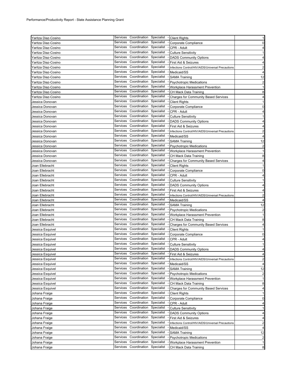| Yaritza Diaz-Cosino |          | Services Coordination Specialist |            | - Client Rights                                   | $\mathbf{1}$            |
|---------------------|----------|----------------------------------|------------|---------------------------------------------------|-------------------------|
| Yaritza Diaz-Cosino | Services | Coordination                     | Specialist | Corporate Compliance                              | 0                       |
| Yaritza Diaz-Cosino | Services | Coordination                     | Specialist | CPR - Adult                                       | 4                       |
| Yaritza Diaz-Cosino | Services | Coordination Specialist          |            | <b>Culture Sensitivity</b>                        | $\mathbf{1}$            |
| Ƴaritza Diaz-Cosino | Services | Coordination Specialist          |            | <b>DADS Community Options</b>                     | $\overline{4}$          |
| Yaritza Diaz-Cosino | Services | Coordination                     | Specialist | First Aid & Seizures                              | 4                       |
| Yaritza Diaz-Cosino | Services | Coordination Specialist          |            | Infections Control/HIV/AIDS/Universal Precautions | 2                       |
|                     | Services | Coordination                     | Specialist | Medicaid/SS                                       | $\overline{4}$          |
| Yaritza Diaz-Cosino | Services | Coordination                     | Specialist |                                                   |                         |
| Yaritza Diaz-Cosino | Services | Coordination                     | Specialist | <b>SAMA Training</b>                              | 12                      |
| Yaritza Diaz-Cosino |          | Coordination                     |            | <b>Psychotropic Medications</b>                   | $\overline{2}$          |
| Yaritza Diaz-Cosino | Services |                                  | Specialist | Workplace Harassment Prevention                   | $\mathbf{1}$            |
| Yaritza Diaz-Cosino | Services | Coordination                     | Specialist | CH Mack Data Training                             | 8                       |
| Ƴaritza Diaz-Cosino | Services | Coordination                     | Specialist | <b>Charges for Community Based Services</b>       | 4                       |
| Jessica Donovan     | Services | Coordination Specialist          |            | <b>Client Rights</b>                              | -1                      |
| Jessica Donovan     | Services | Coordination                     | Specialist | Corporate Compliance                              | 0                       |
| Jessica Donovan     | Services | Coordination                     | Specialist | CPR - Adult                                       | 4                       |
| Jessica Donovan     | Services | Coordination                     | Specialist | <b>Culture Sensitivity</b>                        | 1                       |
| Jessica Donovan     | Services | Coordination Specialist          |            | <b>DADS Community Options</b>                     | 4                       |
| Jessica Donovan     | Services | Coordination                     | Specialist | First Aid & Seizures                              | 4                       |
| Jessica Donovan     | Services | Coordination Specialist          |            | Infections Control/HIV/AIDS/Universal Precautions | $\overline{c}$          |
| Jessica Donovan     | Services | Coordination Specialist          |            | Medicaid/SS                                       | $\overline{4}$          |
| Jessica Donovan     | Services | Coordination                     | Specialist | <b>SAMA Training</b>                              | 12                      |
| Jessica Donovan     | Services | Coordination Specialist          |            | <b>Psychotropic Medications</b>                   | $\overline{\mathbf{c}}$ |
| Jessica Donovan     | Services | Coordination                     | Specialist | Workplace Harassment Prevention                   | $\mathbf{1}$            |
| Jessica Donovan     | Services | Coordination                     | Specialist | CH Mack Data Training                             | 8                       |
| Jessica Donovan     | Services | Coordination                     | Specialist | <b>Charges for Community Based Services</b>       | 4                       |
| Joan Ellebracht     | Services | Coordination Specialist          |            | <b>Client Rights</b>                              | $\mathbf{1}$            |
| Joan Ellebracht     | Services | Coordination                     | Specialist | Corporate Compliance                              | 0                       |
| Joan Ellebracht     | Services | Coordination Specialist          |            | CPR - Adult                                       | 4                       |
| Joan Ellebracht     | Services | Coordination Specialist          |            | <b>Culture Sensitivity</b>                        | $\mathbf{1}$            |
|                     | Services | Coordination                     | Specialist |                                                   | 4                       |
| Joan Ellebracht     | Services | Coordination                     | Specialist | <b>DADS Community Options</b>                     |                         |
| Joan Ellebracht     | Services | Coordination                     | Specialist | First Aid & Seizures                              | 4                       |
| Joan Ellebracht     | Services | Coordination Specialist          |            | Infections Control/HIV/AIDS/Universal Precautions | $\overline{2}$          |
| Joan Ellebracht     |          |                                  |            | Medicaid/SS                                       | 4                       |
| Joan Ellebracht     | Services | Coordination                     | Specialist | <b>SAMA Training</b>                              | 12                      |
| Joan Ellebracht     | Services | Coordination Specialist          |            | <b>Psychotropic Medications</b>                   | $\overline{2}$          |
| Joan Ellebracht     | Services | Coordination                     | Specialist | Workplace Harassment Prevention                   | $\mathbf{1}$            |
| Joan Ellebracht     | Services | Coordination                     | Specialist | CH Mack Data Training                             | 8                       |
| Joan Ellebracht     | Services | Coordination                     | Specialist | <b>Charges for Community Based Services</b>       | 4                       |
| Jessica Esquivel    | Services | Coordination                     | Specialist | <b>Client Rights</b>                              | $\mathbf{1}$            |
| Jessica Esquivel    | Services | Coordination                     | Specialist | Corporate Compliance                              | 0                       |
| Jessica Esquivel    | Services | Coordination Specialist          |            | CPR - Adult                                       | $\overline{4}$          |
| Jessica Esquivel    | Services | Coordination Specialist          |            | <b>Culture Sensitivity</b>                        | 1                       |
| Jessica Esquivel    |          | Services Coordination Specialist |            | <b>DADS Community Options</b>                     | 4                       |
| Jessica Esquivel    |          | Services Coordination Specialist |            | First Aid & Seizures                              | 4                       |
| Jessica Esquivel    | Services | Coordination                     | Specialist | Infections Control/HIV/AIDS/Universal Precautions | $\overline{c}$          |
| Jessica Esquivel    | Services | Coordination                     | Specialist | Medicaid/SS                                       | 4                       |
| Jessica Esquivel    | Services | Coordination                     | Specialist | <b>SAMA Training</b>                              | 12                      |
| Jessica Esquivel    | Services | Coordination                     | Specialist | <b>Psychotropic Medications</b>                   | 2                       |
| Jessica Esquivel    | Services | Coordination                     | Specialist | Workplace Harassment Prevention                   | 1                       |
| Jessica Esquivel    | Services | Coordination                     | Specialist | CH Mack Data Training                             | 8                       |
| Jessica Esquivel    | Services | Coordination                     | Specialist | <b>Charges for Community Based Services</b>       | 4                       |
| Johana Fraige       | Services | Coordination                     | Specialist | <b>Client Rights</b>                              | -1                      |
| Johana Fraige       | Services | Coordination                     | Specialist | Corporate Compliance                              | 0                       |
| Johana Fraige       | Services | Coordination                     | Specialist | CPR - Adult                                       | 4                       |
| Johana Fraige       | Services | Coordination                     | Specialist | <b>Culture Sensitivity</b>                        | 1                       |
| Johana Fraige       | Services | Coordination                     | Specialist | <b>DADS Community Options</b>                     | 4                       |
| Johana Fraige       | Services | Coordination                     | Specialist | First Aid & Seizures                              | 4                       |
| Johana Fraige       | Services | Coordination                     | Specialist | Infections Control/HIV/AIDS/Universal Precautions | $\overline{2}$          |
| Johana Fraige       | Services | Coordination                     | Specialist | Medicaid/SS                                       | 4                       |
|                     | Services | Coordination                     | Specialist |                                                   | 12                      |
| Johana Fraige       | Services | Coordination                     | Specialist | <b>SAMA Training</b>                              |                         |
| Johana Fraige       | Services | Coordination                     | Specialist | <b>Psychotropic Medications</b>                   | $\overline{\mathbf{c}}$ |
| Johana Fraige       |          | Coordination                     |            | Workplace Harassment Prevention                   | 1                       |
| Johana Fraige       | Services |                                  | Specialist | CH Mack Data Training                             | 8                       |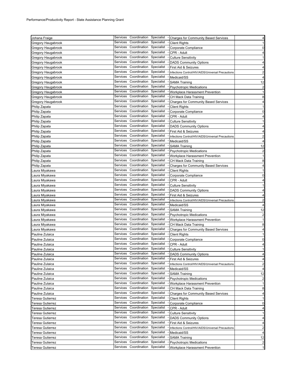| Johana Fraige      | Services | Coordination Specialist          |            | - Charges for Community Based Services            | 4                       |
|--------------------|----------|----------------------------------|------------|---------------------------------------------------|-------------------------|
| Gregory Haugabrook | Services | Coordination                     | Specialist | <b>Client Rights</b>                              | $\mathbf{1}$            |
| Gregory Haugabrook | Services | Coordination                     | Specialist | Corporate Compliance                              | 0                       |
| Gregory Haugabrook | Services | Coordination                     | Specialist | CPR - Adult                                       | 4                       |
| Gregory Haugabrook | Services | Coordination                     | Specialist | <b>Culture Sensitivity</b>                        | $\mathbf{1}$            |
| Gregory Haugabrook | Services | Coordination                     | Specialist | <b>DADS Community Options</b>                     | 4                       |
| Gregory Haugabrook | Services | Coordination                     | Specialist | First Aid & Seizures                              | 4                       |
| Gregory Haugabrook | Services | Coordination                     | Specialist | Infections Control/HIV/AIDS/Universal Precautions | $\overline{c}$          |
| Gregory Haugabrook | Services | Coordination                     | Specialist | Medicaid/SS                                       | 4                       |
| Gregory Haugabrook | Services | Coordination                     | Specialist | <b>SAMA Training</b>                              | 12                      |
| Gregory Haugabrook | Services | Coordination                     | Specialist | <b>Psychotropic Medications</b>                   | $\overline{2}$          |
| Gregory Haugabrook | Services | Coordination                     | Specialist | Workplace Harassment Prevention                   | 1                       |
| Gregory Haugabrook | Services | Coordination                     | Specialist | CH Mack Data Training                             | 8                       |
| Gregory Haugabrook | Services | Coordination                     | Specialist | <b>Charges for Community Based Services</b>       | 4                       |
| Philip Zapata      | Services | Coordination                     | Specialist | <b>Client Rights</b>                              | $\mathbf{1}$            |
| Philip Zapata      | Services | Coordination                     | Specialist | Corporate Compliance                              | 0                       |
| Philip Zapata      | Services | Coordination                     | Specialist | CPR - Adult                                       | 4                       |
| Philip Zapata      | Services | Coordination                     | Specialist | <b>Culture Sensitivity</b>                        | $\mathbf{1}$            |
| Philip Zapata      | Services | Coordination                     | Specialist | <b>DADS Community Options</b>                     | 4                       |
| Philip Zapata      | Services | Coordination                     | Specialist | First Aid & Seizures                              | 4                       |
| Philip Zapata      | Services | Coordination                     | Specialist | Infections Control/HIV/AIDS/Universal Precautions | $\overline{\mathbf{c}}$ |
| Philip Zapata      | Services | Coordination                     | Specialist | Medicaid/SS                                       | $\overline{4}$          |
| Philip Zapata      | Services | Coordination                     | Specialist | <b>SAMA Training</b>                              | 12                      |
| Philip Zapata      | Services | Coordination                     | Specialist | <b>Psychotropic Medications</b>                   | $\overline{\mathbf{c}}$ |
| Philip Zapata      | Services | Coordination                     | Specialist | Workplace Harassment Prevention                   | $\mathbf{1}$            |
| Philip Zapata      | Services | Coordination                     | Specialist | CH Mack Data Training                             | 8                       |
| Philip Zapata      | Services | Coordination                     | Specialist | <b>Charges for Community Based Services</b>       | 4                       |
| aura Miyakawa      | Services | Coordination                     | Specialist | <b>Client Rights</b>                              | 1                       |
| aura Miyakawa.     | Services | Coordination                     | Specialist | Corporate Compliance                              | 0                       |
| aura Miyakawa.     | Services | Coordination                     | Specialist | CPR - Adult                                       | 4                       |
| Laura Miyakawa     | Services | Coordination                     | Specialist | <b>Culture Sensitivity</b>                        | -1                      |
| aura Miyakawa.     | Services | Coordination                     | Specialist | <b>DADS Community Options</b>                     | 4                       |
| aura Miyakawa.     | Services | Coordination                     | Specialist | First Aid & Seizures                              | 4                       |
| Laura Miyakawa     | Services | Coordination                     | Specialist | Infections Control/HIV/AIDS/Universal Precautions | $\overline{2}$          |
| aura Miyakawa.     | Services | Coordination                     | Specialist | Medicaid/SS                                       | 4                       |
| aura Miyakawa.     | Services | Coordination                     | Specialist | <b>SAMA Training</b>                              | 12                      |
| Laura Miyakawa     | Services | Coordination                     | Specialist | <b>Psychotropic Medications</b>                   | $\overline{\mathbf{c}}$ |
| aura Miyakawa.     | Services | Coordination                     | Specialist | Workplace Harassment Prevention                   | $\mathbf{1}$            |
| aura Miyakawa.     | Services | Coordination                     | Specialist | CH Mack Data Training                             | 8                       |
| aura Miyakawa      | Services | Coordination                     | Specialist | <b>Charges for Community Based Services</b>       | 4                       |
| Pauline Zulaica    | Services | Coordination                     | Specialist | <b>Client Rights</b>                              | 1                       |
| Pauline Zulaica    | Services | Coordination                     | Specialist | Corporate Compliance                              | 0                       |
| Pauline Zulaica    | Services | Coordination                     | Specialist | CPR - Adult                                       | 4                       |
| Pauline Zulaica    |          | Services Coordination Specialist |            | <b>Culture Sensitivity</b>                        | 1                       |
| Pauline Zulaica    |          | Services Coordination Specialist |            | - DADS Community Options                          | 4                       |
| Pauline Zulaica    |          | Services Coordination            | Specialist | First Aid & Seizures                              | 4                       |
| Pauline Zulaica    | Services | Coordination                     | Specialist | Infections Control/HIV/AIDS/Universal Precautions | 2                       |
| Pauline Zulaica    | Services | Coordination                     | Specialist | Medicaid/SS                                       | 4                       |
| Pauline Zulaica    | Services | Coordination                     | Specialist | <b>SAMA Training</b>                              | 12                      |
| Pauline Zulaica    | Services | Coordination                     | Specialist | <b>Psychotropic Medications</b>                   | $\overline{\mathbf{c}}$ |
| Pauline Zulaica    | Services | Coordination                     | Specialist | Workplace Harassment Prevention                   | $\mathbf{1}$            |
| Pauline Zulaica    | Services | Coordination                     | Specialist | CH Mack Data Training                             | 8                       |
| Pauline Zulaica    | Services | Coordination                     | Specialist | <b>Charges for Community Based Services</b>       | 4                       |
| Teresa Gutierrez   | Services | Coordination                     | Specialist | <b>Client Rights</b>                              | 1                       |
| Teresa Gutierrez   | Services | Coordination                     | Specialist | Corporate Compliance                              | 0                       |
| Teresa Gutierrez   | Services | Coordination                     | Specialist | CPR - Adult                                       | 4                       |
| Teresa Gutierrez   | Services | Coordination                     | Specialist | <b>Culture Sensitivity</b>                        | $\mathbf{1}$            |
| Teresa Gutierrez   | Services | Coordination                     | Specialist | <b>DADS Community Options</b>                     | 4                       |
| Teresa Gutierrez   | Services | Coordination                     | Specialist | First Aid & Seizures                              | 4                       |
| Teresa Gutierrez   | Services | Coordination                     | Specialist | Infections Control/HIV/AIDS/Universal Precautions | $\overline{2}$          |
| Teresa Gutierrez   | Services | Coordination                     | Specialist | Medicaid/SS                                       | $\overline{4}$          |
| Teresa Gutierrez   | Services | Coordination                     | Specialist | <b>SAMA Training</b>                              | 12                      |
| Teresa Gutierrez   | Services | Coordination                     | Specialist | <b>Psychotropic Medications</b>                   | $\overline{2}$          |
| Teresa Gutierrez   | Services | Coordination                     | Specialist | Workplace Harassment Prevention                   | $\mathbf{1}$            |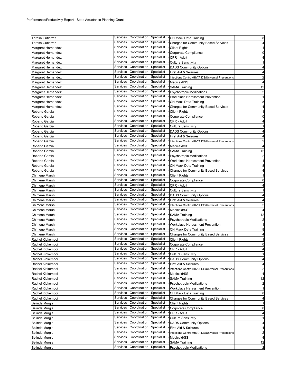| <b>Teresa Gutierrez</b> |                      | Services Coordination Specialist |                          | - CH Mack Data Training                                 | 8                       |
|-------------------------|----------------------|----------------------------------|--------------------------|---------------------------------------------------------|-------------------------|
| Teresa Gutierrez        | Services             | Coordination                     | Specialist               | <b>Charges for Community Based Services</b>             | $\overline{4}$          |
| Margaret Hernandez      | Services             | Coordination                     | Specialist               | <b>Client Rights</b>                                    | 1                       |
| Margaret Hernandez      | Services             | Coordination                     | Specialist               | Corporate Compliance                                    | 0                       |
| Margaret Hernandez      | Services             | Coordination                     | Specialist               | CPR - Adult                                             | 4                       |
| Margaret Hernandez      | Services             | Coordination Specialist          |                          | <b>Culture Sensitivity</b>                              | 1                       |
| Margaret Hernandez      | Services             | Coordination                     | Specialist               | <b>DADS Community Options</b>                           | 4                       |
| Margaret Hernandez      | Services             | Coordination                     | Specialist               | First Aid & Seizures                                    | 4                       |
| Margaret Hernandez      | Services             | Coordination                     | Specialist               | Infections Control/HIV/AIDS/Universal Precautions       | $\overline{\mathbf{c}}$ |
| Margaret Hernandez      | Services             | Coordination                     | Specialist               | Medicaid/SS                                             | 4                       |
|                         | Services             | Coordination                     | Specialist               |                                                         | 12                      |
| Margaret Hernandez      | Services             | Coordination                     | Specialist               | <b>SAMA Training</b><br><b>Psychotropic Medications</b> |                         |
| Margaret Hernandez      | Services             | Coordination                     | Specialist               |                                                         | $\overline{\mathbf{c}}$ |
| Margaret Hernandez      | Services             | Coordination                     | Specialist               | Workplace Harassment Prevention                         | $\mathbf{1}$            |
| Margaret Hernandez      | Services             | Coordination                     | Specialist               | CH Mack Data Training                                   | 8                       |
| Margaret Hernandez      | Services             | Coordination                     |                          | <b>Charges for Community Based Services</b>             | 4                       |
| Roberto Garcia          |                      |                                  | Specialist               | <b>Client Rights</b>                                    | $\mathbf{1}$            |
| Roberto Garcia          | Services             | Coordination                     | Specialist               | Corporate Compliance                                    | 0                       |
| Roberto Garcia          | Services             | Coordination                     | Specialist               | CPR - Adult                                             | $\overline{4}$          |
| Roberto Garcia          | Services             | Coordination                     | Specialist               | <b>Culture Sensitivity</b>                              | 1                       |
| Roberto Garcia          | Services             | Coordination                     | Specialist               | <b>DADS Community Options</b>                           | 4                       |
| Roberto Garcia          | Services             | Coordination                     | Specialist               | First Aid & Seizures                                    | 4                       |
| Roberto Garcia          | Services             | Coordination                     | Specialist               | Infections Control/HIV/AIDS/Universal Precautions       | $\overline{2}$          |
| Roberto Garcia          | Services             | Coordination                     | Specialist               | Medicaid/SS                                             | 4                       |
| Roberto Garcia          | Services             | Coordination                     | Specialist               | <b>SAMA Training</b>                                    | 12                      |
| Roberto Garcia          | Services             | Coordination                     | Specialist               | <b>Psychotropic Medications</b>                         | $\overline{\mathbf{c}}$ |
| Roberto Garcia          | Services             | Coordination                     | Specialist               | Workplace Harassment Prevention                         | $\mathbf{1}$            |
| Roberto Garcia          | Services             | Coordination                     | Specialist               | CH Mack Data Training                                   | 8                       |
| Roberto Garcia          | Services             | Coordination                     | Specialist               | <b>Charges for Community Based Services</b>             | 4                       |
| Chimene Marsh           | Services             | Coordination                     | Specialist               | <b>Client Rights</b>                                    | 1                       |
| Chimene Marsh           | Services             | Coordination                     | Specialist               | Corporate Compliance                                    | 0                       |
| Chimene Marsh           | Services             | Coordination                     | Specialist               | CPR - Adult                                             | 4                       |
| Chimene Marsh           | Services             | Coordination                     | Specialist               | <b>Culture Sensitivity</b>                              | 1                       |
| Chimene Marsh           | Services             | Coordination                     | Specialist               | <b>DADS Community Options</b>                           | 4                       |
| Chimene Marsh           | Services             | Coordination                     | Specialist               | First Aid & Seizures                                    | 4                       |
| Chimene Marsh           | Services             | Coordination                     | Specialist               | Infections Control/HIV/AIDS/Universal Precautions       | 2                       |
| Chimene Marsh           | Services             | Coordination                     | Specialist               | Medicaid/SS                                             | $\overline{4}$          |
| Chimene Marsh           | Services             | Coordination                     | Specialist               | <b>SAMA Training</b>                                    | 12                      |
| Chimene Marsh           | Services             | Coordination                     | Specialist               | <b>Psychotropic Medications</b>                         | $\overline{\mathbf{c}}$ |
| Chimene Marsh           | Services             | Coordination                     | Specialist               | Workplace Harassment Prevention                         | $\mathbf{1}$            |
| <b>Chimene Marsh</b>    | Services             | Coordination                     | Specialist               | CH Mack Data Training                                   | 8                       |
| Chimene Marsh           | Services             | Coordination                     | Specialist               | <b>Charges for Community Based Services</b>             | 4                       |
| Rachel Kipkemboi        | Services             | Coordination Specialist          |                          | <b>Client Rights</b>                                    | $\mathbf{1}$            |
| Rachel Kipkemboi        | Services             | Coordination                     | Specialist               | Corporate Compliance                                    | 0                       |
| Rachel Kipkemboi        |                      | Services Coordination Specialist |                          | CPR - Adult                                             | 4                       |
|                         | Services             | Coordination                     | Specialist               |                                                         | 1                       |
| Rachel Kipkemboi        | Services             | Coordination                     | Specialist               | <b>Culture Sensitivity</b>                              | 4                       |
| Rachel Kipkemboi        | Services             | Coordination                     | Specialist               | <b>DADS Community Options</b>                           |                         |
| Rachel Kipkemboi        | Services             | Coordination                     | Specialist               | First Aid & Seizures                                    | 4                       |
| Rachel Kipkemboi        | Services             | Coordination                     | Specialist               | Infections Control/HIV/AIDS/Universal Precautions       | $\overline{\mathbf{c}}$ |
| Rachel Kipkemboi        | Services             | Coordination                     | Specialist               | Medicaid/SS                                             | 4                       |
| Rachel Kipkemboi        | Services             | Coordination                     | Specialist               | <b>SAMA Training</b>                                    | 12                      |
| Rachel Kipkemboi        |                      |                                  |                          | <b>Psychotropic Medications</b>                         | $\overline{2}$          |
| Rachel Kipkemboi        | Services             | Coordination                     | Specialist               | Workplace Harassment Prevention                         | $\mathbf{1}$            |
| Rachel Kipkemboi        | Services             | Coordination                     | Specialist               | CH Mack Data Training                                   | 8                       |
| Rachel Kipkemboi        | Services             | Coordination                     | Specialist               | <b>Charges for Community Based Services</b>             | 4                       |
| Belinda Murgia          | Services             | Coordination                     | Specialist               | <b>Client Rights</b>                                    | $\mathbf{1}$            |
| Belinda Murgia          | Services             | Coordination                     | Specialist               | Corporate Compliance                                    | 0                       |
| Belinda Murgia          | Services             | Coordination                     | Specialist               | CPR - Adult                                             | 4                       |
| Belinda Murgia          |                      | Coordination                     | Specialist               | <b>Culture Sensitivity</b>                              | -1                      |
|                         | Services             |                                  |                          |                                                         |                         |
| Belinda Murgia          | Services             | Coordination                     | Specialist               | <b>DADS Community Options</b>                           |                         |
| Belinda Murgia          | Services             | Coordination                     | Specialist               | First Aid & Seizures                                    |                         |
| Belinda Murgia          | Services             | Coordination                     | Specialist               | Infections Control/HIV/AIDS/Universal Precautions       |                         |
| Belinda Murgia          | Services             | Coordination                     | Specialist               | Medicaid/SS                                             |                         |
| Belinda Murgia          | Services<br>Services | Coordination<br>Coordination     | Specialist<br>Specialist | <b>SAMA Training</b>                                    | 4<br>4<br>2<br>4<br>12  |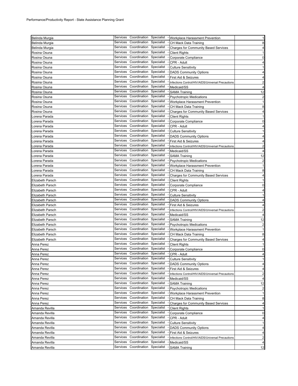| Belinda Murgia                   |          | Services Coordination Specialist                 |            | - Workplace Harassment Prevention                 | $\mathbf{1}$                     |
|----------------------------------|----------|--------------------------------------------------|------------|---------------------------------------------------|----------------------------------|
| Belinda Murgia                   | Services | Coordination                                     | Specialist | CH Mack Data Training                             | 8                                |
| Belinda Murgia                   | Services | Coordination                                     | Specialist | <b>Charges for Community Based Services</b>       | 4                                |
| Rosina Osuna                     | Services | Coordination                                     | Specialist | <b>Client Rights</b>                              | $\mathbf{1}$                     |
| Rosina Osuna                     | Services | Coordination                                     | Specialist | Corporate Compliance                              | $\mathbf 0$                      |
| Rosina Osuna                     | Services | Coordination                                     | Specialist | CPR - Adult                                       | $\overline{\mathbf{4}}$          |
| Rosina Osuna                     | Services | Coordination Specialist                          |            | <b>Culture Sensitivity</b>                        | $\mathbf{1}$                     |
| Rosina Osuna                     | Services | Coordination                                     | Specialist | <b>DADS Community Options</b>                     | 4                                |
| Rosina Osuna                     | Services | Coordination                                     | Specialist | First Aid & Seizures                              | 4                                |
| Rosina Osuna                     | Services | Coordination                                     | Specialist | Infections Control/HIV/AIDS/Universal Precautions | $\overline{\mathbf{c}}$          |
| Rosina Osuna                     | Services | Coordination                                     | Specialist | Medicaid/SS                                       | 4                                |
| Rosina Osuna                     | Services | Coordination                                     | Specialist | <b>SAMA Training</b>                              | 12                               |
| Rosina Osuna                     | Services | Coordination                                     | Specialist | <b>Psychotropic Medications</b>                   | $\overline{\mathbf{c}}$          |
| Rosina Osuna                     | Services | Coordination                                     | Specialist | Workplace Harassment Prevention                   | $\mathbf{1}$                     |
| Rosina Osuna                     | Services | Coordination                                     | Specialist | CH Mack Data Training                             | 8                                |
| Rosina Osuna                     | Services | Coordination                                     | Specialist | <b>Charges for Community Based Services</b>       | 4                                |
| Lorena Parada                    | Services | Coordination                                     | Specialist | <b>Client Rights</b>                              | $\mathbf{1}$                     |
| Lorena Parada                    | Services | Coordination                                     | Specialist | Corporate Compliance                              | $\mathbf 0$                      |
| Lorena Parada                    | Services | Coordination                                     | Specialist | CPR - Adult                                       | 4                                |
| Lorena Parada                    | Services | Coordination                                     | Specialist | <b>Culture Sensitivity</b>                        | $\mathbf{1}$                     |
| Lorena Parada                    | Services | Coordination                                     | Specialist | <b>DADS Community Options</b>                     | 4                                |
| Lorena Parada                    | Services | Coordination                                     | Specialist | First Aid & Seizures                              | 4                                |
| Lorena Parada                    | Services | Coordination                                     | Specialist | Infections Control/HIV/AIDS/Universal Precautions | $\overline{\mathbf{c}}$          |
| Lorena Parada                    | Services | Coordination                                     | Specialist | Medicaid/SS                                       | 4                                |
| Lorena Parada                    | Services | Coordination                                     | Specialist | <b>SAMA Training</b>                              | 12                               |
| Lorena Parada                    | Services | Coordination                                     | Specialist | <b>Psychotropic Medications</b>                   | $\overline{\mathbf{c}}$          |
| Lorena Parada                    | Services | Coordination                                     | Specialist | Workplace Harassment Prevention                   | $\mathbf{1}$                     |
| Lorena Parada                    | Services | Coordination                                     | Specialist | CH Mack Data Training                             | 8                                |
| Lorena Parada                    | Services | Coordination                                     | Specialist | <b>Charges for Community Based Services</b>       | 4                                |
| Elizabeth Parsch                 | Services | Coordination                                     | Specialist | <b>Client Rights</b>                              | $\mathbf{1}$                     |
| Elizabeth Parsch                 | Services | Coordination                                     | Specialist | Corporate Compliance                              | $\mathbf 0$                      |
| Elizabeth Parsch                 | Services | Coordination Specialist                          |            | CPR - Adult                                       | 4                                |
| Elizabeth Parsch                 | Services | Coordination                                     | Specialist | <b>Culture Sensitivity</b>                        | $\mathbf{1}$                     |
| Elizabeth Parsch                 | Services | Coordination                                     | Specialist | <b>DADS Community Options</b>                     | 4                                |
| Elizabeth Parsch                 | Services | Coordination                                     | Specialist | First Aid & Seizures                              | 4                                |
|                                  |          |                                                  |            |                                                   |                                  |
| Elizabeth Parsch                 | Services | Coordination                                     | Specialist | Infections Control/HIV/AIDS/Universal Precautions | $\overline{c}$                   |
| Elizabeth Parsch                 | Services | Coordination                                     | Specialist | Medicaid/SS                                       | $\overline{\mathbf{r}}$          |
| Elizabeth Parsch                 | Services | Coordination                                     | Specialist | <b>SAMA Training</b>                              | 12                               |
| Elizabeth Parsch                 | Services | Coordination                                     | Specialist | <b>Psychotropic Medications</b>                   | $\overline{\mathbf{c}}$          |
| Elizabeth Parsch                 | Services | Coordination                                     | Specialist | Workplace Harassment Prevention                   | $\mathbf{1}$                     |
| Elizabeth Parsch                 | Services | Coordination                                     | Specialist | CH Mack Data Training                             | 8                                |
| Elizabeth Parsch                 | Services | Coordination                                     | Specialist | <b>Charges for Community Based Services</b>       | 4                                |
| Anna Perez                       | Services | Coordination Specialist                          |            | <b>Client Rights</b>                              | 1                                |
| Anna Perez                       |          | Services Coordination Specialist                 |            | Corporate Compliance                              | $\mathbf 0$                      |
| Anna Perez                       |          | Services Coordination Specialist                 |            | CPR - Adult                                       | 4                                |
| Anna Perez                       |          | Services Coordination Specialist                 |            | <b>Culture Sensitivity</b>                        | $\mathbf{1}$                     |
| Anna Perez                       | Services | Coordination                                     | Specialist | <b>DADS Community Options</b>                     |                                  |
| Anna Perez                       | Services | Coordination                                     | Specialist | First Aid & Seizures                              | 4                                |
| Anna Perez                       | Services | Coordination                                     | Specialist | Infections Control/HIV/AIDS/Universal Precautions | $\overline{a}$<br>$\overline{a}$ |
| Anna Perez                       | Services | Coordination                                     | Specialist | Medicaid/SS                                       | 4                                |
| Anna Perez                       | Services | Coordination                                     | Specialist | <b>SAMA Training</b>                              | 12                               |
| Anna Perez                       | Services | Coordination                                     | Specialist | <b>Psychotropic Medications</b>                   | $\overline{\mathbf{c}}$          |
| Anna Perez                       | Services | Coordination                                     | Specialist | Workplace Harassment Prevention                   | $\mathbf{1}$                     |
| Anna Perez                       | Services | Coordination                                     | Specialist | CH Mack Data Training                             | 8                                |
| Anna Perez                       | Services | Coordination                                     | Specialist | <b>Charges for Community Based Services</b>       | 4                                |
| Amanda Revilla                   | Services | Coordination                                     | Specialist | <b>Client Rights</b>                              | 1                                |
| Amanda Revilla                   | Services | Coordination Specialist                          |            | Corporate Compliance                              |                                  |
| Amanda Revilla                   | Services | Coordination                                     | Specialist | CPR - Adult                                       | 4                                |
| Amanda Revilla                   | Services | Coordination                                     | Specialist | <b>Culture Sensitivity</b>                        | $\mathbf{1}$                     |
| Amanda Revilla                   | Services | Coordination                                     | Specialist | <b>DADS Community Options</b>                     | 4                                |
| Amanda Revilla                   | Services | Coordination                                     | Specialist | First Aid & Seizures                              | $\mathbf 0$<br>4                 |
| Amanda Revilla                   | Services | Coordination                                     | Specialist | Infections Control/HIV/AIDS/Universal Precautions | $\overline{a}$                   |
| Amanda Revilla<br>Amanda Revilla | Services | Coordination<br>Services Coordination Specialist | Specialist | Medicaid/SS<br><b>SAMA Training</b>               | 4<br>12                          |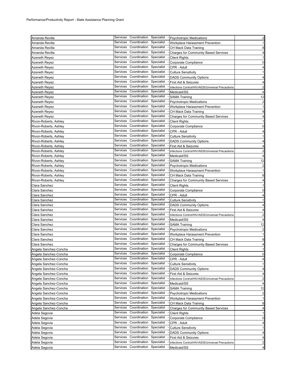| Amanda Revilla        |          | Services Coordination Specialist |            | - Psychotropic Medications                        | $\overline{2}$          |
|-----------------------|----------|----------------------------------|------------|---------------------------------------------------|-------------------------|
| Amanda Revilla        | Services | Coordination                     | Specialist | Workplace Harassment Prevention                   | $\mathbf{1}$            |
| Amanda Revilla        | Services | Coordination                     | Specialist | CH Mack Data Training                             | 8                       |
| Amanda Revilla        | Services | Coordination                     | Specialist | <b>Charges for Community Based Services</b>       | 4                       |
|                       | Services | Coordination                     | Specialist |                                                   | 1                       |
| Azeneth Reyez         | Services | Coordination                     | Specialist | <b>Client Rights</b><br>Corporate Compliance      | 0                       |
| Azeneth Reyez         | Services | Coordination                     | Specialist | CPR - Adult                                       |                         |
| Azeneth Reyez         | Services | Coordination                     | Specialist |                                                   | 4                       |
| Azeneth Reyez         | Services | Coordination                     | Specialist | <b>Culture Sensitivity</b>                        | $\mathbf{1}$            |
| Azeneth Reyez         | Services | Coordination                     |            | <b>DADS Community Options</b>                     | 4                       |
| Azeneth Reyez         |          |                                  | Specialist | First Aid & Seizures                              | 4                       |
| Azeneth Reyez         | Services | Coordination                     | Specialist | Infections Control/HIV/AIDS/Universal Precautions | $\overline{2}$          |
| Azeneth Reyez         | Services | Coordination                     | Specialist | Medicaid/SS                                       | 4                       |
| Azeneth Reyez         | Services | Coordination                     | Specialist | <b>SAMA Training</b>                              | 12                      |
| Azeneth Reyez         | Services | Coordination                     | Specialist | <b>Psychotropic Medications</b>                   | $\overline{2}$          |
| Azeneth Reyez         | Services | Coordination                     | Specialist | Workplace Harassment Prevention                   | $\mathbf{1}$            |
| Azeneth Reyez         | Services | Coordination                     | Specialist | CH Mack Data Training                             | 8                       |
| Azeneth Reyez         | Services | Coordination                     | Specialist | <b>Charges for Community Based Services</b>       | 4                       |
| Rivon-Roberts, Ashley | Services | Coordination                     | Specialist | <b>Client Rights</b>                              | $\mathbf{1}$            |
| Rivon-Roberts, Ashley | Services | Coordination                     | Specialist | Corporate Compliance                              | 0                       |
| Rivon-Roberts, Ashley | Services | Coordination                     | Specialist | CPR - Adult                                       | 4                       |
| Rivon-Roberts, Ashley | Services | Coordination                     | Specialist | <b>Culture Sensitivity</b>                        | 1                       |
| Rivon-Roberts, Ashley | Services | Coordination                     | Specialist | <b>DADS Community Options</b>                     | 4                       |
| Rivon-Roberts, Ashley | Services | Coordination                     | Specialist | First Aid & Seizures                              | 4                       |
| Rivon-Roberts, Ashley | Services | Coordination                     | Specialist | Infections Control/HIV/AIDS/Universal Precautions | $\overline{2}$          |
| Rivon-Roberts, Ashley | Services | Coordination                     | Specialist | Medicaid/SS                                       | 4                       |
| Rivon-Roberts, Ashley | Services | Coordination                     | Specialist | <b>SAMA Training</b>                              | 12                      |
| Rivon-Roberts, Ashley | Services | Coordination                     | Specialist | <b>Psychotropic Medications</b>                   | $\overline{\mathbf{c}}$ |
| Rivon-Roberts, Ashley | Services | Coordination                     | Specialist | Workplace Harassment Prevention                   | 1                       |
| Rivon-Roberts, Ashley | Services | Coordination                     | Specialist | CH Mack Data Training                             | 8                       |
| Rivon-Roberts, Ashley | Services | Coordination                     | Specialist | <b>Charges for Community Based Services</b>       | 4                       |
| Clara Sanchez         | Services | Coordination                     | Specialist | <b>Client Rights</b>                              | 1                       |
| Clara Sanchez         | Services | Coordination                     | Specialist | Corporate Compliance                              | 0                       |
|                       | Services | Coordination                     | Specialist | CPR - Adult                                       | 4                       |
| Clara Sanchez         | Services | Coordination                     | Specialist |                                                   |                         |
| Clara Sanchez         | Services | Coordination                     | Specialist | <b>Culture Sensitivity</b>                        | 1                       |
| Clara Sanchez         | Services | Coordination                     | Specialist | <b>DADS Community Options</b>                     | $\overline{4}$          |
| Clara Sanchez         | Services | Coordination                     | Specialist | First Aid & Seizures                              | 4                       |
| Clara Sanchez         | Services | Coordination                     | Specialist | Infections Control/HIV/AIDS/Universal Precautions | $\overline{2}$          |
| Clara Sanchez         | Services |                                  |            | Medicaid/SS                                       | 4                       |
| Clara Sanchez         |          | Coordination<br>Coordination     | Specialist | <b>SAMA Training</b>                              | 12                      |
| Clara Sanchez         | Services |                                  | Specialist | <b>Psychotropic Medications</b>                   | $\overline{\mathbf{c}}$ |
| Clara Sanchez         | Services | Coordination                     | Specialist | Workplace Harassment Prevention                   | 1                       |
| Clara Sanchez         | Services | Coordination                     | Specialist | CH Mack Data Training                             | 8                       |
| Clara Sanchez         | Services | Coordination                     | Specialist | <b>Charges for Community Based Services</b>       | 4                       |
| Angela Sanchez-Concha |          | Services Coordination Specialist |            | <b>Client Rights</b>                              | 1                       |
| Angela Sanchez-Concha |          | Services Coordination Specialist |            | Corporate Compliance                              | 0                       |
| Angela Sanchez-Concha | Services | Coordination                     | Specialist | CPR - Adult                                       | 4                       |
| Angela Sanchez-Concha | Services | Coordination                     | Specialist | <b>Culture Sensitivity</b>                        | -1                      |
| Angela Sanchez-Concha | Services | Coordination                     | Specialist | <b>DADS Community Options</b>                     | 4                       |
| Angela Sanchez-Concha | Services | Coordination                     | Specialist | First Aid & Seizures                              | 4                       |
| Angela Sanchez-Concha | Services | Coordination                     | Specialist | Infections Control/HIV/AIDS/Universal Precautions | 2                       |
| Angela Sanchez-Concha | Services | Coordination                     | Specialist | Medicaid/SS                                       | 4                       |
| Angela Sanchez-Concha | Services | Coordination                     | Specialist | <b>SAMA Training</b>                              | 12                      |
| Angela Sanchez-Concha | Services | Coordination                     | Specialist | <b>Psychotropic Medications</b>                   | $\overline{2}$          |
| Angela Sanchez-Concha | Services | Coordination                     | Specialist | Workplace Harassment Prevention                   | $\mathbf{1}$            |
| Angela Sanchez-Concha | Services | Coordination                     | Specialist | CH Mack Data Training                             | 8                       |
| Angela Sanchez-Concha | Services | Coordination                     | Specialist | <b>Charges for Community Based Services</b>       | 4                       |
| Adela Segovia         | Services | Coordination                     | Specialist | <b>Client Rights</b>                              | 1                       |
| Adela Segovia         | Services | Coordination                     | Specialist | Corporate Compliance                              | 0                       |
| Adela Segovia         | Services | Coordination                     | Specialist | CPR - Adult                                       | 4                       |
| Adela Segovia         | Services | Coordination                     | Specialist | <b>Culture Sensitivity</b>                        | 1                       |
| Adela Segovia         | Services | Coordination                     | Specialist | <b>DADS Community Options</b>                     | 4                       |
| Adela Segovia         | Services | Coordination                     | Specialist | First Aid & Seizures                              | 4                       |
| Adela Segovia         | Services | Coordination                     | Specialist | Infections Control/HIV/AIDS/Universal Precautions | 2                       |
| Adela Segovia         |          | Services Coordination            | Specialist | Medicaid/SS                                       | 4                       |
|                       |          |                                  |            |                                                   |                         |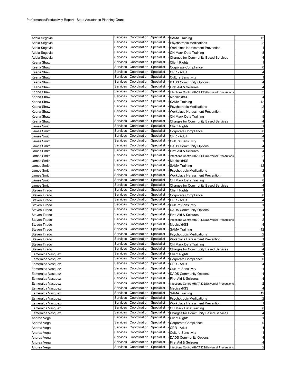| Adela Segovia     |          | Services Coordination Specialist |            | - SAMA Training                                   | 12                      |
|-------------------|----------|----------------------------------|------------|---------------------------------------------------|-------------------------|
| Adela Segovia     | Services | Coordination                     | Specialist | <b>Psychotropic Medications</b>                   | $\overline{\mathbf{c}}$ |
| Adela Segovia     | Services | Coordination                     | Specialist | Workplace Harassment Prevention                   | 1                       |
| Adela Segovia     | Services | Coordination Specialist          |            | CH Mack Data Training                             | 8                       |
| Adela Segovia     | Services | Coordination                     | Specialist | <b>Charges for Community Based Services</b>       | 4                       |
| Keena Shaw        | Services | Coordination                     | Specialist | <b>Client Rights</b>                              | 1                       |
| Keena Shaw        | Services | Coordination                     | Specialist | Corporate Compliance                              | 0                       |
| Keena Shaw        | Services | Coordination                     | Specialist | CPR - Adult                                       | 4                       |
| Keena Shaw        | Services | Coordination                     | Specialist | <b>Culture Sensitivity</b>                        | 1                       |
| Keena Shaw        | Services | Coordination Specialist          |            | <b>DADS Community Options</b>                     | 4                       |
| Keena Shaw        | Services | Coordination                     | Specialist | First Aid & Seizures                              | 4                       |
| Keena Shaw        | Services | Coordination                     | Specialist | Infections Control/HIV/AIDS/Universal Precautions | $\overline{a}$          |
| Keena Shaw        | Services | Coordination Specialist          |            | Medicaid/SS                                       | 4                       |
| Keena Shaw        | Services | Coordination                     | Specialist | <b>SAMA Training</b>                              | 12                      |
| Keena Shaw        | Services | Coordination                     | Specialist | <b>Psychotropic Medications</b>                   | $\overline{\mathbf{c}}$ |
| Keena Shaw        | Services | Coordination                     | Specialist | Workplace Harassment Prevention                   | $\mathbf{1}$            |
| Keena Shaw        | Services | Coordination                     | Specialist | CH Mack Data Training                             | 8                       |
| Keena Shaw        | Services | Coordination                     | Specialist | <b>Charges for Community Based Services</b>       | $\overline{\mathbf{r}}$ |
| James Smith       | Services | Coordination                     | Specialist | <b>Client Rights</b>                              | 1                       |
|                   | Services | Coordination                     | Specialist |                                                   | $\mathbf 0$             |
| James Smith       | Services | Coordination                     | Specialist | Corporate Compliance                              |                         |
| James Smith       | Services | Coordination                     | Specialist | CPR - Adult                                       | 4                       |
| James Smith       | Services | Coordination                     | Specialist | <b>Culture Sensitivity</b>                        | $\mathbf{1}$            |
| James Smith       |          |                                  |            | <b>DADS Community Options</b>                     | $\overline{4}$          |
| James Smith       | Services | Coordination                     | Specialist | First Aid & Seizures                              | 4                       |
| James Smith       | Services | Coordination                     | Specialist | Infections Control/HIV/AIDS/Universal Precautions | $\overline{a}$          |
| James Smith       | Services | Coordination                     | Specialist | Medicaid/SS                                       | 4                       |
| James Smith       | Services | Coordination                     | Specialist | <b>SAMA Training</b>                              | 12                      |
| James Smith       | Services | Coordination                     | Specialist | <b>Psychotropic Medications</b>                   | $\overline{a}$          |
| James Smith       | Services | Coordination                     | Specialist | Workplace Harassment Prevention                   | $\mathbf{1}$            |
| James Smith       | Services | Coordination                     | Specialist | CH Mack Data Training                             | 8                       |
| James Smith       | Services | Coordination                     | Specialist | <b>Charges for Community Based Services</b>       | $\overline{\mathbf{4}}$ |
| Steven Tirado     | Services | Coordination                     | Specialist | <b>Client Rights</b>                              | $\mathbf{1}$            |
| Steven Tirado     | Services | Coordination                     | Specialist | Corporate Compliance                              | 0                       |
| Steven Tirado     | Services | Coordination                     | Specialist | CPR - Adult                                       | 4                       |
| Steven Tirado     | Services | Coordination Specialist          |            | <b>Culture Sensitivity</b>                        | $\mathbf{1}$            |
| Steven Tirado     | Services | Coordination                     | Specialist | <b>DADS Community Options</b>                     | 4                       |
| Steven Tirado     | Services | Coordination                     | Specialist | First Aid & Seizures                              | 4                       |
| Steven Tirado     | Services | Coordination Specialist          |            | Infections Control/HIV/AIDS/Universal Precautions | $\overline{\mathbf{c}}$ |
| Steven Tirado     | Services | Coordination                     | Specialist | Medicaid/SS                                       | 4                       |
| Steven Tirado     | Services | Coordination                     | Specialist | <b>SAMA Training</b>                              | 12                      |
| Steven Tirado     | Services | Coordination                     | Specialist | <b>Psychotropic Medications</b>                   | $\overline{a}$          |
| Steven Tirado     | Services | Coordination Specialist          |            | Workplace Harassment Prevention                   | $\mathbf{1}$            |
| Steven Tirado     | Services | Coordination                     | Specialist | CH Mack Data Training                             | 8                       |
| Steven Tirado     |          | Services Coordination Specialist |            | <b>Charges for Community Based Services</b>       | 4                       |
| Esmeralda Vasquez |          | Services Coordination Specialist |            | Client Rights                                     |                         |
| Esmeralda Vasquez |          | Services Coordination Specialist |            | Corporate Compliance                              | 0                       |
| Esmeralda Vasquez | Services | Coordination                     | Specialist | CPR - Adult                                       | 4                       |
| Esmeralda Vasquez | Services | Coordination                     | Specialist | <b>Culture Sensitivity</b>                        | 1                       |
| Esmeralda Vasquez | Services | Coordination                     | Specialist | <b>DADS Community Options</b>                     | $\overline{4}$          |
| Esmeralda Vasquez | Services | Coordination                     | Specialist | First Aid & Seizures                              | 4                       |
| Esmeralda Vasquez | Services | Coordination                     | Specialist | Infections Control/HIV/AIDS/Universal Precautions | $\overline{a}$          |
| Esmeralda Vasquez | Services | Coordination                     | Specialist | Medicaid/SS                                       | $\overline{\mathbf{4}}$ |
| Esmeralda Vasquez | Services | Coordination                     | Specialist | <b>SAMA Training</b>                              | 12                      |
| Esmeralda Vasquez | Services | Coordination                     | Specialist | <b>Psychotropic Medications</b>                   | $\overline{a}$          |
| Esmeralda Vasquez | Services | Coordination                     | Specialist | Workplace Harassment Prevention                   | 1                       |
| Esmeralda Vasquez | Services | Coordination                     | Specialist | CH Mack Data Training                             | 8                       |
| Esmeralda Vasquez | Services | Coordination                     | Specialist | <b>Charges for Community Based Services</b>       | $\overline{4}$          |
| Andrea Vega       | Services | Coordination                     | Specialist | <b>Client Rights</b>                              | 1                       |
| Andrea Vega       | Services | Coordination                     | Specialist | Corporate Compliance                              | $\overline{0}$          |
| Andrea Vega       | Services | Coordination Specialist          |            | CPR - Adult                                       | $\overline{4}$          |
| Andrea Vega       | Services | Coordination                     | Specialist | <b>Culture Sensitivity</b>                        | $\mathbf{1}$            |
| Andrea Vega       | Services | Coordination                     | Specialist | <b>DADS Community Options</b>                     | $\overline{4}$          |
| Andrea Vega       | Services | Coordination                     | Specialist | First Aid & Seizures                              | $\overline{\mathbf{r}}$ |
| Andrea Vega       | Services | Coordination                     | Specialist | Infections Control/HIV/AIDS/Universal Precautions | $\overline{a}$          |
|                   |          |                                  |            |                                                   |                         |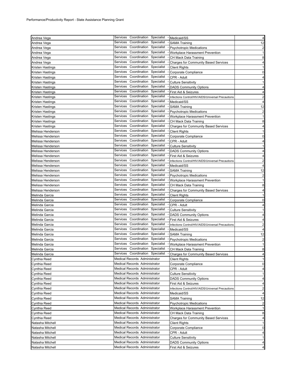| Andrea Vega       | Services Coordination Specialist                                  | - Medicaid/SS                                     | 4                                                                                                         |
|-------------------|-------------------------------------------------------------------|---------------------------------------------------|-----------------------------------------------------------------------------------------------------------|
| Andrea Vega       | Coordination<br>Specialist<br>Services                            | <b>SAMA Training</b>                              | 12                                                                                                        |
|                   | Services<br>Coordination<br>Specialist                            | <b>Psychotropic Medications</b>                   | $\overline{\mathbf{c}}$                                                                                   |
| Andrea Vega       | Coordination<br>Services<br>Specialist                            |                                                   | 1                                                                                                         |
| Andrea Vega       | Coordination Specialist<br>Services                               | Workplace Harassment Prevention                   |                                                                                                           |
| Andrea Vega       | Coordination Specialist<br>Services                               | CH Mack Data Training                             | 8                                                                                                         |
| Andrea Vega       | Coordination<br>Specialist                                        | <b>Charges for Community Based Services</b>       | 4                                                                                                         |
| Kristen Hastings  | Services                                                          | <b>Client Rights</b>                              | 1                                                                                                         |
| Kristen Hastings  | Coordination<br>Specialist<br>Services                            | Corporate Compliance                              | 0                                                                                                         |
| Kristen Hastings  | Coordination<br>Specialist<br>Services                            | CPR - Adult                                       | 4                                                                                                         |
| Kristen Hastings  | Coordination<br>Specialist<br>Services                            | <b>Culture Sensitivity</b>                        | 1                                                                                                         |
| Kristen Hastings  | Coordination<br>Specialist<br>Services                            | <b>DADS Community Options</b>                     | 4                                                                                                         |
| Kristen Hastings  | Coordination Specialist<br>Services                               | First Aid & Seizures                              | 4                                                                                                         |
| Kristen Hastings  | Coordination<br>Specialist<br>Services                            | Infections Control/HIV/AIDS/Universal Precautions | 2                                                                                                         |
| Kristen Hastings  | Coordination<br>Specialist<br>Services                            | Medicaid/SS                                       | 4                                                                                                         |
| Kristen Hastings  | Coordination<br>Specialist<br>Services                            | <b>SAMA Training</b>                              | 12                                                                                                        |
| Kristen Hastings  | Coordination<br>Specialist<br>Services                            | <b>Psychotropic Medications</b>                   | $\overline{\mathbf{c}}$                                                                                   |
| Kristen Hastings  | Coordination Specialist<br>Services                               | Workplace Harassment Prevention                   | $\mathbf{1}$                                                                                              |
| Kristen Hastings  | Services<br>Coordination<br>Specialist                            | CH Mack Data Training                             | 8                                                                                                         |
| Kristen Hastings  | Coordination<br>Specialist<br>Services                            | Charges for Community Based Services              | 4                                                                                                         |
| Melissa Henderson | Coordination<br>Specialist<br>Services                            | <b>Client Rights</b>                              | $\mathbf{1}$                                                                                              |
| Melissa Henderson | Coordination<br>Specialist<br>Services                            | Corporate Compliance                              | 0                                                                                                         |
| Melissa Henderson | Coordination<br>Specialist<br>Services                            | CPR - Adult                                       | 4                                                                                                         |
| Melissa Henderson | Coordination<br>Specialist<br>Services                            | <b>Culture Sensitivity</b>                        | $\mathbf{1}$                                                                                              |
| Melissa Henderson | Coordination<br>Specialist<br>Services                            | <b>DADS Community Options</b>                     | $\overline{4}$                                                                                            |
| Melissa Henderson | Coordination<br>Specialist<br>Services                            | First Aid & Seizures                              | 4                                                                                                         |
| Melissa Henderson | Coordination<br>Specialist<br>Services                            | Infections Control/HIV/AIDS/Universal Precautions | $\overline{2}$                                                                                            |
|                   | Coordination<br>Specialist<br>Services                            | Medicaid/SS                                       | $\overline{4}$                                                                                            |
| Melissa Henderson | Services<br>Coordination Specialist                               |                                                   |                                                                                                           |
| Melissa Henderson |                                                                   | <b>SAMA Training</b>                              | 12                                                                                                        |
| Melissa Henderson | Coordination<br>Services<br>Specialist<br>Coordination Specialist | <b>Psychotropic Medications</b>                   | $\overline{2}$                                                                                            |
| Melissa Henderson | Services                                                          | Workplace Harassment Prevention                   | $\mathbf{1}$                                                                                              |
| Melissa Henderson | Coordination Specialist<br>Services                               | CH Mack Data Training                             | 8                                                                                                         |
| Melissa Henderson | Coordination<br>Specialist<br>Services                            | <b>Charges for Community Based Services</b>       | 4                                                                                                         |
| Melinda Garcia    | Coordination<br>Specialist<br>Services                            | <b>Client Rights</b>                              | -1                                                                                                        |
| Melinda Garcia    | Coordination<br>Specialist<br>Services                            | Corporate Compliance                              | 0                                                                                                         |
| Melinda Garcia    | Coordination<br>Specialist<br>Services                            | CPR - Adult                                       | 4                                                                                                         |
| Melinda Garcia    | Coordination<br>Specialist<br>Services                            | <b>Culture Sensitivity</b>                        | 1                                                                                                         |
| Melinda Garcia    | Coordination<br>Specialist<br>Services                            | <b>DADS Community Options</b>                     | 4                                                                                                         |
| Melinda Garcia    | Coordination<br>Specialist<br>Services                            | First Aid & Seizures                              | 4                                                                                                         |
| Melinda Garcia    | Coordination<br>Specialist<br>Services                            | Infections Control/HIV/AIDS/Universal Precautions | 2                                                                                                         |
| Melinda Garcia    | Coordination<br>Services<br>Specialist                            | Medicaid/SS                                       | 4                                                                                                         |
| Melinda Garcia    | Coordination<br>Specialist<br>Services                            | <b>SAMA Training</b>                              | 12                                                                                                        |
| Melinda Garcia    | Coordination Specialist<br>Services                               | <b>Psychotropic Medications</b>                   | $\overline{\mathbf{c}}$                                                                                   |
| Melinda Garcia    | Services<br>Coordination<br>Specialist                            | Workplace Harassment Prevention                   | $\mathbf{1}$                                                                                              |
| Melinda Garcia    | Services Coordination Specialist                                  | CH Mack Data Training                             | 8                                                                                                         |
| Melinda Garcia    | Services Coordination Specialist                                  | <b>Charges for Community Based Services</b>       | 4                                                                                                         |
| Cynthia Reed      | Medical Records Administrator                                     | Client Rights                                     | 1                                                                                                         |
| Cynthia Reed      | Medical Records Administrator                                     | Corporate Compliance                              | 0                                                                                                         |
| Cynthia Reed      | Medical Records Administrator                                     | CPR - Adult                                       | 4                                                                                                         |
| Cynthia Reed      | Medical Records Administrator                                     | <b>Culture Sensitivity</b>                        | 1                                                                                                         |
|                   |                                                                   |                                                   |                                                                                                           |
|                   |                                                                   |                                                   |                                                                                                           |
| Cynthia Reed      | Medical Records Administrator                                     | <b>DADS Community Options</b>                     | 4                                                                                                         |
| Cynthia Reed      | Medical Records Administrator                                     | First Aid & Seizures                              | 4                                                                                                         |
| Cynthia Reed      | Medical Records Administrator                                     | Infections Control/HIV/AIDS/Universal Precautions |                                                                                                           |
| Cynthia Reed      | Medical Records Administrator                                     | Medicaid/SS                                       |                                                                                                           |
| Cynthia Reed      | Medical Records Administrator                                     | <b>SAMA Training</b>                              |                                                                                                           |
| Cynthia Reed      | Medical Records Administrator                                     | <b>Psychotropic Medications</b>                   |                                                                                                           |
| Cynthia Reed      | <b>Medical Records Administrator</b>                              | Workplace Harassment Prevention                   |                                                                                                           |
| Cynthia Reed      | <b>Medical Records Administrator</b>                              | CH Mack Data Training                             |                                                                                                           |
| Cynthia Reed      | Medical Records Administrator                                     | Charges for Community Based Services              |                                                                                                           |
| Natasha Mitchell  | Medical Records Administrator                                     | <b>Client Rights</b>                              |                                                                                                           |
| Natasha Mitchell  | Medical Records Administrator                                     | Corporate Compliance                              |                                                                                                           |
| Natasha Mitchell  | Medical Records Administrator                                     | CPR - Adult                                       |                                                                                                           |
| Natasha Mitchell  | Medical Records Administrator                                     | <b>Culture Sensitivity</b>                        |                                                                                                           |
| Natasha Mitchell  | Medical Records Administrator                                     | <b>DADS Community Options</b>                     | $\overline{c}$<br>4<br>12<br>$\overline{2}$<br>$\mathbf{1}$<br>8<br>4<br>1<br>0<br>4<br>$\mathbf{1}$<br>4 |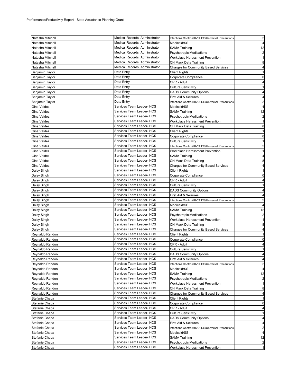| Natasha Mitchell                   | <b>Medical Records Administrator</b>                   | Infections Control/HIV/AIDS/Universal Precautions | $\overline{2}$                                                                                                                                                         |
|------------------------------------|--------------------------------------------------------|---------------------------------------------------|------------------------------------------------------------------------------------------------------------------------------------------------------------------------|
| Natasha Mitchell                   | <b>Medical Records Administrator</b>                   | Medicaid/SS                                       | $\overline{4}$                                                                                                                                                         |
| Natasha Mitchell                   | Medical Records Administrator                          | SAMA Training                                     | 12                                                                                                                                                                     |
| Natasha Mitchell                   | Medical Records Administrator                          | <b>Psychotropic Medications</b>                   | $\overline{2}$                                                                                                                                                         |
| Natasha Mitchell                   | Medical Records Administrator                          | Workplace Harassment Prevention                   | $\mathbf{1}$                                                                                                                                                           |
| Natasha Mitchell                   | <b>Medical Records Administrator</b>                   | CH Mack Data Training                             | 8                                                                                                                                                                      |
| Natasha Mitchell                   | Medical Records Administrator                          | <b>Charges for Community Based Services</b>       | 4                                                                                                                                                                      |
|                                    | Data Entry                                             | Client Rights                                     | -1                                                                                                                                                                     |
| Benjamin Taylor<br>Benjamin Taylor | Data Entry                                             | Corporate Compliance                              | 0                                                                                                                                                                      |
| Benjamin Taylor                    | Data Entry                                             | CPR - Adult                                       | 4                                                                                                                                                                      |
|                                    |                                                        |                                                   |                                                                                                                                                                        |
| Benjamin Taylor                    | Data Entry                                             | <b>Culture Sensitivity</b>                        | 1                                                                                                                                                                      |
| <b>Benjamin Taylor</b>             | Data Entry                                             | <b>DADS Community Options</b>                     | 4                                                                                                                                                                      |
| Benjamin Taylor                    | Data Entry                                             | First Aid & Seizures                              | 4                                                                                                                                                                      |
| <b>Benjamin Taylor</b>             | Data Entry                                             | Infections Control/HIV/AIDS/Universal Precautions | $\overline{2}$                                                                                                                                                         |
| Gina Valdez                        | Services Team Leader- HCS                              | Medicaid/SS                                       | $\overline{4}$                                                                                                                                                         |
| Gina Valdez                        | Services Team Leader- HCS                              | SAMA Training                                     | 12                                                                                                                                                                     |
| Gina Valdez                        | Services Team Leader- HCS                              | <b>Psychotropic Medications</b>                   | $\overline{2}$                                                                                                                                                         |
| Gina Valdez                        | Services Team Leader- HCS                              | Workplace Harassment Prevention                   | $\mathbf{1}$                                                                                                                                                           |
| Gina Valdez                        | Services Team Leader- HCS                              | CH Mack Data Training                             | 8                                                                                                                                                                      |
| Gina Valdez                        | Services Team Leader- HCS                              | <b>Client Rights</b>                              | $\mathbf{1}$                                                                                                                                                           |
| Gina Valdez                        | Services Team Leader- HCS                              | Corporate Compliance                              | $\mathbf 0$                                                                                                                                                            |
| Gina Valdez                        | Services Team Leader- HCS                              | <b>Culture Sensitivity</b>                        | 1                                                                                                                                                                      |
| Gina Valdez                        | Services Team Leader- HCS                              | Infections Control/HIV/AIDS/Universal Precautions | $\overline{\mathbf{c}}$                                                                                                                                                |
| Gina Valdez                        | Services Team Leader- HCS                              | Workplace Harassment Prevention                   | 1                                                                                                                                                                      |
| Gina Valdez                        | Services Team Leader- HCS                              | SAMA Training                                     | 4                                                                                                                                                                      |
| Gina Valdez                        | Services Team Leader- HCS                              | CH Mack Data Training                             | 8                                                                                                                                                                      |
| Gina Valdez                        | Services Team Leader- HCS                              | Charges for Community Based Services              | 4                                                                                                                                                                      |
| Daisy Singh                        | Services Team Leader- HCS                              | <b>Client Rights</b>                              | 1                                                                                                                                                                      |
| Daisy Singh                        | Services Team Leader- HCS                              | Corporate Compliance                              | $\mathbf 0$                                                                                                                                                            |
| Daisy Singh                        | Services Team Leader- HCS                              | CPR - Adult                                       | 4                                                                                                                                                                      |
| Daisy Singh                        | Services Team Leader- HCS                              | <b>Culture Sensitivity</b>                        | 1                                                                                                                                                                      |
| Daisy Singh                        | Services Team Leader- HCS                              | <b>DADS Community Options</b>                     | $\overline{4}$                                                                                                                                                         |
| Daisy Singh                        | Services Team Leader- HCS                              | First Aid & Seizures                              | 4                                                                                                                                                                      |
| Daisy Singh                        | Services Team Leader- HCS                              | Infections Control/HIV/AIDS/Universal Precautions | $\overline{2}$                                                                                                                                                         |
| Daisy Singh                        | Services Team Leader- HCS                              | Medicaid/SS                                       | 4                                                                                                                                                                      |
| Daisy Singh                        | Services Team Leader- HCS                              | SAMA Training                                     | 12                                                                                                                                                                     |
| Daisy Singh                        | Services Team Leader- HCS                              | <b>Psychotropic Medications</b>                   | $\overline{2}$                                                                                                                                                         |
| Daisy Singh                        | Services Team Leader- HCS                              | Workplace Harassment Prevention                   | 1                                                                                                                                                                      |
| Daisy Singh                        | Services Team Leader- HCS                              | CH Mack Data Training                             | 8                                                                                                                                                                      |
| Daisy Singh                        | Services Team Leader- HCS                              | <b>Charges for Community Based Services</b>       | 4                                                                                                                                                                      |
| Reynaldo Rendon                    | Services Team Leader- HCS                              | <b>Client Rights</b>                              | -1                                                                                                                                                                     |
| Reynaldo Rendon                    | Services Team Leader- HCS                              | Corporate Compliance                              | 0                                                                                                                                                                      |
| Reynaldo Rendon                    | Services Team Leader- HCS                              | CPR - Adult                                       | $\overline{4}$                                                                                                                                                         |
|                                    |                                                        |                                                   |                                                                                                                                                                        |
|                                    |                                                        |                                                   |                                                                                                                                                                        |
| Reynaldo Rendon                    | Services Team Leader- HCS                              | <b>Culture Sensitivity</b>                        |                                                                                                                                                                        |
| Reynaldo Rendon                    | Services Team Leader- HCS                              | <b>DADS Community Options</b>                     |                                                                                                                                                                        |
| Reynaldo Rendon                    | Services Team Leader- HCS                              | First Aid & Seizures                              |                                                                                                                                                                        |
| Reynaldo Rendon                    | Services Team Leader- HCS                              | Infections Control/HIV/AIDS/Universal Precautions |                                                                                                                                                                        |
| Reynaldo Rendon                    | Services Team Leader- HCS                              | Medicaid/SS                                       |                                                                                                                                                                        |
| Reynaldo Rendon                    | Services Team Leader- HCS                              | <b>SAMA Training</b>                              |                                                                                                                                                                        |
| Reynaldo Rendon                    | Services Team Leader- HCS                              | <b>Psychotropic Medications</b>                   |                                                                                                                                                                        |
| Reynaldo Rendon                    | Services Team Leader- HCS                              | Workplace Harassment Prevention                   |                                                                                                                                                                        |
| Reynaldo Rendon                    | Services Team Leader- HCS                              | CH Mack Data Training                             |                                                                                                                                                                        |
| Reynaldo Rendon                    | Services Team Leader- HCS                              | <b>Charges for Community Based Services</b>       |                                                                                                                                                                        |
| Stefanie Chapa                     | Services Team Leader- HCS                              | <b>Client Rights</b>                              |                                                                                                                                                                        |
| Stefanie Chapa                     | Services Team Leader- HCS                              | Corporate Compliance                              |                                                                                                                                                                        |
| Stefanie Chapa                     | Services Team Leader- HCS                              | CPR - Adult                                       |                                                                                                                                                                        |
| Stefanie Chapa                     | Services Team Leader- HCS                              | <b>Culture Sensitivity</b>                        |                                                                                                                                                                        |
| Stefanie Chapa                     | Services Team Leader- HCS                              | <b>DADS Community Options</b>                     |                                                                                                                                                                        |
| Stefanie Chapa                     | Services Team Leader- HCS                              | First Aid & Seizures                              |                                                                                                                                                                        |
| Stefanie Chapa                     | Services Team Leader- HCS                              | Infections Control/HIV/AIDS/Universal Precautions |                                                                                                                                                                        |
| Stefanie Chapa                     | Services Team Leader- HCS                              | Medicaid/SS                                       |                                                                                                                                                                        |
| Stefanie Chapa                     | Services Team Leader- HCS                              | <b>SAMA Training</b>                              |                                                                                                                                                                        |
| Stefanie Chapa                     | Services Team Leader- HCS<br>Services Team Leader- HCS | <b>Psychotropic Medications</b>                   | 1<br>4<br>4<br>$\overline{2}$<br>4<br>12<br>$\overline{\mathbf{c}}$<br>$\mathbf{1}$<br>8<br>4<br>1<br>0<br>4<br>1<br>4<br>4<br>2<br>4<br>12<br>$\overline{\mathbf{c}}$ |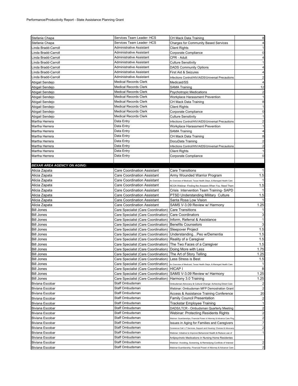| Stefanie Chapa                     | Services Team Leader- HCS                                     | CH Mack Data Training                                                                                                  | 8                       |
|------------------------------------|---------------------------------------------------------------|------------------------------------------------------------------------------------------------------------------------|-------------------------|
| Stefanie Chapa                     | Services Team Leader- HCS                                     | <b>Charges for Community Based Services</b>                                                                            | $\overline{4}$          |
| inda Bradd-Carroll                 | Administrative Assistant                                      | <b>Client Rights</b>                                                                                                   | 1                       |
| inda Bradd-Carroll                 | Administrative Assistant                                      | Corporate Compliance                                                                                                   | $\mathbf 0$             |
| inda Bradd-Carroll                 | Administrative Assistant                                      | CPR - Adult                                                                                                            | $\overline{4}$          |
| inda Bradd-Carroll                 | Administrative Assistant                                      | <b>Culture Sensitivity</b>                                                                                             | 1                       |
| Linda Bradd-Carroll                | Administrative Assistant                                      | <b>DADS Community Options</b>                                                                                          | 4                       |
| Linda Bradd-Carroll                | Administrative Assistant                                      | First Aid & Seizures                                                                                                   | $\overline{4}$          |
| Linda Bradd-Carroll                | Administrative Assistant                                      | Infections Control/HIV/AIDS/Universal Precautions                                                                      | $\overline{\mathbf{c}}$ |
| Abigail Sendejo                    | <b>Medical Records Clerk</b>                                  | Medicaid/SS                                                                                                            | 4                       |
|                                    | <b>Medical Records Clerk</b>                                  |                                                                                                                        |                         |
| Abigail Sendejo                    | <b>Medical Records Clerk</b>                                  | <b>SAMA Training</b>                                                                                                   | 12                      |
| Abigail Sendejo                    | <b>Medical Records Clerk</b>                                  | <b>Psychotropic Medications</b>                                                                                        | $\overline{\mathbf{c}}$ |
| Abigail Sendejo                    |                                                               | Workplace Harassment Prevention                                                                                        | $\mathbf{1}$            |
| Abigail Sendejo                    | <b>Medical Records Clerk</b>                                  | CH Mack Data Training                                                                                                  | 8                       |
| Abigail Sendejo                    | <b>Medical Records Clerk</b>                                  | <b>Client Rights</b>                                                                                                   | $\mathbf{1}$            |
| Abigail Sendejo                    | <b>Medical Records Clerk</b>                                  | Corporate Compliance                                                                                                   | 0                       |
| Abigail Sendejo                    | <b>Medical Records Clerk</b>                                  | <b>Culture Sensitivity</b>                                                                                             | $\mathbf{1}$            |
| Martha Herrera                     | Data Entry                                                    | Infections Control/HIV/AIDS/Universal Precautions                                                                      | $\overline{2}$          |
| Martha Herrera                     | Data Entry                                                    | Workplace Harassment Prevention                                                                                        | -1                      |
| Martha Herrera                     | Data Entry                                                    | <b>SAMA Training</b>                                                                                                   | $\overline{4}$          |
| Martha Herrera                     | Data Entry                                                    | CH Mack Data Training                                                                                                  | 8                       |
| Martha Herrera                     | Data Entry                                                    | DocuData Training                                                                                                      | $\overline{2}$          |
| Martha Herrera                     | Data Entry                                                    | Infections Control/HIV/AIDS/Universal Precautions                                                                      | $\overline{\mathbf{c}}$ |
| Martha Herrera                     | Data Entry                                                    | <b>Client Rights</b>                                                                                                   | 1                       |
| Martha Herrera                     | Data Entry                                                    | Corporate Compliance                                                                                                   | 0                       |
|                                    |                                                               |                                                                                                                        |                         |
| <b>BEXAR AREA AGENCY ON AGING:</b> |                                                               |                                                                                                                        |                         |
| Alicia Zapata                      | Care Coordination Assistant                                   | <b>Care Transitions</b>                                                                                                | $\mathbf{1}$            |
| Alicia Zapata                      | Care Coordination Assistant                                   | Army Wounded Warrior Program                                                                                           | 1.5                     |
| Alicia Zapata                      | Care Coordination Assistant                                   | An Overview of Medicaid, Texas Health Steps, & Managed Health Care                                                     | $\overline{1}$          |
| Alicia Zapata                      | Care Coordination Assistant                                   | NCOA Webinar - Finding the Answers When You Need Them                                                                  | 1.5                     |
| Alicia Zapata                      | Care Coordination Assistant                                   | Crisis Intervention Team Training-SAPD                                                                                 | $\mathbf{1}$            |
| Alicia Zapata                      | Care Coordination Assistant                                   | PTSD Understanding Military Culture                                                                                    | 1.5                     |
| Alicia Zapata                      | Care Coordination Assistant                                   | Santa Rosa Low Vision                                                                                                  | $\mathbf{1}$            |
| Alicia Zapata                      | Care Coordination Assistant                                   | SAMS V-3.09 Review w/ Harmony                                                                                          | 1.25                    |
| <b>Bill Jones</b>                  | Care Specialist (Care Coordination) Care Transitions          |                                                                                                                        | -1                      |
| <b>Bill Jones</b>                  | Care Specialist (Care Coordination)                           | <b>Care Coordinators</b>                                                                                               | 3                       |
| <b>Bill Jones</b>                  | Care Specialist (Care Coordination)                           | Inform, Referral & Assistance                                                                                          | $\mathbf{1}$            |
| <b>Bill Jones</b>                  | Care Specialist (Care Coordination)                           | <b>Benefits Counselors</b>                                                                                             | 3                       |
| <b>Bill Jones</b>                  | Care Specialist (Care Coordination)                           | Sleepover Project                                                                                                      | 1.5                     |
| <b>Bill Jones</b>                  | Care Specialist (Care Coordination)                           | UnderstandingPeo w/Dementia                                                                                            | 1.5                     |
| <b>Bill Jones</b>                  | Care Specialist (Care Coordination)                           | Reality of a Caregiver                                                                                                 | 1.5                     |
| <b>Bill Jones</b>                  | Care Specialist (Care Coordination)                           | The Two Faces of a Caregiver                                                                                           | 1.5                     |
| <b>Bill Jones</b>                  | Care Specialist (Care Coordination)                           | Doing More with Less                                                                                                   | 1.75                    |
| <b>Bill Jones</b>                  | Care Specialist (Care Coordination)  The Art of Story Telling |                                                                                                                        | 1.25                    |
| <b>Bill Jones</b>                  | Care Specialist (Care Coordination) Less Stress is Best       |                                                                                                                        | 1.5                     |
| <b>Bill Jones</b>                  |                                                               | Care Specialist (Care Coordination) An Overview of Medicaid, Texas Health Steps, & Managed Health Care                 | $\mathbf 1$             |
| <b>Bill Jones</b>                  | Care Specialist (Care Coordination) HICAP I                   |                                                                                                                        | 8                       |
| <b>Bill Jones</b>                  | Care Specialist (Care Coordination)                           | SAMS V-3.09 Review w/ Harmony                                                                                          | 1.25                    |
| <b>Bill Jones</b>                  | Care Specialist (Care Coordination)                           | Harmony 3.0 Training                                                                                                   | 1.25                    |
| <b>Biviana Escobar</b>             | Staff Ombudsman                                               | Ombudsman Advocacy & Cultural Change: Achieving Direct Care                                                            | $\overline{2}$          |
| Biviana Escobar                    | Staff Ombudsman                                               | Webinar: Ombudsman MFP Demostration Grant                                                                              | $\overline{2}$          |
| Biviana Escobar                    | Staff Ombudsman                                               | Access & Assistance Training Conference                                                                                | 20                      |
| Biviana Escobar                    | Staff Ombudsman                                               | <b>Family Council Presentation</b>                                                                                     | $\overline{2}$          |
| Biviana Escobar                    | Staff Ombudsman                                               | <b>Trackstar Employee Training</b>                                                                                     | $\mathbf{1}$            |
| Biviana Escobar                    | Staff Ombudsman                                               | DADS/LTCR - Ombudsman Quarterly Meeting                                                                                | $\overline{\mathbf{c}}$ |
| Biviana Escobar                    | Staff Ombudsman                                               | Webinar: Protecting Residents Rights                                                                                   | 2                       |
| Biviana Escobar                    | Staff Ombudsman                                               |                                                                                                                        | $\overline{2}$          |
| Biviana Escobar                    | Staff Ombudsman                                               | Webinar: Guardianships, Financial Power of Attorney & Advance Care Plng<br>Issues in Aging for Families and Caregivers | 7                       |
| Biviana Escobar                    | Staff Ombudsman                                               |                                                                                                                        | $\overline{c}$          |
|                                    | Staff Ombudsman                                               | Conerence Call: LT Services, Support and Housing: Choices & Advocacy                                                   | 1                       |
| Biviana Escobar                    | Staff Ombudsman                                               | Webinar: Initiative to Improve Behavioral Health & Reduce use of                                                       |                         |
| Biviana Escobar                    |                                                               | Antipsychotic Medications in Nursing Home Residentes                                                                   |                         |
| Biviana Escobar                    | Staff Ombudsman                                               | Webinar: Avoiding, Screening, & Remedying Conflicts of Interest                                                        | 2<br>2                  |
| Biviana Escobar                    | Staff Ombudsman                                               | Webinar:Guardianship, Financial Power of Attorney & Advance Care                                                       |                         |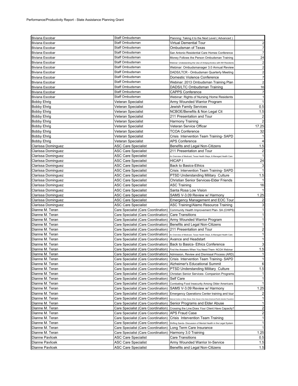| <b>Biviana Escobar</b> | Staff Ombudsman                                                      | Planning: Taking it to the Next Level (Advanced)                                                       |                         |
|------------------------|----------------------------------------------------------------------|--------------------------------------------------------------------------------------------------------|-------------------------|
| Biviana Escobar        | Staff Ombudsman                                                      | Virtual Demential Tour                                                                                 | $\overline{c}$          |
| Biviana Escobar        | Staff Ombudsman                                                      | Ombudsman of Texas                                                                                     | $\overline{7}$          |
| <b>Biviana Escobar</b> | Staff Ombudsman                                                      | San Antonio Residential Care Homes Conference                                                          | $\overline{7}$          |
| Biviana Escobar        | Staff Ombudsman                                                      | Money Follows the Person Ombudsman Training                                                            | 24                      |
| Biviana Escobar        | Staff Ombudsman                                                      | Webinar: Undestanding the Use of Antipsychotics with NH Residents                                      | $\overline{2}$          |
| Biviana Escobar        | Staff Ombudsman                                                      | Webinar: Ombudsmanager 3.0 Annual Review                                                               | $\overline{2}$          |
| Biviana Escobar        | Staff Ombudsman                                                      | DADS/LTCR - Ombudsman Quarterly Meeting                                                                | $\overline{\mathbf{c}}$ |
| Biviana Escobar        | Staff Ombudsman                                                      | Domestic Violence Conference                                                                           | $\overline{7}$          |
| <b>Biviana Escobar</b> | Staff Ombudsman                                                      | Webinar: 2013 Ombudsman Training Plan                                                                  | $\overline{2}$          |
| Biviana Escobar        | Staff Ombudsman                                                      | DADS/LTC Ombudsman Training                                                                            | 16                      |
| Biviana Escobar        | Staff Ombudsman                                                      | <b>CAPPS Conference</b>                                                                                | $\overline{7}$          |
| Biviana Escobar        | Staff Ombudsman                                                      | Webinar: Rights of Nursing Home Residents                                                              | $\mathbf{1}$            |
| Bobby Ehrig            | Veteran Specialist                                                   | Army Wounded Warrior Program                                                                           | $\mathbf{1}$            |
| <b>Bobby Ehrig</b>     | Veteran Specialist                                                   | Jewish Family Services                                                                                 | 0.5                     |
| <b>Bobby Ehrig</b>     | Veteran Specialist                                                   | NCBOE/Benefits & Non Legal Cit                                                                         | 1.5                     |
| Bobby Ehrig            | Veteran Specialist                                                   | 211 Presentation and Tour                                                                              | $\overline{\mathbf{c}}$ |
| <b>Bobby Ehrig</b>     | Veteran Specialist                                                   |                                                                                                        | $\overline{2}$          |
|                        |                                                                      | Harmony Training<br>Veteran Service Officer                                                            | 17.25                   |
| <b>Bobby Ehrig</b>     | Veteran Specialist                                                   |                                                                                                        |                         |
| <b>Bobby Ehrig</b>     | Veteran Specialist                                                   | <b>TCOA Conference</b>                                                                                 | 32                      |
| <b>Bobby Ehrig</b>     | Veteran Specialist                                                   | Crisis Intervention Team Training-SAPD                                                                 | $\mathbf{1}$            |
| <b>Bobby Ehrig</b>     | Veteran Specialist                                                   | <b>APS Conference</b>                                                                                  | $\overline{4}$          |
| Clarissa Dominguez     | <b>ASC Care Specialist</b>                                           | Benefits and Legal Non-Citizens                                                                        | 1.5                     |
| Clarissa Dominguez     | <b>ASC Care Specialist</b>                                           | 211 Presentation and Tour                                                                              | $\overline{\mathbf{c}}$ |
| Clarissa Dominguez     | <b>ASC Care Specialist</b>                                           | An Overview of Medicaid, Texas Health Steps, & Managed Health Care                                     | $\mathbf{1}$            |
| Clarissa Dominguez     | <b>ASC Care Specialist</b>                                           | HICAP I                                                                                                | 24                      |
| Clarissa Dominguez     | <b>ASC Care Specialist</b>                                           | Back to Basics-Ethics                                                                                  | $\mathbf{3}$            |
| Clarissa Dominguez     | <b>ASC Care Specialist</b>                                           | Crisis Intervention Team Training-SAPD                                                                 | $\mathbf{1}$            |
| Clarissa Dominguez     | <b>ASC Care Specialist</b>                                           | <b>PTSD Understanding Military Culture</b>                                                             | 1.5                     |
| Clarissa Dominguez     | <b>ASC Care Specialist</b>                                           | Christian Senior Services-Elder Friends                                                                | $\mathbf{1}$            |
| Clarissa Dominguez     | <b>ASC Care Specialist</b>                                           | <b>ASC Training</b>                                                                                    | 16                      |
| Clarissa Dominguez     | <b>ASC Care Specialist</b>                                           | Santa Rosa Low Vision                                                                                  | $\mathbf{1}$            |
| Clarissa Dominguez     | <b>ASC Care Specialist</b>                                           | SAMS V-3.09 Review w/ Harmony                                                                          | 1.25                    |
| Clarissa Dominguez     | <b>ASC Care Specialist</b>                                           | Emergency Management and EOC Tour                                                                      | $\overline{\mathbf{c}}$ |
| Clarissa Dominguez     | <b>ASC Care Specialist</b>                                           | ASC Training/Alamo Resource Training                                                                   | $\mathbf{3}$            |
| Dianne M. Teran        |                                                                      | Care Specialist (Care Coordination) Community Health Improvement Plan-SA (CHIPS)                       | $\mathbf{1}$            |
| Dianne M. Teran        | Care Specialist (Care Coordination) Care Transitions                 |                                                                                                        | $\mathbf{1}$            |
| Dianne M. Teran        | Care Specialist (Care Coordination) Army Wounded Warrior Program     |                                                                                                        | $\mathbf{1}$            |
| Dianne M. Teran        | Care Specialist (Care Coordination) Benefits and Legal Non-Citizens  |                                                                                                        | $\mathbf{1}$            |
| Dianne M. Teran        | Care Specialist (Care Coordination) 211 Presentation and Tour        |                                                                                                        | $\overline{\mathbf{c}}$ |
| Dianne M. Teran        |                                                                      | Care Specialist (Care Coordination) An Overview of Medicaid, Texas Health Steps, & Managed Health Care | 1                       |
| Dianne M. Teran        | Care Specialist (Care Coordination) Avance and Headstart             |                                                                                                        | $\mathbf{1}$            |
| Dianne M. Teran        |                                                                      | Care Specialist (Care Coordination) Back to Basics- Ethics Conference                                  | $\mathbf{3}$            |
| Dianne M. Teran        |                                                                      | Care Specialist (Care Coordination) Find the Answers When You Need Them-NCOA Webinar                   | 1.5                     |
| Dianne M. Teran        |                                                                      | Care Specialist (Care Coordination)  Admission, Review and Dismissal Process (ARD)                     | -1                      |
| Dianne M. Teran        |                                                                      | Care Specialist (Care Coordination)   Crisis Intervention Team Training-SAPD                           | $\mathbf{1}$            |
| Dianne M. Teran        | Care Specialist (Care Coordination)   Alzheimer's Educational Summit |                                                                                                        | $\,6$                   |
| Dianne M. Teran        |                                                                      | Care Specialist (Care Coordination)   PTSD Understanding Military Culture                              | 1.5                     |
| Dianne M. Teran        | Care Specialist (Care Coordination)                                  | Christian Senior Services- Companion Programs                                                          | $\mathbf{1}$            |
| Dianne M. Teran        | Care Specialist (Care Coordination)                                  | <b>Self Care</b>                                                                                       | 1                       |
| Dianne M. Teran        |                                                                      | Care Specialist (Care Coordination) Combating Food Insecurity Among Older Americans                    | $\mathbf{1}$            |
| Dianne M. Teran        |                                                                      | Care Specialist (Care Coordination) SAMS V-3.09 Review w/ Harmony                                      | 1.25                    |
| Dianne M. Teran        | Care Specialist (Care Coordination)                                  | Emergency Operations Center training and tour                                                          | $\overline{\mathbf{c}}$ |
| Dianne M. Teran        | Care Specialist (Care Coordination)                                  | .<br>National Center on Elder Abuse- Elder Abuse in the Asian-American/Pacific Islander Populatio      | $\mathbf{1}$            |
| Dianne M. Teran        |                                                                      | Care Specialist (Care Coordination) Senior Programs and Elder Abuse                                    | $\mathbf{1}$            |
| Dianne M. Teran        | Care Specialist (Care Coordination)                                  | Crossing the Line:Does Your Client Have Capacity?                                                      | $\overline{\mathbf{c}}$ |
| Dianne M. Teran        | Care Specialist (Care Coordination)                                  | <b>APS Fraud Case</b>                                                                                  | $\boldsymbol{2}$        |
| Dianne M. Teran        | Care Specialist (Care Coordination)                                  | Crisis Intervention Team Training                                                                      | $\mathbf{1}$            |
| Dianne M. Teran        | Care Specialist (Care Coordination)                                  | Shifting Sands- Discussion of Mental Health in the Legal System                                        | $\mathbf{1}$            |
| Dianne M. Teran        |                                                                      | Long Term Care Insurance                                                                               | $\mathbf{1}$            |
| Dianne M. Teran        | Care Specialist (Care Coordination)                                  |                                                                                                        | 1.25                    |
|                        | Care Specialist (Care Coordination)   Harmony 3.0 Training           |                                                                                                        |                         |
| Dianne Pavlicek        | <b>ASC Care Specialist</b>                                           | <b>Care Transitions</b>                                                                                | 0.5                     |
| Dianne Pavlicek        | <b>ASC Care Specialist</b>                                           | Army Wounded Warrior In-Service                                                                        | 1.5                     |
| Dianne Pavlicek        | <b>ASC Care Specialist</b>                                           | Benefits and Legal Non-Citizens                                                                        | 1.5                     |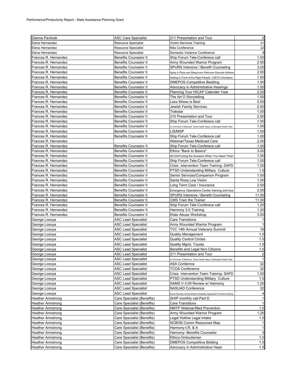| Dianne Pavlicek          | <b>ASC Care Specialist</b>                                   | 211 Presentation and Tour                                                     | $\overline{\mathbf{c}}$ |
|--------------------------|--------------------------------------------------------------|-------------------------------------------------------------------------------|-------------------------|
| Elena Hernandez          | <b>Resource Specialist</b>                                   | Victim Services Training                                                      | 21                      |
| Elena Hernandez          | <b>Resource Specialist</b>                                   | N4a Conference                                                                | 22                      |
| Elena Hernandez          | <b>Resource Specialist</b>                                   | Domestic Violence Conference                                                  | 8                       |
| Frances R. Hernandez     | <b>Benefits Counselor II</b>                                 | Ship Forum Tele-Conferece call                                                | 1.00                    |
| Frances R. Hernandez     | <b>Benefits Counselor II</b>                                 | Army Wounded Warrior Program                                                  | 2.50                    |
| Frances R. Hernandez     | <b>Benefits Counselor II</b>                                 | SPURS Intensive / Benefit Counseling                                          | 3.00                    |
| Frances R. Hernandez     | <b>Benefits Counselor II</b>                                 | Aging in Place and Sleepovers Welcome /Keynote Address                        | 2.00                    |
| Frances R. Hernandez     | <b>Benefits Counselor II</b>                                 | Getting in Front of the Right People / VISTA Volunteers                       | 1.50                    |
| Frances R. Hernandez     | <b>Benefits Counselor II</b>                                 | DMEPOS Competitive Bedding                                                    | 1.50                    |
| Frances R. Hernandez     | <b>Benefits Counselor II</b>                                 | Advocacy in Administrative Hearings                                           | 1.50                    |
| Frances R. Hernandez     | <b>Benefits Counselor II</b>                                 | Planning Your HICAP Calender Year                                             | 2.00                    |
| Frances R. Hernandez     | <b>Benefits Counselor II</b>                                 | The Art O Storytelling                                                        | 1.00                    |
| Frances R. Hernandez     | <b>Benefits Counselor II</b>                                 | Less Stress is Best                                                           | 0.50                    |
| Frances R. Hernandez     | <b>Benefits Counselor II</b>                                 | Jewish Family Services                                                        | 0.50                    |
| Frances R. Hernandez     | <b>Benefits Counselor II</b>                                 | Trakstar                                                                      | 1.00                    |
| Frances R. Hernandez     | <b>Benefits Counselor II</b>                                 | 210 Presentation and Tour                                                     | 2.50                    |
| Frances R. Hernandez     | <b>Benefits Counselor II</b>                                 | Ship Forum Tele-Conferece call                                                | 1.00                    |
| Frances R. Hernandez     | <b>Benefits Counselor II</b>                                 | An Overview of Medicaid, Texas Health Steps, & Managed Health Care            | 1.00                    |
| Frances R. Hernandez     | <b>Benefits Counselor II</b>                                 | LIS/MSP                                                                       | 1.50                    |
| Frances R. Hernandez     | <b>Benefits Counselor II</b>                                 | Ship Forum Tele-Conferece call                                                | 1.00                    |
| Frances R. Hernandez     |                                                              | Webinar/Texas Medicaid Care                                                   | 2.00                    |
| Frances R. Hernandez     | <b>Benefits Counselor II</b>                                 | Ship Forum Tele-Conferece call                                                | 1.00                    |
| Frances R. Hernandez     | <b>Benefits Counselor II</b>                                 | Ethics "Back to Basics"                                                       | 3.00                    |
| Frances R. Hernandez     | <b>Benefits Counselor II</b>                                 | NCOA/Finding the Answers When You Need Them                                   | 1.50                    |
| Frances R. Hernandez     | <b>Benefits Counselor II</b>                                 | Ship Forum Tele-Conferece call                                                | 1.00                    |
| Frances R. Hernandez     |                                                              |                                                                               | 1.00                    |
| Frances R. Hernandez     | <b>Benefits Counselor II</b><br><b>Benefits Counselor II</b> | Crisis Intervention Team Training-SAPD<br>PTSD Understanding Military Culture | 1.5                     |
|                          |                                                              |                                                                               |                         |
| Frances R. Hernandez     | <b>Benefits Counselor II</b>                                 | Senior Services/Companion Program                                             | 1.00                    |
| Frances R. Hernandez     | <b>Benefits Counselor II</b>                                 | Santa Rosa Low Vision                                                         | 1.00                    |
| Frances R. Hernandez     | <b>Benefits Counselor II</b>                                 | Long Term Care / Insurance                                                    | 2.00                    |
| Frances R. Hernandez     | <b>Benefits Counselor II</b>                                 | Emergency Operations Center training and tour                                 | 2.00                    |
| Frances R. Hernandez     | <b>Benefits Counselor II</b>                                 | SPURS Intensive / Benefit Counseling                                          | 11.50                   |
| Frances R. Hernandez     | <b>Benefits Counselor II</b>                                 | CMS Train the Trainer                                                         | 11.00                   |
| Frances R. Hernandez     | <b>Benefits Counselor II</b>                                 | Ship Forum Tele-Conferece call                                                | 1.25                    |
| Frances R. Hernandez     | <b>Benefits Counselor II</b>                                 | Harmony 3.0 Training                                                          | 1.25                    |
| Frances R. Hernandez     | <b>Benefits Counselor II</b>                                 | Elder Abuse Workshop                                                          | 3.00                    |
| George Losoya            | ASC Lead Specialist                                          | Care Transitions                                                              |                         |
| George Losoya            | ASC Lead Specialist                                          | Army Wounded Warrior Program                                                  | 1                       |
| George Losoya            | <b>ASC Lead Specialist</b>                                   | TVC 14th Annual Veterans Summit                                               | 16                      |
| George Losoya            | <b>ASC Lead Specialist</b>                                   | <b>Quality Management</b>                                                     | 1.5                     |
| George Losoya            | ASC Lead Specialist                                          | <b>Quality Control Circles</b>                                                | 1.5                     |
| George Losoya            | <b>ASC Lead Specialist</b>                                   | Quality Mgmt, Toyota                                                          | 1.5                     |
| George Losoya            | ASC Lead Specialist                                          | Benefits and Legal Non-Citizens                                               | 1.5                     |
| George Losoya            | <b>ASC</b> Lead Specialist                                   | 211 Presentation and Tour                                                     | $\overline{a}$          |
| George Losoya            | ASC Lead Specialist                                          | An Overview of Medicaid, Texas Health Steps, & Managed Health Care            | $\mathbf{1}$            |
| George Losoya            | <b>ASC Lead Specialist</b>                                   | <b>ASA Confernce</b>                                                          | 32                      |
| George Losoya            | <b>ASC Lead Specialist</b>                                   | <b>TCOA Conference</b>                                                        | 32                      |
| George Losoya            | <b>ASC Lead Specialist</b>                                   | Crisis Intervention Team Training-SAPD                                        | 1.00                    |
| George Losova            | <b>ASC Lead Specialist</b>                                   | PTSD Understanding Military Culture                                           | 1.5                     |
| George Losoya            | <b>ASC Lead Specialist</b>                                   | SAMS V-3.09 Review w/ Harmony                                                 | 1.25                    |
| George Losoya            | <b>ASC Lead Specialist</b>                                   | <b>NASUAD Conference</b>                                                      | 32                      |
| George Losoya            | <b>ASC Lead Specialist</b>                                   | Social Security Administration Disability Application Process training        |                         |
| <b>Heather Armstrong</b> | Care Specialist (Benefits)                                   | SHIP monthly call-Part D                                                      | 1                       |
| <b>Heather Armstrong</b> | Care Specialist (Benefits)                                   | <b>Care Transitions</b>                                                       | $\mathbf{1}$            |
| <b>Heather Armstrong</b> | Care Specialist (Benefits)                                   | NMTP Webinar/Med Prevention                                                   | 1.5                     |
| Heather Armstrong        | Care Specialist (Benefits)                                   | Army Wounded Warrior Program                                                  | 1.25                    |
| <b>Heather Armstrong</b> | Care Specialist (Benefits)                                   | Legal Hotline Legal Intake                                                    | 1.5                     |
| <b>Heather Armstrong</b> | Care Specialist (Benefits)                                   | NCBOE-Comm Resources Map                                                      |                         |
| Heather Armstrong        | Care Specialist (Benefits)                                   | Harmony-I,R, & A                                                              | $\mathbf{1}$            |
| <b>Heather Armstrong</b> | Care Specialist (Benefits)                                   | Harmony- Benefits Counselor                                                   | 3                       |
| <b>Heather Armstrong</b> | Care Specialist (Benefits)                                   | Ethics-Ombudsman                                                              | 1.5                     |
| Heather Armstrong        | Care Specialist (Benefits)                                   | <b>DMEPOS Competitive Bidding</b>                                             | 1.5                     |
| <b>Heather Armstrong</b> | Care Specialist (Benefits)                                   | Advocacy in Administrative Heari                                              | 1.5                     |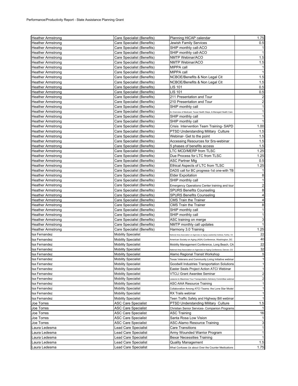| <b>Heather Armstrong</b> | Care Specialist (Benefits) | Planning HICAP calendar                                                          | 1.75 |
|--------------------------|----------------------------|----------------------------------------------------------------------------------|------|
| <b>Heather Armstrong</b> | Care Specialist (Benefits) | Jewish Family Services                                                           | 0.5  |
| Heather Armstrong        | Care Specialist (Benefits) | SHIP monthly call-ACO                                                            |      |
| Heather Armstrong        | Care Specialist (Benefits) | SHIP monthly call-ACO                                                            |      |
| <b>Heather Armstrong</b> | Care Specialist (Benefits) | NMTP Webinar/ACO                                                                 | 1.5  |
| <b>Heather Armstrong</b> | Care Specialist (Benefits) | NMTP Webinar/ACO                                                                 | 1.5  |
| <b>Heather Armstrong</b> | Care Specialist (Benefits) | MIPPA call                                                                       |      |
| Heather Armstrong        | Care Specialist (Benefits) | MIPPA call                                                                       |      |
| Heather Armstrong        | Care Specialist (Benefits) | NCBOE/Benefits & Non Legal Cit                                                   | 1.5  |
| Heather Armstrong        | Care Specialist (Benefits) | NCBOE/Benefits & Non Legal Cit                                                   | 1.5  |
| <b>Heather Armstrong</b> | Care Specialist (Benefits) | <b>LIS 101</b>                                                                   | 0.5  |
| Heather Armstrong        | Care Specialist (Benefits) | <b>LIS 101</b>                                                                   | 0.5  |
| Heather Armstrong        | Care Specialist (Benefits) | 211 Presentation and Tour                                                        | 2    |
| <b>Heather Armstrong</b> | Care Specialist (Benefits) | 210 Presentation and Tour                                                        |      |
| Heather Armstrong        | Care Specialist (Benefits) | SHIP monthly call                                                                |      |
| Heather Armstrong        | Care Specialist (Benefits) | An Overview of Medicaid, Texas Health Steps, & Managed Health Care               |      |
| Heather Armstrong        | Care Specialist (Benefits) | SHIP monthly call                                                                | 1    |
| Heather Armstrong        | Care Specialist (Benefits) | SHIP monthly call                                                                |      |
| Heather Armstrong        | Care Specialist (Benefits) | Crisis Intervention Team Training-SAPD                                           | 1.00 |
| Heather Armstrong        | Care Specialist (Benefits) | PTSD Understanding Military Culture                                              | 1.5  |
| Heather Armstrong        | Care Specialist (Benefits) | Webinar- Get to the point                                                        | 1.5  |
| <b>Heather Armstrong</b> | Care Specialist (Benefits) | Accessing Resources for Srs-webinar                                              | 1.5  |
| Heather Armstrong        | Care Specialist (Benefits) | 5 phases of benefits access                                                      | 1.5  |
| <b>Heather Armstrong</b> | Care Specialist (Benefits) | LTC MCD/MERP from TLSC                                                           | 1.25 |
| Heather Armstrong        | Care Specialist (Benefits) | Due Process for LTC from TLSC                                                    | 1.25 |
| Heather Armstrong        | Care Specialist (Benefits) | ASC Partner Mtg                                                                  | 0.5  |
| <b>Heather Armstrong</b> | Care Specialist (Benefits) | Ethical Aspects of LTC from TLSC                                                 | 1.25 |
| Heather Armstrong        | Care Specialist (Benefits) | DADS call for BC progress-1st one-with TB                                        |      |
| Heather Armstrong        | Care Specialist (Benefits) | <b>Elder Expoitation</b>                                                         | 8    |
| Heather Armstrong        | Care Specialist (Benefits) | SHIP monthly call                                                                |      |
| Heather Armstrong        | Care Specialist (Benefits) | Emergency Operations Center training and tour                                    | 2    |
| Heather Armstrong        | Care Specialist (Benefits) | <b>SPURS Benefits Counseling</b>                                                 | 8    |
| Heather Armstrong        | Care Specialist (Benefits) | <b>SPURS Benefits Counseling</b>                                                 | 4    |
| Heather Armstrong        | Care Specialist (Benefits) | CMS Train the Trainer                                                            | 4    |
| Heather Armstrong        | Care Specialist (Benefits) | <b>CMS Train the Trainer</b>                                                     | 8    |
| Heather Armstrong        | Care Specialist (Benefits) | SHIP monthly call                                                                | 1    |
| Heather Armstrong        | Care Specialist (Benefits) | SHIP monthly call                                                                |      |
| Heather Armstrong        | Care Specialist (Benefits) | ASC training on merge                                                            | 3    |
| <b>Heather Armstrong</b> | Care Specialist (Benefits) | NMTP monthly call updates                                                        |      |
| Heather Armstrong        | Care Specialist (Benefits) | Harmony 3.0 Training                                                             | 1.25 |
| lsa Fernandez            | <b>Mobility Specialist</b> | National Area Association on Agencies on Aging Leadership Institute, Fairfax, VA | 22   |
| lsa Fernandez            | <b>Mobility Specialist</b> | American Society on Aging (ASA) Conference, Washington, DC                       | 40   |
| sa Fernandez             | <b>Mobility Specialist</b> | Mobility Management Conference, Long Beach, CA                                   | 22   |
| lsa Fernandez            | <b>Mobility Specialist</b> | National Area Association on Agencies on Aging Conference, Denver, CO            | 32   |
| Isa Fernandez            | <b>Mobility Specialist</b> | Alamo Regional Transit Workshop                                                  | 5    |
| sa Fernandez             | <b>Mobility Specialist</b> | Texas Veterans and Community Living Initiative webinar                           | 1    |
| Isa Fernandez            | <b>Mobility Specialist</b> | Goodwill Industries Transportation Solutions                                     |      |
| Isa Fernandez            | <b>Mobility Specialist</b> | Easter Seals Project Action ATCI Webinar                                         | 1    |
| Isa Fernandez            | <b>Mobility Specialist</b> | <b>VTCLI Grant Awardee Seminar</b>                                               | 2    |
| Isa Fernandez            | <b>Mobility Specialist</b> | essons to Maximize Your Transportation Advisory Committee webinar                | 2    |
| Isa Fernandez            | <b>Mobility Specialist</b> | ASC-AAA Resource Training                                                        |      |
| Isa Fernandez            | <b>Mobility Specialist</b> | Collaboration Among ATCI Teams: the Lone Star Model                              | 1    |
| lsa Fernandez            | <b>Mobility Specialist</b> | RX Trails webinar                                                                | 1    |
| lsa Fernandez            | <b>Mobility Specialist</b> | Teen Traffic Safety and Highway Bill webinar                                     |      |
| Joe Torres               | <b>ASC Care Specialist</b> | PTSD Understanding Military Culture                                              | 1.5  |
| Joe Torres               | <b>ASC Care Specialist</b> | Christian Senior Services- Companion Programs                                    |      |
| Joe Torres               | <b>ASC Care Specialist</b> | ASC Training                                                                     | 16   |
| Joe Torres               | <b>ASC Care Specialist</b> | Santa Rosa Low Vision                                                            | 1    |
| Joe Torres               | <b>ASC Care Specialist</b> | ASC-Alamo Resource Training                                                      | 3    |
| Laura Ledesma            | Lead Care Specialist       | Care Transitions                                                                 | 1    |
| Laura Ledesma            | Lead Care Specialist       | Army Wounded Warrior Program                                                     | 1    |
| Laura Ledesma            | Lead Care Specialist       | Bexar Necessities Training                                                       |      |
| Laura Ledesma            | Lead Care Specialist       | Quality Management                                                               | 1.5  |
| Laura Ledesma            | Lead Care Specialist       | What Confuses Us about Over the Counter Medications                              | 1.75 |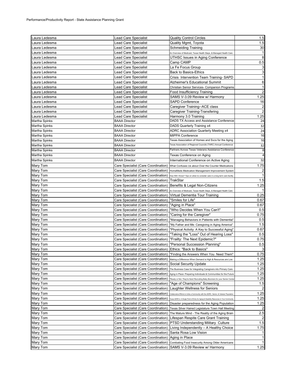| Laura Ledesma        | Lead Care Specialist                                                       | <b>Quality Control Circles</b>                                                                  | 1.5                     |
|----------------------|----------------------------------------------------------------------------|-------------------------------------------------------------------------------------------------|-------------------------|
| Laura Ledesma        | Lead Care Specialist                                                       | Quality Mgmt, Toyota                                                                            | 1.5                     |
| Laura Ledesma        | Lead Care Specialist                                                       | Schmeiding Training                                                                             | 30                      |
| Laura Ledesma        | Lead Care Specialist                                                       | An Overview of Medicaid, Texas Health Steps, & Managed Health Care                              |                         |
| Laura Ledesma        | Lead Care Specialist                                                       | UTHSC Issues in Aging Conference                                                                | 8                       |
| Laura Ledesma        | Lead Care Specialist                                                       | Camp CAMP                                                                                       | 0.5                     |
| Laura Ledesma        | Lead Care Specialist                                                       | La Fe Focus Group                                                                               | 3                       |
| Laura Ledesma        | Lead Care Specialist                                                       | <b>Back to Basics-Ethics</b>                                                                    | 3                       |
| Laura Ledesma        | Lead Care Specialist                                                       | Crisis Intervention Team Training-SAPD                                                          | 1                       |
| Laura Ledesma        | Lead Care Specialist                                                       | Alzheimer's Educational Summit                                                                  | 6                       |
| Laura Ledesma        | ∟ead Care Specialist                                                       | Christian Senior Services- Companion Programs                                                   | 1                       |
| Laura Ledesma        | Lead Care Specialist                                                       | Food Insufficiency Training                                                                     | $\overline{c}$          |
| Laura Ledesma        | Lead Care Specialist                                                       | SAMS V-3.09 Review w/ Harmony                                                                   | 1.25                    |
| Laura Ledesma        | Lead Care Specialist                                                       | SAPD Conference                                                                                 | 16                      |
| Laura Ledesma        | Lead Care Specialist                                                       | Caregiver Training--ACE class                                                                   | $\overline{\mathbf{c}}$ |
| Laura Ledesma        | Lead Care Specialist                                                       | Caregiver Training-Transfering                                                                  | $\overline{c}$          |
| Laura Ledesma        | Lead Care Specialist                                                       | Harmony 3.0 Training                                                                            | 1.25                    |
| Martha Spinks        | <b>BAAA Director</b>                                                       | DADS TX Access and Assistance Conference                                                        | 24                      |
| Martha Spinks        | <b>BAAA Director</b>                                                       | DADS Quarterly Training x4                                                                      | 32                      |
| Martha Spinks        | <b>BAAA Director</b>                                                       | ADRC Association Quarterly Meeting x4                                                           | 24                      |
| Martha Spinks        | <b>BAAA Director</b>                                                       | <b>MIPPA Conference</b>                                                                         | 16                      |
| Martha Spinks        | <b>BAAA Director</b>                                                       | Texas Association of Homes and Svcs for the Aging                                               | 16                      |
| Martha Spinks        | <b>BAAA Director</b>                                                       | Texas Association of Regional Councils (TARC) Annual Conference                                 | 32                      |
| Martha Spinks        | <b>BAAA Director</b>                                                       | Partners Across Texas Veterans Assistance Conference                                            | 8                       |
| Martha Spinks        | <b>BAAA Director</b>                                                       | Texas Conference on Aging                                                                       |                         |
| Martha Spinks        | <b>BAAA Director</b>                                                       | International Conference on Active Aging                                                        | 32                      |
| Mary Tom             | Care Specialist (Care Coordination)                                        | What Confuses Us about Over the Counter Medications                                             | 1.75                    |
| Mary Tom             | Care Specialist (Care Coordination)                                        | HomeMeds Medication Management Improvement System                                               | $\overline{\mathbf{c}}$ |
| Mary Tom             | Care Specialist (Care Coordination)                                        | How Will I Know? Tips on when to consider care in a long term care facility                     |                         |
| Mary Tom             | Care Specialist (Care Coordination)                                        | TrakStar                                                                                        | 1.5                     |
| Mary Tom             | Care Specialist (Care Coordination)                                        | Benefits & Legal Non-Citizens                                                                   | 1.25                    |
| Mary Tom             | Care Specialist (Care Coordination)                                        | An Overview of Medicaid, Texas Health Steps, & Managed Health Care                              |                         |
| Mary Tom             | Care Specialist (Care Coordination)                                        | Virtual Dementia Tour Training                                                                  | 0.25                    |
| Mary Tom             | Care Specialist (Care Coordination)                                        | "Smiles for Life"                                                                               | 0.67                    |
| Mary Tom             | Care Specialist (Care Coordination)                                        | "Aging in Place"                                                                                | 0.67                    |
| Mary Tom             | Care Specialist (Care Coordination)                                        | "Who Decides When You Can't"                                                                    | 0.5                     |
| Mary Tom             | Care Specialist (Care Coordination)                                        | "Caring for the Caregiver"                                                                      | 0.75                    |
| Mary Tom             | Care Specialist (Care Coordination)                                        | "Managing Behaviors in Patients with Dementia"                                                  | 0.5                     |
| Mary Tom             | Care Specialist (Care Coordination)                                        | "My Father and Me: Caregiving in Aging America"                                                 | 1.5                     |
| Mary Tom             | Care Specialist (Care Coordination)                                        | "Physical Activity: A Key to Successful Aging"                                                  | 0.67                    |
| Mary Tom             | Care Specialist (Care Coordination)                                        | "Taking the "Loss" Out of Hearing Loss"                                                         | 0.5                     |
| Mary Tom             | Care Specialist (Care Coordination)                                        | "Frailty: The Next Epidemic?"                                                                   | 0.75                    |
| Mary Tom             | Care Specialist (Care Coordination)                                        | "Personal Succession Planning"                                                                  | 0.5                     |
| Mary Tom             | Care Specialist (Care Coordination)                                        | Ethics: "Back to Basics"                                                                        | 3                       |
| Mary Tom             |                                                                            | Care Specialist (Care Coordination)  "Finding the Answers When You Need Them"                   | 0.75                    |
| Mary Tom             |                                                                            | Care Specialist (Care Coordination) Making a Difference When Demand is High & Resources are Low | 1.25                    |
| Mary Tom             | Care Specialist (Care Coordination)                                        | Social Security Update                                                                          | 1.25                    |
| Mary Tom             | Care Specialist (Care Coordination)                                        | The Business Case for Integrating Caregivers into Primary Care                                  | 1.25                    |
| Mary Tom             | Care Specialist (Care Coordination)                                        | Aging in Place: Preparing Individuals & Communities for the Future                              | 1.25                    |
| Mary Tom             | Care Specialist (Care Coordination)<br>Care Specialist (Care Coordination) | "Ready or Not, They're Here! Recruiting Baby Boomers for your Senior Cente                      | 1.25<br>1.5             |
| Mary Tom             |                                                                            | "Age of Champions" Screening                                                                    |                         |
| Mary Tom             | Care Specialist (Care Coordination)                                        | Laughter Wellness for Seniors                                                                   |                         |
| Mary Tom             | Care Specialist (Care Coordination)                                        | Collaboratve Efforts to Unite a Community with the ADRC, Senior, & Veteran Population           | 1.25                    |
| Mary Tom             | Care Specialist (Care Coordination)<br>Care Specialist (Care Coordination) | Texas ADRC's: A Single Point of Entry for Aging & Disability Resources in Your Community        | 1.25<br>1.25            |
| Mary Tom<br>Mary Tom |                                                                            | Disaster preparedness for the Aging Population                                                  |                         |
| Mary Tom             | Care Specialist (Care Coordination)<br>Care Specialist (Care Coordination) | Texas Silver Haired Legislature Town Hall Meeting                                               | 2.5                     |
|                      |                                                                            | The Mature Mind - The Reality of the Aging Brain                                                |                         |
| Mary Tom<br>Mary Tom | Care Specialist (Care Coordination)<br>Care Specialist (Care Coordination) | Lifespan Respite Care Grant Training<br><b>PTSD Understanding Military Culture</b>              | 1.5                     |
| Mary Tom             | Care Specialist (Care Coordination)                                        | Living Independently - A Healthy Choice                                                         | 1.75                    |
| Mary Tom             | Care Specialist (Care Coordination)                                        | Santa Rosa Low Vision                                                                           | 1                       |
| Mary Tom             | Care Specialist (Care Coordination)                                        | Aging in Place                                                                                  | 1                       |
| Mary Tom             | Care Specialist (Care Coordination)                                        | Combating Food Insecurity Among Older Americans                                                 |                         |
| Mary Tom             | Care Specialist (Care Coordination)                                        | SAMS V-3.09 Review w/ Harmony                                                                   | 1.25                    |
|                      |                                                                            |                                                                                                 |                         |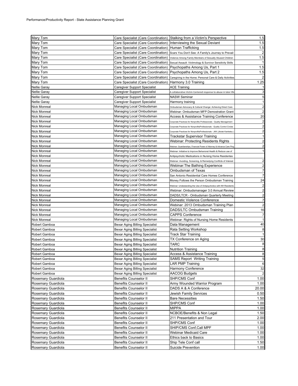| Mary Tom            |                                                                     | Care Specialist (Care Coordination) Stalking from a Victim's Perspective  | 1.5          |
|---------------------|---------------------------------------------------------------------|---------------------------------------------------------------------------|--------------|
| Mary Tom            | Care Specialist (Care Coordination) Interviewing the Sexual Deviant |                                                                           | 1.5          |
| Mary Tom            | Care Specialist (Care Coordination)                                 | Human Trafficking                                                         | 1.5          |
| Mary Tom            | Care Specialist (Care Coordination)                                 | Scars You Don't See: A Family's Journey to Prevail                        |              |
| Mary Tom            | Care Specialist (Care Coordination)                                 | Violence Among Family Members of Sexually Abused Children                 | 1.5          |
| Mary Tom            | Care Specialist (Care Coordination)                                 | Sexual Assault: Victimology & Survivor Sensitivity Skills                 |              |
| Mary Tom            | Care Specialist (Care Coordination)                                 | Psychopaths Among Us, Part 1                                              | 1.5          |
| Mary Tom            | Care Specialist (Care Coordination)                                 | Psychopaths Among Us, Part 2                                              | 1.5          |
| Mary Tom            | Care Specialist (Care Coordination)                                 | Caregiving in the Home: Personal Care & Daily Activities                  |              |
| Mary Tom            | Care Specialist (Care Coordination)                                 | Harmony 3.0 Training                                                      | 1.25         |
|                     |                                                                     |                                                                           |              |
| <b>Nellie Garay</b> | Caregiver Support Specialist<br>Caregiver Support Specialist        | <b>ACE Training</b>                                                       |              |
| <b>Nellie Garay</b> |                                                                     | A collaborative Victim Centered response to abuse in later life           |              |
| <b>Nellie Garay</b> | Caregiver Support Specialist                                        | <b>NASW Seminar</b>                                                       | 5            |
| <b>Nellie Garay</b> | Caregiver Support Specialist                                        | Harmony training                                                          |              |
| Nick Monreal        | Managing Local Ombudsman                                            | Ombudsman Advocacy & Cultural Change: Achieving Direct Care               | 2            |
| Nick Monreal        | Managing Local Ombudsman                                            | Webinar: Ombudsman MFP Demostration Grant                                 |              |
| Nick Monreal        | Managing Local Ombudsman                                            | Access & Assistance Training Conference                                   | 20           |
| <b>Nick Monreal</b> | Managing Local Ombudsman                                            | Corporate Practices for Nonprofits Professionals - Quality Management     | 2            |
| <b>Nick Monreal</b> | Managing Local Ombudsman                                            | Corporate Practices for NonprofitsProfessionals - Quality Control Circles | 2            |
| <b>Nick Monreal</b> | Managing Local Ombudsman                                            | Corporate Practices for NonprofitsProfessionals - JKK (Jikotei Kanketsu   | 2            |
| <b>Nick Monreal</b> | Managing Local Ombudsman                                            | <b>Trackstar Supervisor Training</b>                                      | 1            |
| <b>Nick Monreal</b> | Managing Local Ombudsman                                            | Webinar: Protecting Residents Rights                                      |              |
| Nick Monreal        | Managing Local Ombudsman                                            | Webinar: Guardianships, Financial Power of Attorney & Advance Care Plng   |              |
| <b>Nick Monreal</b> | Managing Local Ombudsman                                            | Webinar: Initiative to Improve Behavioral Health & Reduce use of          |              |
| <b>Nick Monreal</b> | Managing Local Ombudsman                                            | Antipsychotic Medications in Nursing Home Residentes                      |              |
| Nick Monreal        | Managing Local Ombudsman                                            | Webinar: Avoiding, Screening, & Remedying Conflicts of Interest           | 2            |
| <b>Nick Monreal</b> | Managing Local Ombudsman                                            | Webinar: The Bathing Experience                                           | 2            |
| <b>Nick Monreal</b> | Managing Local Ombudsman                                            | Ombudsman of Texas                                                        | 7            |
|                     | Managing Local Ombudsman                                            |                                                                           |              |
| <b>Nick Monreal</b> |                                                                     | San Antonio Residential Care Homes Conference                             |              |
| <b>Nick Monreal</b> | Managing Local Ombudsman                                            | Money Follows the Person Ombudsman Training                               | 24           |
| Nick Monreal        | Managing Local Ombudsman                                            | Webinar: Undestanding the Use of Antipsychotics with NH Residents         | 2            |
| <b>Nick Monreal</b> | Managing Local Ombudsman                                            | Webinar: Ombudsmanager 3.0 Annual Review                                  | 2            |
| <b>Nick Monreal</b> | Managing Local Ombudsman                                            | DADS/LTCR - Ombudsman Quarterly Meeting                                   | 2            |
| <b>Nick Monreal</b> | Managing Local Ombudsman                                            | Domestic Violence Conference                                              | 7            |
| Nick Monreal        | Managing Local Ombudsman                                            | Webinar: 2013 Ombudsman Training Plan                                     |              |
| Nick Monreal        | Managing Local Ombudsman                                            | DADS/LTC Ombudsman Training                                               | 16           |
| <b>Nick Monreal</b> | Managing Local Ombudsman                                            | <b>CAPPS Conference</b>                                                   |              |
| <b>Nick Monreal</b> | Managing Local Ombudsman                                            | Webinar: Rights of Nursing Home Residents                                 |              |
| Robert Gamboa       | Bexar Aging Billing Specialist                                      | Data Management                                                           | 40           |
| Robert Gamboa       | Bexar Aging Billing Specialist                                      | Rata Setting Workshop                                                     | 8            |
| Robert Gamboa       | Bexar Aging Billing Specialist                                      | <b>Track Star Training</b>                                                |              |
| Robert Gamboa       | Bexar Aging Billing Specialist                                      | TX Conference on Aging                                                    | 30           |
| Robert Gamboa       | Bexar Aging Billing Specialist                                      | <b>TARC</b>                                                               | 8            |
| Robert Gamboa       | Bexar Aging Billing Specialist                                      | <b>Nutrition Training</b>                                                 | 8            |
| Robert Gamboa       | Bexar Aging Billing Specialist                                      | Access & Assistance Training                                              | 8            |
| Robert Gamboa       | Bexar Aging Billing Specialist                                      | <b>SAMS Report Writing Training</b>                                       | 5            |
| Robert Gamboa       | Bexar Aging Billing Specialist                                      | LAR PMP Training                                                          | 6            |
| Robert Gamboa       | Bexar Aging Billing Specialist                                      | Harmony Conference                                                        | 32           |
| Robert Gamboa       | Bexar Aging Billing Specialist                                      | <b>AACOG Budgets</b>                                                      |              |
|                     | <b>Benefits Counselor II</b>                                        | SHP/CMS Conf                                                              |              |
| Rosemary Guardiola  | <b>Benefits Counselor II</b>                                        |                                                                           | 1.00<br>1.00 |
| Rosemary Guardiola  |                                                                     | Army Wounded Warrior Program                                              |              |
| Rosemary Guardiola  | <b>Benefits Counselor II</b>                                        | DADS A & A Conference                                                     | 20.00        |
| Rosemary Guardiola  | <b>Benefits Counselor II</b>                                        | Jewish Family Services                                                    | 0.50         |
| Rosemary Guardiola  | <b>Benefits Counselor II</b>                                        | <b>Bare Necessities</b>                                                   | 1.50         |
| Rosemary Guardiola  | <b>Benefits Counselor II</b>                                        | SHP/CMS Conf                                                              | 1.00         |
| Rosemary Guardiola  | Benefits Counselor II                                               | <b>MIPPA</b>                                                              | 1.00         |
| Rosemary Guardiola  | <b>Benefits Counselor II</b>                                        | NCBOE/Benefits & Non Legal                                                | 1.50         |
| Rosemary Guardiola  | <b>Benefits Counselor II</b>                                        | 211 Presentation and Tour                                                 | 2.00         |
| Rosemary Guardiola  | <b>Benefits Counselor II</b>                                        | SHP/CMS Conf                                                              | 1.00         |
| Rosemary Guardiola  | <b>Benefits Counselor II</b>                                        | SHIP/CMS Conf, Call MPF                                                   | 1.00         |
| Rosemary Guardiola  | <b>Benefits Counselor II</b>                                        | Webinar Medicaid Care                                                     | 1.00         |
| Rosemary Guardiola  | <b>Benefits Counselor II</b>                                        | Ethics back to Basics                                                     | 1.00         |
| Rosemary Guardiola  | <b>Benefits Counselor II</b>                                        | Ship Tele Conf call                                                       | 1.50         |
| Rosemary Guardiola  | <b>Benefits Counselor II</b>                                        | Suicide Prevention                                                        | 1.00         |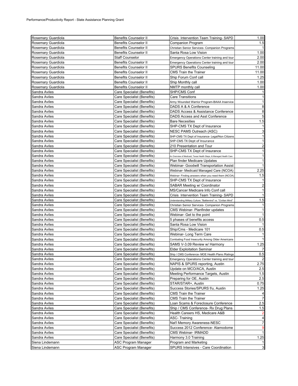| Rosemary Guardiola | <b>Benefits Counselor II</b> | Crisis Intervention Team Training-SAPD                             | 1.00           |
|--------------------|------------------------------|--------------------------------------------------------------------|----------------|
| Rosemary Guardiola | <b>Benefits Counselor II</b> | Companion Program                                                  | 1.5            |
| Rosemary Guardiola | Benefits Counselor II        | Christian Senior Services- Companion Programs                      |                |
| Rosemary Guardiola | <b>Benefits Counselor II</b> | Santa Rosa Low Vision                                              | 1.00           |
| Rosemary Guardiola | Staff Counselor              | Emergency Operations Center training and tour                      | 2.00           |
| Rosemary Guardiola | <b>Benefits Counselor II</b> | Emergency Operations Center training and tour                      | 2.00           |
| Rosemary Guardiola | <b>Benefits Counselor II</b> | <b>SPURS Benefits Counseling</b>                                   | 11.00          |
| Rosemary Guardiola | <b>Benefits Counselor II</b> | <b>CMS Train the Trainer</b>                                       | 11.00          |
| Rosemary Guardiola | <b>Benefits Counselor II</b> | Ship Forum Conf call                                               | 1.25           |
| Rosemary Guardiola | <b>Benefits Counselor II</b> | Ship Monthly call                                                  | 1.00           |
| Rosemary Guardiola | <b>Benefits Counselor II</b> | NMTP monthly call                                                  | 1.00           |
| Sandra Aviles      | Care Specialist (Benefits)   | <b>SHP/CMS Conf</b>                                                |                |
| Sandra Aviles      | Care Specialist (Benefits)   | Care Transitions                                                   |                |
| Sandra Aviles      | Care Specialist (Benefits)   | Army Wounded Warrior Program-BAAA Inservice                        |                |
| Sandra Aviles      | Care Specialist (Benefits)   | DADS A & A Conference                                              | 8              |
| Sandra Aviles      | Care Specialist (Benefits)   | DADS Access & Assistance Conference                                | 8              |
| Sandra Aviles      | Care Specialist (Benefits)   | DADS Access and Asst Conference                                    | 5              |
| Sandra Aviles      | Care Specialist (Benefits)   | <b>Bare Necesities</b>                                             | 1.5            |
| Sandra Aviles      | Care Specialist (Benefits)   | SHP-CMS TX Dept of Insurance                                       |                |
| Sandra Aviles      | Care Specialist (Benefits)   | NESC PAMS Outreach (ASC)                                           | 3              |
| Sandra Aviles      | Care Specialist (Benefits)   | SHP-CMS TX Dept of Insurance- Legal/Non Citizens                   | 1              |
| Sandra Aviles      | Care Specialist (Benefits)   | SHP-CMS TX Dept of Insurance                                       |                |
| Sandra Aviles      | Care Specialist (Benefits)   | 210 Presentation and Tour                                          |                |
| Sandra Aviles      | Care Specialist (Benefits)   | SHP-CMS TX Dept of Insurance                                       | 1              |
| Sandra Aviles      | Care Specialist (Benefits)   | An Overview of Medicaid, Texas Health Steps, & Managed Health Care |                |
| Sandra Aviles      | Care Specialist (Benefits)   | Plan finder Medicare Updates                                       |                |
| Sandra Aviles      | Care Specialist (Benefits)   | Webinar- Goodwill Transportation Assist                            |                |
| Sandra Aviles      | Care Specialist (Benefits)   | Webinar- Medicaid Managed Care (NCOA)                              | 2.25           |
| Sandra Aviles      | Care Specialist (Benefits)   | Webinar- Finding answers when you need them (NCOA)                 | 1.5            |
| Sandra Aviles      | Care Specialist (Benefits)   | SHP-CMS TX Dept of Insurance                                       |                |
| Sandra Aviles      | Care Specialist (Benefits)   | SABAR Meeting w/ Coordinator                                       | 2              |
| Sandra Aviles      | Care Specialist (Benefits)   | MS/Cancer Medicare Info Conf call                                  | 1              |
| Sandra Aviles      | Care Specialist (Benefits)   | Crisis Intervention Team Training-SAPD                             |                |
| Sandra Aviles      | Care Specialist (Benefits)   | Understanding Military Culture: "Battlemind" vs. "Civilian Mind"   | 1.5            |
| Sandra Aviles      | Care Specialist (Benefits)   | Christian Senior Services- Companion Programs                      |                |
| Sandra Aviles      | Care Specialist (Benefits)   | CMS Webinar- Planfinder updates                                    | 1              |
| Sandra Aviles      | Care Specialist (Benefits)   | Webinar- Get to the point                                          |                |
| Sandra Aviles      | Care Specialist (Benefits)   | 5 phases of benefits access                                        | 0.5            |
| Sandra Aviles      | Care Specialist (Benefits)   | Santa Rosa Low Vision                                              |                |
| Sandra Aviles      | Care Specialist (Benefits)   | Ship/Cms - Medicare 101                                            | 0.5            |
| Sandra Aviles      | Care Specialist (Benefits)   | Webinar- Long Term Care                                            |                |
| Sandra Aviles      | Care Specialist (Benefits)   | Combating Food Insecurity Among Older Americans                    |                |
| Sandra Aviles      | Care Specialist (Benefits)   | SAMS V-3.09 Review w/ Harmony                                      | 1.25           |
| Sandra Aviles      | Care Specialist (Benefits)   | <b>Elder Exploitation Seminar</b>                                  | 7              |
| Sandra Aviles      | Care Specialist (Benefits)   | Ship / CMS Conference- MOE Health Plans / Ratings                  | 0.5            |
| Sandra Aviles      | Care Specialist (Benefits)   | Emergency Operations Center training and tour                      | $\overline{2}$ |
| Sandra Aviles      | Care Specialist (Benefits)   | NAPIS & SPURS reporting, Austin                                    | 2.75           |
| Sandra Aviles      | Care Specialist (Benefits)   | Update on MCO/ACA, Austin                                          | 2.5            |
| Sandra Aviles      | Care Specialist (Benefits)   | Meeting Performance Targets, Austin                                | 1.5            |
| Sandra Aviles      | Care Specialist (Benefits)   | Preparing for OE, Austin                                           | 2.5            |
| Sandra Aviles      | Care Specialist (Benefits)   | STAR/STAR+, Austin                                                 | 0.75           |
| Sandra Aviles      | Care Specialist (Benefits)   | Success Stories/SPURS f/u, Austin                                  | 1.25           |
| Sandra Aviles      | Care Specialist (Benefits)   | CMS Train the Trainer                                              |                |
| Sandra Aviles      | Care Specialist (Benefits)   | CMS Train the Trainer                                              |                |
| Sandra Aviles      | Care Specialist (Benefits)   | Loan Scams & Foreclosure Conference                                | 2.5            |
| Sandra Aviles      | Care Specialist (Benefits)   | Ship / CMS Conference- Rx Drug Plans                               | 1.5            |
| Sandra Aviles      | Care Specialist (Benefits)   | Health Careers HS, Medicare A&B                                    |                |
| Sandra Aviles      | Care Specialist (Benefits)   | ASC-Training                                                       | 4              |
| Sandra Aviles      | Care Specialist (Benefits)   | Nat'l Memory Awareness-NESC                                        | 7              |
| Sandra Aviles      | Care Specialist (Benefits)   | Success 2012 Conference- Alamodome                                 |                |
| Sandra Aviles      | Care Specialist (Benefits)   | CMS Webinar- IRMADD                                                | 1              |
| Sandra Aviles      | Care Specialist (Benefits)   | Harmony 3.0 Training                                               | 1.25           |
| Siena Lindemann    | ASC Program Manager          | Program and Marketing                                              |                |
| Siena Lindemann    | ASC Program Manager          | SPURS Intensives - Care Coordination                               | 3              |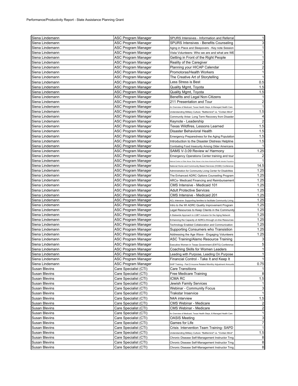| Siena Lindemann                    | ASC Program Manager                            | SPURS Intensives - Information and Referral                                               |                         |
|------------------------------------|------------------------------------------------|-------------------------------------------------------------------------------------------|-------------------------|
| Siena Lindemann                    | ASC Program Manager                            | SPURS Intensives - Benefits Counseling                                                    | 3                       |
| Siena Lindemann                    | ASC Program Manager                            | Aging in Place and Sleepovers - Key note Session                                          |                         |
| Siena Lindemann                    | ASC Program Manager                            | Vista Volunteers- Who we are and what are WE                                              |                         |
| Siena Lindemann                    | ASC Program Manager                            | Getting in Front of the Right People                                                      | 1                       |
| Siena Lindemann                    | ASC Program Manager                            | Reality of the Caregiver                                                                  | 2                       |
| Siena Lindemann                    | ASC Program Manager                            | Planning your HICAP Calendar                                                              | $\overline{c}$          |
| Siena Lindemann                    | ASC Program Manager                            | Promotoras/Health Workers                                                                 | 1                       |
| Siena Lindemann                    | ASC Program Manager                            | The Creative Art of Storytelling                                                          |                         |
| Siena Lindemann                    | ASC Program Manager                            | Less Stress is Best                                                                       | 0.5                     |
| Siena Lindemann                    | ASC Program Manager                            | Quality Mgmt, Toyota                                                                      | 1.5                     |
| Siena Lindemann                    | ASC Program Manager                            | Quality Mgmt, Toyota                                                                      | 1.5                     |
| Siena Lindemann                    | ASC Program Manager                            | Benefits and Legal Non-Citizens                                                           |                         |
| Siena Lindemann                    | ASC Program Manager                            | 211 Presentation and Tour                                                                 | $\overline{\mathbf{c}}$ |
| Siena Lindemann                    | ASC Program Manager                            | An Overview of Medicaid, Texas Health Steps, & Managed Health Care                        |                         |
| Siena Lindemann                    | ASC Program Manager                            | Understanding Military Culture: "Battlemind" vs. "Civilian Mind"                          | 1.5                     |
| Siena Lindemann                    | ASC Program Manager                            | Community Arise- Long Term Recovery from Disaster                                         | 4                       |
| Siena Lindemann                    | ASC Program Manager                            | Keynote - Leadership                                                                      | $\overline{\mathbf{c}}$ |
| Siena Lindemann                    | ASC Program Manager                            | Texas Wildfires, Lessons Learned                                                          | 1.5                     |
| Siena Lindemann                    | ASC Program Manager                            | Disaster Behavioral Health                                                                | 1.5                     |
| Siena Lindemann                    | ASC Program Manager                            | Emergency Preparedness for the Aging Population                                           | 1.5                     |
| Siena Lindemann                    | ASC Program Manager                            | Introduction to the Disaster Distress Helpline                                            | 1.5                     |
| Siena Lindemann                    | ASC Program Manager                            | Combating Food Insecurity Among Older Americans                                           |                         |
| Siena Lindemann                    | ASC Program Manager                            | SAMS V-3.09 Review w/ Harmony                                                             | 1.25                    |
| Siena Lindemann                    | ASC Program Manager                            | Emergency Operations Center training and tour                                             | $\overline{\mathbf{c}}$ |
| Siena Lindemann                    | ASC Program Manager                            | ational Center on Elder Abuse- Elder Abuse in the Asian-American/Pacific Islander Populal |                         |
| Siena Lindemann                    | ASC Program Manager                            | National Home and Community Based Services (HCBS) Conference                              | 14.5                    |
| Siena Lindemann                    | ASC Program Manager                            | Administration for Community Living Center for Disabilities                               | 1.25                    |
| Siena Lindemann                    | ASC Program Manager                            | The Enhanced ADRC Options Counseling Program                                              | 1.25                    |
| Siena Lindemann                    | ASC Program Manager                            | ARCs- Medicaid Financing and Reimbursement                                                | 1.25                    |
| Siena Lindemann                    | ASC Program Manager                            | CMS Intensive - Medicaid 101                                                              | 1.25                    |
| Siena Lindemann                    | ASC Program Manager                            | <b>Adult Protective Services</b>                                                          | 1.25                    |
| Siena Lindemann                    | ASC Program Manager                            | CMS Intensive - Medicaid 201                                                              | 1.25                    |
| Siena Lindemann                    | ASC Program Manager                            |                                                                                           | 1.25                    |
| Siena Lindemann                    | ASC Program Manager                            | ACL Intensive- Supporting families to facilitate Community Living                         | 1.25                    |
| Siena Lindemann                    | ASC Program Manager                            | Intro to the WI ADRC Quality Improvement Program                                          | 1.25                    |
| Siena Lindemann                    |                                                | Legal Resources to Keep Clients in the Community                                          | 1.25                    |
| Siena Lindemann                    | ASC Program Manager                            | A Statewide Approach to LGBT inclusion for the Aging Network                              | 1.25                    |
| Siena Lindemann                    | ASC Program Manager<br>ASC Program Manager     | Enhancing the Capacity of ADRCs through on-line Resources                                 | 1.25                    |
| Siena Lindemann                    | ASC Program Manager                            | Technology Enabled Collaboration and Communication                                        | 1.25                    |
|                                    |                                                | Supporting Consumers who Transistion                                                      | 1.25                    |
| Siena Lindemann<br>Siena Lindemann | ASC Program Manager<br>ASC Program Manager     | Addressing the Age Wave - Engaging Volunteers<br>ASC Training/Alamo Resource Training     | 3                       |
| Siena Lindemann                    | ASC Program Manager                            | Executive Women in Texas Government (EWTG) Conference                                     | 5                       |
| Siena Lindemann                    | ASC Program Manager                            | Coaching Skills for Women Leaders                                                         | 1                       |
| Siena Lindemann                    | ASC Program Manager                            |                                                                                           | $\mathbf{1}$            |
|                                    |                                                | Leading with Purpose, Leading On Purpose                                                  |                         |
| Siena Lindemann                    | ASC Program Manager                            | Financial Control - Take It and Keep It                                                   |                         |
| Siena Lindemann                    | ASC Program Manager<br>Care Specialist (CTI)   | SHIP Training - Part D-Income Related Monthly Adjustment Amounts                          | 0.75                    |
| Susan Blevins                      | Care Specialist (CTI)                          | Care Transitions<br>Free Medicare Training                                                |                         |
| Susan Blevins<br>Susan Blevins     | Care Specialist (CTI)                          | ICMA RC                                                                                   | 1.5                     |
| Susan Blevins                      |                                                | Jewish Family Services                                                                    |                         |
| Susan Blevins                      | Care Specialist (CTI)<br>Care Specialist (CTI) | Webinar - Community Focus                                                                 | 3                       |
| <b>Susan Blevins</b>               | Care Specialist (CTI)                          | Trakstar Inservice                                                                        |                         |
|                                    |                                                | N4A interview                                                                             | 1.5                     |
| Susan Blevins<br>Susan Blevins     | Care Specialist (CTI)<br>Care Specialist (CTI) | CMS Webinar - Medicare                                                                    |                         |
|                                    |                                                |                                                                                           |                         |
| Susan Blevins                      | Care Specialist (CTI)                          | CMS Webinar - Medicare                                                                    | 2<br>1                  |
| Susan Blevins                      | Care Specialist (CTI)                          | An Overview of Medicaid, Texas Health Steps, & Managed Health Care                        |                         |
| Susan Blevins                      | Care Specialist (CTI)                          | <b>OASIS Meeting</b>                                                                      | 3<br>7                  |
| Susan Blevins                      | Care Specialist (CTI)                          | Games for Life                                                                            |                         |
| Susan Blevins                      | Care Specialist (CTI)                          | Crisis Intervention Team Training-SAPD                                                    |                         |
| Susan Blevins                      | Care Specialist (CTI)                          | Understanding Military Culture: "Battlemind" vs. "Civilian Mind"                          | 1.5                     |
| Susan Blevins                      | Care Specialist (CTI)                          | Chronic Disease Self-Management Instructor Trng                                           | 8                       |
| Susan Blevins                      | Care Specialist (CTI)                          | Chronic Disease Self-Management Instructor Trng                                           | 8                       |
| Susan Blevins                      | Care Specialist (CTI)                          | Chronic Disease Self-Management Instructor Trng                                           | 8                       |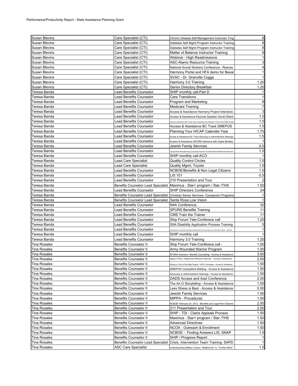| Susan Blevins        | Care Specialist (CTI)                                    | Chronic Disease Self-Management Instructor Trng                                             | 8              |
|----------------------|----------------------------------------------------------|---------------------------------------------------------------------------------------------|----------------|
| Susan Blevins        | Care Specialist (CTI)                                    | Diabetes Self Mgmt Program Instructor Training                                              | 8              |
| Susan Blevins        | Care Specialist (CTI)                                    | Diabetes Self Mgmt Program Instructor Training                                              | 8              |
| Susan Blevins        | Care Specialist (CTI)                                    | Matter of Balance Instructor Training                                                       | 8              |
| Susan Blevins        | Care Specialist (CTI)                                    | Webinar - High Readmissions                                                                 | 1              |
| Susan Blevins        | Care Specialist (CTI)                                    | ASC-Alamo Resource Training                                                                 | 3              |
| Susan Blevins        | Care Specialist (CTI)                                    | National Social Workers Conference - Reeves                                                 | 4              |
| Susan Blevins        | Care Specialist (CTI)                                    | Harmony Portal and HFA demo for Bexar                                                       | 1              |
| Susan Blevins        | Care Specialist (CTI)                                    | SVAC - Dr. Granville Coggs                                                                  |                |
| Susan Blevins        | Care Specialist (CTI)                                    | Harmony 3.0 Training                                                                        | 1.25           |
| <b>Susan Blevins</b> | Care Specialist (CTI)                                    | Senior Directory Breakfast                                                                  | 1.25           |
| Teresa Banda         | Lead Benefits Counselor                                  | SHIP monthly call-Part D                                                                    |                |
| Teresa Banda         | Lead Benefits Counselor                                  | <b>Care Transitions</b>                                                                     | 1              |
| Teresa Banda         | Lead Benefits Counselor                                  | Program and Marketing                                                                       | 8              |
| Teresa Banda         | Lead Benefits Counselor                                  | <b>Medicare Training</b>                                                                    | $\overline{7}$ |
| Teresa Banda         | Lead Benefits Counselor                                  | Access & Assistance Harmony Project Intenstive                                              | 3              |
| Teresa Banda         | Lead Benefits Counselor                                  | Access & Assistance Keynote Speaker David Dillard                                           | 1.5            |
| Teresa Banda         | Lead Benefits Counselor                                  | .<br>Access & Assistance BC Track Vista Volunteers and Getting in Front of the Right People | 1.5            |
| Teresa Banda         | Lead Benefits Counselor                                  | Access & Assistance BC Track DMEPOS                                                         | 1.5            |
| Teresa Banda         | Lead Benefits Counselor                                  | Planning Your HICAP Calender Year                                                           | 1.75           |
| Teresa Banda         | Lead Benefits Counselor                                  | Access & Assistance BC Track Advocacy in Administrative Hearings                            | 1.5            |
| Teresa Banda         | Lead Benefits Counselor                                  | Access & Assistance SPURS intensive with Gayle Berkley                                      |                |
| Teresa Banda         | Lead Benefits Counselor                                  | Jewish Family Services                                                                      | 0.5            |
| Teresa Banda         | Lead Benefits Counselor                                  | oyota Motor Manufacturing/ Corporate Practices for Nonprofits Professionals-start tir       | 1.5            |
| Teresa Banda         | Lead Benefits Counselor                                  | SHIP monthly call-ACO                                                                       |                |
| Teresa Banda         | Lead Care Specialist                                     | Quality Control Circles                                                                     | 1.5            |
| Teresa Banda         | <b>Lead Care Specialist</b>                              | Quality Mgmt, Toyota                                                                        | 1.5            |
| Teresa Banda         | Lead Benefits Counselor                                  | NCBOE/Benefits & Non Legal Citizens                                                         | 1.5            |
| Teresa Banda         | Lead Benefits Counselor                                  | LIS 101                                                                                     | 0.5            |
| Teresa Banda         | Lead Benefits Counselor                                  | 210 Presentation and Tour                                                                   |                |
| Teresa Banda         |                                                          | Benefits Counselor Lead Specialist   Maximus - Star+ program / Star / THS                   | 1.50           |
| Teresa Banda         | Lead Benefits Counselor                                  | <b>SHIP Directors Conference</b>                                                            | 24             |
| Teresa Banda         |                                                          | Benefits Counselor Lead Specialist   Christian Senior Services- Companion Programs          |                |
| Teresa Banda         | Benefits Counselor Lead Specialist Santa Rosa Low Vision |                                                                                             |                |
| Teresa Banda         | Lead Benefits Counselor                                  | N4A Conference,                                                                             | 32             |
| Teresa Banda         | Lead Benefits Counselor                                  | <b>SPURS Benefits Training</b>                                                              | 11             |
| Teresa Banda         | Lead Benefits Counselor                                  | <b>CMS Train the Trainer</b>                                                                | 11             |
| Teresa Banda         | Lead Benefits Counselor                                  | Ship Forum Tele-Conferece call                                                              | 1.25           |
| Teresa Banda         | Lead Benefits Counselor                                  | SSA Disability Application Process Training                                                 | 5              |
| Teresa Banda         | Lead Benefits Counselor                                  | mprehensive Volunteer Handbook Strenghthens the foundation of a Volunteer Program - Webina  |                |
| Teresa Banda         | Lead Benefits Counselor                                  | SHIP monthly call                                                                           |                |
| Teresa Banda         | Lead Benefits Counselor                                  | Harmony 3.0 Training                                                                        | 1.25           |
| <b>Tina Rosales</b>  | <b>Benefits Counselor II</b>                             | Ship Forum Tele-Conferece call -                                                            | 1.00           |
| Tina Rosales         | <b>Benefits Counselor II</b>                             | Army Wounded Warrior Program                                                                | 1.00           |
| <b>Tina Rosales</b>  | <b>Benefits Counselor II</b>                             | SPURS Intensive / Benefit Counseling - Access & Assistance                                  | 3.00           |
| Tina Rosales         | <b>Benefits Counselor II</b>                             | Aging in Place / Sleepovers Welcome /Keynote - Access & Assistance                          | 2.00           |
| <b>Tina Rosales</b>  | Benefits Counselor II                                    | Getting in Front of the Right People / VISTA Volunteers - Access & Assistance               | 1.50           |
| <b>Tina Rosales</b>  | <b>Benefits Counselor II</b>                             | DMEPOS Competitive Bidding - Access & Assistance                                            | 1.50           |
| <b>Tina Rosales</b>  | <b>Benefits Counselor II</b>                             | Advocacy in Administrative Hearings - Access & Assistance                                   | 1.50           |
| <b>Tina Rosales</b>  | <b>Benefits Counselor II</b>                             | DADS Access and Asst Conference                                                             | 2.00           |
| <b>Tina Rosales</b>  | <b>Benefits Counselor II</b>                             | The Art O Storytelling - Access & Assistance                                                | 1.00           |
| Tina Rosales         | Benefits Counselor II                                    | Less Stress is Best - Access & Assistance                                                   | 0.50           |
| <b>Tina Rosales</b>  | Benefits Counselor II                                    | Jewish Family Services                                                                      | 1.50           |
| <b>Tina Rosales</b>  | Benefits Counselor II                                    | MIPPA - Procedures                                                                          | 1.00           |
| <b>Tina Rosales</b>  | <b>Benefits Counselor II</b>                             | NCBOE February 24, 2012 - Benefits and Legal Non-Citizens                                   | 2.50           |
| <b>Tina Rosales</b>  | Benefits Counselor II                                    | 211 Presentation and Tour                                                                   | 2.00           |
| Tina Rosales         | <b>Benefits Counselor II</b>                             | SHIP - TDI - Clains Appeals Process                                                         | 1.50           |
| Tina Rosales         | <b>Benefits Counselor II</b>                             | Maximus - Star+ program / Star /THS                                                         | 1.50           |
| <b>Tina Rosales</b>  | <b>Benefits Counselor II</b>                             | <b>Advanced Directives</b>                                                                  | 1.50           |
| Tina Rosales         | <b>Benefits Counselor II</b>                             | NCOA - Outreach & Enrollment                                                                | 1.50           |
| <b>Tina Rosales</b>  | <b>Benefits Counselor II</b>                             | NCBOE - Finding Answers LIS, SNAP                                                           | 1.5            |
| <b>Tina Rosales</b>  |                                                          |                                                                                             |                |
|                      | <b>Benefits Counselor II</b>                             | SHIP / Progress Report                                                                      | 1              |
| Tina Rosales         | Benefits Counselor Lead Specialist                       | Crisis Intervention Team Training-SAPD                                                      | 1.5            |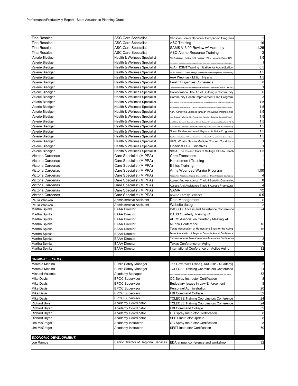| <b>Tina Rosales</b>          | <b>ASC Care Specialist</b>              | Christian Senior Services- Companion Programs                                                                    | 1              |
|------------------------------|-----------------------------------------|------------------------------------------------------------------------------------------------------------------|----------------|
| <b>Tina Rosales</b>          | <b>ASC Care Specialist</b>              | <b>ASC Training</b>                                                                                              | 16             |
| <b>Tina Rosales</b>          | <b>ASC Care Specialist</b>              | SAMS V-3.09 Review w/ Harmony                                                                                    | 1.25           |
| <b>Tina Rosales</b>          | <b>ASC Care Specialist</b>              | ASC-Alamo Resource Training                                                                                      | 3              |
| Valerie Biediger             | Health & Wellness Specialist            | ARRA Webnar - Putting It All Together - What Happens After ARRA?                                                 | 1.5            |
| Valerie Biediger             | Health & Wellness Specialist            | COA Webinar - Building Community Parnerships to Promote Physical Activity and Social Engagement for Older Adults | 1              |
| Valerie Biediger             | Health & Wellness Specialist            | AoA - DSMT Training Initiative for Accreditation                                                                 | 6.5            |
| Valerie Biediger             | Health & Wellness Specialist            | ARRA Webinar - "New Jersey's Infrastructure for Program Sustainability'                                          | 1.5            |
| Valerie Biediger             | Health & Wellness Specialist            | AoA Webniar - Million Hearts                                                                                     | 1.5            |
| Valerie Biediger             | Health & Wellness Specialist            | <b>Health Disparities Conference</b>                                                                             | 8              |
| Valerie Biediger             | Health & Wellness Specialist            | Disease Prevention and Health Promotion Services (OAA Title IIID)                                                | 1              |
| Valerie Biediger             | Health & Wellness Specialist            | Collaboration: The Art of Building a Community                                                                   | 6              |
| Valerie Biediger             | Health & Wellness Specialist            | Community Health Improvement Plan Program                                                                        | 3              |
| Valerie Biediger             | <b>Health &amp; Wellness Specialist</b> | ICoA Wedniar:Chronic Pain Self-Management Program and the Better Choices, Better Health Online Suit              | 1.5            |
| Valerie Biediger             | <b>Health &amp; Wellness Specialist</b> | oA: Diabetes Self Management Training: How It Benefits Seniors and Steps to Reimbursement                        | 1.5            |
| Valerie Biediger             | Health & Wellness Specialist            | AoA: Achieving Success through Innovative Partnerships                                                           | 1.5            |
| Valerie Biediger             | Health & Wellness Specialist            | loA: Empowering Partnerships Among State Agencies: Steps to a Successful Model                                   | 1.5            |
| Valerie Biediger             | Health & Wellness Specialist            | AoA: Making Community Connections: Chronic Disease Self-Management Education in FQHCs                            | 1.5            |
| Valerie Biediger             | Health & Wellness Specialist            | NCoA: Health Care and Community-Based Organizations: A Win-Win Partnership                                       | 1.5            |
| Valerie Biediger             | <b>Health &amp; Wellness Specialist</b> | Ncoa: Evidence-based Physical Activity Programs                                                                  | 1.5            |
| Valerie Biediger             | <b>Health &amp; Wellness Specialist</b> | .<br>Neb Forum: Workplace Wellness: New Finds and Efforts to Advance Healthier Cor                               | 1.5            |
| Valerie Biediger             | Health & Wellness Specialist            | HHS: What's New in Multiple Chronic Conditions                                                                   | $\mathbf{1}$   |
| Valerie Biediger             | <b>Health &amp; Wellness Specialist</b> | Finanical HEAL Initiatives                                                                                       | 1              |
| Valerie Biediger             | Health & Wellness Specialist            | NCoA: The Ins and Outs of Selling EBPs to Health                                                                 | 1.5            |
| Victoria Cardenas            | Care Specialist (MIPPA)                 | Care Transitions                                                                                                 | 1              |
| Victoria Cardenas            | Care Specialist (MIPPA)                 | Harassmen t Training                                                                                             | 1              |
| Victoria Cardenas            | Care Specialist (MIPPA)                 | <b>Ethics Training</b>                                                                                           | $\mathbf{1}$   |
| Victoria Cardenas            | Care Specialist (MIPPA)                 | Army Wounded Warrior Program                                                                                     | 1.00           |
| Victoria Cardenas            | Care Specialist (MIPPA)                 | Access And Assistance Track 2 Omnudsman and Track 4 Benefits Counseling                                          | $\overline{a}$ |
| Victoria Cardenas            | Care Specialist (MIPPA)                 | Access And Assistance Track 4 Benefits Counseling                                                                | 8              |
| Victoria Cardenas            | Care Specialist (MIPPA)                 | Access And Assistance Track 1 Access Promotora                                                                   | 4              |
| Victoria Cardenas            | Care Specialist (MIPPA)                 | SAMA                                                                                                             | 12             |
| Victoria Cardenas            | Care Specialist (MIPPA)                 | Jewish Family Services                                                                                           | 0.5            |
| Paula Wanken                 | Administrative Assistant                | Data Management                                                                                                  | 6              |
| Paula Wanken                 | Administrative Assistant                | Website design                                                                                                   | 3              |
| Martha Spinks                | <b>BAAA Director</b>                    | DADS TX Access and Assistance Conference                                                                         | 24             |
| Martha Spinks                | <b>BAAA Director</b>                    | DADS Quarterly Training x4                                                                                       |                |
| Martha Spinks                | <b>BAAA Director</b>                    | ADRC Association Quarterly Meeting x4                                                                            |                |
| Martha Spinks                | <b>BAAA Director</b>                    | <b>MIPPA Conference</b>                                                                                          | 16             |
| Martha Spinks                | <b>BAAA Director</b>                    | Texas Association of Homes and Svcs for the Aging                                                                | 16             |
| Martha Spinks                | <b>BAAA Director</b>                    | Texas Association of Regional Councils Annual Conference<br>Partners Across Texas Veterans Assistance Conference |                |
| Martha Spinks                | <b>BAAA Director</b>                    |                                                                                                                  | 8              |
| Martha Spinks                | <b>BAAA Director</b>                    | Texas Conference on Aging                                                                                        | 4              |
| Martha Spinks                | <b>BAAA Director</b>                    | International Conference on Active Aging                                                                         | 32             |
|                              |                                         |                                                                                                                  |                |
| <b>CRIMINAL JUSTICE:</b>     |                                         |                                                                                                                  |                |
| Marcela Medina               | <b>Public Safety Manager</b>            | The Governor's Office (TARC-2012 Quarterly)                                                                      | 5              |
| Marcela Medina               | <b>Public Safety Manager</b>            | <b>TCLEOSE Training Coordinators Conference</b>                                                                  | 24             |
| Michael Valiente             | Academy Manager                         |                                                                                                                  | 32             |
| <b>Mike Davis</b>            | <b>BPOC Supervisor</b>                  | OC Spray Instructor Certification                                                                                | 8              |
| <b>Mike Davis</b>            | <b>BPOC Supervisor</b>                  | Budgetary Issues in Law Enforcement                                                                              | 8              |
| <b>Mike Davis</b>            | <b>BPOC Supervisor</b>                  | Personnel Administration                                                                                         | 20             |
| <b>Mike Davis</b>            | <b>BPOC Supervisor</b>                  | <b>FBI Command College</b>                                                                                       | 32             |
| Mike Davis                   | <b>BPOC Supervisor</b>                  | <b>TCLEOSE Training Coordinators Conference</b>                                                                  | 24             |
| Richard Bryan                | <b>Academy Coordinator</b>              | <b>TCLEOSE Training Coordinators Conference</b>                                                                  | 24             |
| Richard Bryan                | Academy Coordinator                     | <b>FBI Command College</b>                                                                                       | 32             |
| Richard Bryan                | Academy Coordinator                     | OC Spray Instructor Certification                                                                                | 8              |
| Richard Bryan                | Academy Coordinator                     | <b>SFST Instructor Update</b>                                                                                    | 8              |
| Jim McGregor                 | Academy Instructor                      | OC Spray Instructor Certification                                                                                | 8              |
| Jim McGregor                 | Academy Instructor                      | <b>SFST Instructor Certification</b>                                                                             | 50             |
|                              |                                         |                                                                                                                  |                |
| <b>ECONOMIC DEVELOPMENT:</b> |                                         |                                                                                                                  |                |
| Joe Ramos                    | Senior Director of Regional Services    | EDA annual conference and workshop                                                                               | 32             |
|                              |                                         |                                                                                                                  |                |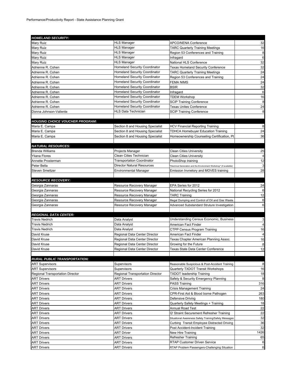| <b>HOMELAND SECURITY:</b>              |                                      |                                                                     |                         |
|----------------------------------------|--------------------------------------|---------------------------------------------------------------------|-------------------------|
| Mary Ruiz                              | <b>HLS Manager</b>                   | <b>APCO/NENA Conference</b>                                         | 32                      |
| Mary Ruiz                              | <b>HLS Manager</b>                   | <b>TARC Quarterly Training Meetings</b>                             | 16                      |
| Mary Ruiz                              | <b>HLS Manager</b>                   | Region 53 Conferences and Training                                  | 8                       |
| Mary Ruiz                              | <b>HLS Manager</b>                   | Infragard                                                           | 6                       |
| Mary Ruiz                              | <b>HLS Manager</b>                   | National HLS Conference                                             | 32                      |
| Adrienne R. Cohen                      | <b>Homeland Security Coordinator</b> | <b>Texas Homeland Security Conference</b>                           | 32                      |
| Adrienne R. Cohen                      | <b>Homeland Security Coordinator</b> | <b>TARC Quarterly Training Meetings</b>                             | 24                      |
| Adrienne R. Cohen                      | <b>Homeland Security Coordinator</b> | Region 53 Conferences and Training                                  | 24                      |
| Adrienne R. Cohen                      | <b>Homeland Security Coordinator</b> | <b>FEMA NIMS</b>                                                    | 24                      |
| Adrienne R. Cohen                      | <b>Homeland Security Coordinator</b> | <b>BSIR</b>                                                         | 32                      |
| Adrienne R. Cohen                      | <b>Homeland Security Coordinator</b> | Infragard                                                           | 6                       |
| Adrienne R. Cohen                      | <b>Homeland Security Coordinator</b> | <b>TDEM Workshop</b>                                                | 16                      |
| Adrienne R. Cohen                      | <b>Homeland Security Coordinator</b> | <b>SCIP Training Conference</b>                                     | 8                       |
| Adrienne R. Cohen                      | <b>Homeland Security Coordinator</b> | <b>Texas Unites Conference</b>                                      | 24                      |
| Donna Johnson-Valiente                 | HLS Data Technician                  | <b>SCIP Training Conference</b>                                     | 8                       |
|                                        |                                      |                                                                     |                         |
| <b>HOUSING CHOICE VOUCHER PROGRAM:</b> |                                      |                                                                     |                         |
| Maria E. Campa                         | Section 8 and Housing Specialist     | <b>HCV Financial Reporting Training</b>                             | 8                       |
| Maria E. Campa                         | Section 8 and Housing Specialist     | <b>TDHCA Homebuyer Education Training</b>                           | 24                      |
| Maria E. Campa                         | Section 8 and Housing Specialist     | Homeownership Counseling Certification, Pt                          | 36                      |
|                                        |                                      |                                                                     |                         |
| <b>NATURAL RESOURCES:</b>              |                                      |                                                                     |                         |
| <b>Brenda Williams</b>                 | Projects Manager                     | <b>Clean Cities University</b>                                      | 25                      |
| Yliana Flores                          | Clean Cities Technician              | <b>Clean Cities University</b>                                      | $\overline{\mathbf{4}}$ |
| Annette Prosterman                     | <b>Transportation Coordinator</b>    | PhotoShop training                                                  | 12                      |
| Peter Bella                            | <b>Director Natural Resources</b>    | "Electrical Generation and the Environment Workshop" (if available) | 3                       |
| <b>Steven Smeltzer</b>                 | <b>Environmental Manager</b>         | Emission Invnetory and MOVES training                               | 28                      |
|                                        |                                      |                                                                     |                         |
| <b>RESOURCE RECOVERY:</b>              |                                      |                                                                     |                         |
| Georgia Zannaras                       | Resource Recovery Manager            | EPA Series for 2012                                                 | 24                      |
| Georgia Zannaras                       | Resource Recovery Manager            | National Recycling Series for 2012                                  | 6                       |
| Georgia Zannaras                       | Resource Recovery Manager            | <b>TARC Training</b>                                                | 12                      |
| Georgia Zannaras                       | Resource Recovery Manager            | Illegal Dumping and Control of Oil and Gas Waste                    | 6                       |
| Georgia Zannaras                       | Resource Recovery Manager            | Advanced Substandard Struture Investigation                         | $6\phantom{1}6$         |
|                                        |                                      |                                                                     |                         |
| <b>REGIONAL DATA CENTER:</b>           |                                      |                                                                     |                         |
| <b>Travis Nedrich</b>                  | Data Analyst                         | Understanding Census Economic, Business                             | 3                       |
| <b>Travis Nedrich</b>                  | Data Analyst                         | American Fact Finder                                                | $\overline{4}$          |
| <b>Travis Nedrich</b>                  | Data Analyst                         | CTPP Census Program Training                                        | 16                      |
| David Kruse                            | Regional Data Center Director        | American Fact Finder                                                | $\overline{4}$          |
| David Kruse                            | Regional Data Center Director        | Texas Chapter American Planning Assoc.                              | 16                      |
| David Kruse                            | Regional Data Center Director        | Growing for the Future                                              | 8                       |
| David Kruse                            | Regional Data Center Director        | Texas State Data Center Conference                                  | 12                      |
|                                        |                                      |                                                                     |                         |
| <b>RURAL PUBLIC TRANSPORTATION:</b>    |                                      |                                                                     |                         |
| <b>ART Supervisors</b>                 | Supervisors                          | Reasonable Suspicious & Post-Accident Training                      | 8                       |
| <b>ART Supervisors</b>                 | Supervisors                          | Quarterly TXDOT Transit Workshops                                   | 16                      |
| Regional Transportation Director       | Regional Transportation Director     | <b>TXDOT leadership Training</b>                                    | 18                      |
| <b>ART Drivers</b>                     | <b>ART Drivers</b>                   | Safety & Security Emergency Planning                                | 8                       |
| <b>ART Drivers</b>                     | <b>ART Drivers</b>                   | PASS Training                                                       | 316                     |
| <b>ART Drivers</b>                     | <b>ART Drivers</b>                   | <b>Crisis Management Training</b>                                   | 24                      |
| <b>ART Drivers</b>                     | <b>ART Drivers</b>                   | CPR-First Aid & Blood borne Pathogen                                | 263                     |
| <b>ART Drivers</b>                     | <b>ART Drivers</b>                   | Defensive Driving                                                   | 180                     |
| <b>ART Drivers</b>                     | <b>ART Drivers</b>                   | Quarterly Safety Meetings + Training                                | 18                      |
| <b>ART Drivers</b>                     | <b>ART Drivers</b>                   | Annual Road Test                                                    | 22                      |
| <b>ART Drivers</b>                     | ART Drivers                          | Q' Straint Securement Refresher Training                            | 22                      |
| <b>ART Drivers</b>                     | <b>ART Drivers</b>                   | Situational Awareness Safety Training/Safety Messages               | 32                      |
| <b>ART Drivers</b>                     | <b>ART Drivers</b>                   | Curbing Transit Employee Distracted Driving                         | 36                      |
| <b>ART Drivers</b>                     | <b>ART Drivers</b>                   | Post Accident-Incident Training                                     | 32                      |
| <b>ART Drivers</b>                     | <b>ART Driver</b>                    | New Hire Training                                                   | 1426                    |
| <b>ART Drivers</b>                     | <b>ART Drivers</b>                   | Refresher Training                                                  | 65                      |
| <b>ART Drivers</b>                     | <b>ART Drivers</b>                   | RTAP Customer Driven Service                                        | $6\phantom{1}6$         |
| <b>ART Drivers</b>                     | <b>ART Drivers</b>                   | RTAP Problem Passengers-Challenging Situation                       | $6\phantom{1}6$         |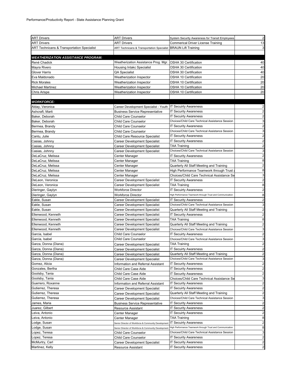| ART Drivers<br><b>ART Drivers</b><br><b>Commerical Driver License Training</b><br><b>ART Technicans &amp; Transportation Specialist</b><br><b>BRAUN Lift Training</b><br><b>ART Technicans &amp; Transportation Specialist</b><br><b>WEATHERIZATION ASSISTANCE PROGRAM:</b><br>Weatherization Assistance Prog. Mgr.<br>René Chadick<br><b>OSHA 30 Certification</b><br>40<br>Mayra Rivero<br>Housing Intakc Specialist<br>40<br>OSHA 30 Certification<br>Glover Harris<br>QA Specialist<br>OSHA 30 Certification<br>OSHA 10 Certification<br>Eva Maldonado<br>Weatherization Inspector<br>20<br><b>Rick Morales</b><br><b>Weatherization Inspector</b><br>OSHA 10 Certification<br>20<br><b>Michael Martinez</b><br>Weatherization Inspector<br>OSHA 10 Certification<br>OSHA 10 Certification<br>Chris Arispe<br>Weatherization Inspector<br><b>WORKFORCE:</b><br><b>IT Secuirty Awareness</b><br>Alday, Veronica<br>Career Development Specialist - Youth<br><b>IT Security Awareness</b><br>Ashcraft, Marti<br><b>Business Service Representative</b><br>Baker, Deborah<br>Child Care Counselor<br><b>IT Secuirty Awareness</b><br>Choices/Child Care Technical Assistance Session<br>Baker, Deborah<br>Child Care Counselor<br>Child Care Counselor<br><b>IT Security Awareness</b><br>Bermea, Brandy<br>3<br>Choices/Child Care Technical Assistance Session<br>Child Care Counselor<br>Bermea, Brandy<br><b>IT Security Awareness</b><br>Child Care Resource Specialist<br>Cantu, Julie<br><b>IT Security Awareness</b><br>Casias, Johnny<br>Career Development Specialist<br>$\overline{\mathbf{c}}$<br>TAA Training<br>Casias, Johnny<br>Career Development Specialist<br>Choices/Child Care Technical Assistance Session<br>Casias, Johnny<br><b>Career Development Specialist</b><br>$\overline{\mathbf{c}}$<br>DeLaCruz, Melissa<br><b>IT Security Awareness</b><br>Center Manager<br>DeLaCruz, Melissa<br><b>TAA Training</b><br>Center Manager<br>DeLaCruz, Melissa<br>Center Manager<br>Quarterly All Staff Meeting and Training<br>8<br>DeLaCruz, Melissa<br>High Performance Teamwork through Trust<br>Center Manager<br>DeLaCruz, Melissa<br>Center Manager<br>Choices/Child Care Technical Assistance Se<br>DeLeon, Veronica<br>Career Development Specialist<br><b>IT Security Awareness</b><br>8<br>DeLeon, Veronica<br>Career Development Specialist<br><b>TAA Training</b><br>$\overline{\mathbf{c}}$<br>Dieringer, Gaylyn<br><b>Workforce Director</b><br><b>IT Secuirty Awareness</b><br><b>Workforce Director</b><br>High Performance Teamwork through Trust and Communication<br>Dieringer, Gaylyn<br>$\overline{\mathbf{c}}$<br>Eakle, Susan<br><b>IT Security Awareness</b><br>Career Development Specialist<br>3<br>Choices/Child Care Technical Assistance Session<br>Eakle, Susan<br>Career Development Specialist<br>Quarterly All Staff Meeting and Training<br>Eakle, Susan<br>Career Development Specialist<br>$\overline{\mathbf{c}}$<br>Ellenwood, Kenneth<br><b>IT Security Awareness</b><br>Career Development Specialist<br>8<br>Ellenwood, Kenneth<br>Career Development Specialist<br><b>TAA Training</b><br>$\overline{\mathbf{c}}$<br>Ellenwood, Kenneth<br>Career Development Specialist<br>Quarterly All Staff Meeting and Training<br>Ellenwood, Kenneth<br>Choices/Child Care Technical Assistance Session<br><b>Career Development Specialist</b><br>$\overline{\mathbf{c}}$<br>Garcia, Isabel<br>Child Care Counselor<br><b>IT Secuirty Awareness</b><br>3<br>Child Care Counselor<br>Choices/Child Care Technical Assistance Session<br>Garcia, Isabel<br>$\overline{\mathbf{c}}$<br>Garza, Donna (Diana)<br><b>TAA Training</b><br>Career Development Specialist<br>$\overline{2}$<br>Garza, Donna (Diana)<br><b>IT Secuirty Awareness</b><br>Career Development Specialist<br>Garza, Donna (Diana)<br>Quarterly All Staff Meeting and Training<br>Career Development Specialist<br>3<br>Choices/Child Care Technical Assistance Session<br>Garza, Donna (Diana)<br>Career Development Specialist<br>Gomez, Alicia<br><b>IT Security Awareness</b><br>Information and Referral Assistant<br>Gonzales, Bertha<br><b>IT Security Awareness</b><br>Child Care Case Aide<br>Goolsby, Tania<br>Child Care Case Aide<br><b>IT Security Awareness</b><br>Goolsby, Tania<br>Child Care Case Aide<br>Choices/Child Care Technical Assistance Se<br>Guerrero, Roxanne<br>Information and Referral Assistant<br><b>IT Security Awareness</b><br>Gutierrez, Theresa<br><b>IT Secuirty Awareness</b><br>Career Development Specialist<br>Quarterly All Staff Meeting and Training<br>Gutierrez, Theresa<br>Career Development Specialist<br>Gutierrez, Theresa<br>Choices/Child Care Technical Assistance Session<br>Career Development Specialist<br>James, Maria<br><b>IT Security Awareness</b><br><b>Business Service Representative</b><br>Juarez, Gilbert<br><b>IT Security Awareness</b><br>Resource Assistant<br>eiva, Antonioـ<br><b>IT Secuirty Awareness</b><br>Center Manager<br>Leiva, Antonio<br><b>TAA Training</b><br>Center Manager<br>Lodge, Susan<br><b>IT Secuirty Awareness</b><br>Senior Director of Workforce & Community Development<br>Lodge, Susan<br>High Performance Teamwork through Trust and Communication<br>Senior Director of Workforce & Community Development<br>opez, Teresa<br>Choices/Child Care Technical Assistance Session<br>Child Care Counselor<br>opez, Teresa<br><b>IT Security Awareness</b><br>Child Care Counselor<br>McMurtry, Carl<br><b>IT Security Awareness</b><br>Career Development Specialist | <b>ART Drivers</b> | <b>ART Drivers</b> | System Security Awareness for Transit Employees | $\overline{a}$ |
|------------------------------------------------------------------------------------------------------------------------------------------------------------------------------------------------------------------------------------------------------------------------------------------------------------------------------------------------------------------------------------------------------------------------------------------------------------------------------------------------------------------------------------------------------------------------------------------------------------------------------------------------------------------------------------------------------------------------------------------------------------------------------------------------------------------------------------------------------------------------------------------------------------------------------------------------------------------------------------------------------------------------------------------------------------------------------------------------------------------------------------------------------------------------------------------------------------------------------------------------------------------------------------------------------------------------------------------------------------------------------------------------------------------------------------------------------------------------------------------------------------------------------------------------------------------------------------------------------------------------------------------------------------------------------------------------------------------------------------------------------------------------------------------------------------------------------------------------------------------------------------------------------------------------------------------------------------------------------------------------------------------------------------------------------------------------------------------------------------------------------------------------------------------------------------------------------------------------------------------------------------------------------------------------------------------------------------------------------------------------------------------------------------------------------------------------------------------------------------------------------------------------------------------------------------------------------------------------------------------------------------------------------------------------------------------------------------------------------------------------------------------------------------------------------------------------------------------------------------------------------------------------------------------------------------------------------------------------------------------------------------------------------------------------------------------------------------------------------------------------------------------------------------------------------------------------------------------------------------------------------------------------------------------------------------------------------------------------------------------------------------------------------------------------------------------------------------------------------------------------------------------------------------------------------------------------------------------------------------------------------------------------------------------------------------------------------------------------------------------------------------------------------------------------------------------------------------------------------------------------------------------------------------------------------------------------------------------------------------------------------------------------------------------------------------------------------------------------------------------------------------------------------------------------------------------------------------------------------------------------------------------------------------------------------------------------------------------------------------------------------------------------------------------------------------------------------------------------------------------------------------------------------------------------------------------------------------------------------------------------------------------------------------------------------------------------------------------------------------------------------------------------------------------------------------------------------------------------------------------------------------------------------------------------------------------------------------------------------------------------------------------------------------------------------------------------------------------------------------------------------------------------------------------------------------------------------------------------------------------------------------------------------------------------------------------------------------------------------------------------------------------------------------------------------------------------------------------------------------------------------------------------------------------------------------------------------------------------|--------------------|--------------------|-------------------------------------------------|----------------|
| 3<br>40<br>20<br>$\overline{a}$<br>$\overline{a}$<br>$\overline{a}$<br>3<br>$\overline{a}$<br>$\overline{a}$<br>$\overline{a}$<br>3<br>8<br>$\overline{\mathbf{c}}$<br>3<br>$\overline{a}$<br>8<br>$\overline{a}$<br>3<br>$\overline{a}$<br>$\overline{\mathbf{c}}$<br>$\overline{a}$<br>3<br>$\overline{a}$<br>$\overline{a}$<br>$\overline{a}$<br>3<br>$\overline{a}$<br>$\overline{a}$<br>$\overline{\mathbf{c}}$<br>8<br>3<br>$\overline{\mathbf{c}}$<br>$\overline{a}$                                                                                                                                                                                                                                                                                                                                                                                                                                                                                                                                                                                                                                                                                                                                                                                                                                                                                                                                                                                                                                                                                                                                                                                                                                                                                                                                                                                                                                                                                                                                                                                                                                                                                                                                                                                                                                                                                                                                                                                                                                                                                                                                                                                                                                                                                                                                                                                                                                                                                                                                                                                                                                                                                                                                                                                                                                                                                                                                                                                                                                                                                                                                                                                                                                                                                                                                                                                                                                                                                                                                                                                                                                                                                                                                                                                                                                                                                                                                                                                                                                                                                                                                                                                                                                                                                                                                                                                                                                                                                                                                                                                                                                                                                                                                                                                                                                                                                                                                                                                                                                                                                                                    |                    |                    |                                                 | 13             |
|                                                                                                                                                                                                                                                                                                                                                                                                                                                                                                                                                                                                                                                                                                                                                                                                                                                                                                                                                                                                                                                                                                                                                                                                                                                                                                                                                                                                                                                                                                                                                                                                                                                                                                                                                                                                                                                                                                                                                                                                                                                                                                                                                                                                                                                                                                                                                                                                                                                                                                                                                                                                                                                                                                                                                                                                                                                                                                                                                                                                                                                                                                                                                                                                                                                                                                                                                                                                                                                                                                                                                                                                                                                                                                                                                                                                                                                                                                                                                                                                                                                                                                                                                                                                                                                                                                                                                                                                                                                                                                                                                                                                                                                                                                                                                                                                                                                                                                                                                                                                                                                                                                                                                                                                                                                                                                                                                                                                                                                                                                                                                                                                |                    |                    |                                                 |                |
|                                                                                                                                                                                                                                                                                                                                                                                                                                                                                                                                                                                                                                                                                                                                                                                                                                                                                                                                                                                                                                                                                                                                                                                                                                                                                                                                                                                                                                                                                                                                                                                                                                                                                                                                                                                                                                                                                                                                                                                                                                                                                                                                                                                                                                                                                                                                                                                                                                                                                                                                                                                                                                                                                                                                                                                                                                                                                                                                                                                                                                                                                                                                                                                                                                                                                                                                                                                                                                                                                                                                                                                                                                                                                                                                                                                                                                                                                                                                                                                                                                                                                                                                                                                                                                                                                                                                                                                                                                                                                                                                                                                                                                                                                                                                                                                                                                                                                                                                                                                                                                                                                                                                                                                                                                                                                                                                                                                                                                                                                                                                                                                                |                    |                    |                                                 |                |
|                                                                                                                                                                                                                                                                                                                                                                                                                                                                                                                                                                                                                                                                                                                                                                                                                                                                                                                                                                                                                                                                                                                                                                                                                                                                                                                                                                                                                                                                                                                                                                                                                                                                                                                                                                                                                                                                                                                                                                                                                                                                                                                                                                                                                                                                                                                                                                                                                                                                                                                                                                                                                                                                                                                                                                                                                                                                                                                                                                                                                                                                                                                                                                                                                                                                                                                                                                                                                                                                                                                                                                                                                                                                                                                                                                                                                                                                                                                                                                                                                                                                                                                                                                                                                                                                                                                                                                                                                                                                                                                                                                                                                                                                                                                                                                                                                                                                                                                                                                                                                                                                                                                                                                                                                                                                                                                                                                                                                                                                                                                                                                                                |                    |                    |                                                 |                |
| 20                                                                                                                                                                                                                                                                                                                                                                                                                                                                                                                                                                                                                                                                                                                                                                                                                                                                                                                                                                                                                                                                                                                                                                                                                                                                                                                                                                                                                                                                                                                                                                                                                                                                                                                                                                                                                                                                                                                                                                                                                                                                                                                                                                                                                                                                                                                                                                                                                                                                                                                                                                                                                                                                                                                                                                                                                                                                                                                                                                                                                                                                                                                                                                                                                                                                                                                                                                                                                                                                                                                                                                                                                                                                                                                                                                                                                                                                                                                                                                                                                                                                                                                                                                                                                                                                                                                                                                                                                                                                                                                                                                                                                                                                                                                                                                                                                                                                                                                                                                                                                                                                                                                                                                                                                                                                                                                                                                                                                                                                                                                                                                                             |                    |                    |                                                 |                |
|                                                                                                                                                                                                                                                                                                                                                                                                                                                                                                                                                                                                                                                                                                                                                                                                                                                                                                                                                                                                                                                                                                                                                                                                                                                                                                                                                                                                                                                                                                                                                                                                                                                                                                                                                                                                                                                                                                                                                                                                                                                                                                                                                                                                                                                                                                                                                                                                                                                                                                                                                                                                                                                                                                                                                                                                                                                                                                                                                                                                                                                                                                                                                                                                                                                                                                                                                                                                                                                                                                                                                                                                                                                                                                                                                                                                                                                                                                                                                                                                                                                                                                                                                                                                                                                                                                                                                                                                                                                                                                                                                                                                                                                                                                                                                                                                                                                                                                                                                                                                                                                                                                                                                                                                                                                                                                                                                                                                                                                                                                                                                                                                |                    |                    |                                                 |                |
|                                                                                                                                                                                                                                                                                                                                                                                                                                                                                                                                                                                                                                                                                                                                                                                                                                                                                                                                                                                                                                                                                                                                                                                                                                                                                                                                                                                                                                                                                                                                                                                                                                                                                                                                                                                                                                                                                                                                                                                                                                                                                                                                                                                                                                                                                                                                                                                                                                                                                                                                                                                                                                                                                                                                                                                                                                                                                                                                                                                                                                                                                                                                                                                                                                                                                                                                                                                                                                                                                                                                                                                                                                                                                                                                                                                                                                                                                                                                                                                                                                                                                                                                                                                                                                                                                                                                                                                                                                                                                                                                                                                                                                                                                                                                                                                                                                                                                                                                                                                                                                                                                                                                                                                                                                                                                                                                                                                                                                                                                                                                                                                                |                    |                    |                                                 |                |
|                                                                                                                                                                                                                                                                                                                                                                                                                                                                                                                                                                                                                                                                                                                                                                                                                                                                                                                                                                                                                                                                                                                                                                                                                                                                                                                                                                                                                                                                                                                                                                                                                                                                                                                                                                                                                                                                                                                                                                                                                                                                                                                                                                                                                                                                                                                                                                                                                                                                                                                                                                                                                                                                                                                                                                                                                                                                                                                                                                                                                                                                                                                                                                                                                                                                                                                                                                                                                                                                                                                                                                                                                                                                                                                                                                                                                                                                                                                                                                                                                                                                                                                                                                                                                                                                                                                                                                                                                                                                                                                                                                                                                                                                                                                                                                                                                                                                                                                                                                                                                                                                                                                                                                                                                                                                                                                                                                                                                                                                                                                                                                                                |                    |                    |                                                 |                |
|                                                                                                                                                                                                                                                                                                                                                                                                                                                                                                                                                                                                                                                                                                                                                                                                                                                                                                                                                                                                                                                                                                                                                                                                                                                                                                                                                                                                                                                                                                                                                                                                                                                                                                                                                                                                                                                                                                                                                                                                                                                                                                                                                                                                                                                                                                                                                                                                                                                                                                                                                                                                                                                                                                                                                                                                                                                                                                                                                                                                                                                                                                                                                                                                                                                                                                                                                                                                                                                                                                                                                                                                                                                                                                                                                                                                                                                                                                                                                                                                                                                                                                                                                                                                                                                                                                                                                                                                                                                                                                                                                                                                                                                                                                                                                                                                                                                                                                                                                                                                                                                                                                                                                                                                                                                                                                                                                                                                                                                                                                                                                                                                |                    |                    |                                                 |                |
|                                                                                                                                                                                                                                                                                                                                                                                                                                                                                                                                                                                                                                                                                                                                                                                                                                                                                                                                                                                                                                                                                                                                                                                                                                                                                                                                                                                                                                                                                                                                                                                                                                                                                                                                                                                                                                                                                                                                                                                                                                                                                                                                                                                                                                                                                                                                                                                                                                                                                                                                                                                                                                                                                                                                                                                                                                                                                                                                                                                                                                                                                                                                                                                                                                                                                                                                                                                                                                                                                                                                                                                                                                                                                                                                                                                                                                                                                                                                                                                                                                                                                                                                                                                                                                                                                                                                                                                                                                                                                                                                                                                                                                                                                                                                                                                                                                                                                                                                                                                                                                                                                                                                                                                                                                                                                                                                                                                                                                                                                                                                                                                                |                    |                    |                                                 |                |
|                                                                                                                                                                                                                                                                                                                                                                                                                                                                                                                                                                                                                                                                                                                                                                                                                                                                                                                                                                                                                                                                                                                                                                                                                                                                                                                                                                                                                                                                                                                                                                                                                                                                                                                                                                                                                                                                                                                                                                                                                                                                                                                                                                                                                                                                                                                                                                                                                                                                                                                                                                                                                                                                                                                                                                                                                                                                                                                                                                                                                                                                                                                                                                                                                                                                                                                                                                                                                                                                                                                                                                                                                                                                                                                                                                                                                                                                                                                                                                                                                                                                                                                                                                                                                                                                                                                                                                                                                                                                                                                                                                                                                                                                                                                                                                                                                                                                                                                                                                                                                                                                                                                                                                                                                                                                                                                                                                                                                                                                                                                                                                                                |                    |                    |                                                 |                |
|                                                                                                                                                                                                                                                                                                                                                                                                                                                                                                                                                                                                                                                                                                                                                                                                                                                                                                                                                                                                                                                                                                                                                                                                                                                                                                                                                                                                                                                                                                                                                                                                                                                                                                                                                                                                                                                                                                                                                                                                                                                                                                                                                                                                                                                                                                                                                                                                                                                                                                                                                                                                                                                                                                                                                                                                                                                                                                                                                                                                                                                                                                                                                                                                                                                                                                                                                                                                                                                                                                                                                                                                                                                                                                                                                                                                                                                                                                                                                                                                                                                                                                                                                                                                                                                                                                                                                                                                                                                                                                                                                                                                                                                                                                                                                                                                                                                                                                                                                                                                                                                                                                                                                                                                                                                                                                                                                                                                                                                                                                                                                                                                |                    |                    |                                                 |                |
|                                                                                                                                                                                                                                                                                                                                                                                                                                                                                                                                                                                                                                                                                                                                                                                                                                                                                                                                                                                                                                                                                                                                                                                                                                                                                                                                                                                                                                                                                                                                                                                                                                                                                                                                                                                                                                                                                                                                                                                                                                                                                                                                                                                                                                                                                                                                                                                                                                                                                                                                                                                                                                                                                                                                                                                                                                                                                                                                                                                                                                                                                                                                                                                                                                                                                                                                                                                                                                                                                                                                                                                                                                                                                                                                                                                                                                                                                                                                                                                                                                                                                                                                                                                                                                                                                                                                                                                                                                                                                                                                                                                                                                                                                                                                                                                                                                                                                                                                                                                                                                                                                                                                                                                                                                                                                                                                                                                                                                                                                                                                                                                                |                    |                    |                                                 |                |
|                                                                                                                                                                                                                                                                                                                                                                                                                                                                                                                                                                                                                                                                                                                                                                                                                                                                                                                                                                                                                                                                                                                                                                                                                                                                                                                                                                                                                                                                                                                                                                                                                                                                                                                                                                                                                                                                                                                                                                                                                                                                                                                                                                                                                                                                                                                                                                                                                                                                                                                                                                                                                                                                                                                                                                                                                                                                                                                                                                                                                                                                                                                                                                                                                                                                                                                                                                                                                                                                                                                                                                                                                                                                                                                                                                                                                                                                                                                                                                                                                                                                                                                                                                                                                                                                                                                                                                                                                                                                                                                                                                                                                                                                                                                                                                                                                                                                                                                                                                                                                                                                                                                                                                                                                                                                                                                                                                                                                                                                                                                                                                                                |                    |                    |                                                 |                |
|                                                                                                                                                                                                                                                                                                                                                                                                                                                                                                                                                                                                                                                                                                                                                                                                                                                                                                                                                                                                                                                                                                                                                                                                                                                                                                                                                                                                                                                                                                                                                                                                                                                                                                                                                                                                                                                                                                                                                                                                                                                                                                                                                                                                                                                                                                                                                                                                                                                                                                                                                                                                                                                                                                                                                                                                                                                                                                                                                                                                                                                                                                                                                                                                                                                                                                                                                                                                                                                                                                                                                                                                                                                                                                                                                                                                                                                                                                                                                                                                                                                                                                                                                                                                                                                                                                                                                                                                                                                                                                                                                                                                                                                                                                                                                                                                                                                                                                                                                                                                                                                                                                                                                                                                                                                                                                                                                                                                                                                                                                                                                                                                |                    |                    |                                                 |                |
|                                                                                                                                                                                                                                                                                                                                                                                                                                                                                                                                                                                                                                                                                                                                                                                                                                                                                                                                                                                                                                                                                                                                                                                                                                                                                                                                                                                                                                                                                                                                                                                                                                                                                                                                                                                                                                                                                                                                                                                                                                                                                                                                                                                                                                                                                                                                                                                                                                                                                                                                                                                                                                                                                                                                                                                                                                                                                                                                                                                                                                                                                                                                                                                                                                                                                                                                                                                                                                                                                                                                                                                                                                                                                                                                                                                                                                                                                                                                                                                                                                                                                                                                                                                                                                                                                                                                                                                                                                                                                                                                                                                                                                                                                                                                                                                                                                                                                                                                                                                                                                                                                                                                                                                                                                                                                                                                                                                                                                                                                                                                                                                                |                    |                    |                                                 |                |
|                                                                                                                                                                                                                                                                                                                                                                                                                                                                                                                                                                                                                                                                                                                                                                                                                                                                                                                                                                                                                                                                                                                                                                                                                                                                                                                                                                                                                                                                                                                                                                                                                                                                                                                                                                                                                                                                                                                                                                                                                                                                                                                                                                                                                                                                                                                                                                                                                                                                                                                                                                                                                                                                                                                                                                                                                                                                                                                                                                                                                                                                                                                                                                                                                                                                                                                                                                                                                                                                                                                                                                                                                                                                                                                                                                                                                                                                                                                                                                                                                                                                                                                                                                                                                                                                                                                                                                                                                                                                                                                                                                                                                                                                                                                                                                                                                                                                                                                                                                                                                                                                                                                                                                                                                                                                                                                                                                                                                                                                                                                                                                                                |                    |                    |                                                 |                |
|                                                                                                                                                                                                                                                                                                                                                                                                                                                                                                                                                                                                                                                                                                                                                                                                                                                                                                                                                                                                                                                                                                                                                                                                                                                                                                                                                                                                                                                                                                                                                                                                                                                                                                                                                                                                                                                                                                                                                                                                                                                                                                                                                                                                                                                                                                                                                                                                                                                                                                                                                                                                                                                                                                                                                                                                                                                                                                                                                                                                                                                                                                                                                                                                                                                                                                                                                                                                                                                                                                                                                                                                                                                                                                                                                                                                                                                                                                                                                                                                                                                                                                                                                                                                                                                                                                                                                                                                                                                                                                                                                                                                                                                                                                                                                                                                                                                                                                                                                                                                                                                                                                                                                                                                                                                                                                                                                                                                                                                                                                                                                                                                |                    |                    |                                                 |                |
|                                                                                                                                                                                                                                                                                                                                                                                                                                                                                                                                                                                                                                                                                                                                                                                                                                                                                                                                                                                                                                                                                                                                                                                                                                                                                                                                                                                                                                                                                                                                                                                                                                                                                                                                                                                                                                                                                                                                                                                                                                                                                                                                                                                                                                                                                                                                                                                                                                                                                                                                                                                                                                                                                                                                                                                                                                                                                                                                                                                                                                                                                                                                                                                                                                                                                                                                                                                                                                                                                                                                                                                                                                                                                                                                                                                                                                                                                                                                                                                                                                                                                                                                                                                                                                                                                                                                                                                                                                                                                                                                                                                                                                                                                                                                                                                                                                                                                                                                                                                                                                                                                                                                                                                                                                                                                                                                                                                                                                                                                                                                                                                                |                    |                    |                                                 |                |
|                                                                                                                                                                                                                                                                                                                                                                                                                                                                                                                                                                                                                                                                                                                                                                                                                                                                                                                                                                                                                                                                                                                                                                                                                                                                                                                                                                                                                                                                                                                                                                                                                                                                                                                                                                                                                                                                                                                                                                                                                                                                                                                                                                                                                                                                                                                                                                                                                                                                                                                                                                                                                                                                                                                                                                                                                                                                                                                                                                                                                                                                                                                                                                                                                                                                                                                                                                                                                                                                                                                                                                                                                                                                                                                                                                                                                                                                                                                                                                                                                                                                                                                                                                                                                                                                                                                                                                                                                                                                                                                                                                                                                                                                                                                                                                                                                                                                                                                                                                                                                                                                                                                                                                                                                                                                                                                                                                                                                                                                                                                                                                                                |                    |                    |                                                 |                |
|                                                                                                                                                                                                                                                                                                                                                                                                                                                                                                                                                                                                                                                                                                                                                                                                                                                                                                                                                                                                                                                                                                                                                                                                                                                                                                                                                                                                                                                                                                                                                                                                                                                                                                                                                                                                                                                                                                                                                                                                                                                                                                                                                                                                                                                                                                                                                                                                                                                                                                                                                                                                                                                                                                                                                                                                                                                                                                                                                                                                                                                                                                                                                                                                                                                                                                                                                                                                                                                                                                                                                                                                                                                                                                                                                                                                                                                                                                                                                                                                                                                                                                                                                                                                                                                                                                                                                                                                                                                                                                                                                                                                                                                                                                                                                                                                                                                                                                                                                                                                                                                                                                                                                                                                                                                                                                                                                                                                                                                                                                                                                                                                |                    |                    |                                                 |                |
|                                                                                                                                                                                                                                                                                                                                                                                                                                                                                                                                                                                                                                                                                                                                                                                                                                                                                                                                                                                                                                                                                                                                                                                                                                                                                                                                                                                                                                                                                                                                                                                                                                                                                                                                                                                                                                                                                                                                                                                                                                                                                                                                                                                                                                                                                                                                                                                                                                                                                                                                                                                                                                                                                                                                                                                                                                                                                                                                                                                                                                                                                                                                                                                                                                                                                                                                                                                                                                                                                                                                                                                                                                                                                                                                                                                                                                                                                                                                                                                                                                                                                                                                                                                                                                                                                                                                                                                                                                                                                                                                                                                                                                                                                                                                                                                                                                                                                                                                                                                                                                                                                                                                                                                                                                                                                                                                                                                                                                                                                                                                                                                                |                    |                    |                                                 |                |
|                                                                                                                                                                                                                                                                                                                                                                                                                                                                                                                                                                                                                                                                                                                                                                                                                                                                                                                                                                                                                                                                                                                                                                                                                                                                                                                                                                                                                                                                                                                                                                                                                                                                                                                                                                                                                                                                                                                                                                                                                                                                                                                                                                                                                                                                                                                                                                                                                                                                                                                                                                                                                                                                                                                                                                                                                                                                                                                                                                                                                                                                                                                                                                                                                                                                                                                                                                                                                                                                                                                                                                                                                                                                                                                                                                                                                                                                                                                                                                                                                                                                                                                                                                                                                                                                                                                                                                                                                                                                                                                                                                                                                                                                                                                                                                                                                                                                                                                                                                                                                                                                                                                                                                                                                                                                                                                                                                                                                                                                                                                                                                                                |                    |                    |                                                 |                |
|                                                                                                                                                                                                                                                                                                                                                                                                                                                                                                                                                                                                                                                                                                                                                                                                                                                                                                                                                                                                                                                                                                                                                                                                                                                                                                                                                                                                                                                                                                                                                                                                                                                                                                                                                                                                                                                                                                                                                                                                                                                                                                                                                                                                                                                                                                                                                                                                                                                                                                                                                                                                                                                                                                                                                                                                                                                                                                                                                                                                                                                                                                                                                                                                                                                                                                                                                                                                                                                                                                                                                                                                                                                                                                                                                                                                                                                                                                                                                                                                                                                                                                                                                                                                                                                                                                                                                                                                                                                                                                                                                                                                                                                                                                                                                                                                                                                                                                                                                                                                                                                                                                                                                                                                                                                                                                                                                                                                                                                                                                                                                                                                |                    |                    |                                                 |                |
|                                                                                                                                                                                                                                                                                                                                                                                                                                                                                                                                                                                                                                                                                                                                                                                                                                                                                                                                                                                                                                                                                                                                                                                                                                                                                                                                                                                                                                                                                                                                                                                                                                                                                                                                                                                                                                                                                                                                                                                                                                                                                                                                                                                                                                                                                                                                                                                                                                                                                                                                                                                                                                                                                                                                                                                                                                                                                                                                                                                                                                                                                                                                                                                                                                                                                                                                                                                                                                                                                                                                                                                                                                                                                                                                                                                                                                                                                                                                                                                                                                                                                                                                                                                                                                                                                                                                                                                                                                                                                                                                                                                                                                                                                                                                                                                                                                                                                                                                                                                                                                                                                                                                                                                                                                                                                                                                                                                                                                                                                                                                                                                                |                    |                    |                                                 |                |
|                                                                                                                                                                                                                                                                                                                                                                                                                                                                                                                                                                                                                                                                                                                                                                                                                                                                                                                                                                                                                                                                                                                                                                                                                                                                                                                                                                                                                                                                                                                                                                                                                                                                                                                                                                                                                                                                                                                                                                                                                                                                                                                                                                                                                                                                                                                                                                                                                                                                                                                                                                                                                                                                                                                                                                                                                                                                                                                                                                                                                                                                                                                                                                                                                                                                                                                                                                                                                                                                                                                                                                                                                                                                                                                                                                                                                                                                                                                                                                                                                                                                                                                                                                                                                                                                                                                                                                                                                                                                                                                                                                                                                                                                                                                                                                                                                                                                                                                                                                                                                                                                                                                                                                                                                                                                                                                                                                                                                                                                                                                                                                                                |                    |                    |                                                 |                |
|                                                                                                                                                                                                                                                                                                                                                                                                                                                                                                                                                                                                                                                                                                                                                                                                                                                                                                                                                                                                                                                                                                                                                                                                                                                                                                                                                                                                                                                                                                                                                                                                                                                                                                                                                                                                                                                                                                                                                                                                                                                                                                                                                                                                                                                                                                                                                                                                                                                                                                                                                                                                                                                                                                                                                                                                                                                                                                                                                                                                                                                                                                                                                                                                                                                                                                                                                                                                                                                                                                                                                                                                                                                                                                                                                                                                                                                                                                                                                                                                                                                                                                                                                                                                                                                                                                                                                                                                                                                                                                                                                                                                                                                                                                                                                                                                                                                                                                                                                                                                                                                                                                                                                                                                                                                                                                                                                                                                                                                                                                                                                                                                |                    |                    |                                                 |                |
|                                                                                                                                                                                                                                                                                                                                                                                                                                                                                                                                                                                                                                                                                                                                                                                                                                                                                                                                                                                                                                                                                                                                                                                                                                                                                                                                                                                                                                                                                                                                                                                                                                                                                                                                                                                                                                                                                                                                                                                                                                                                                                                                                                                                                                                                                                                                                                                                                                                                                                                                                                                                                                                                                                                                                                                                                                                                                                                                                                                                                                                                                                                                                                                                                                                                                                                                                                                                                                                                                                                                                                                                                                                                                                                                                                                                                                                                                                                                                                                                                                                                                                                                                                                                                                                                                                                                                                                                                                                                                                                                                                                                                                                                                                                                                                                                                                                                                                                                                                                                                                                                                                                                                                                                                                                                                                                                                                                                                                                                                                                                                                                                |                    |                    |                                                 |                |
|                                                                                                                                                                                                                                                                                                                                                                                                                                                                                                                                                                                                                                                                                                                                                                                                                                                                                                                                                                                                                                                                                                                                                                                                                                                                                                                                                                                                                                                                                                                                                                                                                                                                                                                                                                                                                                                                                                                                                                                                                                                                                                                                                                                                                                                                                                                                                                                                                                                                                                                                                                                                                                                                                                                                                                                                                                                                                                                                                                                                                                                                                                                                                                                                                                                                                                                                                                                                                                                                                                                                                                                                                                                                                                                                                                                                                                                                                                                                                                                                                                                                                                                                                                                                                                                                                                                                                                                                                                                                                                                                                                                                                                                                                                                                                                                                                                                                                                                                                                                                                                                                                                                                                                                                                                                                                                                                                                                                                                                                                                                                                                                                |                    |                    |                                                 |                |
|                                                                                                                                                                                                                                                                                                                                                                                                                                                                                                                                                                                                                                                                                                                                                                                                                                                                                                                                                                                                                                                                                                                                                                                                                                                                                                                                                                                                                                                                                                                                                                                                                                                                                                                                                                                                                                                                                                                                                                                                                                                                                                                                                                                                                                                                                                                                                                                                                                                                                                                                                                                                                                                                                                                                                                                                                                                                                                                                                                                                                                                                                                                                                                                                                                                                                                                                                                                                                                                                                                                                                                                                                                                                                                                                                                                                                                                                                                                                                                                                                                                                                                                                                                                                                                                                                                                                                                                                                                                                                                                                                                                                                                                                                                                                                                                                                                                                                                                                                                                                                                                                                                                                                                                                                                                                                                                                                                                                                                                                                                                                                                                                |                    |                    |                                                 |                |
|                                                                                                                                                                                                                                                                                                                                                                                                                                                                                                                                                                                                                                                                                                                                                                                                                                                                                                                                                                                                                                                                                                                                                                                                                                                                                                                                                                                                                                                                                                                                                                                                                                                                                                                                                                                                                                                                                                                                                                                                                                                                                                                                                                                                                                                                                                                                                                                                                                                                                                                                                                                                                                                                                                                                                                                                                                                                                                                                                                                                                                                                                                                                                                                                                                                                                                                                                                                                                                                                                                                                                                                                                                                                                                                                                                                                                                                                                                                                                                                                                                                                                                                                                                                                                                                                                                                                                                                                                                                                                                                                                                                                                                                                                                                                                                                                                                                                                                                                                                                                                                                                                                                                                                                                                                                                                                                                                                                                                                                                                                                                                                                                |                    |                    |                                                 |                |
| $\mathbf{2}$<br>8                                                                                                                                                                                                                                                                                                                                                                                                                                                                                                                                                                                                                                                                                                                                                                                                                                                                                                                                                                                                                                                                                                                                                                                                                                                                                                                                                                                                                                                                                                                                                                                                                                                                                                                                                                                                                                                                                                                                                                                                                                                                                                                                                                                                                                                                                                                                                                                                                                                                                                                                                                                                                                                                                                                                                                                                                                                                                                                                                                                                                                                                                                                                                                                                                                                                                                                                                                                                                                                                                                                                                                                                                                                                                                                                                                                                                                                                                                                                                                                                                                                                                                                                                                                                                                                                                                                                                                                                                                                                                                                                                                                                                                                                                                                                                                                                                                                                                                                                                                                                                                                                                                                                                                                                                                                                                                                                                                                                                                                                                                                                                                              |                    |                    |                                                 |                |
|                                                                                                                                                                                                                                                                                                                                                                                                                                                                                                                                                                                                                                                                                                                                                                                                                                                                                                                                                                                                                                                                                                                                                                                                                                                                                                                                                                                                                                                                                                                                                                                                                                                                                                                                                                                                                                                                                                                                                                                                                                                                                                                                                                                                                                                                                                                                                                                                                                                                                                                                                                                                                                                                                                                                                                                                                                                                                                                                                                                                                                                                                                                                                                                                                                                                                                                                                                                                                                                                                                                                                                                                                                                                                                                                                                                                                                                                                                                                                                                                                                                                                                                                                                                                                                                                                                                                                                                                                                                                                                                                                                                                                                                                                                                                                                                                                                                                                                                                                                                                                                                                                                                                                                                                                                                                                                                                                                                                                                                                                                                                                                                                |                    |                    |                                                 |                |
|                                                                                                                                                                                                                                                                                                                                                                                                                                                                                                                                                                                                                                                                                                                                                                                                                                                                                                                                                                                                                                                                                                                                                                                                                                                                                                                                                                                                                                                                                                                                                                                                                                                                                                                                                                                                                                                                                                                                                                                                                                                                                                                                                                                                                                                                                                                                                                                                                                                                                                                                                                                                                                                                                                                                                                                                                                                                                                                                                                                                                                                                                                                                                                                                                                                                                                                                                                                                                                                                                                                                                                                                                                                                                                                                                                                                                                                                                                                                                                                                                                                                                                                                                                                                                                                                                                                                                                                                                                                                                                                                                                                                                                                                                                                                                                                                                                                                                                                                                                                                                                                                                                                                                                                                                                                                                                                                                                                                                                                                                                                                                                                                |                    |                    |                                                 |                |
|                                                                                                                                                                                                                                                                                                                                                                                                                                                                                                                                                                                                                                                                                                                                                                                                                                                                                                                                                                                                                                                                                                                                                                                                                                                                                                                                                                                                                                                                                                                                                                                                                                                                                                                                                                                                                                                                                                                                                                                                                                                                                                                                                                                                                                                                                                                                                                                                                                                                                                                                                                                                                                                                                                                                                                                                                                                                                                                                                                                                                                                                                                                                                                                                                                                                                                                                                                                                                                                                                                                                                                                                                                                                                                                                                                                                                                                                                                                                                                                                                                                                                                                                                                                                                                                                                                                                                                                                                                                                                                                                                                                                                                                                                                                                                                                                                                                                                                                                                                                                                                                                                                                                                                                                                                                                                                                                                                                                                                                                                                                                                                                                |                    |                    |                                                 |                |
|                                                                                                                                                                                                                                                                                                                                                                                                                                                                                                                                                                                                                                                                                                                                                                                                                                                                                                                                                                                                                                                                                                                                                                                                                                                                                                                                                                                                                                                                                                                                                                                                                                                                                                                                                                                                                                                                                                                                                                                                                                                                                                                                                                                                                                                                                                                                                                                                                                                                                                                                                                                                                                                                                                                                                                                                                                                                                                                                                                                                                                                                                                                                                                                                                                                                                                                                                                                                                                                                                                                                                                                                                                                                                                                                                                                                                                                                                                                                                                                                                                                                                                                                                                                                                                                                                                                                                                                                                                                                                                                                                                                                                                                                                                                                                                                                                                                                                                                                                                                                                                                                                                                                                                                                                                                                                                                                                                                                                                                                                                                                                                                                |                    |                    |                                                 |                |
|                                                                                                                                                                                                                                                                                                                                                                                                                                                                                                                                                                                                                                                                                                                                                                                                                                                                                                                                                                                                                                                                                                                                                                                                                                                                                                                                                                                                                                                                                                                                                                                                                                                                                                                                                                                                                                                                                                                                                                                                                                                                                                                                                                                                                                                                                                                                                                                                                                                                                                                                                                                                                                                                                                                                                                                                                                                                                                                                                                                                                                                                                                                                                                                                                                                                                                                                                                                                                                                                                                                                                                                                                                                                                                                                                                                                                                                                                                                                                                                                                                                                                                                                                                                                                                                                                                                                                                                                                                                                                                                                                                                                                                                                                                                                                                                                                                                                                                                                                                                                                                                                                                                                                                                                                                                                                                                                                                                                                                                                                                                                                                                                |                    |                    |                                                 |                |
|                                                                                                                                                                                                                                                                                                                                                                                                                                                                                                                                                                                                                                                                                                                                                                                                                                                                                                                                                                                                                                                                                                                                                                                                                                                                                                                                                                                                                                                                                                                                                                                                                                                                                                                                                                                                                                                                                                                                                                                                                                                                                                                                                                                                                                                                                                                                                                                                                                                                                                                                                                                                                                                                                                                                                                                                                                                                                                                                                                                                                                                                                                                                                                                                                                                                                                                                                                                                                                                                                                                                                                                                                                                                                                                                                                                                                                                                                                                                                                                                                                                                                                                                                                                                                                                                                                                                                                                                                                                                                                                                                                                                                                                                                                                                                                                                                                                                                                                                                                                                                                                                                                                                                                                                                                                                                                                                                                                                                                                                                                                                                                                                |                    |                    |                                                 |                |
|                                                                                                                                                                                                                                                                                                                                                                                                                                                                                                                                                                                                                                                                                                                                                                                                                                                                                                                                                                                                                                                                                                                                                                                                                                                                                                                                                                                                                                                                                                                                                                                                                                                                                                                                                                                                                                                                                                                                                                                                                                                                                                                                                                                                                                                                                                                                                                                                                                                                                                                                                                                                                                                                                                                                                                                                                                                                                                                                                                                                                                                                                                                                                                                                                                                                                                                                                                                                                                                                                                                                                                                                                                                                                                                                                                                                                                                                                                                                                                                                                                                                                                                                                                                                                                                                                                                                                                                                                                                                                                                                                                                                                                                                                                                                                                                                                                                                                                                                                                                                                                                                                                                                                                                                                                                                                                                                                                                                                                                                                                                                                                                                |                    |                    |                                                 |                |
|                                                                                                                                                                                                                                                                                                                                                                                                                                                                                                                                                                                                                                                                                                                                                                                                                                                                                                                                                                                                                                                                                                                                                                                                                                                                                                                                                                                                                                                                                                                                                                                                                                                                                                                                                                                                                                                                                                                                                                                                                                                                                                                                                                                                                                                                                                                                                                                                                                                                                                                                                                                                                                                                                                                                                                                                                                                                                                                                                                                                                                                                                                                                                                                                                                                                                                                                                                                                                                                                                                                                                                                                                                                                                                                                                                                                                                                                                                                                                                                                                                                                                                                                                                                                                                                                                                                                                                                                                                                                                                                                                                                                                                                                                                                                                                                                                                                                                                                                                                                                                                                                                                                                                                                                                                                                                                                                                                                                                                                                                                                                                                                                |                    |                    |                                                 |                |
|                                                                                                                                                                                                                                                                                                                                                                                                                                                                                                                                                                                                                                                                                                                                                                                                                                                                                                                                                                                                                                                                                                                                                                                                                                                                                                                                                                                                                                                                                                                                                                                                                                                                                                                                                                                                                                                                                                                                                                                                                                                                                                                                                                                                                                                                                                                                                                                                                                                                                                                                                                                                                                                                                                                                                                                                                                                                                                                                                                                                                                                                                                                                                                                                                                                                                                                                                                                                                                                                                                                                                                                                                                                                                                                                                                                                                                                                                                                                                                                                                                                                                                                                                                                                                                                                                                                                                                                                                                                                                                                                                                                                                                                                                                                                                                                                                                                                                                                                                                                                                                                                                                                                                                                                                                                                                                                                                                                                                                                                                                                                                                                                |                    |                    |                                                 |                |
|                                                                                                                                                                                                                                                                                                                                                                                                                                                                                                                                                                                                                                                                                                                                                                                                                                                                                                                                                                                                                                                                                                                                                                                                                                                                                                                                                                                                                                                                                                                                                                                                                                                                                                                                                                                                                                                                                                                                                                                                                                                                                                                                                                                                                                                                                                                                                                                                                                                                                                                                                                                                                                                                                                                                                                                                                                                                                                                                                                                                                                                                                                                                                                                                                                                                                                                                                                                                                                                                                                                                                                                                                                                                                                                                                                                                                                                                                                                                                                                                                                                                                                                                                                                                                                                                                                                                                                                                                                                                                                                                                                                                                                                                                                                                                                                                                                                                                                                                                                                                                                                                                                                                                                                                                                                                                                                                                                                                                                                                                                                                                                                                |                    |                    |                                                 |                |
|                                                                                                                                                                                                                                                                                                                                                                                                                                                                                                                                                                                                                                                                                                                                                                                                                                                                                                                                                                                                                                                                                                                                                                                                                                                                                                                                                                                                                                                                                                                                                                                                                                                                                                                                                                                                                                                                                                                                                                                                                                                                                                                                                                                                                                                                                                                                                                                                                                                                                                                                                                                                                                                                                                                                                                                                                                                                                                                                                                                                                                                                                                                                                                                                                                                                                                                                                                                                                                                                                                                                                                                                                                                                                                                                                                                                                                                                                                                                                                                                                                                                                                                                                                                                                                                                                                                                                                                                                                                                                                                                                                                                                                                                                                                                                                                                                                                                                                                                                                                                                                                                                                                                                                                                                                                                                                                                                                                                                                                                                                                                                                                                |                    |                    |                                                 |                |
|                                                                                                                                                                                                                                                                                                                                                                                                                                                                                                                                                                                                                                                                                                                                                                                                                                                                                                                                                                                                                                                                                                                                                                                                                                                                                                                                                                                                                                                                                                                                                                                                                                                                                                                                                                                                                                                                                                                                                                                                                                                                                                                                                                                                                                                                                                                                                                                                                                                                                                                                                                                                                                                                                                                                                                                                                                                                                                                                                                                                                                                                                                                                                                                                                                                                                                                                                                                                                                                                                                                                                                                                                                                                                                                                                                                                                                                                                                                                                                                                                                                                                                                                                                                                                                                                                                                                                                                                                                                                                                                                                                                                                                                                                                                                                                                                                                                                                                                                                                                                                                                                                                                                                                                                                                                                                                                                                                                                                                                                                                                                                                                                |                    |                    |                                                 |                |
|                                                                                                                                                                                                                                                                                                                                                                                                                                                                                                                                                                                                                                                                                                                                                                                                                                                                                                                                                                                                                                                                                                                                                                                                                                                                                                                                                                                                                                                                                                                                                                                                                                                                                                                                                                                                                                                                                                                                                                                                                                                                                                                                                                                                                                                                                                                                                                                                                                                                                                                                                                                                                                                                                                                                                                                                                                                                                                                                                                                                                                                                                                                                                                                                                                                                                                                                                                                                                                                                                                                                                                                                                                                                                                                                                                                                                                                                                                                                                                                                                                                                                                                                                                                                                                                                                                                                                                                                                                                                                                                                                                                                                                                                                                                                                                                                                                                                                                                                                                                                                                                                                                                                                                                                                                                                                                                                                                                                                                                                                                                                                                                                |                    |                    |                                                 |                |
|                                                                                                                                                                                                                                                                                                                                                                                                                                                                                                                                                                                                                                                                                                                                                                                                                                                                                                                                                                                                                                                                                                                                                                                                                                                                                                                                                                                                                                                                                                                                                                                                                                                                                                                                                                                                                                                                                                                                                                                                                                                                                                                                                                                                                                                                                                                                                                                                                                                                                                                                                                                                                                                                                                                                                                                                                                                                                                                                                                                                                                                                                                                                                                                                                                                                                                                                                                                                                                                                                                                                                                                                                                                                                                                                                                                                                                                                                                                                                                                                                                                                                                                                                                                                                                                                                                                                                                                                                                                                                                                                                                                                                                                                                                                                                                                                                                                                                                                                                                                                                                                                                                                                                                                                                                                                                                                                                                                                                                                                                                                                                                                                |                    |                    |                                                 |                |
|                                                                                                                                                                                                                                                                                                                                                                                                                                                                                                                                                                                                                                                                                                                                                                                                                                                                                                                                                                                                                                                                                                                                                                                                                                                                                                                                                                                                                                                                                                                                                                                                                                                                                                                                                                                                                                                                                                                                                                                                                                                                                                                                                                                                                                                                                                                                                                                                                                                                                                                                                                                                                                                                                                                                                                                                                                                                                                                                                                                                                                                                                                                                                                                                                                                                                                                                                                                                                                                                                                                                                                                                                                                                                                                                                                                                                                                                                                                                                                                                                                                                                                                                                                                                                                                                                                                                                                                                                                                                                                                                                                                                                                                                                                                                                                                                                                                                                                                                                                                                                                                                                                                                                                                                                                                                                                                                                                                                                                                                                                                                                                                                |                    |                    |                                                 |                |
|                                                                                                                                                                                                                                                                                                                                                                                                                                                                                                                                                                                                                                                                                                                                                                                                                                                                                                                                                                                                                                                                                                                                                                                                                                                                                                                                                                                                                                                                                                                                                                                                                                                                                                                                                                                                                                                                                                                                                                                                                                                                                                                                                                                                                                                                                                                                                                                                                                                                                                                                                                                                                                                                                                                                                                                                                                                                                                                                                                                                                                                                                                                                                                                                                                                                                                                                                                                                                                                                                                                                                                                                                                                                                                                                                                                                                                                                                                                                                                                                                                                                                                                                                                                                                                                                                                                                                                                                                                                                                                                                                                                                                                                                                                                                                                                                                                                                                                                                                                                                                                                                                                                                                                                                                                                                                                                                                                                                                                                                                                                                                                                                |                    |                    |                                                 |                |
|                                                                                                                                                                                                                                                                                                                                                                                                                                                                                                                                                                                                                                                                                                                                                                                                                                                                                                                                                                                                                                                                                                                                                                                                                                                                                                                                                                                                                                                                                                                                                                                                                                                                                                                                                                                                                                                                                                                                                                                                                                                                                                                                                                                                                                                                                                                                                                                                                                                                                                                                                                                                                                                                                                                                                                                                                                                                                                                                                                                                                                                                                                                                                                                                                                                                                                                                                                                                                                                                                                                                                                                                                                                                                                                                                                                                                                                                                                                                                                                                                                                                                                                                                                                                                                                                                                                                                                                                                                                                                                                                                                                                                                                                                                                                                                                                                                                                                                                                                                                                                                                                                                                                                                                                                                                                                                                                                                                                                                                                                                                                                                                                |                    |                    |                                                 |                |
|                                                                                                                                                                                                                                                                                                                                                                                                                                                                                                                                                                                                                                                                                                                                                                                                                                                                                                                                                                                                                                                                                                                                                                                                                                                                                                                                                                                                                                                                                                                                                                                                                                                                                                                                                                                                                                                                                                                                                                                                                                                                                                                                                                                                                                                                                                                                                                                                                                                                                                                                                                                                                                                                                                                                                                                                                                                                                                                                                                                                                                                                                                                                                                                                                                                                                                                                                                                                                                                                                                                                                                                                                                                                                                                                                                                                                                                                                                                                                                                                                                                                                                                                                                                                                                                                                                                                                                                                                                                                                                                                                                                                                                                                                                                                                                                                                                                                                                                                                                                                                                                                                                                                                                                                                                                                                                                                                                                                                                                                                                                                                                                                |                    |                    |                                                 |                |
|                                                                                                                                                                                                                                                                                                                                                                                                                                                                                                                                                                                                                                                                                                                                                                                                                                                                                                                                                                                                                                                                                                                                                                                                                                                                                                                                                                                                                                                                                                                                                                                                                                                                                                                                                                                                                                                                                                                                                                                                                                                                                                                                                                                                                                                                                                                                                                                                                                                                                                                                                                                                                                                                                                                                                                                                                                                                                                                                                                                                                                                                                                                                                                                                                                                                                                                                                                                                                                                                                                                                                                                                                                                                                                                                                                                                                                                                                                                                                                                                                                                                                                                                                                                                                                                                                                                                                                                                                                                                                                                                                                                                                                                                                                                                                                                                                                                                                                                                                                                                                                                                                                                                                                                                                                                                                                                                                                                                                                                                                                                                                                                                |                    |                    |                                                 |                |
|                                                                                                                                                                                                                                                                                                                                                                                                                                                                                                                                                                                                                                                                                                                                                                                                                                                                                                                                                                                                                                                                                                                                                                                                                                                                                                                                                                                                                                                                                                                                                                                                                                                                                                                                                                                                                                                                                                                                                                                                                                                                                                                                                                                                                                                                                                                                                                                                                                                                                                                                                                                                                                                                                                                                                                                                                                                                                                                                                                                                                                                                                                                                                                                                                                                                                                                                                                                                                                                                                                                                                                                                                                                                                                                                                                                                                                                                                                                                                                                                                                                                                                                                                                                                                                                                                                                                                                                                                                                                                                                                                                                                                                                                                                                                                                                                                                                                                                                                                                                                                                                                                                                                                                                                                                                                                                                                                                                                                                                                                                                                                                                                |                    |                    |                                                 |                |
|                                                                                                                                                                                                                                                                                                                                                                                                                                                                                                                                                                                                                                                                                                                                                                                                                                                                                                                                                                                                                                                                                                                                                                                                                                                                                                                                                                                                                                                                                                                                                                                                                                                                                                                                                                                                                                                                                                                                                                                                                                                                                                                                                                                                                                                                                                                                                                                                                                                                                                                                                                                                                                                                                                                                                                                                                                                                                                                                                                                                                                                                                                                                                                                                                                                                                                                                                                                                                                                                                                                                                                                                                                                                                                                                                                                                                                                                                                                                                                                                                                                                                                                                                                                                                                                                                                                                                                                                                                                                                                                                                                                                                                                                                                                                                                                                                                                                                                                                                                                                                                                                                                                                                                                                                                                                                                                                                                                                                                                                                                                                                                                                |                    |                    |                                                 |                |
|                                                                                                                                                                                                                                                                                                                                                                                                                                                                                                                                                                                                                                                                                                                                                                                                                                                                                                                                                                                                                                                                                                                                                                                                                                                                                                                                                                                                                                                                                                                                                                                                                                                                                                                                                                                                                                                                                                                                                                                                                                                                                                                                                                                                                                                                                                                                                                                                                                                                                                                                                                                                                                                                                                                                                                                                                                                                                                                                                                                                                                                                                                                                                                                                                                                                                                                                                                                                                                                                                                                                                                                                                                                                                                                                                                                                                                                                                                                                                                                                                                                                                                                                                                                                                                                                                                                                                                                                                                                                                                                                                                                                                                                                                                                                                                                                                                                                                                                                                                                                                                                                                                                                                                                                                                                                                                                                                                                                                                                                                                                                                                                                |                    |                    |                                                 |                |
|                                                                                                                                                                                                                                                                                                                                                                                                                                                                                                                                                                                                                                                                                                                                                                                                                                                                                                                                                                                                                                                                                                                                                                                                                                                                                                                                                                                                                                                                                                                                                                                                                                                                                                                                                                                                                                                                                                                                                                                                                                                                                                                                                                                                                                                                                                                                                                                                                                                                                                                                                                                                                                                                                                                                                                                                                                                                                                                                                                                                                                                                                                                                                                                                                                                                                                                                                                                                                                                                                                                                                                                                                                                                                                                                                                                                                                                                                                                                                                                                                                                                                                                                                                                                                                                                                                                                                                                                                                                                                                                                                                                                                                                                                                                                                                                                                                                                                                                                                                                                                                                                                                                                                                                                                                                                                                                                                                                                                                                                                                                                                                                                |                    |                    |                                                 |                |
|                                                                                                                                                                                                                                                                                                                                                                                                                                                                                                                                                                                                                                                                                                                                                                                                                                                                                                                                                                                                                                                                                                                                                                                                                                                                                                                                                                                                                                                                                                                                                                                                                                                                                                                                                                                                                                                                                                                                                                                                                                                                                                                                                                                                                                                                                                                                                                                                                                                                                                                                                                                                                                                                                                                                                                                                                                                                                                                                                                                                                                                                                                                                                                                                                                                                                                                                                                                                                                                                                                                                                                                                                                                                                                                                                                                                                                                                                                                                                                                                                                                                                                                                                                                                                                                                                                                                                                                                                                                                                                                                                                                                                                                                                                                                                                                                                                                                                                                                                                                                                                                                                                                                                                                                                                                                                                                                                                                                                                                                                                                                                                                                |                    |                    |                                                 |                |
|                                                                                                                                                                                                                                                                                                                                                                                                                                                                                                                                                                                                                                                                                                                                                                                                                                                                                                                                                                                                                                                                                                                                                                                                                                                                                                                                                                                                                                                                                                                                                                                                                                                                                                                                                                                                                                                                                                                                                                                                                                                                                                                                                                                                                                                                                                                                                                                                                                                                                                                                                                                                                                                                                                                                                                                                                                                                                                                                                                                                                                                                                                                                                                                                                                                                                                                                                                                                                                                                                                                                                                                                                                                                                                                                                                                                                                                                                                                                                                                                                                                                                                                                                                                                                                                                                                                                                                                                                                                                                                                                                                                                                                                                                                                                                                                                                                                                                                                                                                                                                                                                                                                                                                                                                                                                                                                                                                                                                                                                                                                                                                                                |                    |                    |                                                 |                |
|                                                                                                                                                                                                                                                                                                                                                                                                                                                                                                                                                                                                                                                                                                                                                                                                                                                                                                                                                                                                                                                                                                                                                                                                                                                                                                                                                                                                                                                                                                                                                                                                                                                                                                                                                                                                                                                                                                                                                                                                                                                                                                                                                                                                                                                                                                                                                                                                                                                                                                                                                                                                                                                                                                                                                                                                                                                                                                                                                                                                                                                                                                                                                                                                                                                                                                                                                                                                                                                                                                                                                                                                                                                                                                                                                                                                                                                                                                                                                                                                                                                                                                                                                                                                                                                                                                                                                                                                                                                                                                                                                                                                                                                                                                                                                                                                                                                                                                                                                                                                                                                                                                                                                                                                                                                                                                                                                                                                                                                                                                                                                                                                |                    |                    |                                                 |                |
|                                                                                                                                                                                                                                                                                                                                                                                                                                                                                                                                                                                                                                                                                                                                                                                                                                                                                                                                                                                                                                                                                                                                                                                                                                                                                                                                                                                                                                                                                                                                                                                                                                                                                                                                                                                                                                                                                                                                                                                                                                                                                                                                                                                                                                                                                                                                                                                                                                                                                                                                                                                                                                                                                                                                                                                                                                                                                                                                                                                                                                                                                                                                                                                                                                                                                                                                                                                                                                                                                                                                                                                                                                                                                                                                                                                                                                                                                                                                                                                                                                                                                                                                                                                                                                                                                                                                                                                                                                                                                                                                                                                                                                                                                                                                                                                                                                                                                                                                                                                                                                                                                                                                                                                                                                                                                                                                                                                                                                                                                                                                                                                                |                    |                    |                                                 |                |
|                                                                                                                                                                                                                                                                                                                                                                                                                                                                                                                                                                                                                                                                                                                                                                                                                                                                                                                                                                                                                                                                                                                                                                                                                                                                                                                                                                                                                                                                                                                                                                                                                                                                                                                                                                                                                                                                                                                                                                                                                                                                                                                                                                                                                                                                                                                                                                                                                                                                                                                                                                                                                                                                                                                                                                                                                                                                                                                                                                                                                                                                                                                                                                                                                                                                                                                                                                                                                                                                                                                                                                                                                                                                                                                                                                                                                                                                                                                                                                                                                                                                                                                                                                                                                                                                                                                                                                                                                                                                                                                                                                                                                                                                                                                                                                                                                                                                                                                                                                                                                                                                                                                                                                                                                                                                                                                                                                                                                                                                                                                                                                                                |                    |                    |                                                 |                |
|                                                                                                                                                                                                                                                                                                                                                                                                                                                                                                                                                                                                                                                                                                                                                                                                                                                                                                                                                                                                                                                                                                                                                                                                                                                                                                                                                                                                                                                                                                                                                                                                                                                                                                                                                                                                                                                                                                                                                                                                                                                                                                                                                                                                                                                                                                                                                                                                                                                                                                                                                                                                                                                                                                                                                                                                                                                                                                                                                                                                                                                                                                                                                                                                                                                                                                                                                                                                                                                                                                                                                                                                                                                                                                                                                                                                                                                                                                                                                                                                                                                                                                                                                                                                                                                                                                                                                                                                                                                                                                                                                                                                                                                                                                                                                                                                                                                                                                                                                                                                                                                                                                                                                                                                                                                                                                                                                                                                                                                                                                                                                                                                |                    |                    |                                                 |                |
| $\overline{a}$<br>Martinez, Kelly<br>IT Security Awareness<br>Resource Assistant                                                                                                                                                                                                                                                                                                                                                                                                                                                                                                                                                                                                                                                                                                                                                                                                                                                                                                                                                                                                                                                                                                                                                                                                                                                                                                                                                                                                                                                                                                                                                                                                                                                                                                                                                                                                                                                                                                                                                                                                                                                                                                                                                                                                                                                                                                                                                                                                                                                                                                                                                                                                                                                                                                                                                                                                                                                                                                                                                                                                                                                                                                                                                                                                                                                                                                                                                                                                                                                                                                                                                                                                                                                                                                                                                                                                                                                                                                                                                                                                                                                                                                                                                                                                                                                                                                                                                                                                                                                                                                                                                                                                                                                                                                                                                                                                                                                                                                                                                                                                                                                                                                                                                                                                                                                                                                                                                                                                                                                                                                               |                    |                    |                                                 |                |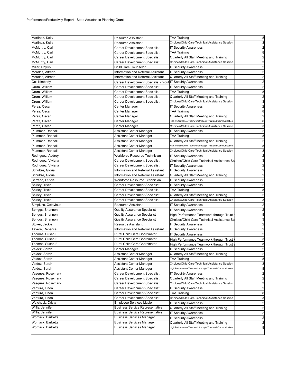| Martinez, Kelly                  | <b>Resource Assistant</b>                                  | <b>TAA Training</b>                                                                                   | 8                       |
|----------------------------------|------------------------------------------------------------|-------------------------------------------------------------------------------------------------------|-------------------------|
| Martinez, Kelly                  | Resource Assistant                                         | Choices/Child Care Technical Assistance Session                                                       | 3                       |
| McMurtry, Carl                   | <b>Career Development Specialist</b>                       | <b>IT Security Awareness</b>                                                                          | $\overline{c}$          |
| McMurtry, Carl                   | Career Development Specialist                              | TAA Training                                                                                          | 8                       |
| McMurtry, Carl                   | Career Development Specialist                              | Quarterly All Staff Meeting and Training                                                              | $\overline{\mathbf{c}}$ |
| McMurtry, Carl                   | Career Development Specialist                              | Choices/Child Care Technical Assistance Session                                                       | 3                       |
| Miller, Phyllis                  | Child Care Counselor                                       | <b>IT Secuirty Awareness</b>                                                                          | $\overline{c}$          |
| Morales, Alfredo                 | Information and Referral Assistant                         | <b>IT Security Awareness</b>                                                                          | $\overline{c}$          |
| Morales, Alfredo                 | Information and Referral Assistant                         | Quarterly All Staff Meeting and Training                                                              | $\overline{\mathbf{c}}$ |
| Orr, Kimberly                    | Career Development Specialist - Yout IT Secuirty Awareness |                                                                                                       | $\overline{c}$          |
| Orum, William                    | Career Development Specialist                              | <b>IT Secuirty Awareness</b>                                                                          | $\overline{\mathbf{c}}$ |
| Orum, William                    | Career Development Specialist                              | <b>TAA Training</b>                                                                                   | 8                       |
| Orum, William                    | Career Development Specialist                              | Quarterly All Staff Meeting and Training                                                              | $\overline{2}$          |
| Orum, William                    | Career Development Specialist                              | Choices/Child Care Technical Assistance Session                                                       | 3                       |
| Perez, Oscar                     | Center Manager                                             | <b>IT Security Awareness</b>                                                                          | $\overline{c}$          |
| Perez, Oscar                     | Center Manager                                             | <b>TAA Training</b>                                                                                   | 8                       |
| Perez, Oscar                     | Center Manager                                             | Quarterly All Staff Meeting and Training                                                              | $\overline{c}$          |
| Perez, Oscar                     |                                                            | High Performance Teamwork through Trust and Communication                                             | 8                       |
|                                  | Center Manager                                             | Choices/Child Care Technical Assistance Session                                                       | 3                       |
| Perez, Oscar<br>Plummer, Randall | Center Manager                                             | <b>IT Security Awareness</b>                                                                          | $\overline{c}$          |
|                                  | Assistant Center Manager                                   |                                                                                                       |                         |
| Plummer, Randall                 | Assistant Center Manager                                   | <b>TAA Training</b>                                                                                   | 8<br>$\overline{2}$     |
| Plummer, Randall                 | Assistant Center Manager                                   | Quarterly All Staff Meeting and Training<br>High Performance Teamwork through Trust and Communication |                         |
| Plummer, Randall                 | Assistant Center Manager                                   |                                                                                                       | 8                       |
| Plummer, Randall                 | Assistant Center Manager                                   | Choices/Child Care Technical Assistance Session                                                       | 3                       |
| Rodriguez, Audrey                | Workforce Resource Technician                              | <b>IT Security Awareness</b>                                                                          | $\overline{\mathbf{c}}$ |
| Rodriguez, Viviana               | Career Development Specialist                              | Choices/Child Care Technical Assistance Se                                                            | 3                       |
| Rodriguez, Viviana               | Career Development Specialist                              | <b>IT Security Awareness</b>                                                                          | $\overline{\mathbf{c}}$ |
| Schultze, Gloria                 | Information and Referral Assistant                         | <b>IT Security Awareness</b>                                                                          | $\overline{c}$          |
| Schultze, Gloria                 | Information and Referral Assistant                         | Quarterly All Staff Meeting and Training                                                              | $\overline{\mathbf{c}}$ |
| Serrano, Leticia                 | Workforce Resource Technician                              | <b>IT Security Awareness</b>                                                                          | $\overline{2}$          |
| Shirley, Tricia                  | Career Development Specialist                              | <b>IT Secuirty Awareness</b>                                                                          | $\overline{c}$          |
| Shirley, Tricia                  | Career Development Specialist                              | <b>TAA Training</b>                                                                                   | 8                       |
| Shirley, Tricia                  | Career Development Specialist                              | Quarterly All Staff Meeting and Training                                                              | $\overline{a}$          |
| Shirley, Tricia                  | Career Development Specialist                              | Choices/Child Care Technical Assistance Session                                                       | 3                       |
| Simpkins, Octavious              | Resource Assistant                                         | <b>IT Security Awareness</b>                                                                          | $\overline{c}$          |
| Spriggs, Shannon                 | <b>Quality Assurance Specialist</b>                        | <b>IT Security Awareness</b>                                                                          | $\overline{c}$          |
| Spriggs, Shannon                 | Quality Assurance Specialist                               | High Performance Teamwork through Trust                                                               | 8                       |
| Spriggs, Shannon                 | Quality Assurance Specialist                               | Choices/Child Care Technical Assistance Se                                                            | 3                       |
| Stoker, Jackie                   | Resource Assistant                                         | <b>IT Security Awareness</b>                                                                          | $\overline{\mathbf{c}}$ |
| Tavera, Rebecca                  | Information and Referral Assistant                         | <b>IT Security Awareness</b>                                                                          | $\overline{c}$          |
| Thomas, Susan E.                 | Rural Child Care Coordinator                               | <b>IT Security Awareness</b>                                                                          | $\overline{\mathbf{c}}$ |
| Thomas, Susan E.                 | Rural Child Care Coordinator                               | High Performance Teamwork through Trust                                                               | 3                       |
| Thomas, Susan E.                 | Rural Child Care Coordinator                               | High Performance Teamwork through Trust a                                                             | 8                       |
| Valdez, Sarah                    | Center Manager                                             | <b>IT Security Awareness</b>                                                                          | $\overline{2}$          |
| Valdez, Sarah                    | Assistant Center Manager                                   | Quarterly All Staff Meeting and Training                                                              | $\mathbf{z}$            |
| Valdez, Sarah                    | Assistant Center Manager                                   | <b>TAA Training</b>                                                                                   | 8                       |
| Valdez, Sarah                    | Assistant Center Manager                                   | Choices/Child Care Technical Assistance Session                                                       | 3                       |
| Valdez, Sarah                    | Assistant Center Manager                                   | High Performance Teamwork through Trust and Communication                                             | 8                       |
| Vasquez, Rosemary                | <b>Career Development Specialist</b>                       | <b>IT Secuirty Awareness</b>                                                                          | $\overline{a}$          |
| Vasquez, Rosemary                | Career Development Specialist                              | Quarterly All Staff Meeting and Training                                                              | $\overline{\mathbf{c}}$ |
| Vasquez, Rosemary                | Career Development Specialist                              | Choices/Child Care Technical Assistance Session                                                       | 3                       |
| Ventura, Linda                   | Career Development Specialist                              | <b>IT Security Awareness</b>                                                                          | $\overline{c}$          |
| Ventura, Linda                   | Career Development Specialist                              | TAA Training                                                                                          | 8                       |
| Ventura, Linda                   | Career Development Specialist                              | Choices/Child Care Technical Assistance Session                                                       | 3                       |
| Walchuck, Crista                 | <b>Employee Services Liasion</b>                           | <b>IT Security Awareness</b>                                                                          | $\overline{a}$          |
| Willis, Jennifer                 | <b>Business Service Representative</b>                     | Quarterly All Staff Meeting and Training                                                              | $\overline{c}$          |
| Willis, Jennifer                 | <b>Business Service Representative</b>                     | <b>IT Security Awareness</b>                                                                          | $\overline{c}$          |
| Womack, Barbetta                 | <b>Business Services Manager</b>                           | <b>IT Security Awareness</b>                                                                          | $\overline{a}$          |
| Womack, Barbetta                 | <b>Business Services Manager</b>                           | Quarterly All Staff Meeting and Training                                                              | $\overline{\mathbf{c}}$ |
| Womack, Barbetta                 | Business Services Manager                                  | High Performance Teamwork through Trust and Communication                                             | 8                       |
|                                  |                                                            |                                                                                                       |                         |
|                                  |                                                            |                                                                                                       |                         |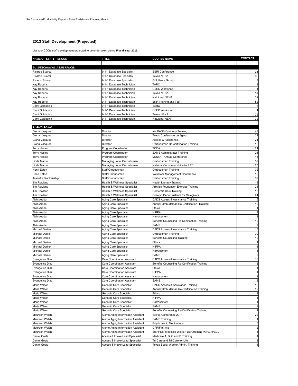# **2013 Staff Development (Projected)**

List your COGs staff development projected to be undertaken during **Fiscal Year 2013**:

| <b>NAME OF STAFF PERSON</b>        | <b>TITLE</b>                                                 | <b>COURSE NAME</b>                                                | <b>CONTACT</b>       |
|------------------------------------|--------------------------------------------------------------|-------------------------------------------------------------------|----------------------|
| 9-1-1/TECHNICAL ASSISTANCE:        |                                                              |                                                                   |                      |
| Ricardo Suarez                     | 9-1-1 Database Specialist                                    | <b>ESRI Conference</b>                                            | 24                   |
| Ricardo Suarez                     | 9-1-1 Database Specialist                                    | <b>Texas NENA</b>                                                 | 32                   |
| Ricardo Suarez                     | 9-1-1 Database Specialist                                    | <b>GIS Users Group</b>                                            | 8                    |
| Kay Roberts                        | 9-1-1 Database Technician                                    | <b>TARC</b>                                                       | 8                    |
| Kay Roberts                        | 9-1-1 Database Technician                                    | <b>CSEC Workshop</b>                                              | $\overline{4}$       |
| Kay Roberts                        | 9-1-1 Database Technician                                    | <b>Texas NENA</b>                                                 | 32                   |
| Kay Roberts                        | 9-1-1 Database Technician                                    | Natuional NENA                                                    | 32                   |
| Kay Roberts                        | 9-1-1 Database Technician                                    | <b>ENP Training and Test</b>                                      | 52                   |
| Cami Goldspink                     | 9-1-1 Database Technician                                    | <b>TARC</b>                                                       | 8                    |
| Cami Goldspink                     | 9-1-1 Database Technician                                    | <b>CSEC Workshop</b>                                              | $\overline{4}$<br>32 |
| Cami Goldspink<br>Cami Goldspink   | 9-1-1 Database Technician<br>9-1-1 Database Technician       | <b>Texas NENA</b><br>Natuional NENA                               | 32                   |
|                                    |                                                              |                                                                   |                      |
| <b>ALAMO AGING:</b>                |                                                              |                                                                   |                      |
| Gloria Vasquez                     | Director                                                     | t4a DADS Quarterly Training                                       | 48                   |
| Gloria Vasquez                     | Director                                                     | Texas Conference on Aging                                         | 24                   |
| Gloria Vasquez                     | Director                                                     | Access & Assistance                                               | 24                   |
| Gloria Vasquez                     | Director                                                     | Ombudsman Re-certification Training                               | 12                   |
| <b>Terry Haslett</b>               | Program Coordinator                                          | <b>TCOA</b>                                                       | 24                   |
| <b>Terry Haslett</b>               | Program Coordinator                                          | <b>SAMS Administrator Training</b>                                | 24                   |
| <b>Terry Haslett</b>               | Program Coordinator                                          | <b>MOWAT Annual Conference</b>                                    | 16                   |
| Linda Martin                       | Managing Local Ombudsman                                     | Ombudsman Training                                                | 32                   |
| Linda Martin                       | Managing Local Ombudsman                                     | National Consumer Voice for LTC                                   | 20                   |
| Henri Eaton                        | Staff Ombudsman                                              | Ombudsman Training                                                | 32                   |
| Henri Eaton                        | Staff Ombudsman                                              | Volunteer Management Conference                                   | 16                   |
| Jeanette Blankenship               | Staff Ombudsman                                              | Ombudsman Training                                                | 32                   |
| Jim Rowland                        | Health & Wellness Specialist                                 | Health Literacy Training                                          | 8                    |
| Jim Rowland<br>Jim Rowland         | Health & Wellness Specialist                                 | Arthritis Foundation Exercise Training                            | 24<br>16             |
| Jim Rowland                        | Health & Wellness Specialist<br>Health & Wellness Specialist | Dementia Care Training<br>Roselyn Carter Institute for Caregivers | 24                   |
| Alvin Arada                        | Aging Care Specialist                                        | DADS Access & Assistance Training                                 | 16                   |
| Alvin Arada                        | Aging Care Specialist                                        | Annual Ombudsman Re-Certification Training                        | 12                   |
| Alvin Arada                        | Aging Care Specialist                                        | <b>Ethics</b>                                                     | $\overline{1}$       |
| Alvin Arada                        | Aging Care Specialist                                        | <b>HIPPA</b>                                                      | $\overline{1}$       |
| Alvin Arada                        | Aging Care Specialist                                        | Harrassment                                                       |                      |
| Alvin Arada                        | Aging Care Specialist                                        | Benefits Counseling Re-Certification Training                     | 12                   |
| Alvin Arada                        | Aging Care Specialist                                        | <b>SAMS</b>                                                       | $\overline{2}$       |
| Michael Darilek                    | Aging Care Specialist                                        | DADS Access & Assistance Training                                 | 16                   |
| Michael Darilek                    | Aging Care Specialist                                        | Ombudsman Training                                                | 30                   |
| Michael Darilek                    | Aging Care Specialist                                        | Benefits Counseling Training                                      | 12                   |
| <b>Michael Darilek</b>             | Aging Care Specialist                                        | Ethics                                                            |                      |
| Michael Darilek                    | Aging Care Specialist                                        | <b>HIPPA</b>                                                      |                      |
| Michael Darilek                    | Aging Care Specialist                                        | Harrassment                                                       |                      |
| <b>Michael Darilek</b>             | Aging Care Specialist                                        | SAMS                                                              |                      |
| Evangeline Diaz                    | Care Coordination Assistant                                  | DADS Access & Assistance Training                                 | 16                   |
| Evangeline Diaz<br>Evangeline Diaz | Care Coordination Assistant<br>Care Coordination Assistant   | Benefits Counseling Re-Certification Training<br>Ethics           | 12                   |
| <b>Evangeline Diaz</b>             | Care Coordination Assistant                                  | <b>HIPPA</b>                                                      |                      |
| <b>Evangeline Diaz</b>             | Care Coordination Assistant                                  | Harrassment                                                       | $\mathbf{1}$         |
| Evangeline Diaz                    | Care Coordination Assistant                                  | <b>SAMS</b>                                                       | $\overline{2}$       |
| Maria Wilson                       | Geriatric Care Specialist                                    | DADS Access & Assistance Training                                 | 16                   |
| Maria Wilson                       | Geriatric Care Specialist                                    | Annual Ombudsman Re-Certification Training                        | 12                   |
| Maria Wilson                       | Geriatric Care Specialist                                    | <b>Ethics</b>                                                     |                      |
| Maria Wilson                       | Geriatric Care Specialist                                    | <b>HIPPA</b>                                                      |                      |
| Maria Wilson                       | Geriatric Care Specialist                                    | Harrassment                                                       | 1                    |
| Maria Wilson                       | Geriatric Care Specialist                                    | SAMS                                                              | $\overline{a}$       |
| Maria Wilson                       | Geriatric Care Specialist                                    | Benefits Counseling Re-Certification Training                     | 12                   |
| Maureen Walsh                      | Alamo Aging Information Assistant                            | TAIRS Conference 2011                                             | 22                   |
| Maureen Walsh                      | Alamo Aging Information Assistant                            | <b>SAMS Training</b>                                              |                      |
| Maureen Walsh                      | Alamo Aging Information Assistant                            | <b>Psychotropic Medications</b>                                   | 1.5                  |
| Maureen Walsh                      | Alamo Aging Information Assistant                            | CPR/First Aid                                                     | $\overline{2}$       |
| Maureen Walsh                      | Alamo Aging Information Assistant                            | Star Plus, Medicaid Waiver, DBA training (Anthony Patron)         | 1.5                  |
| <b>Daniel Goetz</b>                | Access & Intake Lead Specialist                              | Medicare A, B, C and D Training                                   |                      |
| Daniel Goetz                       | Access & Intake Lead Specialist                              | Tri-Care and Tri-Care for Life                                    | 3                    |
| Daniel Goetz                       | Access & Intake Lead Specialist                              | Texas Social Worker Admin. Training                               | 1                    |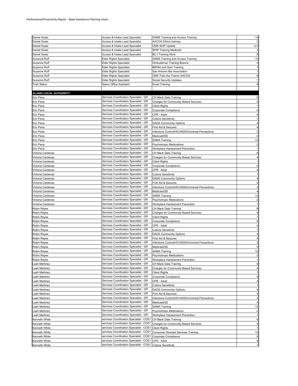| Daniel Goetz                  | Access & Intake Lead Specialist         | SAMS Training and Access Training                           | 15             |
|-------------------------------|-----------------------------------------|-------------------------------------------------------------|----------------|
| Daniel Goetz                  | Access & Intake Lead Specialist         | <b>AACOG Ethics training</b>                                |                |
| Daniel Goetz                  | Access & Intake Lead Specialist         | CMS SHIP Update                                             | 0.5            |
|                               |                                         | <b>SHIP Training Medicaid</b>                               |                |
| Daniel Goetz                  | Access & Intake Lead Specialist         |                                                             |                |
| Daniel Goetz                  | Access & Intake Lead Specialist         | <b>BC I Training Work</b>                                   | 8              |
| Suzanne Ruff                  | <b>Elder Rights Specialist</b>          | SAMS Training and Access Training                           | 15             |
| Suzanne Ruff                  | <b>Elder Rights Specialist</b>          | Ombudsman Training Boerne                                   |                |
| Suzanne Ruff                  | Elder Rights Specialist                 | MIPAA and Sam Training                                      |                |
| Suzanne Ruff                  | Elder Rights Specialist                 | San Antonio Bar Association                                 |                |
| Suzanne Ruff                  | Elder Rights Specialist                 | CMS Train the Trainer AACOG                                 | 8              |
| Suzanne Ruff                  | <b>Elder Rights Specialist</b>          | Social Security Updates                                     |                |
| <b>Trish Slaton</b>           | Alamo Office Assistant                  | <b>Excel Training</b>                                       |                |
|                               |                                         |                                                             |                |
| <b>ALAMO LOCAL AUTHORITY:</b> |                                         |                                                             |                |
|                               |                                         |                                                             |                |
| Eric Pena                     | Services Coordination Specialist - GR   | CH Mack Data Training                                       |                |
| Eric Pena                     | Services Coordination Specialist - GR   | Charges for Community Based Services                        |                |
| Eric Pena                     | Services Coordination Specialist - GR   | <b>Client Rights</b>                                        |                |
| Eric Pena                     | Services Coordination Specialist - GR   | Corporate Compliance                                        |                |
| Eric Pena                     | Services Coordination Specialist - GR   | CPR - Adult                                                 |                |
| Eric Pena                     | Services Coordination Specialist - GR   | <b>Culture Sensitivity</b>                                  |                |
| Eric Pena                     | Services Coordination Specialist - GR   | <b>DADS Community Options</b>                               |                |
| Eric Pena                     | Services Coordination Specialist - GR   | First Aid & Seizures                                        |                |
| Eric Pena                     | Services Coordination Specialist - GR   | Infections Control/HIV/AIDS/Universal Precautions           |                |
| Eric Pena                     | Services Coordination Specialist - GR   | Medicaid/SS                                                 |                |
| Eric Pena                     | Services Coordination Specialist - GR   | SAMA Training                                               | 12             |
| Eric Pena                     | Services Coordination Specialist - GR   | <b>Psychotropic Medications</b>                             |                |
| Eric Pena                     | Services Coordination Specialist - GR   | Workplace Harassment Prevention                             |                |
| Victoria Cardenas             | Services Coordination Specialist - GR   | CH Mack Data Training                                       |                |
| Victoria Cardenas             | Services Coordination Specialist - GR   | <b>Charges for Community Based Services</b>                 |                |
| Victoria Cardenas             | Services Coordination Specialist - GR   |                                                             |                |
|                               | Services Coordination Specialist - GR   | <b>Client Rights</b>                                        |                |
| Victoria Cardenas             | Services Coordination Specialist - GR   | Corporate Compliance                                        |                |
| Victoria Cardenas             |                                         | CPR - Adult                                                 |                |
| Victoria Cardenas             | Services Coordination Specialist - GR   | <b>Culture Sensitivity</b>                                  |                |
| Victoria Cardenas             | Services Coordination Specialist - GR   | <b>DADS Community Options</b>                               |                |
| Victoria Cardenas             | Services Coordination Specialist - GR   | First Aid & Seizures                                        |                |
| Victoria Cardenas             | Services Coordination Specialist - GR   | Infections Control/HIV/AIDS/Universal Precautions           |                |
| Victoria Cardenas             | Services Coordination Specialist - GR   | Medicaid/SS                                                 |                |
| Victoria Cardenas             | Services Coordination Specialist - GR   | <b>SAMA Training</b>                                        | 12             |
| Victoria Cardenas             | Services Coordination Specialist - GR   | <b>Psychotropic Medications</b>                             |                |
| Victoria Cardenas             | Services Coordination Specialist - GR   | Workplace Harassment Prevention                             |                |
| Robin Reyes                   | Services Coordination Specialist - GR   | CH Mack Data Training                                       |                |
| Robin Reyes                   | Services Coordination Specialist - GR   | <b>Charges for Community Based Services</b>                 |                |
| Robin Reyes                   | Services Coordination Specialist - GR   | <b>Client Rights</b>                                        |                |
| Robin Reyes                   | Services Coordination Specialist - GR   | Corporate Compliance                                        |                |
| Robin Reyes                   | Services Coordination Specialist - GR   | CPR - Adult                                                 |                |
| Robin Reyes                   | Services Coordination Specialist - GR   | <b>Culture Sensitivity</b>                                  |                |
| Robin Reyes                   | Services Coordination Specialist - GR   | <b>DADS Community Options</b>                               |                |
| Robin Reyes                   | Services Coordination Specialist - GR   | First Aid & Seizures                                        |                |
| Robin Reyes                   | Services Coordination Specialist - GR   | Infections Control/HIV/AIDS/Universal Precautions           |                |
| Robin Reyes                   | Services Coordination Specialist - GR   | Medicaid/SS                                                 |                |
| <b>Robin Reyes</b>            | Services Coordination Specialist - GR   | <b>SAMA Training</b>                                        | 12             |
| Robin Reyes                   | Services Coordination Specialist - GR   | <b>Psychotropic Medications</b>                             | 2              |
| Robin Reyes                   | Services Coordination Specialist - GR   | Workplace Harassment Prevention                             |                |
| Leah Martinez                 | Services Coordination Specialist - GR   | CH Mack Data Training                                       | 8              |
| Leah Martinez                 | Services Coordination Specialist - GR   | <b>Charges for Community Based Services</b>                 |                |
| Leah Martinez                 | Services Coordination Specialist - GR   | <b>Client Rights</b>                                        |                |
| eah Martinez                  | Services Coordination Specialist - GR   | Corporate Compliance                                        | 0              |
| Leah Martinez                 | Services Coordination Specialist - GR   | CPR - Adult                                                 |                |
|                               | Services Coordination Specialist - GR   |                                                             |                |
| Leah Martinez                 | Services Coordination Specialist - GR   | <b>Culture Sensitivity</b><br><b>DADS Community Options</b> |                |
| Leah Martinez                 | Services Coordination Specialist - GR   |                                                             |                |
| Leah Martinez                 | Services Coordination Specialist - GR   | First Aid & Seizures                                        | 4              |
| Leah Martinez                 | Services Coordination Specialist - GR   | Infections Control/HIV/AIDS/Universal Precautions           | $\overline{2}$ |
| eah Martinez                  |                                         | Medicaid/SS                                                 |                |
| ∟eah Martinez                 | Services Coordination Specialist - GR   | <b>SAMA Training</b>                                        | 12             |
| Leah Martinez                 | Services Coordination Specialist - GR   | <b>Psychotropic Medications</b>                             |                |
| Leah Martinez                 | Services Coordination Specialist - GR   | Workplace Harassment Prevention                             |                |
| Kenneth White                 | services Coordination Specialist - COS1 | CH Mack Data Training                                       | 8              |
| Kenneth White                 | services Coordination Specialist - COS1 | Charges for Community Based Services                        |                |
| Kenneth White                 | services Coordination Specialist - COS1 | <b>Client Rights</b>                                        |                |
| Kenneth White                 | services Coordination Specialist - COS1 | <b>Consumer Directed Services Training</b>                  | 12             |
| Kenneth White                 | services Coordination Specialist - COS1 | Corporate Compliance                                        | $\mathbf 0$    |
| Kenneth White                 | services Coordination Specialist - COS1 | CPR - Adult                                                 | 4              |
| Kenneth White                 | services Coordination Specialist - COS1 | <b>Culture Sensitivity</b>                                  |                |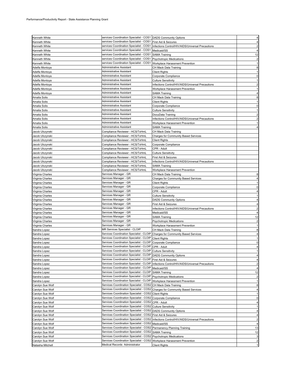| Kenneth White    | services Coordination Specialist - COS1 DADS Community Options                |                                                   |                         |
|------------------|-------------------------------------------------------------------------------|---------------------------------------------------|-------------------------|
| Kenneth White    | services Coordination Specialist - COS1 First Aid & Seizures                  |                                                   |                         |
|                  |                                                                               |                                                   |                         |
| Kenneth White    | services Coordination Specialist - COS1                                       | Infections Control/HIV/AIDS/Universal Precautions |                         |
| Kenneth White    | services Coordination Specialist - COS1                                       | Medicaid/SS                                       |                         |
| Kenneth White    | services Coordination Specialist - COS1                                       | <b>SAMA Training</b>                              | 12                      |
| Kenneth White    | services Coordination Specialist - COS1                                       | <b>Psychotropic Medications</b>                   |                         |
| Kenneth White    | services Coordination Specialist - COS1                                       | Workplace Harassment Prevention                   |                         |
| Adelfa Montoya   | Administrative Assistant                                                      | CH Mack Data Training                             | 8                       |
| Adelfa Montoya   | Administrative Assistant                                                      | <b>Client Rights</b>                              |                         |
| Adelfa Montoya   | Administrative Assistant                                                      | Corporate Compliance                              |                         |
| Adelfa Montoya   | Administrative Assistant                                                      | <b>Culture Sensitivity</b>                        |                         |
| Adelfa Montoya   | Administrative Assistant                                                      | Infections Control/HIV/AIDS/Universal Precautions |                         |
| Adelfa Montoya   | Administrative Assistant                                                      | Workplace Harassment Prevention                   |                         |
| Adelfa Montoya   | Administrative Assistant                                                      | <b>SAMA Training</b>                              |                         |
| Amalia Solis     | Administrative Assistant                                                      | CH Mack Data Training                             |                         |
| Amalia Solis     | Administrative Assistant                                                      | Client Rights                                     |                         |
| Amalia Solis     | Administrative Assistant                                                      | Corporate Compliance                              | O                       |
| Amalia Solis     | Administrative Assistant                                                      | Culture Sensitivity                               |                         |
| Amalia Solis     | Administrative Assistant                                                      | DocuData Training                                 |                         |
| Amalia Solis     | Administrative Assistant                                                      | Infections Control/HIV/AIDS/Universal Precautions |                         |
| Amalia Solis     | Administrative Assistant                                                      | Workplace Harassment Prevention                   |                         |
| Amalia Solis     | Administrative Assistant                                                      | <b>SAMA Training</b>                              |                         |
| Jacob Ulczynski  | Compliance Reviewer - HCS/TxHmL                                               | CH Mack Data Training                             |                         |
| Jacob Ulczynski  | Compliance Reviewer - HCS/TxHmL                                               | Charges for Community Based Services              |                         |
|                  |                                                                               |                                                   |                         |
| Jacob Ulczynski  | Compliance Reviewer - HCS/TxHmL                                               | <b>Client Rights</b>                              |                         |
| Jacob Ulczynski  | Compliance Reviewer - HCS/TxHmL                                               | Corporate Compliance                              |                         |
| Jacob Ulczynski  | Compliance Reviewer - HCS/TxHmL                                               | CPR - Adult                                       |                         |
| Jacob Ulczynski  | Compliance Reviewer - HCS/TxHmL                                               | <b>Culture Sensitivity</b>                        |                         |
| Jacob Ulczynski  | Compliance Reviewer - HCS/TxHmL                                               | First Aid & Seizures                              |                         |
| Jacob Ulczynski  | Compliance Reviewer - HCS/TxHmL                                               | Infections Control/HIV/AIDS/Universal Precautions |                         |
| Jacob Ulczynski  | Compliance Reviewer - HCS/TxHmL                                               | <b>SAMA Training</b>                              |                         |
| Jacob Ulczynski  | Compliance Reviewer - HCS/TxHmL                                               | Workplace Harassment Prevention                   |                         |
| Virginia Charles | Services Manager - GR                                                         | CH Mack Data Training                             |                         |
| Virginia Charles | Services Manager - GR                                                         | <b>Charges for Community Based Services</b>       |                         |
| Virginia Charles | Services Manager - GR                                                         | <b>Client Rights</b>                              |                         |
| Virginia Charles | Services Manager - GR                                                         | Corporate Compliance                              | O                       |
| Virginia Charles | Services Manager - GR                                                         | CPR - Adult                                       |                         |
| Virginia Charles | Services Manager - GR                                                         | <b>Culture Sensitivity</b>                        |                         |
| Virginia Charles | Services Manager - GR                                                         | <b>DADS Community Options</b>                     |                         |
| Virginia Charles | Services Manager - GR                                                         | First Aid & Seizures                              |                         |
| Virginia Charles | Services Manager - GR                                                         | Infections Control/HIV/AIDS/Universal Precautions |                         |
| Virginia Charles | Services Manager - GR                                                         | Medicaid/SS                                       |                         |
| Virginia Charles | Services Manager - GR                                                         | SAMA Training                                     | 12                      |
| Virginia Charles | Services Manager - GR                                                         | <b>Psychotropic Medications</b>                   |                         |
| Virginia Charles | Services Manager - GR                                                         | Workplace Harassment Prevention                   |                         |
|                  | MR Services Specialist - CLOIP                                                | CH Mack Data Training                             |                         |
| Sandra Lopez     | Services Coordination Specialist - CLOIP Charges for Community Based Services |                                                   |                         |
| Sandra Lopez     |                                                                               |                                                   |                         |
| Sandra Lopez     | Services Coordination Specialist - CLOIP Client Rights                        |                                                   |                         |
| Sandra Lopez     | Services Coordination Specialist - CLOIP                                      | Corporate Compliance                              |                         |
| Sandra Lopez     | Services Coordination Specialist - CLOIP                                      | CPR - Adult                                       |                         |
| Sandra Lopez     | Services Coordination Specialist - CLOIP Culture Sensitivity                  |                                                   |                         |
| Sandra Lopez     | Services Coordination Specialist - CLOIP DADS Community Options               |                                                   |                         |
| Sandra Lopez     | Services Coordination Specialist - CLOIP                                      | First Aid & Seizures                              |                         |
| Sandra Lopez     | Services Coordination Specialist - CLOIP                                      | Infections Control/HIV/AIDS/Universal Precautions |                         |
| Sandra Lopez     | Services Coordination Specialist - CLOIP                                      | Medicaid/SS                                       |                         |
| Sandra Lopez     | Services Coordination Specialist - CLOIP                                      | <b>SAMA Training</b>                              | 12                      |
| Sandra Lopez     | Services Coordination Specialist - CLOIP                                      | <b>Psychotropic Medications</b>                   | $\overline{2}$          |
| Sandra Lopez     | Services Coordination Specialist - CLOIP                                      | Workplace Harassment Prevention                   | 1                       |
| Carolyn Sue Wolf | Services Coordination Specialist - COS2                                       | CH Mack Data Training                             | 8                       |
| Carolyn Sue Wolf | Services Coordination Specialist - COS2                                       | Charges for Community Based Services              |                         |
| Carolyn Sue Wolf | Services Coordination Specialist - COS2 Client Rights                         |                                                   | 1                       |
| Carolyn Sue Wolf | Services Coordination Specialist - COS2 Corporate Compliance                  |                                                   | 0                       |
| Carolyn Sue Wolf | Services Coordination Specialist - COS2                                       | CPR - Adult                                       |                         |
| Carolyn Sue Wolf | Services Coordination Specialist - COS2 Culture Sensitivity                   |                                                   |                         |
| Carolyn Sue Wolf | Services Coordination Specialist - COS2                                       | <b>DADS Community Options</b>                     | 4                       |
| Carolyn Sue Wolf | Services Coordination Specialist - COS2                                       | First Aid & Seizures                              | 4                       |
| Carolyn Sue Wolf | Services Coordination Specialist - COS2                                       | Infections Control/HIV/AIDS/Universal Precautions | $\overline{c}$          |
| Carolyn Sue Wolf | Services Coordination Specialist - COS2 Medicaid/SS                           |                                                   |                         |
| Carolyn Sue Wolf | Services Coordination Specialist - COS2                                       | Permanency Planning Training                      | 13                      |
| Carolyn Sue Wolf | Services Coordination Specialist - COS2                                       | <b>SAMA Training</b>                              | 12                      |
| Carolyn Sue Wolf | Services Coordination Specialist - COS2                                       | <b>Psychotropic Medications</b>                   | 3                       |
| Carolyn Sue Wolf | Services Coordination Specialist - COS2                                       | Workplace Harassment Prevention                   | $\overline{\mathbf{c}}$ |
| Natasha Mitchell | Medical Records Administrator                                                 | <b>Client Rights</b>                              |                         |
|                  |                                                                               |                                                   |                         |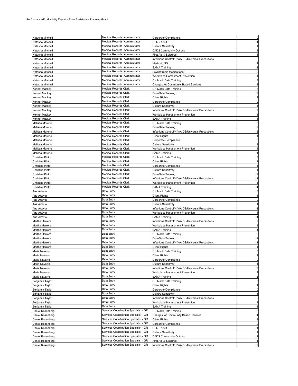|                         | Medical Records Administrator         |                                                   | $\pmb{0}$               |
|-------------------------|---------------------------------------|---------------------------------------------------|-------------------------|
| Natasha Mitchell        |                                       | Corporate Compliance                              |                         |
| Natasha Mitchell        | Medical Records Administrator         | CPR - Adult                                       | $\overline{4}$          |
| Natasha Mitchell        | Medical Records Administrator         | <b>Culture Sensitivity</b>                        | $\mathbf{1}$            |
| Natasha Mitchell        | Medical Records Administrator         | <b>DADS Community Options</b>                     | $\overline{4}$          |
| Natasha Mitchell        | Medical Records Administrator         | First Aid & Seizures                              | $\overline{4}$          |
| Natasha Mitchell        | Medical Records Administrator         | Infections Control/HIV/AIDS/Universal Precautions | $\overline{2}$          |
| Natasha Mitchell        | Medical Records Administrator         | Medicaid/SS                                       | $\overline{4}$          |
|                         | Medical Records Administrator         |                                                   | 12                      |
| Natasha Mitchell        |                                       | <b>SAMA Training</b>                              |                         |
| Natasha Mitchell        | Medical Records Administrator         | <b>Psychotropic Medications</b>                   | $\overline{2}$          |
| Natasha Mitchell        | Medical Records Administrator         | Workplace Harassment Prevention                   |                         |
| Natasha Mitchell        | Medical Records Administrator         | CH Mack Data Training                             | 8                       |
| Natasha Mitchell        | Medical Records Administrator         | <b>Charges for Community Based Services</b>       | 4                       |
| Kennet Mackey           | <b>Medical Records Clerk</b>          | CH Mack Data Training                             | 8                       |
| Kennet Mackey           | Medical Records Clerk                 | DocuData Training                                 | $\overline{\mathbf{c}}$ |
|                         | <b>Medical Records Clerk</b>          |                                                   | $\mathbf{1}$            |
| Kennet Mackey           |                                       | <b>Client Rights</b>                              |                         |
| Kennet Mackey           | Medical Records Clerk                 | Corporate Compliance                              | $\mathbf 0$             |
| Kennet Mackey           | <b>Medical Records Clerk</b>          | <b>Culture Sensitivity</b>                        | 1                       |
| Kennet Mackey           | <b>Medical Records Clerk</b>          | Infections Control/HIV/AIDS/Universal Precautions | $\overline{2}$          |
| Kennet Mackey           | Medical Records Clerk                 | Workplace Harassment Prevention                   | $\mathbf{1}$            |
| Kennet Mackey           | Medical Records Clerk                 | <b>SAMA Training</b>                              | 4                       |
| Melissa Moreno          | <b>Medical Records Clerk</b>          | CH Mack Data Training                             | 8                       |
|                         | Medical Records Clerk                 |                                                   | $\overline{\mathbf{c}}$ |
| Melissa Moreno          |                                       | DocuData Training                                 |                         |
| Melissa Moreno          | Medical Records Clerk                 | Infections Control/HIV/AIDS/Universal Precautions | $\overline{2}$          |
| Melissa Moreno          | Medical Records Clerk                 | <b>Client Rights</b>                              |                         |
| Melissa Moreno          | <b>Medical Records Clerk</b>          | Corporate Compliance                              | 0                       |
| Melissa Moreno          | <b>Medical Records Clerk</b>          | <b>Culture Sensitivity</b>                        | $\mathbf{1}$            |
| Melissa Moreno          | Medical Records Clerk                 | Workplace Harassment Prevention                   | $\mathbf{1}$            |
| Melissa Moreno          | Medical Records Clerk                 | <b>SAMA Training</b>                              | $\overline{4}$          |
|                         | <b>Medical Records Clerk</b>          |                                                   |                         |
| <b>Christine Pintor</b> |                                       | CH Mack Data Training                             | 8                       |
| <b>Christine Pintor</b> | <b>Medical Records Clerk</b>          | Client Rights                                     | 1                       |
| Christine Pintor        | <b>Medical Records Clerk</b>          | Corporate Compliance                              |                         |
| Christine Pintor        | <b>Medical Records Clerk</b>          | <b>Culture Sensitivity</b>                        |                         |
| Christine Pintor        | <b>Medical Records Clerk</b>          | DocuData Training                                 | $\overline{2}$          |
| <b>Christine Pintor</b> | <b>Medical Records Clerk</b>          | Infections Control/HIV/AIDS/Universal Precautions | $\overline{2}$          |
| <b>Christine Pintor</b> | <b>Medical Records Clerk</b>          |                                                   |                         |
|                         |                                       | Workplace Harassment Prevention                   |                         |
| <b>Christine Pintor</b> | <b>Medical Records Clerk</b>          | <b>SAMA Training</b>                              | 4                       |
| Ana Artavia             | Data Entry                            | CH Mack Data Training                             | 8                       |
| Ana Artavia             | Data Entry                            | <b>Client Rights</b>                              | $\mathbf{1}$            |
| Ana Artavia             | Data Entry                            | Corporate Compliance                              | $\mathbf 0$             |
| Ana Artavia             | Data Entry                            | <b>Culture Sensitivity</b>                        | $\mathbf{1}$            |
| Ana Artavia             | Data Entry                            | Infections Control/HIV/AIDS/Universal Precautions | $\overline{2}$          |
|                         | Data Entry                            |                                                   | 1                       |
| Ana Artavia             |                                       | Workplace Harassment Prevention                   |                         |
| Ana Artavia             | Data Entry                            | <b>SAMA Training</b>                              | $\overline{4}$          |
| Martha Herrera          | Data Entry                            | Infections Control/HIV/AIDS/Universal Precautions | $\overline{2}$          |
| Martha Herrera          | Data Entry                            | Workplace Harassment Prevention                   | $\mathbf{1}$            |
| Martha Herrera          | Data Entry                            | <b>SAMA Training</b>                              |                         |
| Martha Herrera          | Data Entry                            | CH Mack Data Training                             | 8                       |
|                         | Data Entry                            |                                                   | $\overline{2}$          |
| Martha Herrera          |                                       | DocuData Training                                 |                         |
| Martha Herrera          | Data Entry                            | Infections Control/HIV/AIDS/Universal Precautions | $\overline{c}$          |
| Martha Herrera          | Data Entry                            | <b>Client Rights</b>                              | $\mathbf{1}$            |
| Maria Navarro           | Data Entry                            | CH Mack Data Training                             | 8                       |
| Maria Navarro           | Data Entry                            | <b>Client Rights</b>                              | $\mathbf{1}$            |
| Maria Navarro           | Data Entry                            | Corporate Compliance                              | $\mathbf 0$             |
| Maria Navarro           | Data Entry                            | <b>Culture Sensitivity</b>                        | $\mathbf{1}$            |
| Maria Navarro           | Data Entry                            | Infections Control/HIV/AIDS/Universal Precautions | $\overline{2}$          |
|                         | Data Entry                            |                                                   |                         |
| Maria Navarro           |                                       | Workplace Harassment Prevention                   | 1                       |
| Maria Navarro           | Data Entry                            | <b>SAMA Training</b>                              | 4                       |
| Benjamin Taylor         | Data Entry                            | CH Mack Data Training                             | 8                       |
| Benjamin Taylor         | Data Entry                            | <b>Client Rights</b>                              | $\mathbf{1}$            |
| Benjamin Taylor         | Data Entry                            | Corporate Compliance                              | $\pmb{0}$               |
| Benjamin Taylor         | Data Entry                            | <b>Culture Sensitivity</b>                        | 1                       |
| Benjamin Taylor         | Data Entry                            | Infections Control/HIV/AIDS/Universal Precautions | $\overline{2}$          |
| Benjamin Taylor         | Data Entry                            | Workplace Harassment Prevention                   | $\mathbf{1}$            |
|                         |                                       |                                                   |                         |
| Benjamin Taylor         | Data Entry                            | <b>SAMA Training</b>                              | 4                       |
| Daniel Rosenberg        | Services Coordination Specialist - GR | CH Mack Data Training                             | 8                       |
| Daniel Rosenberg        | Services Coordination Specialist - GR | <b>Charges for Community Based Services</b>       | $\overline{4}$          |
| Daniel Rosenberg        | Services Coordination Specialist - GR | <b>Client Rights</b>                              | 1                       |
| Daniel Rosenberg        | Services Coordination Specialist - GR | Corporate Compliance                              | $\mathbf 0$             |
| Daniel Rosenberg        | Services Coordination Specialist - GR | CPR - Adult                                       | 4                       |
|                         | Services Coordination Specialist - GR |                                                   |                         |
| Daniel Rosenberg        |                                       | <b>Culture Sensitivity</b>                        | $\mathbf{1}$            |
| Daniel Rosenberg        | Services Coordination Specialist - GR | <b>DADS Community Options</b>                     | $\overline{4}$          |
| Daniel Rosenberg        | Services Coordination Specialist - GR | First Aid & Seizures                              | $\overline{4}$          |
| Daniel Rosenberg        | Services Coordination Specialist - GR | Infections Control/HIV/AIDS/Universal Precautions |                         |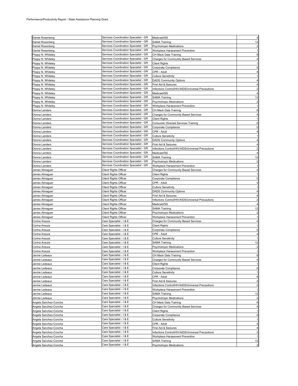| Daniel Rosenberg      | Services Coordination Specialist - GR | Medicaid/SS                                       |                |
|-----------------------|---------------------------------------|---------------------------------------------------|----------------|
|                       | Services Coordination Specialist - GR |                                                   |                |
| Daniel Rosenberg      |                                       | <b>SAMA Training</b>                              | 12             |
| Daniel Rosenberg      | Services Coordination Specialist - GR | <b>Psychotropic Medications</b>                   |                |
| Daniel Rosenberg      | Services Coordination Specialist - GR | Workplace Harassment Prevention                   |                |
| Poppy N. Whiteley     | Services Coordination Specialist - GR | CH Mack Data Training                             |                |
| Poppy N. Whiteley     | Services Coordination Specialist - GR | Charges for Community Based Services              |                |
| Poppy N. Whiteley     | Services Coordination Specialist - GR | <b>Client Rights</b>                              |                |
| Poppy N. Whiteley     | Services Coordination Specialist - GR | Corporate Compliance                              | 0              |
| Poppy N. Whiteley     | Services Coordination Specialist - GR | CPR - Adult                                       |                |
| Poppy N. Whiteley     | Services Coordination Specialist - GR | <b>Culture Sensitivity</b>                        |                |
| Poppy N. Whiteley     | Services Coordination Specialist - GR | <b>DADS Community Options</b>                     |                |
| Poppy N. Whiteley     | Services Coordination Specialist - GR | First Aid & Seizures                              |                |
| Poppy N. Whiteley     | Services Coordination Specialist - GR | Infections Control/HIV/AIDS/Universal Precautions |                |
|                       | Services Coordination Specialist - GR |                                                   |                |
| Poppy N. Whiteley     | Services Coordination Specialist - GR | Medicaid/SS                                       |                |
| Poppy N. Whiteley     |                                       | <b>SAMA Training</b>                              | 12             |
| Poppy N. Whiteley     | Services Coordination Specialist - GR | <b>Psychotropic Medications</b>                   |                |
| Poppy N. Whiteley     | Services Coordination Specialist - GR | Workplace Harassment Prevention                   |                |
| Donna Landers         | Services Coordination Specialist - GR | CH Mack Data Training                             |                |
| Donna Landers         | Services Coordination Specialist - GR | <b>Charges for Community Based Services</b>       |                |
| Donna Landers         | Services Coordination Specialist - GR | <b>Client Rights</b>                              |                |
| Donna Landers         | Services Coordination Specialist - GR | <b>Consumer Directed Services Training</b>        | 0              |
| Donna Landers         | Services Coordination Specialist - GR | Corporate Compliance                              | 0              |
| Donna Landers         | Services Coordination Specialist - GR | CPR - Adult                                       |                |
| Donna Landers         | Services Coordination Specialist - GR | <b>Culture Sensitivity</b>                        |                |
| Donna Landers         | Services Coordination Specialist - GR | <b>DADS Community Options</b>                     |                |
| Donna Landers         | Services Coordination Specialist - GR | First Aid & Seizures                              |                |
| Donna Landers         | Services Coordination Specialist - GR | Infections Control/HIV/AIDS/Universal Precautions |                |
| Donna Landers         | Services Coordination Specialist - GR | Medicaid/SS                                       |                |
| Donna Landers         | Services Coordination Specialist - GR | <b>SAMA Training</b>                              | 12             |
| Donna Landers         | Services Coordination Specialist - GR | <b>Psychotropic Medications</b>                   |                |
| Donna Landers         | Services Coordination Specialist - GR | Workplace Harassment Prevention                   |                |
| James Almaguer        | Client Rights Officer                 | <b>Charges for Community Based Services</b>       |                |
| James Almaguer        | <b>Client Rights Officer</b>          | <b>Client Rights</b>                              |                |
| James Almaguer        | <b>Client Rights Officer</b>          | Corporate Compliance                              |                |
| James Almaguer        | <b>Client Rights Officer</b>          | CPR - Adult                                       |                |
| James Almaguer        | Client Rights Officer                 | <b>Culture Sensitivity</b>                        |                |
| James Almaguer        | Client Rights Officer                 | <b>DADS Community Options</b>                     |                |
|                       |                                       | First Aid & Seizures                              |                |
| James Almaguer        | Client Rights Officer                 |                                                   |                |
| James Almaguer        | <b>Client Rights Officer</b>          | Infections Control/HIV/AIDS/Universal Precautions |                |
| James Almaguer        | Client Rights Officer                 | Medicaid/SS                                       |                |
| James Almaguer        | <b>Client Rights Officer</b>          | <b>SAMA Training</b>                              | 12             |
| James Almaguer        | <b>Client Rights Officer</b>          | Psychotropic Medications                          |                |
| James Almaguer        | <b>Client Rights Officer</b>          | Workplace Harassment Prevention                   |                |
| Corina Arauza         | Care Specialist - I & E               | Charges for Community Based Services              |                |
| Corina Arauza         | Care Specialist - I & E               | Client Rights                                     |                |
| Corina Arauza         | Care Specialist - I & E               | Corporate Compliance                              |                |
| Corina Arauza         | Care Specialist - I & E               | CPR - Adult                                       |                |
| Corina Arauza         | Care Specialist - I & E               | Culture Sensitivity                               |                |
| Corina Arauza         | Care Specialist - I & E               | <b>SAMA Training</b>                              | 12             |
| Corina Arauza         | Care Specialist - I & E               | <b>Psychotropic Medications</b>                   | $\overline{2}$ |
| Corina Arauza         | Care Specialist - I & E               | Workplace Harassment Prevention                   |                |
| Jennie Ledeaux        | Care Specialist - I & E               | CH Mack Data Training                             | 8              |
| Jennie Ledeaux        | Care Specialist - I & E               | <b>Charges for Community Based Services</b>       | 4              |
| Jennie Ledeaux        | Care Specialist - I & E               | <b>Client Rights</b>                              |                |
| Jennie Ledeaux        | Care Specialist - I & E               | Corporate Compliance                              | 0              |
| Jennie Ledeaux        | Care Specialist - I & E               | <b>Culture Sensitivity</b>                        |                |
| Jennie Ledeaux        | Care Specialist - I & E               | CPR - Adult                                       |                |
| Jennie Ledeaux        | Care Specialist - I & E               | First Aid & Seizures                              | 4              |
| Jennie Ledeaux        | Care Specialist - I & E               | Infections Control/HIV/AIDS/Universal Precautions | $\overline{2}$ |
| Jennie Ledeaux        | Care Specialist - I & E               | Workplace Harassment Prevention                   |                |
| Jennie Ledeaux        | Care Specialist - I & E               | <b>SAMA Training</b>                              | 12             |
| Jennie Ledeaux        | Care Specialist - I & E               | Psychotropic Medications                          |                |
| Angela Sanchez-Concha | Care Specialist - I & E               | CH Mack Data Training                             | 8              |
| Angela Sanchez-Concha | Care Specialist - I & E               | <b>Charges for Community Based Services</b>       |                |
| Angela Sanchez-Concha | Care Specialist - I & E               | <b>Client Rights</b>                              |                |
| Angela Sanchez-Concha | Care Specialist - I & E               | Corporate Compliance                              | 0              |
| Angela Sanchez-Concha | Care Specialist - I & E               | <b>Culture Sensitivity</b>                        |                |
| Angela Sanchez-Concha | Care Specialist - I & E               | CPR - Adult                                       |                |
| Angela Sanchez-Concha | Care Specialist - I & E               | First Aid & Seizures                              | 4              |
| Angela Sanchez-Concha | Care Specialist - I & E               | Infections Control/HIV/AIDS/Universal Precautions | $\overline{2}$ |
| Angela Sanchez-Concha | Care Specialist - I & E               | Workplace Harassment Prevention                   |                |
| Angela Sanchez-Concha | Care Specialist - I & E               | <b>SAMA Training</b>                              | 12             |
|                       | Care Specialist - I & E               |                                                   |                |
| Angela Sanchez-Concha |                                       | Psychotropic Medications                          | 2              |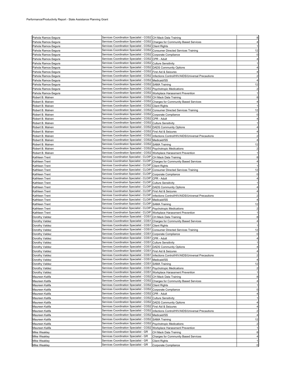| Pahola Ramos-Segura | Services Coordination Specialist - COS2 CH Mack Data Training                 |                                                                                            |    |
|---------------------|-------------------------------------------------------------------------------|--------------------------------------------------------------------------------------------|----|
| Pahola Ramos-Segura | Services Coordination Specialist - COS2 Charges for Community Based Services  |                                                                                            |    |
|                     | Services Coordination Specialist - COS2 Client Rights                         |                                                                                            |    |
| Pahola Ramos-Segura |                                                                               |                                                                                            |    |
| Pahola Ramos-Segura | Services Coordination Specialist - COS2 Consumer Directed Services Training   |                                                                                            | 12 |
| Pahola Ramos-Segura | Services Coordination Specialist - COS2 Corporate Compliance                  |                                                                                            |    |
| Pahola Ramos-Segura | Services Coordination Specialist - COS2 CPR - Adult                           |                                                                                            |    |
| Pahola Ramos-Segura | Services Coordination Specialist - COS2 Culture Sensitivity                   |                                                                                            |    |
| Pahola Ramos-Segura | Services Coordination Specialist - COS2 DADS Community Options                |                                                                                            |    |
| Pahola Ramos-Segura | Services Coordination Specialist - COS2 First Aid & Seizures                  |                                                                                            |    |
| Pahola Ramos-Segura |                                                                               | Services Coordination Specialist - COS2 Infections Control/HIV/AIDS/Universal Precautions  |    |
| Pahola Ramos-Segura | Services Coordination Specialist - COS2 Medicaid/SS                           |                                                                                            |    |
| Pahola Ramos-Segura | Services Coordination Specialist - COS2 SAMA Training                         |                                                                                            | 12 |
| Pahola Ramos-Segura | Services Coordination Specialist - COS2 Psychotropic Medications              |                                                                                            |    |
| Pahola Ramos-Segura | Services Coordination Specialist - COS2 Workplace Harassment Prevention       |                                                                                            |    |
| Robert B. Malven    | Services Coordination Specialist - COS2 CH Mack Data Training                 |                                                                                            |    |
| Robert B. Malven    | Services Coordination Specialist - COS2 Charges for Community Based Services  |                                                                                            |    |
| Robert B. Malven    | Services Coordination Specialist - COS2 Client Rights                         |                                                                                            |    |
| Robert B. Malven    | Services Coordination Specialist - COS2 Consumer Directed Services Training   |                                                                                            | 12 |
| Robert B. Malven    | Services Coordination Specialist - COS2 Corporate Compliance                  |                                                                                            |    |
| Robert B. Malven    | Services Coordination Specialist - COS2 CPR - Adult                           |                                                                                            |    |
| Robert B. Malven    | Services Coordination Specialist - COS2 Culture Sensitivity                   |                                                                                            |    |
| Robert B. Malven    | Services Coordination Specialist - COS2   DADS Community Options              |                                                                                            |    |
| Robert B. Malven    | Services Coordination Specialist - COS2 First Aid & Seizures                  |                                                                                            |    |
| Robert B. Malven    |                                                                               | Services Coordination Specialist - COS2 Infections Control/HIV/AIDS/Universal Precautions  |    |
| Robert B. Malven    | Services Coordination Specialist - COS2 Medicaid/SS                           |                                                                                            |    |
| Robert B. Malven    | Services Coordination Specialist - COS2 SAMA Training                         |                                                                                            | 12 |
|                     | Services Coordination Specialist - COS2 Psychotropic Medications              |                                                                                            |    |
| Robert B. Malven    |                                                                               |                                                                                            |    |
| Robert B. Malven    | Services Coordination Specialist - COS2 Workplace Harassment Prevention       |                                                                                            |    |
| Kathleen Trent      | Services Coordination Specialist - CLOIP CH Mack Data Training                |                                                                                            | 8  |
| Kathleen Trent      | Services Coordination Specialist - CLOIP Charges for Community Based Services |                                                                                            |    |
| Kathleen Trent      | Services Coordination Specialist - CLOIP                                      | <b>Client Rights</b>                                                                       |    |
| Kathleen Trent      | Services Coordination Specialist - CLOIP                                      | <b>Consumer Directed Services Training</b>                                                 | 12 |
| Kathleen Trent      | Services Coordination Specialist - CLOIP Corporate Compliance                 |                                                                                            | 0  |
| Kathleen Trent      | Services Coordination Specialist - CLOIP CPR - Adult                          |                                                                                            |    |
| Kathleen Trent      | Services Coordination Specialist - CLOIP Culture Sensitivity                  |                                                                                            |    |
| Kathleen Trent      | Services Coordination Specialist - CLOIP   DADS Community Options             |                                                                                            |    |
| Kathleen Trent      | Services Coordination Specialist - CLOIP   First Aid & Seizures               |                                                                                            |    |
| Kathleen Trent      |                                                                               | Services Coordination Specialist - CLOIP Infections Control/HIV/AIDS/Universal Precautions |    |
| Kathleen Trent      | Services Coordination Specialist - CLOIP Medicaid/SS                          |                                                                                            |    |
| Kathleen Trent      | Services Coordination Specialist - CLOIP                                      | <b>SAMA Training</b>                                                                       | 12 |
| Kathleen Trent      | Services Coordination Specialist - CLOIP   Psychotropic Medications           |                                                                                            |    |
| Kathleen Trent      | Services Coordination Specialist - CLOIP   Workplace Harassment Prevention    |                                                                                            |    |
| Dorothy Valdez      | Services Coordination Specialist - COS1 CH Mack Data Training                 |                                                                                            |    |
| Dorothy Valdez      | Services Coordination Specialist - COS1 Charges for Community Based Services  |                                                                                            |    |
| Dorothy Valdez      | Services Coordination Specialist - COS1 Client Rights                         |                                                                                            |    |
| Dorothy Valdez      | Services Coordination Specialist - COS1 Consumer Directed Services Training   |                                                                                            | 12 |
| Dorothy Valdez      | Services Coordination Specialist - COS1 Corporate Compliance                  |                                                                                            | 0  |
| Dorothy Valdez      | Services Coordination Specialist - COS1 CPR - Adult                           |                                                                                            |    |
| Dorothy Valdez      | Services Coordination Specialist - COS1 Culture Sensitivity                   |                                                                                            |    |
| Dorothy Valdez      | Services Coordination Specialist - COS1 DADS Community Options                |                                                                                            |    |
| Dorothy Valdez      | Services Coordination Specialist - COS1 First Aid & Seizures                  |                                                                                            |    |
| Dorothy Valdez      |                                                                               | Services Coordination Specialist - COS1 Infections Control/HIV/AIDS/Universal Precautions  | 2  |
| Dorothy Valdez      | Services Coordination Specialist - COS1 Medicaid/SS                           |                                                                                            |    |
| Dorothy Valdez      | Services Coordination Specialist - COS1                                       | <b>SAMA Training</b>                                                                       | 12 |
|                     | Services Coordination Specialist - COS1 Psychotropic Medications              |                                                                                            |    |
| Dorothy Valdez      | Services Coordination Specialist - COS1                                       |                                                                                            |    |
| Dorothy Valdez      | Services Coordination Specialist - COS2                                       | Workplace Harassment Prevention<br>CH Mack Data Training                                   |    |
| Maureen Kalifa      | Services Coordination Specialist - COS2                                       |                                                                                            | 8  |
| Maureen Kalifa      | Services Coordination Specialist - COS2                                       | Charges for Community Based Services                                                       | 4  |
| Maureen Kalifa      |                                                                               | <b>Client Rights</b>                                                                       |    |
| Maureen Kalifa      | Services Coordination Specialist - COS2                                       | Corporate Compliance                                                                       | 0  |
| Maureen Kalifa      | Services Coordination Specialist - COS2                                       | CPR - Adult                                                                                |    |
| Maureen Kalifa      | Services Coordination Specialist - COS2                                       | <b>Culture Sensitivity</b>                                                                 |    |
| Maureen Kalifa      | Services Coordination Specialist - COS2                                       | <b>DADS Community Options</b>                                                              |    |
| Maureen Kalifa      | Services Coordination Specialist - COS2                                       | First Aid & Seizures                                                                       |    |
| Maureen Kalifa      | Services Coordination Specialist - COS2                                       | Infections Control/HIV/AIDS/Universal Precautions                                          |    |
| Maureen Kalifa      |                                                                               | Medicaid/SS                                                                                |    |
|                     | Services Coordination Specialist - COS2                                       |                                                                                            |    |
| Maureen Kalifa      | Services Coordination Specialist - COS2                                       | <b>SAMA Training</b>                                                                       | 12 |
| Maureen Kalifa      | Services Coordination Specialist - COS2                                       | <b>Psychotropic Medications</b>                                                            |    |
| Maureen Kalifa      | Services Coordination Specialist - COS2                                       | Workplace Harassment Prevention                                                            |    |
| Mike Weakley        | Services Coordination Specialist - GR                                         | CH Mack Data Training                                                                      | 8  |
| Mike Weakley        | Services Coordination Specialist - GR                                         | <b>Charges for Community Based Services</b>                                                | 4  |
| Mike Weakley        | Services Coordination Specialist - GR                                         | <b>Client Rights</b>                                                                       |    |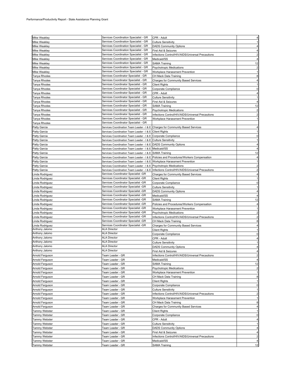| Mike Weakley         | Services Coordination Specialist - GR                                          | CPR - Adult                                                                                   |                |
|----------------------|--------------------------------------------------------------------------------|-----------------------------------------------------------------------------------------------|----------------|
|                      | Services Coordination Specialist - GR                                          |                                                                                               |                |
| Mike Weakley         |                                                                                | <b>Culture Sensitivity</b>                                                                    |                |
| <b>Mike Weakley</b>  | Services Coordination Specialist - GR                                          | <b>DADS Community Options</b>                                                                 |                |
| <b>Mike Weakley</b>  | Services Coordination Specialist - GR                                          | First Aid & Seizures                                                                          |                |
| <b>Mike Weakley</b>  | Services Coordination Specialist - GR                                          | Infections Control/HIV/AIDS/Universal Precautions                                             |                |
| <b>Mike Weakley</b>  | Services Coordination Specialist - GR                                          | Medicaid/SS                                                                                   |                |
| <b>Mike Weakley</b>  | Services Coordination Specialist - GR                                          | <b>SAMA Training</b>                                                                          | 12             |
| <b>Mike Weakley</b>  | Services Coordination Specialist - GR                                          | <b>Psychotropic Medications</b>                                                               | $\overline{c}$ |
| <b>Mike Weakley</b>  | Services Coordination Specialist - GR                                          | Workplace Harassment Prevention                                                               |                |
| <b>Tanya Rhodes</b>  | Services Coordinator Specialist - GR                                           | CH Mack Data Training                                                                         |                |
| Tanya Rhodes         | Services Coordinator Specialist - GR                                           | <b>Charges for Community Based Services</b>                                                   |                |
| <b>Tanya Rhodes</b>  | Services Coordinator Specialist - GR                                           | <b>Client Rights</b>                                                                          |                |
| Tanya Rhodes         | Services Coordinator Specialist - GR                                           | Corporate Compliance                                                                          | 0              |
| Tanya Rhodes         | Services Coordinator Specialist - GR                                           | CPR - Adult                                                                                   |                |
| Tanya Rhodes         | Services Coordinator Specialist - GR                                           | <b>Culture Sensitivity</b>                                                                    |                |
| Tanya Rhodes         | Services Coordinator Specialist - GR                                           | First Aid & Seizures                                                                          |                |
| Tanya Rhodes         | Services Coordinator Specialist - GR                                           | <b>SAMA Training</b>                                                                          | 12             |
| Tanya Rhodes         | Services Coordinator Specialist - GR                                           | Psychotropic Medications                                                                      |                |
| Tanya Rhodes         | Services Coordinator Specialist - GR                                           | Infections Control/HIV/AIDS/Universal Precautions                                             |                |
| Tanya Rhodes         | Services Coordinator Specialist - GR                                           | Workplace Harassment Prevention                                                               |                |
|                      | Services Coordinator Specialist - GR                                           |                                                                                               |                |
| Tanya Rhodes         |                                                                                |                                                                                               |                |
| Patty Garcia         | Services Coordination Team Leader - I & E Charges for Community Based Services |                                                                                               |                |
| Patty Garcia         | Services Coordination Team Leader - I & E Client Rights                        |                                                                                               |                |
| Patty Garcia         | Services Coordination Team Leader - I & E Corporate Compliance                 |                                                                                               |                |
| Patty Garcia         | Services Coordination Team Leader - I & E Culture Sensitivity                  |                                                                                               |                |
| Patty Garcia         | Services Coordination Team Leader - I & E DADS Community Options               |                                                                                               |                |
| Patty Garcia         | Services Coordination Team Leader - I & E Medicaid/SS                          |                                                                                               |                |
| Patty Garcia         | Services Coordination Team Leader - I & E SAMA Training                        |                                                                                               | 12             |
| Patty Garcia         |                                                                                | Services Coordination Team Leader - I & E Policies and Procedures/Workers Compensation        |                |
| Patty Garcia         | Services Coordination Team Leader - I & E Workplace Harassment Prevention      |                                                                                               |                |
| Patty Garcia         | Services Coordination Team Leader - I & E Psychotropic Medications             |                                                                                               |                |
| Patty Garcia         |                                                                                | Services Coordination Team Leader - I & E   Infections Control/HIV/AIDS/Universal Precautions |                |
| inda Rodriguez.      | Services Coordinator Specialist -GR                                            | <b>Charges for Community Based Services</b>                                                   |                |
| inda Rodriguez.      | Services Coordinator Specialist -GR                                            | <b>Client Rights</b>                                                                          |                |
| inda Rodriguez.      | Services Coordinator Specialist -GR                                            | Corporate Compliance                                                                          | 0              |
| inda Rodriguez       | Services Coordinator Specialist -GR                                            | <b>Culture Sensitivity</b>                                                                    |                |
| inda Rodriguez.      | Services Coordinator Specialist -GR                                            | <b>DADS Community Options</b>                                                                 |                |
| inda Rodriguez       | Services Coordinator Specialist -GR                                            | Medicaid/SS                                                                                   |                |
| inda Rodriguez.      | Services Coordinator Specialist -GR                                            | <b>SAMA Training</b>                                                                          | 12             |
|                      | Services Coordinator Specialist -GR                                            | Policies and Procedures/Workers Compensation                                                  |                |
| Linda Rodriguez      |                                                                                |                                                                                               |                |
| Linda Rodriguez      | Services Coordinator Specialist -GR                                            | Workplace Harassment Prevention                                                               |                |
| Linda Rodriguez      | Services Coordinator Specialist -GR                                            | Psychotropic Medications                                                                      | $\overline{c}$ |
| inda Rodriguez       | Services Coordinator Specialist -GR                                            | Infections Control/HIV/AIDS/Universal Precautions                                             |                |
| inda Rodriguez.      | Services Coordinator Specialist -GR                                            | CH Mack Data Training                                                                         | 8              |
| Linda Rodriguez      | Services Coordinator Specialist -GR                                            | Charges for Community Based Services                                                          |                |
| Anthony Jalomo       | <b>ALA Director</b>                                                            | <b>Client Rights</b>                                                                          |                |
| Anthony Jalomo       | ALA Director                                                                   | Corporate Compliance                                                                          |                |
| Anthony Jalomo       | <b>ALA Director</b>                                                            | CPR - Adult                                                                                   |                |
| Anthony Jalomo       | ALA Director                                                                   | <b>Culture Sensitivity</b>                                                                    |                |
| Anthony Jalomo       | <b>ALA Director</b>                                                            | <b>DADS Community Options</b>                                                                 |                |
| Anthony Jalomo       | <b>ALA Director</b>                                                            | First Aid & Seizures                                                                          |                |
| Arnold Ferguson      | Team Leader - GR                                                               | Infections Control/HIV/AIDS/Universal Precautions                                             | 2              |
| Arnold Ferguson      | Team Leader - GR                                                               | Medicaid/SS                                                                                   |                |
| Arnold Ferguson      | Team Leader - GR                                                               | SAMA Training                                                                                 | 12             |
| Arnold Ferguson      | Team Leader - GR                                                               | Psychotropic Medications                                                                      |                |
| Arnold Ferguson      | Team Leader - GR                                                               | Workplace Harassment Prevention                                                               |                |
| Arnold Ferguson      | Team Leader - GR                                                               | CH Mack Data Training                                                                         | 8              |
| Arnold Ferguson      | Team Leader - GR                                                               | <b>Client Rights</b>                                                                          | 1              |
| Arnold Ferguson      | Team Leader - GR                                                               | Corporate Compliance                                                                          | $\mathbf 0$    |
| Arnold Ferguson      | Team Leader - GR                                                               | <b>Culture Sensitivity</b>                                                                    |                |
| Arnold Ferguson      | Team Leader - GR                                                               | Infections Control/HIV/AIDS/Universal Precautions                                             | $\overline{2}$ |
|                      | Team Leader - GR                                                               | Workplace Harassment Prevention                                                               |                |
| Arnold Ferguson      | Team Leader - GR                                                               | CH Mack Data Training                                                                         |                |
| Arnold Ferguson      |                                                                                |                                                                                               | 8              |
| Arnold Ferguson      | Team Leader - GR                                                               | <b>Charges for Community Based Services</b>                                                   |                |
| <b>Tammy Webster</b> | Team Leader - GR                                                               | <b>Client Rights</b>                                                                          |                |
| <b>Tammy Webster</b> | Team Leader - GR                                                               | Corporate Compliance                                                                          | 0              |
| <b>Tammy Webster</b> | Team Leader - GR                                                               | CPR - Adult                                                                                   |                |
| <b>Tammy Webster</b> | Team Leader - GR                                                               | Culture Sensitivity                                                                           |                |
| Tammy Webster        | Team Leader - GR                                                               | <b>DADS Community Options</b>                                                                 | 4              |
| Tammy Webster        | Team Leader - GR                                                               | First Aid & Seizures                                                                          | 4              |
| Tammy Webster        | Team Leader - GR                                                               | Infections Control/HIV/AIDS/Universal Precautions                                             |                |
| <b>Tammy Webster</b> | Team Leader - GR                                                               | Medicaid/SS                                                                                   |                |
| Tammy Webster        | Team Leader - GR                                                               | SAMA Training                                                                                 | 12             |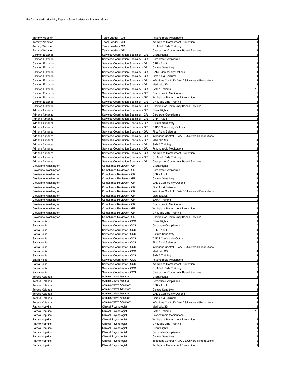| Tammy Webster        | Team Leader - GR                                     | <b>Psychotropic Medications</b>                   | $\overline{2}$          |
|----------------------|------------------------------------------------------|---------------------------------------------------|-------------------------|
| Tammy Webster        |                                                      | Workplace Harassment Prevention                   |                         |
|                      | Team Leader - GR                                     |                                                   |                         |
| Tammy Webster        | Team Leader - GR                                     | CH Mack Data Training                             | 8                       |
| Tammy Webster        | Team Leader - GR                                     | <b>Charges for Community Based Services</b>       |                         |
| Carmen Elizondo      | Services Coordination Specialist - GR                | Client Rights                                     |                         |
| Carmen Elizondo      | Services Coordination Specialist - GR                | Corporate Compliance                              |                         |
| Carmen Elizondo      | Services Coordination Specialist - GR                | CPR - Adult                                       |                         |
| Carmen Elizondo      | Services Coordination Specialist - GR                | <b>Culture Sensitivity</b>                        |                         |
| Carmen Elizondo      | Services Coordination Specialist - GR                | <b>DADS Community Options</b>                     |                         |
| Carmen Elizondo      | Services Coordination Specialist - GR                | First Aid & Seizures                              |                         |
| Carmen Elizondo      | Services Coordination Specialist - GR                | Infections Control/HIV/AIDS/Universal Precautions | 2                       |
| Carmen Elizondo      | Services Coordination Specialist - GR                | Medicaid/SS                                       |                         |
| Carmen Elizondo      | Services Coordination Specialist - GR                | <b>SAMA Training</b>                              | 12                      |
| Carmen Elizondo      | Services Coordination Specialist - GR                | <b>Psychotropic Medications</b>                   | $\overline{a}$          |
| Carmen Elizondo      | Services Coordination Specialist - GR                | Workplace Harassment Prevention                   |                         |
| Carmen Elizondo      | Services Coordination Specialist - GR                | CH Mack Data Training                             | 8                       |
| Carmen Elizondo      | Services Coordination Specialist - GR                | Charges for Community Based Services              | 4                       |
| Adriana Almanza      | Services Coordination Specialist - GR                | Client Rights                                     |                         |
| Adriana Almanza      | Services Coordination Specialist - GR                | Corporate Compliance                              | 0                       |
| Adriana Almanza      | Services Coordination Specialist - GR                | CPR - Adult                                       |                         |
| Adriana Almanza      | Services Coordination Specialist - GR                | <b>Culture Sensitivity</b>                        |                         |
|                      |                                                      |                                                   |                         |
| Adriana Almanza      | Services Coordination Specialist - GR                | <b>DADS Community Options</b>                     |                         |
| Adriana Almanza      | Services Coordination Specialist - GR                | First Aid & Seizures                              |                         |
| Adriana Almanza      | Services Coordination Specialist - GR                | Infections Control/HIV/AIDS/Universal Precautions |                         |
| Adriana Almanza      | Services Coordination Specialist - GR                | Medicaid/SS                                       |                         |
| Adriana Almanza      | Services Coordination Specialist - GR                | <b>SAMA Training</b>                              | 12                      |
| Adriana Almanza      | Services Coordination Specialist - GR                | Psychotropic Medications                          | $\overline{c}$          |
| Adriana Almanza      | Services Coordination Specialist - GR                | Workplace Harassment Prevention                   | 1                       |
| Adriana Almanza      | Services Coordination Specialist - GR                | CH Mack Data Training                             | 8                       |
| Adriana Almanza      | Services Coordination Specialist - GR                | Charges for Community Based Services              |                         |
| Giovianne Washington | Compliance Reviewer - GR                             | Client Rights                                     |                         |
| Giovianne Washington | Compliance Reviewer - GR                             | Corporate Compliance                              |                         |
| Giovianne Washington | Compliance Reviewer - GR                             | CPR - Adult                                       |                         |
| Giovianne Washington | Compliance Reviewer - GR                             | Culture Sensitivity                               |                         |
| Giovianne Washington | Compliance Reviewer - GR                             | <b>DADS Community Options</b>                     |                         |
| Giovianne Washington | Compliance Reviewer - GR                             | First Aid & Seizures                              |                         |
| Giovianne Washington | Compliance Reviewer - GR                             | Infections Control/HIV/AIDS/Universal Precautions | $\overline{c}$          |
|                      |                                                      |                                                   |                         |
|                      |                                                      |                                                   |                         |
| Giovianne Washington | Compliance Reviewer - GR                             | Medicaid/SS                                       |                         |
| Giovianne Washington | Compliance Reviewer - GR                             | <b>SAMA Training</b>                              | 12                      |
| Giovianne Washington | Compliance Reviewer - GR                             | Psychotropic Medications                          | $\overline{c}$          |
| Giovianne Washington | Compliance Reviewer - GR                             | Workplace Harassment Prevention                   | $\mathbf{1}$            |
| Giovianne Washington | Compliance Reviewer - GR                             | CH Mack Data Training                             | 8                       |
| Giovianne Washington | Compliance Reviewer - GR                             | Charges for Community Based Services              |                         |
| Satira Hollis        | Services Coordinator - COS                           | Client Rights                                     |                         |
| Satira Hollis        | Services Coordinator - COS                           | Corporate Compliance                              | $\Omega$                |
| Satira Hollis        | Services Coordinator - COS                           | CPR - Adult                                       |                         |
| Satira Hollis        | Services Coordinator - COS                           | Culture Sensitivity                               |                         |
| Satira Hollis        | Services Coordinator - COS                           | <b>DADS Community Options</b>                     |                         |
| Satira Hollis        | Services Coordinator - COS                           | First Aid & Seizures                              |                         |
| Satira Hollis        | Services Coordinator - COS                           | Infections Control/HIV/AIDS/Universal Precautions | 2                       |
| Satira Hollis        | Services Coordinator - COS                           | Medicaid/SS                                       |                         |
| Satira Hollis        | Services Coordinator - COS                           | <b>SAMA Training</b>                              | 12                      |
| Satira Hollis        | Services Coordinator - COS                           | Psychotropic Medications                          | $\overline{c}$          |
| Satira Hollis        | Services Coordinator - COS                           | Workplace Harassment Prevention                   | $\overline{1}$          |
| Satira Hollis        | Services Coordinator - COS                           | CH Mack Data Training                             | 8                       |
|                      |                                                      | Charges for Community Based Services              | 4                       |
| Satira Hollis        | Services Coordinator - COS                           |                                                   |                         |
| Teresa Kolenda       | Administrative Assistant<br>Administrative Assistant | Client Rights                                     |                         |
| Teresa Kolenda       |                                                      | Corporate Compliance                              | $\mathbf{0}$            |
| Teresa Kolenda       | Administrative Assistant                             | CPR - Adult                                       |                         |
| Teresa Kolenda       | Administrative Assistant                             | <b>Culture Sensitivity</b>                        |                         |
| Teresa Kolenda       | Administrative Assistant                             | <b>DADS Community Options</b>                     | 4                       |
| Teresa Kolenda       | Administrative Assistant                             | First Aid & Seizures                              | 4                       |
| Teresa Kolenda       | Administrative Assistant                             | Infections Control/HIV/AIDS/Universal Precautions | $\overline{2}$          |
| Patrick Hopkins      | <b>Clinical Psychologist</b>                         | Medicaid/SS                                       | 4                       |
| Patrick Hopkins      | Clinical Psychologist                                | <b>SAMA Training</b>                              | 12                      |
| Patrick Hopkins      | Clinical Psychologist                                | Psychotropic Medications                          | 2                       |
| Patrick Hopkins      | Clinical Psychologist                                | Workplace Harassment Prevention                   |                         |
| Patrick Hopkins      | Clinical Psychologist                                | CH Mack Data Training                             | 8                       |
| Patrick Hopkins      | Clinical Psychologist                                | <b>Client Rights</b>                              |                         |
| Patrick Hopkins      | Clinical Psychologist                                | Corporate Compliance                              | 0                       |
| Patrick Hopkins      | Clinical Psychologist                                | <b>Culture Sensitivity</b>                        |                         |
| Patrick Hopkins      | Clinical Psychologist                                | Infections Control/HIV/AIDS/Universal Precautions | $\overline{\mathbf{c}}$ |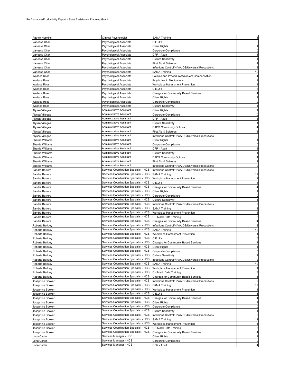| <b>Patrick Hopkins</b>  | <b>Clinical Psychologist</b>           | <b>SAMA Training</b>                              |                |
|-------------------------|----------------------------------------|---------------------------------------------------|----------------|
| Vanessa Chan            | Psychological Associate                | C.E.U.'s                                          |                |
| √anessa Chan            | Psychological Associate                | Client Rights                                     |                |
| Vanessa Chan            | Psychological Associate                | Corporate Compliance                              |                |
| Vanessa Chan            | Psychological Associate                | CPR - Adult                                       |                |
| Vanessa Chan            | Psychological Associate                | Culture Sensitivity                               |                |
| Vanessa Chan            | Psychological Associate                | First Aid & Seizures                              |                |
| Vanessa Chan            | Psychological Associate                | Infections Control/HIV/AIDS/Universal Precautions |                |
| Vanessa Chan            | Psychological Associate                | <b>SAMA Training</b>                              | 12             |
| <b>Wallace Ross</b>     | Psychological Associate                | Policies and Procedures/Workers Compensation      |                |
| <b>Wallace Ross</b>     | Psychological Associate                | Psychotropic Medications                          | $\overline{c}$ |
| <b>Wallace Ross</b>     | Psychological Associate                | Workplace Harassment Prevention                   |                |
| <b>Wallace Ross</b>     | Psychological Associate                | C.E.U.'s                                          | 6              |
| <b>Wallace Ross</b>     | Psychological Associate                | Charges for Community Based Services              |                |
| <b>Wallace Ross</b>     | Psychological Associate                | Client Rights                                     |                |
| <b>Wallace Ross</b>     | Psychological Associate                | Corporate Compliance                              |                |
| <b>Wallace Ross</b>     | Psychological Associate                | <b>Culture Sensitivity</b>                        |                |
| Alyssa Villegas         | Administrative Assistant               | Client Rights                                     |                |
| Alyssa Villegas         | Administrative Assistant               | Corporate Compliance                              |                |
| Alyssa Villegas         | Administrative Assistant               | CPR - Adult                                       |                |
| Alyssa Villegas         | Administrative Assistant               | Culture Sensitivity                               |                |
| Alyssa Villegas         | Administrative Assistant               | <b>DADS Community Options</b>                     |                |
| Alyssa Villegas         | Administrative Assistant               | First Aid & Seizures                              |                |
| Alyssa Villegas         | Administrative Assistant               | Infections Control/HIV/AIDS/Universal Precautions |                |
| Sherrie Williams        | Administrative Assistant               | Client Rights                                     |                |
| Sherrie Williams        | Administrative Assistant               | Corporate Compliance                              | O              |
| <b>Sherrie Williams</b> | Administrative Assistant               | CPR - Adult                                       |                |
| Sherrie Williams        | Administrative Assistant               | <b>Culture Sensitivity</b>                        |                |
| Sherrie Williams        | Administrative Assistant               | DADS Community Options                            |                |
| Sherrie Williams        | Administrative Assistant               | First Aid & Seizures                              |                |
|                         | Administrative Assistant               |                                                   |                |
| <b>Sherrie Williams</b> | Services Coordination Specialist - HCS | Infections Control/HIV/AIDS/Universal Precautions |                |
| Sandra Barrera          | Services Coordination Specialist - HCS | Infections Control/HIV/AIDS/Universal Precautions | 12             |
| Sandra Barrera          | Services Coordination Specialist - HCS | <b>SAMA Training</b>                              |                |
| Sandra Barrera          | Services Coordination Specialist - HCS | Workplace Harassment Prevention                   |                |
| Sandra Barrera          |                                        | C.E.U.'s                                          | 6              |
| Sandra Barrera          | Services Coordination Specialist - HCS | Charges for Community Based Services              | 4              |
| Sandra Barrera          | Services Coordination Specialist - HCS | <b>Client Rights</b>                              |                |
| Sandra Barrera          | Services Coordination Specialist - HCS | Corporate Compliance                              | 0              |
| Sandra Barrera          | Services Coordination Specialist - HCS | <b>Culture Sensitivity</b>                        |                |
| Sandra Barrera          | Services Coordination Specialist - HCS | Infections Control/HIV/AIDS/Universal Precautions |                |
| Sandra Barrera          | Services Coordination Specialist - HCS | <b>SAMA Training</b>                              | 12             |
| Sandra Barrera          | Services Coordination Specialist - HCS | Workplace Harassment Prevention                   |                |
| Sandra Barrera          | Services Coordination Specialist - HCS | CH Mack Data Training                             | 8              |
| Sandra Barrera          | Services Coordination Specialist - HCS | Charges for Community Based Services              |                |
| Roberta Berkley         | Services Coordination Specialist - HCS | Infections Control/HIV/AIDS/Universal Precautions |                |
| Roberta Berkley         | Services Coordination Specialist - HCS | <b>SAMA Training</b>                              | 12             |
| Roberta Berkley         | Services Coordination Specialist - HCS | Workplace Harassment Prevention                   |                |
| Roberta Berkley         | Services Coordination Specialist - HCS | C.E.U.'s                                          | 6              |
| Roberta Berkley         | Services Coordination Specialist - HCS | Charges for Community Based Services              |                |
| Roberta Berkley         | Services Coordination Specialist - HCS | <b>Client Rights</b>                              |                |
| Roberta Berkley         | Services Coordination Specialist - HCS | Corporate Compliance                              | O              |
| Roberta Berkley         | Services Coordination Specialist - HCS | <b>Culture Sensitivity</b>                        | 1              |
| Roberta Berkley         | Services Coordination Specialist - HCS | Infections Control/HIV/AIDS/Universal Precautions |                |
| Roberta Berkley         | Services Coordination Specialist - HCS | SAMA Training                                     | 12             |
| Roberta Berkley         | Services Coordination Specialist - HCS | Workplace Harassment Prevention                   |                |
| Roberta Berkley         | Services Coordination Specialist - HCS | CH Mack Data Training                             | 8              |
| Roberta Berkley         | Services Coordination Specialist - HCS | Charges for Community Based Services              | 4              |
| Josephine Booker        | Services Coordination Specialist - HCS | Infections Control/HIV/AIDS/Universal Precautions | $\overline{2}$ |
| Josephine Booker        | Services Coordination Specialist - HCS | <b>SAMA Training</b>                              | 12             |
| Josephine Booker        | Services Coordination Specialist - HCS | Workplace Harassment Prevention                   |                |
| Josephine Booker        | Services Coordination Specialist - HCS | C.E.U.'s                                          | 6              |
| Josephine Booker        | Services Coordination Specialist - HCS | <b>Charges for Community Based Services</b>       | 4              |
| Josephine Booker        | Services Coordination Specialist - HCS | <b>Client Rights</b>                              | 1              |
| Josephine Booker        | Services Coordination Specialist - HCS | Corporate Compliance                              | 0              |
| Josephine Booker        | Services Coordination Specialist - HCS | <b>Culture Sensitivity</b>                        |                |
| Josephine Booker        | Services Coordination Specialist - HCS | Infections Control/HIV/AIDS/Universal Precautions | $\overline{2}$ |
| Josephine Booker        | Services Coordination Specialist - HCS | <b>SAMA Training</b>                              | 12             |
| Josephine Booker        | Services Coordination Specialist - HCS | Workplace Harassment Prevention                   |                |
| Josephine Booker        | Services Coordination Specialist - HCS | CH Mack Data Training                             | 8              |
| Josephine Booker        | Services Coordination Specialist - HCS | <b>Charges for Community Based Services</b>       |                |
| ona Carter.             | Services Manager - HCS                 | Client Rights                                     |                |
| ona Carter.             | Services Manager - HCS                 | Corporate Compliance                              | 0              |
| Lona Carter             | Services Manager - HCS                 | CPR - Adult                                       |                |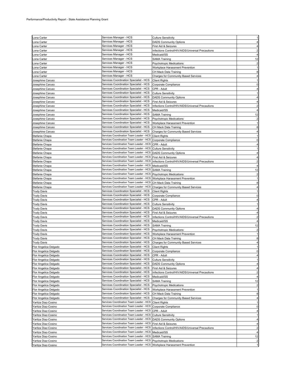| Lona Carter                                | Services Manager - HCS                                                             | <b>Culture Sensitivity</b>                        |                         |
|--------------------------------------------|------------------------------------------------------------------------------------|---------------------------------------------------|-------------------------|
| Lona Carter                                | Services Manager - HCS                                                             | <b>DADS Community Options</b>                     |                         |
| Lona Carter                                | Services Manager - HCS                                                             | First Aid & Seizures                              |                         |
| Lona Carter                                | Services Manager - HCS                                                             | Infections Control/HIV/AIDS/Universal Precautions | 2                       |
| Lona Carter                                | Services Manager - HCS                                                             | Medicaid/SS                                       |                         |
| Lona Carter                                | Services Manager - HCS                                                             | <b>SAMA Training</b>                              | 12                      |
| ona Carter                                 | Services Manager - HCS                                                             | Psychotropic Medications                          | $\overline{c}$          |
| Lona Carter                                | Services Manager - HCS                                                             | Workplace Harassment Prevention                   |                         |
| .ona Carter                                | Services Manager - HCS                                                             | CH Mack Data Training                             | 8                       |
| Lona Carter                                | Services Manager - HCS                                                             | Charges for Community Based Services              |                         |
| Josephine Caruso                           | Services Coordination Specialist - HCS                                             | <b>Client Rights</b>                              |                         |
| Josephine Caruso                           | Services Coordination Specialist - HCS                                             | Corporate Compliance                              | 0                       |
| Josephine Caruso                           | Services Coordination Specialist - HCS                                             | CPR - Adult                                       |                         |
| Josephine Caruso                           | Services Coordination Specialist - HCS                                             | <b>Culture Sensitivity</b>                        |                         |
| Josephine Caruso                           | Services Coordination Specialist - HCS                                             | <b>DADS Community Options</b>                     |                         |
| Josephine Caruso                           | Services Coordination Specialist - HCS                                             | First Aid & Seizures                              |                         |
| Josephine Caruso                           | Services Coordination Specialist - HCS                                             | Infections Control/HIV/AIDS/Universal Precautions |                         |
| Josephine Caruso                           | Services Coordination Specialist - HCS                                             | Medicaid/SS                                       |                         |
| Josephine Caruso                           | Services Coordination Specialist - HCS                                             | <b>SAMA Training</b>                              | 12                      |
| Josephine Caruso                           | Services Coordination Specialist - HCS                                             | <b>Psychotropic Medications</b>                   | $\overline{c}$          |
| Josephine Caruso                           | Services Coordination Specialist - HCS                                             | Workplace Harassment Prevention                   |                         |
| Josephine Caruso                           | Services Coordination Specialist - HCS                                             | CH Mack Data Training                             | 8                       |
| Josephine Caruso                           | Services Coordination Specialist - HCS                                             | <b>Charges for Community Based Services</b>       |                         |
| Stefanie Chapa                             | Services Coordination Team Leader - HCS                                            | <b>Client Rights</b>                              |                         |
| Stefanie Chapa                             | Services Coordination Team Leader - HCS                                            | Corporate Compliance                              | $\Omega$                |
| Stefanie Chapa                             | Services Coordination Team Leader - HCS                                            | CPR - Adult                                       |                         |
| Stefanie Chapa                             | Services Coordination Team Leader - HCS                                            | <b>Culture Sensitivity</b>                        |                         |
| Stefanie Chapa                             | Services Coordination Team Leader - HCS                                            | <b>DADS Community Options</b>                     |                         |
| Stefanie Chapa                             | Services Coordination Team Leader - HCS                                            | First Aid & Seizures                              |                         |
| Stefanie Chapa                             | Services Coordination Team Leader - HCS                                            | Infections Control/HIV/AIDS/Universal Precautions |                         |
| Stefanie Chapa                             | Services Coordination Team Leader - HCS<br>Services Coordination Team Leader - HCS | Medicaid/SS                                       |                         |
| Stefanie Chapa                             |                                                                                    | <b>SAMA Training</b>                              | 12                      |
| Stefanie Chapa                             | Services Coordination Team Leader - HCS<br>Services Coordination Team Leader - HCS | <b>Psychotropic Medications</b>                   | $\overline{c}$          |
| Stefanie Chapa                             |                                                                                    | Workplace Harassment Prevention                   |                         |
| Stefanie Chapa                             | Services Coordination Team Leader - HCS<br>Services Coordination Team Leader - HCS | CH Mack Data Training                             | 8                       |
| Stefanie Chapa                             | Services Coordination Specialist - HCS                                             | Charges for Community Based Services              |                         |
| <b>Trudy Davis</b>                         | Services Coordination Specialist - HCS                                             | <b>Client Rights</b><br>Corporate Compliance      | $\Omega$                |
| <b>Trudy Davis</b><br>Trudy Davis          | Services Coordination Specialist - HCS                                             | CPR - Adult                                       |                         |
| Trudy Davis                                | Services Coordination Specialist - HCS                                             | Culture Sensitivity                               |                         |
| Trudy Davis                                | Services Coordination Specialist - HCS                                             | <b>DADS Community Options</b>                     |                         |
| <b>Trudy Davis</b>                         | Services Coordination Specialist - HCS                                             | First Aid & Seizures                              |                         |
| <b>Trudy Davis</b>                         | Services Coordination Specialist - HCS                                             | Infections Control/HIV/AIDS/Universal Precautions |                         |
| <b>Trudy Davis</b>                         | Services Coordination Specialist - HCS                                             | Medicaid/SS                                       |                         |
| <b>Trudy Davis</b>                         | Services Coordination Specialist - HCS                                             | <b>SAMA Training</b>                              | 12                      |
| <b>Trudy Davis</b>                         | Services Coordination Specialist - HCS                                             | <b>Psychotropic Medications</b>                   |                         |
| <b>Trudy Davis</b>                         | Services Coordination Specialist - HCS                                             | Workplace Harassment Prevention                   |                         |
| <b>Trudy Davis</b>                         | Services Coordination Specialist - HCS                                             | CH Mack Data Training                             | 8                       |
| <b>Trudy Davis</b>                         | Services Coordination Specialist - HCS                                             | Charges for Community Based Services              | 4                       |
| Flor Angelica Delgado                      | Services Coordination Specialist - HCS                                             | <b>Client Rights</b>                              |                         |
| Flor Angelica Delgado                      | Services Coordination Specialist - HCS                                             | Corporate Compliance                              | $\Omega$                |
| Flor Angelica Delgado                      | Services Coordination Specialist - HCS                                             | CPR - Adult                                       | 4                       |
| Flor Angelica Delgado                      | Services Coordination Specialist - HCS                                             | Culture Sensitivity                               |                         |
| Flor Angelica Delgado                      | Services Coordination Specialist - HCS                                             | <b>DADS Community Options</b>                     |                         |
| Flor Angelica Delgado                      | Services Coordination Specialist - HCS                                             | First Aid & Seizures                              | 4                       |
| Flor Angelica Delgado                      | Services Coordination Specialist - HCS                                             | Infections Control/HIV/AIDS/Universal Precautions | 2                       |
| Flor Angelica Delgado                      | Services Coordination Specialist - HCS                                             | Medicaid/SS                                       |                         |
| Flor Angelica Delgado                      | Services Coordination Specialist - HCS                                             | <b>SAMA Training</b>                              | 12                      |
| Flor Angelica Delgado                      | Services Coordination Specialist - HCS                                             | <b>Psychotropic Medications</b>                   |                         |
| Flor Angelica Delgado                      | Services Coordination Specialist - HCS                                             | Workplace Harassment Prevention                   |                         |
| Flor Angelica Delgado                      | Services Coordination Specialist - HCS                                             | CH Mack Data Training                             | 8                       |
| Flor Angelica Delgado                      | Services Coordination Specialist - HCS<br>Services Coordination Team Leader - HCS  | Charges for Community Based Services              | 4                       |
| Yaritza Diaz-Cosino                        | Services Coordination Team Leader - HCS                                            | <b>Client Rights</b>                              | 0                       |
| Yaritza Diaz-Cosino<br>Yaritza Diaz-Cosino | Services Coordination Team Leader - HCS                                            | Corporate Compliance<br>CPR - Adult               | 4                       |
| Yaritza Diaz-Cosino                        | Services Coordination Team Leader - HCS                                            | <b>Culture Sensitivity</b>                        |                         |
| Yaritza Diaz-Cosino                        | Services Coordination Team Leader - HCS                                            | <b>DADS Community Options</b>                     |                         |
| Yaritza Diaz-Cosino                        | Services Coordination Team Leader - HCS                                            | First Aid & Seizures                              |                         |
| Yaritza Diaz-Cosino                        | Services Coordination Team Leader - HCS                                            | Infections Control/HIV/AIDS/Universal Precautions | 2                       |
| Yaritza Diaz-Cosino                        | Services Coordination Team Leader - HCS                                            | Medicaid/SS                                       |                         |
| Yaritza Diaz-Cosino                        |                                                                                    |                                                   | 12                      |
|                                            | Services Coordination Team Leader - HCS                                            |                                                   |                         |
| Yaritza Diaz-Cosino                        | Services Coordination Team Leader - HCS                                            | <b>SAMA Training</b><br>Psychotropic Medications  | $\overline{\mathbf{c}}$ |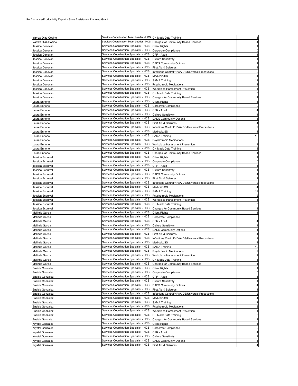| Yaritza Diaz-Cosino | Services Coordination Team Leader - HCS CH Mack Data Training |                                                   |                         |
|---------------------|---------------------------------------------------------------|---------------------------------------------------|-------------------------|
| Yaritza Diaz-Cosino | Services Coordination Team Leader - HCS                       | <b>Charges for Community Based Services</b>       |                         |
|                     | Services Coordination Specialist - HCS                        |                                                   |                         |
| Jessica Donovan     |                                                               | <b>Client Rights</b>                              |                         |
| Jessica Donovan     | Services Coordination Specialist - HCS                        | Corporate Compliance                              |                         |
| Jessica Donovan     | Services Coordination Specialist - HCS                        | CPR - Adult                                       |                         |
| Jessica Donovan     | Services Coordination Specialist - HCS                        | <b>Culture Sensitivity</b>                        |                         |
| Jessica Donovan     | Services Coordination Specialist - HCS                        | <b>DADS Community Options</b>                     |                         |
| Jessica Donovan     | Services Coordination Specialist - HCS                        | First Aid & Seizures                              |                         |
| Jessica Donovan     | Services Coordination Specialist - HCS                        | Infections Control/HIV/AIDS/Universal Precautions |                         |
| Jessica Donovan     | Services Coordination Specialist - HCS                        | Medicaid/SS                                       |                         |
| Jessica Donovan     | Services Coordination Specialist - HCS                        | <b>SAMA Training</b>                              | 12                      |
| Jessica Donovan     | Services Coordination Specialist - HCS                        | <b>Psychotropic Medications</b>                   | $\overline{c}$          |
| Jessica Donovan     | Services Coordination Specialist - HCS                        | Workplace Harassment Prevention                   |                         |
|                     | Services Coordination Specialist - HCS                        |                                                   |                         |
| Jessica Donovan     | Services Coordination Specialist - HCS                        | CH Mack Data Training                             |                         |
| Jessica Donovan     |                                                               | Charges for Community Based Services              |                         |
| Laura Enrione       | Services Coordination Specialist - HCS                        | <b>Client Rights</b>                              |                         |
| Laura Enrione       | Services Coordination Specialist - HCS                        | Corporate Compliance                              |                         |
| aura Enrione.       | Services Coordination Specialist - HCS                        | CPR - Adult                                       |                         |
| aura Enrione.       | Services Coordination Specialist - HCS                        | <b>Culture Sensitivity</b>                        |                         |
| aura Enrione.       | Services Coordination Specialist - HCS                        | <b>DADS Community Options</b>                     |                         |
| Laura Enrione       | Services Coordination Specialist - HCS                        | First Aid & Seizures                              |                         |
| Laura Enrione       | Services Coordination Specialist - HCS                        | Infections Control/HIV/AIDS/Universal Precautions |                         |
| Laura Enrione       | Services Coordination Specialist - HCS                        | Medicaid/SS                                       |                         |
| aura Enrione.       | Services Coordination Specialist - HCS                        | <b>SAMA Training</b>                              | 12                      |
| Laura Enrione       | Services Coordination Specialist - HCS                        | Psychotropic Medications                          | $\overline{2}$          |
| aura Enrione.       | Services Coordination Specialist - HCS                        | Workplace Harassment Prevention                   |                         |
| Laura Enrione       | Services Coordination Specialist - HCS                        | CH Mack Data Training                             | 8                       |
| Laura Enrione       | Services Coordination Specialist - HCS                        | Charges for Community Based Services              |                         |
| Jessica Esquivel    | Services Coordination Specialist - HCS                        | <b>Client Rights</b>                              |                         |
| Jessica Esquivel    | Services Coordination Specialist - HCS                        | Corporate Compliance                              |                         |
| Jessica Esquivel    | Services Coordination Specialist - HCS                        | CPR - Adult                                       |                         |
| Jessica Esquivel    | Services Coordination Specialist - HCS                        | <b>Culture Sensitivity</b>                        |                         |
| Jessica Esquivel    | Services Coordination Specialist - HCS                        | <b>DADS Community Options</b>                     |                         |
|                     | Services Coordination Specialist - HCS                        |                                                   |                         |
| Jessica Esquivel    |                                                               | First Aid & Seizures                              |                         |
| Jessica Esquivel    | Services Coordination Specialist - HCS                        | Infections Control/HIV/AIDS/Universal Precautions |                         |
| Jessica Esquivel    | Services Coordination Specialist - HCS                        | Medicaid/SS                                       |                         |
| Jessica Esquivel    | Services Coordination Specialist - HCS                        | <b>SAMA Training</b>                              | 12                      |
| Jessica Esquivel    | Services Coordination Specialist - HCS                        | <b>Psychotropic Medications</b>                   |                         |
| Jessica Esquivel    | Services Coordination Specialist - HCS                        | Workplace Harassment Prevention                   |                         |
| Jessica Esquivel    | Services Coordination Specialist - HCS                        | CH Mack Data Training                             |                         |
| Jessica Esquivel    | Services Coordination Specialist - HCS                        | Charges for Community Based Services              |                         |
| Melinda Garcia      | Services Coordination Specialist - HCS                        | <b>Client Rights</b>                              |                         |
| Melinda Garcia      | Services Coordination Specialist - HCS                        | Corporate Compliance                              |                         |
| Melinda Garcia      | Services Coordination Specialist - HCS                        | CPR - Adult                                       |                         |
| Melinda Garcia      | Services Coordination Specialist - HCS                        | <b>Culture Sensitivity</b>                        |                         |
| Melinda Garcia      | Services Coordination Specialist - HCS                        | <b>DADS Community Options</b>                     |                         |
| Melinda Garcia      | Services Coordination Specialist - HCS                        | First Aid & Seizures                              |                         |
| Melinda Garcia      | Services Coordination Specialist - HCS                        | Infections Control/HIV/AIDS/Universal Precautions |                         |
| Melinda Garcia      | Services Coordination Specialist - HCS                        | Medicaid/SS                                       |                         |
| Melinda Garcia      | Services Coordination Specialist - HCS                        | <b>SAMA Training</b>                              | 12                      |
| Melinda Garcia      | Services Coordination Specialist - HCS                        | <b>Psychotropic Medications</b>                   | $\overline{c}$          |
| Melinda Garcia      | Services Coordination Specialist - HCS                        | Workplace Harassment Prevention                   | 1                       |
| Melinda Garcia      | Services Coordination Specialist - HCS                        | CH Mack Data Training                             | 8                       |
| Melinda Garcia      | Services Coordination Specialist - HCS                        | <b>Charges for Community Based Services</b>       |                         |
| Eneida Gonzalez     | Services Coordination Specialist - HCS                        | <b>Client Rights</b>                              |                         |
| Eneida Gonzalez     | Services Coordination Specialist - HCS                        | Corporate Compliance                              | 0                       |
| Eneida Gonzalez     | Services Coordination Specialist - HCS                        | CPR - Adult                                       |                         |
| Eneida Gonzalez     | Services Coordination Specialist - HCS                        | <b>Culture Sensitivity</b>                        |                         |
| Eneida Gonzalez     | Services Coordination Specialist - HCS                        | <b>DADS Community Options</b>                     |                         |
| Eneida Gonzalez     | Services Coordination Specialist - HCS                        | First Aid & Seizures                              |                         |
| Eneida Gonzalez     | Services Coordination Specialist - HCS                        | Infections Control/HIV/AIDS/Universal Precautions | $\overline{\mathbf{c}}$ |
| Eneida Gonzalez     | Services Coordination Specialist - HCS                        |                                                   | 4                       |
|                     | Services Coordination Specialist - HCS                        | Medicaid/SS                                       |                         |
| Eneida Gonzalez     |                                                               | <b>SAMA Training</b>                              | 12                      |
| Eneida Gonzalez     | Services Coordination Specialist - HCS                        | <b>Psychotropic Medications</b>                   |                         |
| Eneida Gonzalez     | Services Coordination Specialist - HCS                        | Workplace Harassment Prevention                   |                         |
| Eneida Gonzalez     | Services Coordination Specialist - HCS                        | CH Mack Data Training                             | 8                       |
| Eneida Gonzalez     | Services Coordination Specialist - HCS                        | <b>Charges for Community Based Services</b>       |                         |
| Krystal Gonzalez    | Services Coordination Specialist - HCS                        | <b>Client Rights</b>                              |                         |
| Krystal Gonzalez    | Services Coordination Specialist - HCS                        | Corporate Compliance                              | 0                       |
| Krystal Gonzalez    | Services Coordination Specialist - HCS                        | CPR - Adult                                       |                         |
| Krystal Gonzalez    | Services Coordination Specialist - HCS                        | <b>Culture Sensitivity</b>                        |                         |
| Krystal Gonzalez    | Services Coordination Specialist - HCS                        | <b>DADS Community Options</b>                     |                         |
| Krystal Gonzalez    | Services Coordination Specialist - HCS                        | First Aid & Seizures                              |                         |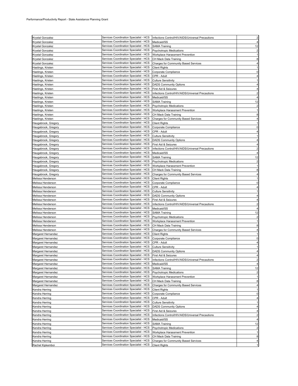| Krystal Gonzalez    | Services Coordination Specialist - HCS                                           | Infections Control/HIV/AIDS/Universal Precautions | $\overline{c}$ |
|---------------------|----------------------------------------------------------------------------------|---------------------------------------------------|----------------|
|                     | Services Coordination Specialist - HCS                                           |                                                   |                |
| Krystal Gonzalez    |                                                                                  | Medicaid/SS                                       |                |
| Krystal Gonzalez    | Services Coordination Specialist - HCS                                           | SAMA Training                                     | 12             |
| Krystal Gonzalez    | Services Coordination Specialist - HCS                                           | <b>Psychotropic Medications</b>                   |                |
| Krystal Gonzalez    | Services Coordination Specialist - HCS                                           | Workplace Harassment Prevention                   |                |
| Krystal Gonzalez    | Services Coordination Specialist - HCS                                           | CH Mack Data Training                             |                |
| Krystal Gonzalez    | Services Coordination Specialist - HCS                                           | <b>Charges for Community Based Services</b>       |                |
| Hastings, Kristen   | Services Coordination Specialist - HCS                                           | <b>Client Rights</b>                              |                |
| Hastings, Kristen   | Services Coordination Specialist - HCS                                           | Corporate Compliance                              |                |
| Hastings, Kristen   | Services Coordination Specialist - HCS                                           | CPR - Adult                                       |                |
| Hastings, Kristen   | Services Coordination Specialist - HCS                                           | <b>Culture Sensitivity</b>                        |                |
| Hastings, Kristen   | Services Coordination Specialist - HCS                                           | <b>DADS Community Options</b>                     |                |
| Hastings, Kristen   | Services Coordination Specialist - HCS                                           | First Aid & Seizures                              |                |
| Hastings, Kristen   | Services Coordination Specialist - HCS                                           | Infections Control/HIV/AIDS/Universal Precautions |                |
| Hastings, Kristen   | Services Coordination Specialist - HCS                                           | Medicaid/SS                                       |                |
| Hastings, Kristen   | Services Coordination Specialist - HCS                                           | <b>SAMA Training</b>                              | 12             |
|                     | Services Coordination Specialist - HCS                                           |                                                   |                |
| Hastings, Kristen   | Services Coordination Specialist - HCS                                           | Psychotropic Medications                          |                |
| Hastings, Kristen   | Services Coordination Specialist - HCS                                           | Workplace Harassment Prevention                   |                |
| Hastings, Kristen   |                                                                                  | CH Mack Data Training                             |                |
| Hastings, Kristen   | Services Coordination Specialist - HCS                                           | <b>Charges for Community Based Services</b>       |                |
| Haugabrook, Gregory | Services Coordination Specialist - HCS                                           | <b>Client Rights</b>                              |                |
| Haugabrook, Gregory | Services Coordination Specialist - HCS                                           | Corporate Compliance                              |                |
| Haugabrook, Gregory | Services Coordination Specialist - HCS                                           | CPR - Adult                                       |                |
| Haugabrook, Gregory | Services Coordination Specialist - HCS                                           | <b>Culture Sensitivity</b>                        |                |
| Haugabrook, Gregory | Services Coordination Specialist - HCS                                           | <b>DADS Community Options</b>                     |                |
| Haugabrook, Gregory | Services Coordination Specialist - HCS                                           | First Aid & Seizures                              |                |
| Haugabrook, Gregory | Services Coordination Specialist - HCS                                           | Infections Control/HIV/AIDS/Universal Precautions |                |
| Haugabrook, Gregory | Services Coordination Specialist - HCS                                           | Medicaid/SS                                       |                |
| Haugabrook, Gregory | Services Coordination Specialist - HCS                                           | <b>SAMA Training</b>                              | 12             |
| Haugabrook, Gregory | Services Coordination Specialist - HCS                                           | Psychotropic Medications                          |                |
| Haugabrook, Gregory | Services Coordination Specialist - HCS                                           | Workplace Harassment Prevention                   |                |
| Haugabrook, Gregory | Services Coordination Specialist - HCS                                           | CH Mack Data Training                             |                |
|                     | Services Coordination Specialist - HCS                                           | <b>Charges for Community Based Services</b>       |                |
| Haugabrook, Gregory |                                                                                  |                                                   |                |
| Melissa Henderson   | Services Coordination Specialist - HCS                                           | <b>Client Rights</b>                              |                |
| Melissa Henderson   | Services Coordination Specialist - HCS                                           | Corporate Compliance                              | 0              |
| Melissa Henderson   | Services Coordination Specialist - HCS                                           | CPR - Adult                                       |                |
| Melissa Henderson   | Services Coordination Specialist - HCS                                           | <b>Culture Sensitivity</b>                        |                |
| Melissa Henderson   | Services Coordination Specialist - HCS                                           | <b>DADS Community Options</b>                     |                |
|                     |                                                                                  |                                                   |                |
| Melissa Henderson   | Services Coordination Specialist - HCS                                           | First Aid & Seizures                              |                |
| Melissa Henderson   | Services Coordination Specialist - HCS                                           | Infections Control/HIV/AIDS/Universal Precautions |                |
| Melissa Henderson   | Services Coordination Specialist - HCS                                           | Medicaid/SS                                       |                |
| Melissa Henderson   | Services Coordination Specialist - HCS                                           | <b>SAMA Training</b>                              | 12             |
| Melissa Henderson   | Services Coordination Specialist - HCS                                           | <b>Psychotropic Medications</b>                   |                |
| Melissa Henderson   | Services Coordination Specialist - HCS                                           | Workplace Harassment Prevention                   |                |
|                     |                                                                                  |                                                   |                |
| Melissa Henderson   | Services Coordination Specialist - HCS                                           | CH Mack Data Training                             |                |
| Melissa Henderson   | Services Coordination Specialist - HCS                                           | <b>Charges for Community Based Services</b>       |                |
| Margaret Hernandez  | Services Coordination Specialist - HCS                                           | <b>Client Rights</b>                              |                |
| Margaret Hernandez  | Services Coordination Specialist - HCS                                           | Corporate Compliance                              | 0              |
| Margaret Hernandez  | Services Coordination Specialist - HCS                                           | CPR - Adult                                       |                |
| Margaret Hernandez  | Services Coordination Specialist - HCS                                           | <b>Culture Sensitivity</b>                        |                |
| Margaret Hernandez  | Services Coordination Specialist - HCS                                           | <b>DADS Community Options</b>                     |                |
| Margaret Hernandez  | Services Coordination Specialist - HCS                                           | First Aid & Seizures                              | 4              |
| Margaret Hernandez  | Services Coordination Specialist - HCS                                           | Infections Control/HIV/AIDS/Universal Precautions | $\overline{c}$ |
| Margaret Hernandez  | Services Coordination Specialist - HCS                                           | Medicaid/SS                                       | 4              |
| Margaret Hernandez  | Services Coordination Specialist - HCS                                           | <b>SAMA Training</b>                              | 12             |
| Margaret Hernandez  | Services Coordination Specialist - HCS                                           | <b>Psychotropic Medications</b>                   |                |
| Margaret Hernandez  | Services Coordination Specialist - HCS                                           | Workplace Harassment Prevention                   |                |
| Margaret Hernandez  | Services Coordination Specialist - HCS                                           | CH Mack Data Training                             | 8              |
| Margaret Hernandez  | Services Coordination Specialist - HCS                                           | <b>Charges for Community Based Services</b>       | 4              |
| Kendra Herring      | Services Coordination Specialist - HCS                                           | <b>Client Rights</b>                              |                |
| Kendra Herring      | Services Coordination Specialist - HCS                                           | Corporate Compliance                              | 0              |
|                     | Services Coordination Specialist - HCS                                           |                                                   |                |
| Kendra Herring      | Services Coordination Specialist - HCS                                           | CPR - Adult                                       |                |
| Kendra Herring      |                                                                                  | <b>Culture Sensitivity</b>                        |                |
| Kendra Herring      | Services Coordination Specialist - HCS                                           | <b>DADS Community Options</b>                     |                |
| Kendra Herring      | Services Coordination Specialist - HCS                                           | First Aid & Seizures                              | 4              |
| Kendra Herring      | Services Coordination Specialist - HCS                                           | Infections Control/HIV/AIDS/Universal Precautions | $\overline{2}$ |
| Kendra Herring      | Services Coordination Specialist - HCS                                           | Medicaid/SS                                       | 4              |
| Kendra Herring      | Services Coordination Specialist - HCS                                           | <b>SAMA Training</b>                              | 12             |
| Kendra Herring      | Services Coordination Specialist - HCS                                           | <b>Psychotropic Medications</b>                   | $\overline{2}$ |
| Kendra Herring      | Services Coordination Specialist - HCS                                           | Workplace Harassment Prevention                   | 1              |
| Kendra Herring      | Services Coordination Specialist - HCS                                           | CH Mack Data Training                             | 8              |
| Kendra Herring      | Services Coordination Specialist - HCS<br>Services Coordination Specialist - HCS | <b>Charges for Community Based Services</b>       |                |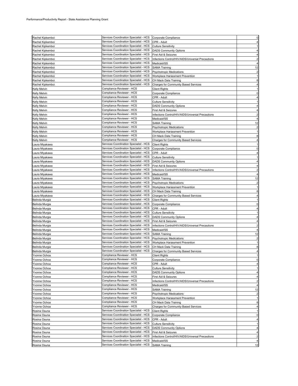|                              | Services Coordination Specialist - HCS                                           | Corporate Compliance                              | $\Omega$                |
|------------------------------|----------------------------------------------------------------------------------|---------------------------------------------------|-------------------------|
| Rachel Kipkemboi             |                                                                                  |                                                   |                         |
| Rachel Kipkemboi             | Services Coordination Specialist - HCS                                           | CPR - Adult                                       |                         |
| Rachel Kipkemboi             | Services Coordination Specialist - HCS                                           | <b>Culture Sensitivity</b>                        |                         |
| Rachel Kipkemboi             | Services Coordination Specialist - HCS                                           | <b>DADS Community Options</b>                     |                         |
| Rachel Kipkemboi             | Services Coordination Specialist - HCS                                           | First Aid & Seizures                              |                         |
|                              | Services Coordination Specialist - HCS                                           |                                                   |                         |
| Rachel Kipkemboi             |                                                                                  | Infections Control/HIV/AIDS/Universal Precautions |                         |
| Rachel Kipkemboi             | Services Coordination Specialist - HCS                                           | Medicaid/SS                                       |                         |
| Rachel Kipkemboi             | Services Coordination Specialist - HCS                                           | <b>SAMA Training</b>                              | 12                      |
| Rachel Kipkemboi             | Services Coordination Specialist - HCS                                           | <b>Psychotropic Medications</b>                   |                         |
| Rachel Kipkemboi             | Services Coordination Specialist - HCS                                           | Workplace Harassment Prevention                   |                         |
|                              |                                                                                  |                                                   |                         |
| Rachel Kipkemboi             | Services Coordination Specialist - HCS                                           | CH Mack Data Training                             | 8                       |
| Rachel Kipkemboi             | Services Coordination Specialist - HCS                                           | <b>Charges for Community Based Services</b>       |                         |
| Kelly Melvin                 | Compliance Reviewer - HCS                                                        | <b>Client Rights</b>                              |                         |
| Kelly Melvin                 | Compliance Reviewer - HCS                                                        | Corporate Compliance                              |                         |
|                              | Compliance Reviewer - HCS                                                        |                                                   |                         |
| Kelly Melvin                 |                                                                                  | CPR - Adult                                       |                         |
| Kelly Melvin                 | Compliance Reviewer - HCS                                                        | <b>Culture Sensitivity</b>                        |                         |
| Kelly Melvin                 | Compliance Reviewer - HCS                                                        | <b>DADS Community Options</b>                     |                         |
| Kelly Melvin                 | Compliance Reviewer - HCS                                                        | First Aid & Seizures                              |                         |
| Kelly Melvin                 | Compliance Reviewer - HCS                                                        | Infections Control/HIV/AIDS/Universal Precautions |                         |
|                              |                                                                                  |                                                   |                         |
| Kelly Melvin                 | Compliance Reviewer - HCS                                                        | Medicaid/SS                                       |                         |
| Kelly Melvin                 | Compliance Reviewer - HCS                                                        | <b>SAMA Training</b>                              | 12                      |
| Kelly Melvin                 | Compliance Reviewer - HCS                                                        | <b>Psychotropic Medications</b>                   | $\overline{2}$          |
| Kelly Melvin                 | Compliance Reviewer - HCS                                                        | Workplace Harassment Prevention                   |                         |
|                              | Compliance Reviewer - HCS                                                        |                                                   | 8                       |
| Kelly Melvin                 |                                                                                  | CH Mack Data Training                             |                         |
| Kelly Melvin                 | Compliance Reviewer - HCS                                                        | <b>Charges for Community Based Services</b>       |                         |
| Laura Miyakawa               | Services Coordination Specialist - HCS                                           | <b>Client Rights</b>                              |                         |
| aura Miyakawa.               | Services Coordination Specialist - HCS                                           | Corporate Compliance                              | 0                       |
| Laura Miyakawa               | Services Coordination Specialist - HCS                                           | CPR - Adult                                       |                         |
|                              | Services Coordination Specialist - HCS                                           |                                                   |                         |
| Laura Miyakawa               |                                                                                  | <b>Culture Sensitivity</b>                        |                         |
| Laura Miyakawa               | Services Coordination Specialist - HCS                                           | <b>DADS Community Options</b>                     |                         |
| Laura Miyakawa               | Services Coordination Specialist - HCS                                           | First Aid & Seizures                              |                         |
| Laura Miyakawa               | Services Coordination Specialist - HCS                                           | Infections Control/HIV/AIDS/Universal Precautions |                         |
| Laura Miyakawa               | Services Coordination Specialist - HCS                                           | Medicaid/SS                                       |                         |
|                              |                                                                                  |                                                   |                         |
| Laura Miyakawa               | Services Coordination Specialist - HCS                                           | <b>SAMA Training</b>                              | 12                      |
| Laura Miyakawa               | Services Coordination Specialist - HCS                                           | Psychotropic Medications                          |                         |
| Laura Miyakawa               | Services Coordination Specialist - HCS                                           | Workplace Harassment Prevention                   |                         |
| Laura Miyakawa               | Services Coordination Specialist - HCS                                           | CH Mack Data Training                             | 8                       |
|                              | Services Coordination Specialist - HCS                                           |                                                   |                         |
| Laura Miyakawa               |                                                                                  | <b>Charges for Community Based Services</b>       |                         |
| Belinda Murgia               | Services Coordination Specialist - HCS                                           | <b>Client Rights</b>                              |                         |
| Belinda Murgia               | Services Coordination Specialist - HCS                                           | Corporate Compliance                              |                         |
| Belinda Murgia               | Services Coordination Specialist - HCS                                           | CPR - Adult                                       |                         |
| Belinda Murgia               | Services Coordination Specialist - HCS                                           | <b>Culture Sensitivity</b>                        |                         |
|                              |                                                                                  |                                                   |                         |
| Belinda Murgia               | Services Coordination Specialist - HCS                                           | <b>DADS Community Options</b>                     |                         |
| Belinda Murgia               | Services Coordination Specialist - HCS                                           | First Aid & Seizures                              |                         |
| Belinda Murgia               | Services Coordination Specialist - HCS                                           | Infections Control/HIV/AIDS/Universal Precautions |                         |
| Belinda Murgia               |                                                                                  |                                                   |                         |
|                              |                                                                                  |                                                   |                         |
|                              | Services Coordination Specialist - HCS                                           | Medicaid/SS                                       |                         |
| Belinda Murgia               | Services Coordination Specialist - HCS                                           | <b>SAMA Training</b>                              | 12                      |
| Belinda Murgia               | Services Coordination Specialist - HCS                                           | Psychotropic Medications                          |                         |
| Belinda Murgia               | Services Coordination Specialist - HCS                                           | Workplace Harassment Prevention                   |                         |
| Belinda Murgia               | Services Coordination Specialist - HCS                                           | CH Mack Data Training                             | 8                       |
|                              | Services Coordination Specialist - HCS                                           |                                                   |                         |
| Belinda Murgia               |                                                                                  | <b>Charges for Community Based Services</b>       |                         |
| Yvonne Ochoa                 | Compliance Reviewer - HCS                                                        | <b>Client Rights</b>                              | 1                       |
| Yvonne Ochoa                 | Compliance Reviewer - HCS                                                        | Corporate Compliance                              | 0                       |
| Yvonne Ochoa                 | Compliance Reviewer - HCS                                                        | CPR - Adult                                       |                         |
| Yvonne Ochoa                 | Compliance Reviewer - HCS                                                        | <b>Culture Sensitivity</b>                        |                         |
|                              | Compliance Reviewer - HCS                                                        |                                                   | 4                       |
| Yvonne Ochoa                 |                                                                                  | <b>DADS Community Options</b>                     |                         |
| Yvonne Ochoa                 | Compliance Reviewer - HCS                                                        | First Aid & Seizures                              | 4                       |
| Yvonne Ochoa                 | Compliance Reviewer - HCS                                                        | Infections Control/HIV/AIDS/Universal Precautions | $\overline{c}$          |
| Yvonne Ochoa                 | Compliance Reviewer - HCS                                                        | Medicaid/SS                                       | 4                       |
| Yvonne Ochoa                 | Compliance Reviewer - HCS                                                        | <b>SAMA Training</b>                              | 12                      |
|                              | Compliance Reviewer - HCS                                                        |                                                   | $\overline{2}$          |
| Yvonne Ochoa                 |                                                                                  | <b>Psychotropic Medications</b>                   |                         |
| Yvonne Ochoa                 | Compliance Reviewer - HCS                                                        | Workplace Harassment Prevention                   |                         |
| Yvonne Ochoa                 | Compliance Reviewer - HCS                                                        | CH Mack Data Training                             | 8                       |
| Yvonne Ochoa                 | Compliance Reviewer - HCS                                                        | <b>Charges for Community Based Services</b>       | 4                       |
| Rosina Osuna                 | Services Coordination Specialist - HCS                                           | <b>Client Rights</b>                              |                         |
|                              | Services Coordination Specialist - HCS                                           |                                                   | 0                       |
| Rosina Osuna                 |                                                                                  | Corporate Compliance                              |                         |
| Rosina Osuna                 | Services Coordination Specialist - HCS                                           | CPR - Adult                                       |                         |
| Rosina Osuna                 | Services Coordination Specialist - HCS                                           | <b>Culture Sensitivity</b>                        |                         |
| Rosina Osuna                 | Services Coordination Specialist - HCS                                           | <b>DADS Community Options</b>                     | 4                       |
| Rosina Osuna                 | Services Coordination Specialist - HCS                                           | First Aid & Seizures                              | 4                       |
|                              |                                                                                  |                                                   |                         |
| Rosina Osuna                 | Services Coordination Specialist - HCS                                           | Infections Control/HIV/AIDS/Universal Precautions | $\overline{\mathbf{c}}$ |
| Rosina Osuna<br>Rosina Osuna | Services Coordination Specialist - HCS<br>Services Coordination Specialist - HCS | Medicaid/SS<br><b>SAMA Training</b>               | 12                      |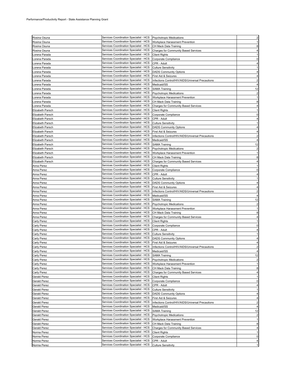| Rosina Osuna            | Services Coordination Specialist - HCS |                                                   |                |
|-------------------------|----------------------------------------|---------------------------------------------------|----------------|
|                         | Services Coordination Specialist - HCS | <b>Psychotropic Medications</b>                   |                |
| Rosina Osuna            |                                        | Workplace Harassment Prevention                   |                |
| Rosina Osuna            | Services Coordination Specialist - HCS | CH Mack Data Training                             |                |
| Rosina Osuna            | Services Coordination Specialist - HCS | Charges for Community Based Services              |                |
| orena Parada.           | Services Coordination Specialist - HCS | <b>Client Rights</b>                              |                |
| orena Parada            | Services Coordination Specialist - HCS | Corporate Compliance                              |                |
| orena Parada            | Services Coordination Specialist - HCS | CPR - Adult                                       |                |
| orena Parada            | Services Coordination Specialist - HCS | <b>Culture Sensitivity</b>                        |                |
| orena Parada.           | Services Coordination Specialist - HCS | <b>DADS Community Options</b>                     |                |
| orena Parada            | Services Coordination Specialist - HCS | First Aid & Seizures                              |                |
| Lorena Parada           | Services Coordination Specialist - HCS | Infections Control/HIV/AIDS/Universal Precautions |                |
| Lorena Parada           | Services Coordination Specialist - HCS | Medicaid/SS                                       |                |
| Lorena Parada           | Services Coordination Specialist - HCS | <b>SAMA Training</b>                              | 12             |
| Lorena Parada           | Services Coordination Specialist - HCS | <b>Psychotropic Medications</b>                   | $\overline{c}$ |
| orena Parada.           | Services Coordination Specialist - HCS | Workplace Harassment Prevention                   |                |
| orena Parada            | Services Coordination Specialist - HCS | CH Mack Data Training                             | 8              |
| Lorena Parada           | Services Coordination Specialist - HCS | Charges for Community Based Services              |                |
| Elizabeth Parsch        | Services Coordination Specialist - HCS | <b>Client Rights</b>                              |                |
|                         | Services Coordination Specialist - HCS | Corporate Compliance                              |                |
| Elizabeth Parsch        | Services Coordination Specialist - HCS |                                                   |                |
| <b>Elizabeth Parsch</b> |                                        | CPR - Adult                                       |                |
| Elizabeth Parsch        | Services Coordination Specialist - HCS | <b>Culture Sensitivity</b>                        |                |
| <b>Elizabeth Parsch</b> | Services Coordination Specialist - HCS | <b>DADS Community Options</b>                     |                |
| <b>Elizabeth Parsch</b> | Services Coordination Specialist - HCS | First Aid & Seizures                              |                |
| <b>Elizabeth Parsch</b> | Services Coordination Specialist - HCS | Infections Control/HIV/AIDS/Universal Precautions |                |
| Elizabeth Parsch        | Services Coordination Specialist - HCS | Medicaid/SS                                       |                |
| Elizabeth Parsch        | Services Coordination Specialist - HCS | <b>SAMA Training</b>                              | 12             |
| <b>Elizabeth Parsch</b> | Services Coordination Specialist - HCS | Psychotropic Medications                          |                |
| <b>Elizabeth Parsch</b> | Services Coordination Specialist - HCS | Workplace Harassment Prevention                   |                |
| <b>Elizabeth Parsch</b> | Services Coordination Specialist - HCS | CH Mack Data Training                             |                |
| Elizabeth Parsch        | Services Coordination Specialist - HCS | Charges for Community Based Services              |                |
| Anna Perez              | Services Coordination Specialist - HCS | <b>Client Rights</b>                              |                |
| Anna Perez              | Services Coordination Specialist - HCS | Corporate Compliance                              |                |
| Anna Perez              | Services Coordination Specialist - HCS | CPR - Adult                                       |                |
| Anna Perez              | Services Coordination Specialist - HCS | <b>Culture Sensitivity</b>                        |                |
| Anna Perez              | Services Coordination Specialist - HCS | <b>DADS Community Options</b>                     |                |
| Anna Perez              | Services Coordination Specialist - HCS | First Aid & Seizures                              |                |
| Anna Perez              | Services Coordination Specialist - HCS |                                                   |                |
|                         | Services Coordination Specialist - HCS | Infections Control/HIV/AIDS/Universal Precautions |                |
| Anna Perez              |                                        | Medicaid/SS                                       |                |
| Anna Perez              | Services Coordination Specialist - HCS | <b>SAMA Training</b>                              | 12             |
| Anna Perez              | Services Coordination Specialist - HCS | Psychotropic Medications                          | $\overline{2}$ |
| Anna Perez              | Services Coordination Specialist - HCS | Workplace Harassment Prevention                   |                |
| Anna Perez              | Services Coordination Specialist - HCS | CH Mack Data Training                             | 8              |
| Anna Perez              | Services Coordination Specialist - HCS | Charges for Community Based Services              |                |
| Carly Perez             | Services Coordination Specialist - HCS | <b>Client Rights</b>                              |                |
| Carly Perez             | Services Coordination Specialist - HCS | Corporate Compliance                              |                |
| <b>Carly Perez</b>      | Services Coordination Specialist - HCS | CPR - Adult                                       |                |
| Carly Perez             | Services Coordination Specialist - HCS | <b>Culture Sensitivity</b>                        |                |
| <b>Carly Perez</b>      | Services Coordination Specialist - HCS | <b>DADS Community Options</b>                     |                |
| Carly Perez             | Services Coordination Specialist - HCS | First Aid & Seizures                              |                |
| Carly Perez             | Services Coordination Specialist - HCS |                                                   |                |
|                         |                                        | Infections Control/HIV/AIDS/Universal Precautions | 2              |
|                         | Services Coordination Specialist - HCS | Medicaid/SS                                       |                |
| Carly Perez             | Services Coordination Specialist - HCS | <b>SAMA Training</b>                              | 12             |
| Carly Perez             | Services Coordination Specialist - HCS |                                                   | $\overline{c}$ |
| <b>Carly Perez</b>      | Services Coordination Specialist - HCS | Psychotropic Medications                          |                |
| Carly Perez             | Services Coordination Specialist - HCS | Workplace Harassment Prevention                   |                |
| Carly Perez             |                                        | CH Mack Data Training                             | 8              |
| Carly Perez             | Services Coordination Specialist - HCS | <b>Charges for Community Based Services</b>       |                |
| Gerald Perez            | Services Coordination Specialist - HCS | <b>Client Rights</b>                              |                |
| <b>Gerald Perez</b>     | Services Coordination Specialist - HCS | Corporate Compliance                              | 0              |
| <b>Gerald Perez</b>     | Services Coordination Specialist - HCS | CPR - Adult                                       |                |
| <b>Gerald Perez</b>     | Services Coordination Specialist - HCS | <b>Culture Sensitivity</b>                        |                |
| Gerald Perez            | Services Coordination Specialist - HCS | <b>DADS Community Options</b>                     | 4              |
| <b>Gerald Perez</b>     | Services Coordination Specialist - HCS | First Aid & Seizures                              | 4              |
| <b>Gerald Perez</b>     | Services Coordination Specialist - HCS | Infections Control/HIV/AIDS/Universal Precautions | $\overline{2}$ |
| <b>Gerald Perez</b>     | Services Coordination Specialist - HCS | Medicaid/SS                                       |                |
| <b>Gerald Perez</b>     | Services Coordination Specialist - HCS | <b>SAMA Training</b>                              | 12             |
| <b>Gerald Perez</b>     | Services Coordination Specialist - HCS | <b>Psychotropic Medications</b>                   |                |
| <b>Gerald Perez</b>     | Services Coordination Specialist - HCS | Workplace Harassment Prevention                   |                |
| <b>Gerald Perez</b>     | Services Coordination Specialist - HCS | CH Mack Data Training                             | 8              |
| <b>Gerald Perez</b>     | Services Coordination Specialist - HCS | Charges for Community Based Services              |                |
| Norma Perez             | Services Coordination Specialist - HCS | <b>Client Rights</b>                              |                |
| Norma Perez             | Services Coordination Specialist - HCS | Corporate Compliance                              | 0              |
| Norma Perez             | Services Coordination Specialist - HCS | CPR - Adult                                       |                |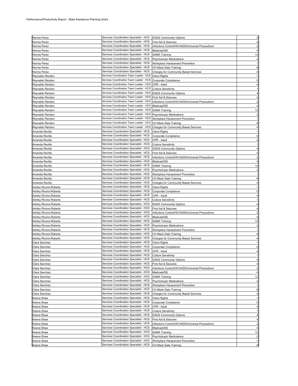|                       | Services Coordination Specialist - HCS  |                                                   |                         |
|-----------------------|-----------------------------------------|---------------------------------------------------|-------------------------|
| Norma Perez           |                                         | <b>DADS Community Options</b>                     |                         |
| Norma Perez           | Services Coordination Specialist - HCS  | First Aid & Seizures                              |                         |
| Norma Perez           | Services Coordination Specialist - HCS  | Infections Control/HIV/AIDS/Universal Precautions |                         |
| Norma Perez           | Services Coordination Specialist - HCS  | Medicaid/SS                                       |                         |
| Norma Perez           | Services Coordination Specialist - HCS  | <b>SAMA Training</b>                              | 12                      |
|                       | Services Coordination Specialist - HCS  |                                                   |                         |
| Norma Perez           |                                         | <b>Psychotropic Medications</b>                   |                         |
| Norma Perez           | Services Coordination Specialist - HCS  | Workplace Harassment Prevention                   |                         |
| Norma Perez           | Services Coordination Specialist - HCS  | CH Mack Data Training                             |                         |
| Norma Perez           | Services Coordination Specialist - HCS  | Charges for Community Based Services              |                         |
| Reynaldo Rendon       | Services Coordination Team Leader - HCS | <b>Client Rights</b>                              |                         |
|                       |                                         |                                                   |                         |
| Reynaldo Rendon       | Services Coordination Team Leader - HCS | Corporate Compliance                              |                         |
| Reynaldo Rendon       | Services Coordination Team Leader - HCS | CPR - Adult                                       |                         |
| Reynaldo Rendon       | Services Coordination Team Leader - HCS | <b>Culture Sensitivity</b>                        |                         |
| Reynaldo Rendon       | Services Coordination Team Leader - HCS | <b>DADS Community Options</b>                     |                         |
|                       | Services Coordination Team Leader - HCS |                                                   |                         |
| Reynaldo Rendon       |                                         | First Aid & Seizures                              |                         |
| Reynaldo Rendon       | Services Coordination Team Leader - HCS | Infections Control/HIV/AIDS/Universal Precautions |                         |
| Reynaldo Rendon       | Services Coordination Team Leader - HCS | Medicaid/SS                                       |                         |
| Reynaldo Rendon       | Services Coordination Team Leader - HCS | <b>SAMA Training</b>                              | 12                      |
| Reynaldo Rendon       | Services Coordination Team Leader - HCS | <b>Psychotropic Medications</b>                   |                         |
|                       |                                         |                                                   |                         |
| Reynaldo Rendon       | Services Coordination Team Leader - HCS | Workplace Harassment Prevention                   |                         |
| Reynaldo Rendon       | Services Coordination Team Leader - HCS | CH Mack Data Training                             |                         |
| Reynaldo Rendon       | Services Coordination Team Leader - HCS | Charges for Community Based Services              |                         |
| Amanda Revilla        | Services Coordination Specialist - HCS  | <b>Client Rights</b>                              |                         |
|                       | Services Coordination Specialist - HCS  |                                                   |                         |
| Amanda Revilla        |                                         | Corporate Compliance                              |                         |
| Amanda Revilla        | Services Coordination Specialist - HCS  | CPR - Adult                                       |                         |
| Amanda Revilla        | Services Coordination Specialist - HCS  | <b>Culture Sensitivity</b>                        |                         |
| Amanda Revilla        | Services Coordination Specialist - HCS  | <b>DADS Community Options</b>                     |                         |
| Amanda Revilla        | Services Coordination Specialist - HCS  | First Aid & Seizures                              |                         |
|                       |                                         |                                                   |                         |
| Amanda Revilla        | Services Coordination Specialist - HCS  | Infections Control/HIV/AIDS/Universal Precautions |                         |
| Amanda Revilla        | Services Coordination Specialist - HCS  | Medicaid/SS                                       |                         |
| Amanda Revilla        | Services Coordination Specialist - HCS  | <b>SAMA Training</b>                              | 12                      |
| Amanda Revilla        | Services Coordination Specialist - HCS  | <b>Psychotropic Medications</b>                   | $\overline{c}$          |
|                       | Services Coordination Specialist - HCS  |                                                   |                         |
| Amanda Revilla        |                                         | Workplace Harassment Prevention                   |                         |
| Amanda Revilla        | Services Coordination Specialist - HCS  | CH Mack Data Training                             | 8                       |
| Amanda Revilla        | Services Coordination Specialist - HCS  | Charges for Community Based Services              |                         |
| Ashley Rivons-Roberts | Services Coordination Specialist - HCS  | <b>Client Rights</b>                              |                         |
|                       | Services Coordination Specialist - HCS  | Corporate Compliance                              | 0                       |
| Ashley Rivons-Roberts |                                         |                                                   |                         |
| Ashley Rivons-Roberts | Services Coordination Specialist - HCS  | CPR - Adult                                       |                         |
| Ashley Rivons-Roberts | Services Coordination Specialist - HCS  | <b>Culture Sensitivity</b>                        |                         |
| Ashley Rivons-Roberts | Services Coordination Specialist - HCS  | <b>DADS Community Options</b>                     |                         |
| Ashley Rivons-Roberts | Services Coordination Specialist - HCS  | First Aid & Seizures                              |                         |
|                       | Services Coordination Specialist - HCS  |                                                   |                         |
| Ashley Rivons-Roberts |                                         | Infections Control/HIV/AIDS/Universal Precautions |                         |
| Ashley Rivons-Roberts | Services Coordination Specialist - HCS  | Medicaid/SS                                       |                         |
| Ashley Rivons-Roberts | Services Coordination Specialist - HCS  | <b>SAMA Training</b>                              | 12                      |
| Ashley Rivons-Roberts | Services Coordination Specialist - HCS  | <b>Psychotropic Medications</b>                   |                         |
| Ashley Rivons-Roberts | Services Coordination Specialist - HCS  | Workplace Harassment Prevention                   |                         |
|                       | Services Coordination Specialist - HCS  |                                                   |                         |
| Ashley Rivons-Roberts |                                         | CH Mack Data Training                             |                         |
| Ashley Rivons-Roberts | Services Coordination Specialist - HCS  | Charges for Community Based Services              |                         |
| Clara Sanchez         | Services Coordination Specialist - HCS  | <b>Client Rights</b>                              |                         |
| Clara Sanchez         | Services Coordination Specialist - HCS  | Corporate Compliance                              | 0                       |
| Clara Sanchez         | Services Coordination Specialist - HCS  | CPR - Adult                                       |                         |
|                       |                                         |                                                   |                         |
| Clara Sanchez         | Services Coordination Specialist - HCS  | <b>Culture Sensitivity</b>                        |                         |
| Clara Sanchez         | Services Coordination Specialist - HCS  | <b>DADS Community Options</b>                     |                         |
| Clara Sanchez         | Services Coordination Specialist - HCS  | First Aid & Seizures                              |                         |
| Clara Sanchez         | Services Coordination Specialist - HCS  | Infections Control/HIV/AIDS/Universal Precautions | $\overline{2}$          |
| Clara Sanchez         | Services Coordination Specialist - HCS  | Medicaid/SS                                       | 4                       |
|                       | Services Coordination Specialist - HCS  |                                                   |                         |
| Clara Sanchez         |                                         | <b>SAMA Training</b>                              | 12                      |
| Clara Sanchez         | Services Coordination Specialist - HCS  | <b>Psychotropic Medications</b>                   |                         |
| Clara Sanchez         | Services Coordination Specialist - HCS  | Workplace Harassment Prevention                   |                         |
| Clara Sanchez         | Services Coordination Specialist - HCS  | CH Mack Data Training                             | 8                       |
| Clara Sanchez         | Services Coordination Specialist - HCS  | Charges for Community Based Services              | 4                       |
|                       | Services Coordination Specialist - HCS  |                                                   |                         |
| Keena Shaw            |                                         | <b>Client Rights</b>                              |                         |
| Keena Shaw            | Services Coordination Specialist - HCS  | Corporate Compliance                              | $\Omega$                |
| Keena Shaw            | Services Coordination Specialist - HCS  | CPR - Adult                                       |                         |
| Keena Shaw            | Services Coordination Specialist - HCS  | <b>Culture Sensitivity</b>                        |                         |
| Keena Shaw            | Services Coordination Specialist - HCS  | <b>DADS Community Options</b>                     |                         |
|                       |                                         |                                                   |                         |
| Keena Shaw            | Services Coordination Specialist - HCS  | First Aid & Seizures                              |                         |
| Keena Shaw            | Services Coordination Specialist - HCS  | Infections Control/HIV/AIDS/Universal Precautions | $\overline{2}$          |
| Keena Shaw            | Services Coordination Specialist - HCS  | Medicaid/SS                                       | 4                       |
| Keena Shaw            | Services Coordination Specialist - HCS  | <b>SAMA Training</b>                              | 12                      |
| Keena Shaw            | Services Coordination Specialist - HCS  | <b>Psychotropic Medications</b>                   | $\overline{\mathbf{c}}$ |
|                       | Services Coordination Specialist - HCS  |                                                   |                         |
| Keena Shaw            |                                         | Workplace Harassment Prevention                   | $\mathbf{1}$            |
| Keena Shaw            | Services Coordination Specialist - HCS  | CH Mack Data Training                             | 8                       |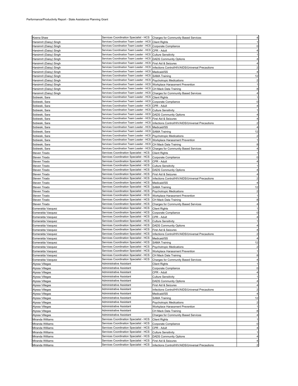|                         | Services Coordination Specialist - HCS Charges for Community Based Services |                                                   |                         |
|-------------------------|-----------------------------------------------------------------------------|---------------------------------------------------|-------------------------|
| Keena Shaw              |                                                                             |                                                   | 4                       |
| Harsimrit (Daisy) Singh | Services Coordination Team Leader - HCS                                     | <b>Client Rights</b>                              | $\mathbf{1}$            |
| Harsimrit (Daisy) Singh | Services Coordination Team Leader - HCS                                     | Corporate Compliance                              | $\mathbf 0$             |
| Harsimrit (Daisy) Singh | Services Coordination Team Leader - HCS                                     | CPR - Adult                                       | $\overline{4}$          |
| Harsimrit (Daisy) Singh | Services Coordination Team Leader - HCS                                     | <b>Culture Sensitivity</b>                        | 1                       |
| Harsimrit (Daisy) Singh | Services Coordination Team Leader - HCS                                     | <b>DADS Community Options</b>                     | 4                       |
| Harsimrit (Daisy) Singh | Services Coordination Team Leader - HCS                                     | First Aid & Seizures                              | 4                       |
|                         | Services Coordination Team Leader - HCS                                     | Infections Control/HIV/AIDS/Universal Precautions | $\overline{\mathbf{c}}$ |
| Harsimrit (Daisy) Singh |                                                                             |                                                   |                         |
| Harsimrit (Daisy) Singh | Services Coordination Team Leader - HCS                                     | Medicaid/SS                                       | 4                       |
| Harsimrit (Daisy) Singh | Services Coordination Team Leader - HCS                                     | <b>SAMA Training</b>                              | 12                      |
| Harsimrit (Daisy) Singh | Services Coordination Team Leader - HCS                                     | <b>Psychotropic Medications</b>                   | $\overline{\mathbf{c}}$ |
| Harsimrit (Daisy) Singh | Services Coordination Team Leader - HCS                                     | Workplace Harassment Prevention                   | $\mathbf{1}$            |
| Harsimrit (Daisy) Singh | Services Coordination Team Leader - HCS                                     | CH Mack Data Training                             | 8                       |
|                         | Services Coordination Team Leader - HCS                                     |                                                   |                         |
| Harsimrit (Daisy) Singh |                                                                             | <b>Charges for Community Based Services</b>       | 4                       |
| Sobieski, Sara          | Services Coordination Team Leader - HCS                                     | <b>Client Rights</b>                              | $\mathbf{1}$            |
| Sobieski, Sara          | Services Coordination Team Leader - HCS                                     | Corporate Compliance                              | $\mathbf 0$             |
| Sobieski, Sara          | Services Coordination Team Leader - HCS                                     | CPR - Adult                                       | 4                       |
| Sobieski, Sara          | Services Coordination Team Leader - HCS                                     | <b>Culture Sensitivity</b>                        | $\mathbf{1}$            |
| Sobieski, Sara          | Services Coordination Team Leader - HCS                                     | <b>DADS Community Options</b>                     | 4                       |
|                         | Services Coordination Team Leader - HCS                                     |                                                   | 4                       |
| Sobieski, Sara          |                                                                             | First Aid & Seizures                              |                         |
| Sobieski, Sara          | Services Coordination Team Leader - HCS                                     | Infections Control/HIV/AIDS/Universal Precautions | $\overline{2}$          |
| Sobieski, Sara          | Services Coordination Team Leader - HCS                                     | Medicaid/SS                                       | 4                       |
| Sobieski, Sara          | Services Coordination Team Leader - HCS                                     | <b>SAMA Training</b>                              | 12                      |
| Sobieski, Sara          | Services Coordination Team Leader - HCS                                     | Psychotropic Medications                          | $\overline{\mathbf{c}}$ |
| Sobieski, Sara          | Services Coordination Team Leader - HCS                                     | Workplace Harassment Prevention                   | 1                       |
| Sobieski, Sara          | Services Coordination Team Leader - HCS                                     | CH Mack Data Training                             | 8                       |
|                         |                                                                             |                                                   |                         |
| Sobieski, Sara          | Services Coordination Team Leader - HCS                                     | <b>Charges for Community Based Services</b>       | 4                       |
| Steven Tirado           | Services Coordination Specialist - HCS                                      | <b>Client Rights</b>                              | $\mathbf{1}$            |
| Steven Tirado           | Services Coordination Specialist - HCS                                      | Corporate Compliance                              | $\pmb{0}$               |
| Steven Tirado           | Services Coordination Specialist - HCS                                      | CPR - Adult                                       | 4                       |
| Steven Tirado           | Services Coordination Specialist - HCS                                      | <b>Culture Sensitivity</b>                        | -1                      |
| Steven Tirado           | Services Coordination Specialist - HCS                                      | <b>DADS Community Options</b>                     | 4                       |
|                         |                                                                             |                                                   |                         |
| Steven Tirado           | Services Coordination Specialist - HCS                                      | First Aid & Seizures                              | 4                       |
| Steven Tirado           | Services Coordination Specialist - HCS                                      | Infections Control/HIV/AIDS/Universal Precautions | $\overline{2}$          |
| Steven Tirado           | Services Coordination Specialist - HCS                                      | Medicaid/SS                                       | $\overline{4}$          |
| Steven Tirado           | Services Coordination Specialist - HCS                                      | <b>SAMA Training</b>                              | 12                      |
| Steven Tirado           | Services Coordination Specialist - HCS                                      | Psychotropic Medications                          | $\overline{\mathbf{c}}$ |
| Steven Tirado           | Services Coordination Specialist - HCS                                      | Workplace Harassment Prevention                   | $\mathbf{1}$            |
|                         |                                                                             |                                                   |                         |
| Steven Tirado           | Services Coordination Specialist - HCS                                      | CH Mack Data Training                             | 8                       |
| Steven Tirado           | Services Coordination Specialist - HCS                                      | Charges for Community Based Services              | 4                       |
| Esmeralda Vasquez       | Services Coordination Specialist - HCS                                      | <b>Client Rights</b>                              | 1                       |
| Esmeralda Vasquez       | Services Coordination Specialist - HCS                                      | Corporate Compliance                              | $\pmb{0}$               |
| Esmeralda Vasquez       | Services Coordination Specialist - HCS                                      | CPR - Adult                                       | 4                       |
| Esmeralda Vasquez       | Services Coordination Specialist - HCS                                      | <b>Culture Sensitivity</b>                        | $\mathbf{1}$            |
|                         | Services Coordination Specialist - HCS                                      |                                                   |                         |
| Esmeralda Vasquez       |                                                                             | <b>DADS Community Options</b>                     | 4                       |
| Esmeralda Vasquez       | Services Coordination Specialist - HCS                                      | First Aid & Seizures                              |                         |
| Esmeralda Vasquez       | Services Coordination Specialist - HCS                                      | Infections Control/HIV/AIDS/Universal Precautions | $\overline{\mathbf{c}}$ |
| Esmeralda Vasquez       | Services Coordination Specialist - HCS                                      | Medicaid/SS                                       | $\overline{4}$          |
| Esmeralda Vasquez       | Services Coordination Specialist - HCS                                      | <b>SAMA Training</b>                              | 12                      |
| Esmeralda Vasquez       | Services Coordination Specialist - HCS                                      | <b>Psychotropic Medications</b>                   | $\overline{\mathbf{c}}$ |
|                         | Services Coordination Specialist - HCS   Workplace Harassment Prevention    |                                                   | $\mathbf{1}$            |
| Esmeralda Vasquez       |                                                                             |                                                   |                         |
| Esmeralda Vasquez       | Services Coordination Specialist - HCS                                      | CH Mack Data Training                             | 8                       |
| Esmeralda Vasquez       | Services Coordination Specialist - HCS                                      | <b>Charges for Community Based Services</b>       | $\overline{\mathbf{4}}$ |
| Alyssa Villegas         | Administrative Assistant                                                    | <b>Client Rights</b>                              | $\mathbf{1}$            |
| Alyssa Villegas         | Administrative Assistant                                                    | Corporate Compliance                              | $\pmb{0}$               |
| Alyssa Villegas         | Administrative Assistant                                                    | CPR - Adult                                       | 4                       |
|                         | Administrative Assistant                                                    |                                                   | $\mathbf{1}$            |
| Alyssa Villegas         | <b>Administrative Assistant</b>                                             | <b>Culture Sensitivity</b>                        |                         |
| Alyssa Villegas         |                                                                             | <b>DADS Community Options</b>                     | 4                       |
| Alyssa Villegas         | <b>Administrative Assistant</b>                                             | First Aid & Seizures                              | 4                       |
| Alyssa Villegas         | <b>Administrative Assistant</b>                                             | Infections Control/HIV/AIDS/Universal Precautions | $\overline{2}$          |
| Alyssa Villegas         | Administrative Assistant                                                    | Medicaid/SS                                       | 4                       |
| Alyssa Villegas         | Administrative Assistant                                                    | <b>SAMA Training</b>                              | 12                      |
| Alyssa Villegas         | Administrative Assistant                                                    | Psychotropic Medications                          | $\overline{\mathbf{c}}$ |
|                         |                                                                             |                                                   |                         |
| Alyssa Villegas         | Administrative Assistant                                                    | Workplace Harassment Prevention                   | $\mathbf{1}$            |
| Alyssa Villegas         | Administrative Assistant                                                    | CH Mack Data Training                             | 8                       |
| Alyssa Villegas         | Administrative Assistant                                                    | <b>Charges for Community Based Services</b>       | $\overline{4}$          |
| Miranda Williams        | Services Coordination Specialist - HCS                                      | <b>Client Rights</b>                              | 1                       |
| Miranda Williams        | Services Coordination Specialist - HCS                                      | Corporate Compliance                              | $\mathbf 0$             |
| Miranda Williams        | Services Coordination Specialist - HCS                                      | CPR - Adult                                       | 4                       |
|                         |                                                                             |                                                   |                         |
| Miranda Williams        | Services Coordination Specialist - HCS                                      | <b>Culture Sensitivity</b>                        | $\mathbf{1}$            |
| Miranda Williams        | Services Coordination Specialist - HCS                                      | <b>DADS Community Options</b>                     | 4                       |
| Miranda Williams        | Services Coordination Specialist - HCS                                      | First Aid & Seizures                              | 4                       |
| Miranda Williams        | Services Coordination Specialist - HCS                                      | Infections Control/HIV/AIDS/Universal Precautions |                         |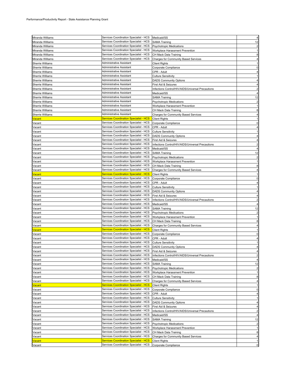| Miranda Williams              | Services Coordination Specialist - HCS                                                  | Medicaid/SS                                                      |                |
|-------------------------------|-----------------------------------------------------------------------------------------|------------------------------------------------------------------|----------------|
| Miranda Williams              | Services Coordination Specialist - HCS                                                  | <b>SAMA Training</b>                                             | 12             |
| Miranda Williams              | Services Coordination Specialist - HCS                                                  | <b>Psychotropic Medications</b>                                  |                |
| Miranda Williams              | Services Coordination Specialist - HCS                                                  | Workplace Harassment Prevention                                  |                |
| Miranda Williams              | Services Coordination Specialist - HCS                                                  | CH Mack Data Training                                            |                |
| Miranda Williams              | Services Coordination Specialist - HCS                                                  | Charges for Community Based Services                             |                |
| Sherrie Williams              | Administrative Assistant                                                                | <b>Client Rights</b>                                             |                |
| Sherrie Williams              | Administrative Assistant                                                                | Corporate Compliance                                             |                |
| Sherrie Williams              | Administrative Assistant                                                                | CPR - Adult                                                      |                |
| Sherrie Williams              | Administrative Assistant                                                                | <b>Culture Sensitivity</b>                                       |                |
| Sherrie Williams              | Administrative Assistant                                                                | <b>DADS Community Options</b>                                    |                |
| <b>Sherrie Williams</b>       | Administrative Assistant                                                                | First Aid & Seizures                                             |                |
| <b>Sherrie Williams</b>       | Administrative Assistant                                                                | Infections Control/HIV/AIDS/Universal Precautions                |                |
| <b>Sherrie Williams</b>       | Administrative Assistant                                                                | Medicaid/SS                                                      |                |
| Sherrie Williams              | Administrative Assistant                                                                | SAMA Training                                                    | 12             |
| Sherrie Williams              | Administrative Assistant                                                                | <b>Psychotropic Medications</b>                                  |                |
| Sherrie Williams              | Administrative Assistant                                                                | Workplace Harassment Prevention                                  |                |
| Sherrie Williams              | Administrative Assistant                                                                | CH Mack Data Training                                            |                |
| Sherrie Williams              | Administrative Assistant                                                                | <b>Charges for Community Based Services</b>                      |                |
| <mark>/acant</mark>           | <b>Services Coordination Specialist - HCS</b>                                           | <b>Client Rights</b>                                             |                |
| Vacant                        | Services Coordination Specialist - HCS                                                  | Corporate Compliance                                             |                |
| Vacant                        | Services Coordination Specialist - HCS<br>Services Coordination Specialist - HCS        | CPR - Adult                                                      |                |
| Vacant                        | Services Coordination Specialist - HCS                                                  | <b>Culture Sensitivity</b>                                       |                |
| Vacant                        | Services Coordination Specialist - HCS                                                  | <b>DADS Community Options</b><br>First Aid & Seizures            |                |
| Vacant<br>Vacant              | Services Coordination Specialist - HCS                                                  |                                                                  |                |
| Vacant                        | Services Coordination Specialist - HCS                                                  | Infections Control/HIV/AIDS/Universal Precautions<br>Medicaid/SS |                |
| Vacant                        | Services Coordination Specialist - HCS                                                  | <b>SAMA Training</b>                                             | 12             |
| Vacant                        | Services Coordination Specialist - HCS                                                  | <b>Psychotropic Medications</b>                                  |                |
| Vacant                        | Services Coordination Specialist - HCS                                                  | Workplace Harassment Prevention                                  |                |
| Vacant                        | Services Coordination Specialist - HCS                                                  | CH Mack Data Training                                            |                |
| Vacant                        | Services Coordination Specialist - HCS                                                  | Charges for Community Based Services                             |                |
| <mark>√acant</mark>           | <b>Services Coordination Specialist - HCS</b>                                           | <b>Client Rights</b>                                             |                |
| Vacant                        | Services Coordination Specialist - HCS                                                  | Corporate Compliance                                             |                |
| Vacant                        | Services Coordination Specialist - HCS                                                  | CPR - Adult                                                      |                |
| Vacant                        | Services Coordination Specialist - HCS                                                  | <b>Culture Sensitivity</b>                                       |                |
| Vacant                        | Services Coordination Specialist - HCS                                                  | <b>DADS Community Options</b>                                    |                |
| Vacant                        | Services Coordination Specialist - HCS                                                  | First Aid & Seizures                                             |                |
| Vacant                        | Services Coordination Specialist - HCS                                                  | Infections Control/HIV/AIDS/Universal Precautions                |                |
| Vacant                        | Services Coordination Specialist - HCS                                                  | Medicaid/SS                                                      |                |
| Vacant                        | Services Coordination Specialist - HCS                                                  | <b>SAMA Training</b>                                             | 12             |
| Vacant                        | Services Coordination Specialist - HCS                                                  | <b>Psychotropic Medications</b>                                  |                |
| Vacant                        | Services Coordination Specialist - HCS                                                  | Workplace Harassment Prevention                                  |                |
| Vacant                        | Services Coordination Specialist - HCS                                                  | CH Mack Data Training                                            |                |
| Vacant                        | Services Coordination Specialist - HCS                                                  | Charges for Community Based Services                             |                |
| <mark>/acant</mark>           | <b>Services Coordination Specialist - HCS</b>                                           | <b>Client Rights</b>                                             |                |
| Vacant                        | Services Coordination Specialist - HCS                                                  | Corporate Compliance                                             |                |
| Vacant                        | Services Coordination Specialist - HCS<br>Services Coordination Specialist - HCS        | CPR - Adult                                                      |                |
| Vacant                        | Services Coordination Specialist - HCS                                                  | <b>Culture Sensitivity</b>                                       |                |
| Vacant                        | Services Coordination Specialist - HCS                                                  | <b>DADS Community Options</b><br>First Aid & Seizures            |                |
| Vacant<br>Vacant              | Services Coordination Specialist - HCS                                                  | Infections Control/HIV/AIDS/Universal Precautions                | $\overline{2}$ |
| Vacant                        | Services Coordination Specialist - HCS                                                  | Medicaid/SS                                                      | 4              |
| Vacant                        | Services Coordination Specialist - HCS                                                  | <b>SAMA Training</b>                                             | 12             |
| Vacant                        | Services Coordination Specialist - HCS                                                  | <b>Psychotropic Medications</b>                                  |                |
| Vacant                        | Services Coordination Specialist - HCS                                                  | Workplace Harassment Prevention                                  | 1              |
| Vacant                        | Services Coordination Specialist - HCS                                                  | CH Mack Data Training                                            | 8              |
| Vacant                        | Services Coordination Specialist - HCS                                                  | <b>Charges for Community Based Services</b>                      | 4              |
| <mark>/acant</mark>           | <b>Services Coordination Specialist - HCS</b>                                           | <b>Client Rights</b>                                             |                |
| Vacant                        | Services Coordination Specialist - HCS                                                  | Corporate Compliance                                             | 0              |
| Vacant                        | Services Coordination Specialist - HCS                                                  | CPR - Adult                                                      |                |
| Vacant                        | Services Coordination Specialist - HCS                                                  | <b>Culture Sensitivity</b>                                       |                |
| Vacant                        | Services Coordination Specialist - HCS                                                  | <b>DADS Community Options</b>                                    |                |
| Vacant                        | Services Coordination Specialist - HCS                                                  | First Aid & Seizures                                             | 4              |
| Vacant                        | Services Coordination Specialist - HCS                                                  | Infections Control/HIV/AIDS/Universal Precautions                | $\overline{c}$ |
| Vacant                        | Services Coordination Specialist - HCS                                                  | Medicaid/SS                                                      |                |
| Vacant                        | Services Coordination Specialist - HCS                                                  | <b>SAMA Training</b>                                             | 12             |
| Vacant                        | Services Coordination Specialist - HCS                                                  | Psychotropic Medications                                         | $\overline{2}$ |
| Vacant                        | Services Coordination Specialist - HCS                                                  | Workplace Harassment Prevention                                  | 1              |
| Vacant                        | Services Coordination Specialist - HCS                                                  | CH Mack Data Training                                            | 8              |
| Vacant                        | Services Coordination Specialist - HCS                                                  | Charges for Community Based Services                             | 4              |
| <mark>Vacant</mark><br>Vacant | <b>Services Coordination Specialist - HCS</b><br>Services Coordination Specialist - HCS | <b>Client Rights</b>                                             |                |
|                               |                                                                                         | Corporate Compliance                                             | $\mathbf 0$    |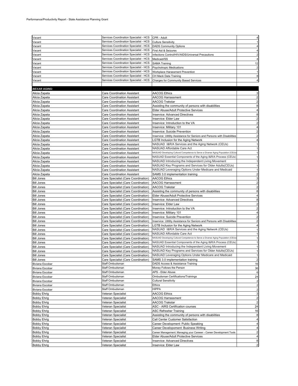| Vacant              | Services Coordination Specialist - HCS | CPR - Adult                                                                     |                |
|---------------------|----------------------------------------|---------------------------------------------------------------------------------|----------------|
| Vacant              | Services Coordination Specialist - HCS | <b>Culture Sensitivity</b>                                                      |                |
| Vacant              | Services Coordination Specialist - HCS | <b>DADS Community Options</b>                                                   |                |
| Vacant              | Services Coordination Specialist - HCS | First Aid & Seizures                                                            |                |
| Vacant              | Services Coordination Specialist - HCS | Infections Control/HIV/AIDS/Universal Precautions                               |                |
| Vacant              | Services Coordination Specialist - HCS | Medicaid/SS                                                                     |                |
| Vacant              | Services Coordination Specialist - HCS | <b>SAMA Training</b>                                                            | 12             |
| Vacant              | Services Coordination Specialist - HCS | Psychotropic Medications                                                        |                |
| Vacant              | Services Coordination Specialist - HCS | Workplace Harassment Prevention                                                 |                |
|                     | Services Coordination Specialist - HCS | CH Mack Data Training                                                           |                |
| Vacant              |                                        |                                                                                 |                |
| Vacant              | Services Coordination Specialist - HCS | <b>Charges for Community Based Services</b>                                     |                |
|                     |                                        |                                                                                 |                |
| <b>BEXAR AGING:</b> |                                        |                                                                                 |                |
| Alicia Zapata       | Care Coordination Assistant            | AACOG Ethics                                                                    |                |
| Alicia Zapata       | <b>Care Coordination Assistant</b>     | <b>AACOG Harrassment</b>                                                        |                |
| Alicia Zapata       | <b>Care Coordination Assistant</b>     | AACOG Trakstar                                                                  |                |
| Alicia Zapata       | <b>Care Coordination Assistant</b>     | Assisting the community of persons with disabilities                            |                |
| Alicia Zapata       | <b>Care Coordination Assistant</b>     | Elder Abuse/Adult Protective Services                                           |                |
| Alicia Zapata       | Care Coordination Assistant            | <b>Inservice: Advanced Directives</b>                                           |                |
| Alicia Zapata       | Care Coordination Assistant            | Inservice: Elder Law                                                            |                |
|                     |                                        |                                                                                 |                |
| Alicia Zapata       | Care Coordination Assistant            | Inservice: Introduction to the VA                                               |                |
| Alicia Zapata       | Care Coordination Assistant            | Inservice: Military 101                                                         |                |
| Alicia Zapata       | Care Coordination Assistant            | Inservice: Suicide Prevention                                                   |                |
| Alicia Zapata       | <b>Care Coordination Assistant</b>     | Inservice: Utitlity Assistance for Seniors and Persons with Disabilities        |                |
| Alicia Zapata       | <b>Care Coordination Assistant</b>     | LGTB Inclusion for the Aging Network                                            |                |
| Alicia Zapata       | Care Coordination Assistant            | NASUAD I&R/A Services and the Aging Network (CEUs)                              |                |
| Alicia Zapata       | <b>Care Coordination Assistant</b>     | NASUAD Affordable Care Act                                                      |                |
| Alicia Zapata       | <b>Care Coordination Assistant</b>     | NASUAD Developing Cultural Competence to Serve a Diverse Aging Population (CEUs |                |
| Alicia Zapata       | <b>Care Coordination Assistant</b>     | NASUAD Essential Components of the Aging I&R/A Process (CEUs)                   |                |
| Alicia Zapata       | <b>Care Coordination Assistant</b>     | NASUAD Introducing the Independent Living Movement                              |                |
| Alicia Zapata       | <b>Care Coordination Assistant</b>     | NASUAD Key Programs and Services for Older Adults(CEUs)                         |                |
| Alicia Zapata       | Care Coordination Assistant            | NASUAD Leveraging Options Under Medicare and Medicaid                           |                |
|                     |                                        |                                                                                 |                |
| Alicia Zapata       | Care Coordination Assistant            | SAMS 3.0 implementation training                                                |                |
| <b>Bill Jones</b>   | Care Specialist (Care Coordination)    | <b>AACOG Ethics</b>                                                             |                |
| <b>Bill Jones</b>   | Care Specialist (Care Coordination)    | AACOG Harrassment                                                               |                |
| <b>Bill Jones</b>   | Care Specialist (Care Coordination)    | AACOG Trakstar                                                                  |                |
| <b>Bill Jones</b>   | Care Specialist (Care Coordination)    | Assisting the community of persons with disabilities                            |                |
| <b>Bill Jones</b>   | Care Specialist (Care Coordination)    | Elder Abuse/Adult Protective Services                                           |                |
| <b>Bill Jones</b>   | Care Specialist (Care Coordination)    | <b>Inservice: Advanced Directives</b>                                           |                |
| <b>Bill Jones</b>   | Care Specialist (Care Coordination)    | Inservice: Elder Law                                                            |                |
| <b>Bill Jones</b>   | Care Specialist (Care Coordination)    | Inservice: Introduction to the VA                                               |                |
| <b>Bill Jones</b>   | Care Specialist (Care Coordination)    | Inservice: Military 101                                                         |                |
| <b>Bill Jones</b>   | Care Specialist (Care Coordination)    | Inservice: Suicide Prevention                                                   |                |
| <b>Bill Jones</b>   | Care Specialist (Care Coordination)    | Inservice: Utitlity Assistance for Seniors and Persons with Disabilities        |                |
| <b>Bill Jones</b>   | Care Specialist (Care Coordination)    | LGTB Inclusion for the Aging Network                                            |                |
|                     |                                        | NASUAD I&R/A Services and the Aging Network (CEUs)                              |                |
| <b>Bill Jones</b>   | Care Specialist (Care Coordination)    | NASUAD Affordable Care Act                                                      |                |
| <b>Bill Jones</b>   | Care Specialist (Care Coordination)    |                                                                                 |                |
| <b>Bill Jones</b>   | Care Specialist (Care Coordination)    | NASUAD Developing Cultural Competence to Serve a Diverse Aging Population (CEUs |                |
| <b>Bill Jones</b>   | Care Specialist (Care Coordination)    | NASUAD Essential Components of the Aging I&R/A Process (CEUs)                   |                |
| <b>Bill Jones</b>   | Care Specialist (Care Coordination)    | NASUAD Introducing the Independent Living Movement                              |                |
| <b>Bill Jones</b>   | Care Specialist (Care Coordination)    | NASUAD Key Programs and Services for Older Adults(CEUs)                         |                |
| <b>Bill Jones</b>   | Care Specialist (Care Coordination)    | NASUAD Leveraging Options Under Medicare and Medicaid                           | 1              |
| <b>Bill Jones</b>   | Care Specialist (Care Coordination)    | SAMS 3.0 implementation training                                                | $\overline{a}$ |
| Biviana Escobar     | Staff Ombudsman                        | DADS Access & Assistance Training                                               | 16             |
| Biviana Escobar     | Staff Ombudsman                        | Money Follows the Person                                                        | 36             |
| Biviana Escobar     | Staff Ombudsman                        | APS - Elder Abuse                                                               | 6              |
| Biviana Escobar     | Staff Ombudsman                        | Ombudsman Certifications/Trainings                                              | 24             |
| Biviana Escobar     | Staff Ombudsman                        | <b>Cultural Sensitivity</b>                                                     |                |
| Biviana Escobar     | Staff Ombudsman                        | Ethics                                                                          |                |
|                     | Staff Ombudsman                        | HIPPA                                                                           |                |
| Biviana Escobar     |                                        |                                                                                 | 2              |
| <b>Bobby Ehrig</b>  | Veteran Specialist                     | AACOG Ethics                                                                    | 3              |
| <b>Bobby Ehrig</b>  | Veteran Specialist                     | AACOG Harrassment                                                               | 2              |
| <b>Bobby Ehrig</b>  | Veteran Specialist                     | AACOG Trakstar                                                                  | 2              |
| <b>Bobby Ehrig</b>  | Veteran Specialist                     | ASC - AIRS Certification courses                                                | 24             |
| <b>Bobby Ehrig</b>  | Veteran Specialist                     | <b>ASC Refresher Training</b>                                                   | 16             |
| <b>Bobby Ehrig</b>  | Veteran Specialist                     | Assisting the community of persons with disabilities                            | 8              |
| <b>Bobby Ehrig</b>  | Veteran Specialist                     | Call Center Customer Satisfaction                                               | 4              |
| <b>Bobby Ehrig</b>  | Veteran Specialist                     | Career Development: Public Speaking                                             | 4              |
| <b>Bobby Ehrig</b>  | Veteran Specialist                     | Career Developoment: Business Writing                                           | 4              |
| <b>Bobby Ehrig</b>  | Veteran Specialist                     | Career Management: Managing your Careeer - Career Development Tools             | $\overline{2}$ |
| <b>Bobby Ehrig</b>  | Veteran Specialist                     | Elder Abuse/Adult Protective Services                                           | 4              |
| <b>Bobby Ehrig</b>  | Veteran Specialist                     | Inservice: Advanced Directives                                                  | 8              |
| <b>Bobby Ehrig</b>  | Veteran Specialist                     | Inservice: Elder Law                                                            | $\mathbf{z}$   |
|                     |                                        |                                                                                 |                |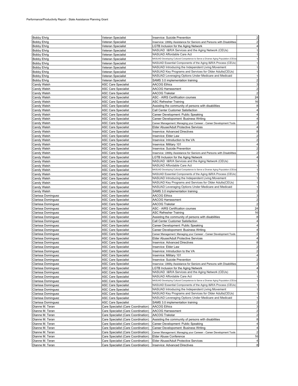| <b>Bobby Ehrig</b> | Veteran Specialist                  | Inservice: Suicide Prevention                                                   |                         |
|--------------------|-------------------------------------|---------------------------------------------------------------------------------|-------------------------|
|                    |                                     |                                                                                 |                         |
| <b>Bobby Ehrig</b> | Veteran Specialist                  | Inservice: Utitlity Assistance for Seniors and Persons with Disabilities        |                         |
| <b>Bobby Ehrig</b> | Veteran Specialist                  | LGTB Inclusion for the Aging Network                                            |                         |
| <b>Bobby Ehrig</b> | Veteran Specialist                  | NASUAD I&R/A Services and the Aging Network (CEUs)                              |                         |
| <b>Bobby Ehrig</b> | Veteran Specialist                  | NASUAD Affordable Care Act                                                      |                         |
| <b>Bobby Ehrig</b> | Veteran Specialist                  | NASUAD Developing Cultural Competence to Serve a Diverse Aging Population (CEUs |                         |
| <b>Bobby Ehrig</b> | Veteran Specialist                  | NASUAD Essential Components of the Aging I&R/A Process (CEUs)                   |                         |
| <b>Bobby Ehrig</b> | Veteran Specialist                  | NASUAD Introducing the Independent Living Movement                              |                         |
|                    |                                     | NASUAD Key Programs and Services for Older Adults(CEUs)                         |                         |
| <b>Bobby Ehrig</b> | Veteran Specialist                  |                                                                                 |                         |
| <b>Bobby Ehrig</b> | Veteran Specialist                  | NASUAD Leveraging Options Under Medicare and Medicaid                           |                         |
| Bobby Ehrig        | Veteran Specialist                  | SAMS 3.0 implementation training                                                | 2                       |
| Candy Walsh        | ASC Care Specialist                 | AACOG Ethics                                                                    | 3                       |
| Candy Walsh        | <b>ASC Care Specialist</b>          | <b>AACOG Harrassment</b>                                                        |                         |
| Candy Walsh        | <b>ASC Care Specialist</b>          | AACOG Trakstar                                                                  |                         |
| Candy Walsh        | <b>ASC Care Specialist</b>          | ASC - AIRS Certification courses                                                | 24                      |
|                    |                                     |                                                                                 |                         |
| Candy Walsh        | ASC Care Specialist                 | ASC Refresher Training                                                          | 16                      |
| Candy Walsh        | ASC Care Specialist                 | Assisting the community of persons with disabilities                            | 8                       |
| Candy Walsh        | ASC Care Specialist                 | Call Center Customer Satisfaction                                               | 4                       |
| Candy Walsh        | <b>ASC Care Specialist</b>          | Career Development: Public Speaking                                             |                         |
| Candy Walsh        | <b>ASC Care Specialist</b>          | Career Developoment: Business Writing                                           |                         |
| Candy Walsh        | <b>ASC Care Specialist</b>          | Career Management: Managing your Careeer - Career Development Tools             | 2                       |
|                    |                                     | Elder Abuse/Adult Protective Services                                           |                         |
| Candy Walsh        | ASC Care Specialist                 |                                                                                 |                         |
| Candy Walsh        | ASC Care Specialist                 | <b>Inservice: Advanced Directives</b>                                           | 8                       |
| Candy Walsh        | ASC Care Specialist                 | Inservice: Elder Law                                                            | 2                       |
| Candy Walsh        | <b>ASC Care Specialist</b>          | Inservice: Introduction to the VA                                               | $\overline{a}$          |
| Candy Walsh        | <b>ASC Care Specialist</b>          | Inservice: Military 101                                                         |                         |
| Candy Walsh        | <b>ASC Care Specialist</b>          | Inservice: Suicide Prevention                                                   |                         |
| Candy Walsh        | <b>ASC Care Specialist</b>          | Inservice: Utitlity Assistance for Seniors and Persons with Disabilities        |                         |
|                    |                                     |                                                                                 |                         |
| Candy Walsh        | ASC Care Specialist                 | <b>CTB Inclusion for the Aging Network</b>                                      |                         |
| Candy Walsh        | <b>ASC Care Specialist</b>          | NASUAD I&R/A Services and the Aging Network (CEUs)                              |                         |
| Candy Walsh        | <b>ASC Care Specialist</b>          | NASUAD Affordable Care Act                                                      |                         |
| Candy Walsh        | <b>ASC Care Specialist</b>          | NASUAD Developing Cultural Competence to Serve a Diverse Aging Population (CEUs |                         |
| Candy Walsh        | <b>ASC Care Specialist</b>          | NASUAD Essential Components of the Aging I&R/A Process (CEUs)                   |                         |
| Candy Walsh        | <b>ASC Care Specialist</b>          | NASUAD Introducing the Independent Living Movement                              |                         |
| Candy Walsh        | ASC Care Specialist                 | NASUAD Key Programs and Services for Older Adults(CEUs)                         |                         |
|                    |                                     |                                                                                 |                         |
| Candy Walsh        | ASC Care Specialist                 | NASUAD Leveraging Options Under Medicare and Medicaid                           |                         |
| Candy Walsh        | ASC Care Specialist                 | SAMS 3.0 implementation training                                                | 2                       |
| Clarissa Dominguez | ASC Care Specialist                 | AACOG Ethics                                                                    | 3                       |
| Clarissa Dominguez | <b>ASC Care Specialist</b>          | AACOG Harrassment                                                               |                         |
| Clarissa Dominguez | ASC Care Specialist                 | AACOG Trakstar                                                                  |                         |
| Clarissa Dominguez | <b>ASC Care Specialist</b>          | ASC - AIRS Certification courses                                                | 24                      |
|                    |                                     |                                                                                 |                         |
| Clarissa Dominguez | ASC Care Specialist                 | ASC Refresher Training                                                          | 16                      |
| Clarissa Dominguez | <b>ASC Care Specialist</b>          | Assisting the community of persons with disabilities                            | 8                       |
| Clarissa Dominguez | <b>ASC Care Specialist</b>          | Call Center Customer Satisfaction                                               | 4                       |
| Clarissa Dominguez | <b>ASC Care Specialist</b>          | Career Development: Public Speaking                                             |                         |
| Clarissa Dominguez | <b>ASC Care Specialist</b>          | Career Developoment: Business Writing                                           |                         |
| Clarissa Dominguez | ASC Care Specialist                 | Career Management: Managing your Careeer - Career Development Tools             | 2                       |
| Clarissa Dominguez | ASC Care Specialist                 | Elder Abuse/Adult Protective Services                                           |                         |
| Clarissa Dominguez |                                     | <b>Inservice: Advanced Directives</b>                                           | 8                       |
|                    | ASC Care Specialist                 |                                                                                 |                         |
| Clarissa Dominguez | <b>ASC Care Specialist</b>          | Inservice: Elder Law                                                            | $\overline{a}$          |
| Clarissa Dominguez | <b>ASC Care Specialist</b>          | Inservice: Introduction to the VA                                               |                         |
| Clarissa Dominguez | <b>ASC Care Specialist</b>          | Inservice: Military 101                                                         | 4                       |
| Clarissa Dominguez | <b>ASC Care Specialist</b>          | Inservice: Suicide Prevention                                                   | $\overline{c}$          |
| Clarissa Dominguez | <b>ASC Care Specialist</b>          | Inservice: Utitlity Assistance for Seniors and Persons with Disabilities        | $\overline{\mathbf{c}}$ |
| Clarissa Dominguez | <b>ASC Care Specialist</b>          | LGTB Inclusion for the Aging Network                                            | 4                       |
|                    | <b>ASC Care Specialist</b>          | NASUAD I&R/A Services and the Aging Network (CEUs)                              | 1                       |
| Clarissa Dominguez |                                     |                                                                                 |                         |
| Clarissa Dominguez | <b>ASC Care Specialist</b>          | NASUAD Affordable Care Act                                                      | 1                       |
| Clarissa Dominguez | <b>ASC Care Specialist</b>          | NASUAD Developing Cultural Competence to Serve a Diverse Aging Population (CEUs | 1                       |
| Clarissa Dominguez | <b>ASC Care Specialist</b>          | NASUAD Essential Components of the Aging I&R/A Process (CEUs)                   | 1                       |
| Clarissa Dominguez | <b>ASC Care Specialist</b>          | NASUAD Introducing the Independent Living Movement                              | 1                       |
| Clarissa Dominguez | ASC Care Specialist                 | NASUAD Key Programs and Services for Older Adults(CEUs)                         | $\mathbf{1}$            |
| Clarissa Dominguez | <b>ASC Care Specialist</b>          | NASUAD Leveraging Options Under Medicare and Medicaid                           | 1                       |
| Clarissa Dominguez | <b>ASC Care Specialist</b>          | SAMS 3.0 implementation training                                                | $\overline{c}$          |
|                    |                                     |                                                                                 |                         |
| Dianne M. Teran    | Care Specialist (Care Coordination) | <b>AACOG Ethics</b>                                                             | 3                       |
| Dianne M. Teran    | Care Specialist (Care Coordination) | <b>AACOG Harrassment</b>                                                        | $\overline{\mathbf{c}}$ |
| Dianne M. Teran    | Care Specialist (Care Coordination) | AACOG Trakstar                                                                  | $\overline{c}$          |
| Dianne M. Teran    | Care Specialist (Care Coordination) | Assisting the community of persons with disabilities                            | 8                       |
| Dianne M. Teran    | Care Specialist (Care Coordination) | Career Development: Public Speaking                                             | 4                       |
| Dianne M. Teran    | Care Specialist (Care Coordination) | Career Developoment: Business Writing                                           | 4                       |
|                    |                                     |                                                                                 |                         |
| Dianne M. Teran    | Care Specialist (Care Coordination) | Career Management: Managing your Careeer - Career Development Tools             | $\overline{\mathbf{c}}$ |
| Dianne M. Teran    | Care Specialist (Care Coordination) | Elder Abuse Conference                                                          | 16                      |
| Dianne M. Teran    | Care Specialist (Care Coordination) | Elder Abuse/Adult Protective Services                                           | 4                       |
| Dianne M. Teran    | Care Specialist (Care Coordination) | Inservice: Advanced Directives                                                  | 8                       |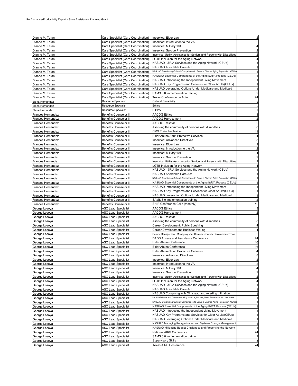| Dianne M. Teran          | Care Specialist (Care Coordination) | Inservice: Elder Law                                                            |                         |
|--------------------------|-------------------------------------|---------------------------------------------------------------------------------|-------------------------|
| Dianne M. Teran          | Care Specialist (Care Coordination) | Inservice: Introduction to the VA                                               |                         |
| Dianne M. Teran          | Care Specialist (Care Coordination) | Inservice: Military 101                                                         |                         |
| Dianne M. Teran          | Care Specialist (Care Coordination) | Inservice: Suicide Prevention                                                   |                         |
|                          |                                     |                                                                                 |                         |
| Dianne M. Teran          | Care Specialist (Care Coordination) | Inservice: Utitlity Assistance for Seniors and Persons with Disabilities        |                         |
| Dianne M. Teran          | Care Specialist (Care Coordination) | <b>LGTB Inclusion for the Aging Network</b>                                     |                         |
| Dianne M. Teran          | Care Specialist (Care Coordination) | NASUAD I&R/A Services and the Aging Network (CEUs)                              |                         |
| Dianne M. Teran          | Care Specialist (Care Coordination) | NASUAD Affordable Care Act                                                      |                         |
| Dianne M. Teran          | Care Specialist (Care Coordination) | NASUAD Developing Cultural Competence to Serve a Diverse Aging Population (CEUs |                         |
|                          |                                     |                                                                                 |                         |
| Dianne M. Teran          | Care Specialist (Care Coordination) | NASUAD Essential Components of the Aging I&R/A Process (CEUs)                   |                         |
| Dianne M. Teran          | Care Specialist (Care Coordination) | NASUAD Introducing the Independent Living Movement                              |                         |
| Dianne M. Teran          | Care Specialist (Care Coordination) | NASUAD Key Programs and Services for Older Adults(CEUs)                         |                         |
| Dianne M. Teran          | Care Specialist (Care Coordination) | NASUAD Leveraging Options Under Medicare and Medicaid                           |                         |
|                          |                                     |                                                                                 |                         |
| Dianne M. Teran          | Care Specialist (Care Coordination) | SAMS 3.0 implementation training                                                |                         |
| Dianne M. Teran          | Care Specialist (Care Coordination) | Texas Conference on Aging                                                       | 24                      |
| Elena Hernandez          | <b>Resource Specialist</b>          | <b>Cultural Sensitivity</b>                                                     |                         |
| Elena Hernandez          | Resource Specialist                 | Ethics                                                                          |                         |
| Elena Hernandez          | <b>Resource Specialist</b>          | <b>HIPPA</b>                                                                    |                         |
|                          |                                     |                                                                                 |                         |
| Frances Hernandez        | Benefits Counselor II               | <b>AACOG Ethics</b>                                                             |                         |
| Frances Hernandez        | Benefits Counselor II               | AACOG Harrassment                                                               |                         |
| Frances Hernandez        | <b>Benefits Counselor II</b>        | AACOG Trakstar                                                                  |                         |
| <b>Frances Hernandez</b> | <b>Benefits Counselor II</b>        | Assisting the community of persons with disabilities                            | 8                       |
| <b>Frances Hernandez</b> |                                     | <b>CMS Train the Trainer</b>                                                    | 11                      |
|                          | Benefits Counselor II               |                                                                                 |                         |
| <b>Frances Hernandez</b> | <b>Benefits Counselor II</b>        | Elder Abuse/Adult Protective Services                                           |                         |
| Frances Hernandez        | <b>Benefits Counselor II</b>        | Inservice: Advanced Directives                                                  |                         |
| Frances Hernandez        | Benefits Counselor II               | Inservice: Elder Law                                                            |                         |
| Frances Hernandez        | <b>Benefits Counselor II</b>        | Inservice: Introduction to the VA                                               |                         |
|                          |                                     |                                                                                 |                         |
| Frances Hernandez        | Benefits Counselor II               | Inservice: Military 101                                                         |                         |
| Frances Hernandez        | Benefits Counselor II               | Inservice: Suicide Prevention                                                   |                         |
| Frances Hernandez        | Benefits Counselor II               | Inservice: Utitlity Assistance for Seniors and Persons with Disabilities        |                         |
| <b>Frances Hernandez</b> | Benefits Counselor II               | LGTB Inclusion for the Aging Network                                            |                         |
|                          |                                     | NASUAD I&R/A Services and the Aging Network (CEUs)                              |                         |
| Frances Hernandez        | Benefits Counselor II               |                                                                                 |                         |
| Frances Hernandez        | <b>Benefits Counselor II</b>        | NASUAD Affordable Care Act                                                      |                         |
| Frances Hernandez        | <b>Benefits Counselor II</b>        | NASUAD Developing Cultural Competence to Serve a Diverse Aging Population (CEUs |                         |
| Frances Hernandez        | <b>Benefits Counselor II</b>        | NASUAD Essential Components of the Aging I&R/A Process (CEUs)                   |                         |
| <b>Frances Hernandez</b> | <b>Benefits Counselor II</b>        | NASUAD Introducing the Independent Living Movement                              |                         |
|                          |                                     |                                                                                 |                         |
| Frances Hernandez        | <b>Benefits Counselor II</b>        | NASUAD Key Programs and Services for Older Adults(CEUs)                         |                         |
| Frances Hernandez        | <b>Benefits Counselor II</b>        | NASUAD Leveraging Options Under Medicare and Medicaid                           |                         |
| Frances Hernandez        | <b>Benefits Counselor II</b>        | SAMS 3.0 implementation training                                                |                         |
| Frances Hernandez        | <b>Benefits Counselor II</b>        | SHIP Conference Calls (monthly)                                                 | 12                      |
| George Losoya            | ASC Lead Specialist                 | <b>AACOG Ethics</b>                                                             |                         |
|                          |                                     |                                                                                 |                         |
| George Losoya            | ASC Lead Specialist                 | AACOG Harrassment                                                               |                         |
| George Losoya            | <b>ASC Lead Specialist</b>          | AACOG Trakstar                                                                  |                         |
| George Losoya            | ASC Lead Specialist                 | Assisting the community of persons with disabilities                            | 8                       |
| George Losoya            | <b>ASC Lead Specialist</b>          | Career Development: Public Speaking                                             | 4                       |
| George Losoya            | ASC Lead Specialist                 | Career Developoment: Business Writing                                           |                         |
|                          |                                     |                                                                                 |                         |
| George Losoya            | ASC Lead Specialist                 | Career Management: Managing your Careeer - Career Development Tools             |                         |
| George Losoya            | <b>ASC Lead Specialist</b>          | DADS Access and Assistance Conference                                           | 24                      |
| George Losoya            | <b>ASC Lead Specialist</b>          | Elder Abuse Conference                                                          | 16                      |
| George Losoya            | ASC Lead Specialist                 | Elder Abuse Conference                                                          | 16                      |
| George Losoya            | <b>ASC Lead Specialist</b>          | Elder Abuse/Adult Protective Services                                           | 4                       |
|                          |                                     |                                                                                 |                         |
| George Losoya            | <b>ASC Lead Specialist</b>          | <b>Inservice: Advanced Directives</b>                                           | 8                       |
| George Losoya            | <b>ASC Lead Specialist</b>          | Inservice: Elder Law                                                            | $\overline{c}$          |
| George Losoya            | <b>ASC Lead Specialist</b>          | Inservice: Introduction to the VA                                               | $\overline{2}$          |
| George Losoya            | <b>ASC Lead Specialist</b>          | Inservice: Military 101                                                         | 4                       |
| George Losoya            | <b>ASC Lead Specialist</b>          | Inservice: Suicide Prevention                                                   | $\overline{2}$          |
|                          |                                     |                                                                                 |                         |
| George Losoya            | <b>ASC Lead Specialist</b>          | Inservice: Utitlity Assistance for Seniors and Persons with Disabilities        | $\overline{2}$          |
| George Losoya            | <b>ASC Lead Specialist</b>          | LGTB Inclusion for the Aging Network                                            | 4                       |
| George Losoya            | <b>ASC Lead Specialist</b>          | NASUAD I&R/A Services and the Aging Network (CEUs)                              | 1                       |
| George Losoya            | <b>ASC Lead Specialist</b>          | NASUAD Affordable Care Act                                                      | 1                       |
| George Losoya            | <b>ASC Lead Specialist</b>          | NASUAD Complying with Olmstead and Averting Litigation                          | 1                       |
|                          |                                     | NASUAD Data and Communicating with Legislators, New Governors and the Press     |                         |
| George Losoya            | <b>ASC Lead Specialist</b>          |                                                                                 | 1                       |
| George Losoya            | <b>ASC Lead Specialist</b>          | NASUAD Developing Cultural Competence to Serve a Diverse Aging Population (CEUs | 1                       |
| George Losoya            | <b>ASC Lead Specialist</b>          | NASUAD Essential Components of the Aging I&R/A Process (CEUs)                   | 1                       |
| George Losoya            | <b>ASC Lead Specialist</b>          | NASUAD Introducing the Independent Living Movement                              | 1                       |
|                          | <b>ASC Lead Specialist</b>          | NASUAD Key Programs and Services for Older Adults(CEUs)                         | $\mathbf{1}$            |
| George Losoya            |                                     |                                                                                 |                         |
| George Losoya            | <b>ASC Lead Specialist</b>          | NASUAD Leveraging Options Under Medicare and Medicaid                           | $\mathbf{1}$            |
| George Losoya            | <b>ASC Lead Specialist</b>          | NASUAD Managing Reorganization and Systems Change Management                    | $\mathbf{1}$            |
| George Losoya            | <b>ASC Lead Specialist</b>          | NASUAD Mitigating Budget Challenges and Preserving the Network                  | 1                       |
| George Losoya            | <b>ASC Lead Specialist</b>          | National AIRS Conference                                                        | 24                      |
|                          |                                     |                                                                                 |                         |
| George Losoya            | <b>ASC Lead Specialist</b>          | SAMS 3.0 implementation training                                                | $\overline{\mathbf{c}}$ |
| George Losoya            | <b>ASC Lead Specialist</b>          | <b>Supervisory Skills</b>                                                       | 8                       |
| George Losoya            | <b>ASC Lead Specialist</b>          | Texas AIRS Conference                                                           | 24                      |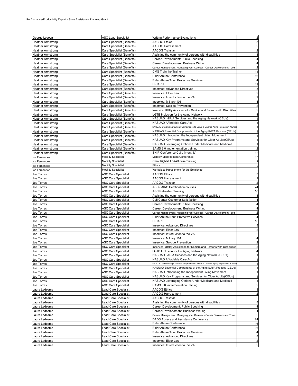| George Losoya            | <b>ASC Lead Specialist</b> | <b>Writing Performance Evaluations</b>                                          | $\overline{c}$          |
|--------------------------|----------------------------|---------------------------------------------------------------------------------|-------------------------|
|                          |                            |                                                                                 | 3                       |
| <b>Heather Armstrong</b> | Care Specialist (Benefits) | <b>AACOG Ethics</b>                                                             |                         |
| <b>Heather Armstrong</b> | Care Specialist (Benefits) | AACOG Harrassment                                                               |                         |
| <b>Heather Armstrong</b> | Care Specialist (Benefits) | AACOG Trakstar                                                                  | 2                       |
| <b>Heather Armstrong</b> | Care Specialist (Benefits) | Assisting the community of persons with disabilities                            | 8                       |
| <b>Heather Armstrong</b> | Care Specialist (Benefits) | Career Development: Public Speaking                                             |                         |
| <b>Heather Armstrong</b> | Care Specialist (Benefits) | Career Developoment: Business Writing                                           |                         |
| <b>Heather Armstrong</b> | Care Specialist (Benefits) | Career Management: Managing your Careeer - Career Development Tools             | $\overline{c}$          |
| <b>Heather Armstrong</b> | Care Specialist (Benefits) | CMS Train the Trainer                                                           | 11                      |
| <b>Heather Armstrong</b> | Care Specialist (Benefits) | Elder Abuse Conference                                                          | 16                      |
| <b>Heather Armstrong</b> | Care Specialist (Benefits) | Elder Abuse/Adult Protective Services                                           |                         |
| <b>Heather Armstrong</b> | Care Specialist (Benefits) | <b>HICAP II</b>                                                                 | 11                      |
| <b>Heather Armstrong</b> | Care Specialist (Benefits) | Inservice: Advanced Directives                                                  | 8                       |
| <b>Heather Armstrong</b> | Care Specialist (Benefits) | Inservice: Elder Law                                                            | $\overline{a}$          |
|                          |                            | Inservice: Introduction to the VA                                               | 2                       |
| <b>Heather Armstrong</b> | Care Specialist (Benefits) |                                                                                 |                         |
| <b>Heather Armstrong</b> | Care Specialist (Benefits) | Inservice: Military 101                                                         |                         |
| <b>Heather Armstrong</b> | Care Specialist (Benefits) | Inservice: Suicide Prevention                                                   |                         |
| <b>Heather Armstrong</b> | Care Specialist (Benefits) | Inservice: Utitlity Assistance for Seniors and Persons with Disabilities        |                         |
| <b>Heather Armstrong</b> | Care Specialist (Benefits) | LGTB Inclusion for the Aging Network                                            |                         |
| <b>Heather Armstrong</b> | Care Specialist (Benefits) | NASUAD I&R/A Services and the Aging Network (CEUs)                              |                         |
| <b>Heather Armstrong</b> | Care Specialist (Benefits) | NASUAD Affordable Care Act                                                      |                         |
| <b>Heather Armstrong</b> | Care Specialist (Benefits) | NASUAD Developing Cultural Competence to Serve a Diverse Aging Population (CEUs |                         |
| <b>Heather Armstrong</b> | Care Specialist (Benefits) | NASUAD Essential Components of the Aging I&R/A Process (CEUs)                   |                         |
| <b>Heather Armstrong</b> | Care Specialist (Benefits) | NASUAD Introducing the Independent Living Movement                              |                         |
| <b>Heather Armstrong</b> | Care Specialist (Benefits) | NASUAD Key Programs and Services for Older Adults(CEUs)                         | 1                       |
| <b>Heather Armstrong</b> | Care Specialist (Benefits) | NASUAD Leveraging Options Under Medicare and Medicaid                           | 1                       |
| <b>Heather Armstrong</b> | Care Specialist (Benefits) | SAMS 3.0 implementation training                                                |                         |
| <b>Heather Armstrong</b> | Care Specialist (Benefits) | SHIP Conference Calls (monthly)                                                 | 12                      |
| Isa Fernandez            | <b>Mobility Specialist</b> | Mobility Management Conference                                                  | 16                      |
| Isa Fernandez            | <b>Mobility Specialist</b> | Client Rights/HIPAA/Abuse Training                                              |                         |
|                          |                            | <b>Ethics</b>                                                                   |                         |
| Isa Fernandez            | Mobility Specialist        |                                                                                 |                         |
| Isa Fernandez            | <b>Mobility Specialist</b> | Workplace Harassment for the Employee                                           |                         |
| Joe Torres               | ASC Care Specialist        | AACOG Ethics                                                                    | 3                       |
| Joe Torres               | ASC Care Specialist        | AACOG Harrassment                                                               |                         |
| Joe Torres               | ASC Care Specialist        | AACOG Trakstar                                                                  |                         |
| Joe Torres               | ASC Care Specialist        | ASC - AIRS Certification courses                                                | 24                      |
| Joe Torres               | ASC Care Specialist        | ASC Refresher Training                                                          | 16                      |
| Joe Torres               | ASC Care Specialist        | Assisting the community of persons with disabilities                            | 8                       |
| Joe Torres               | ASC Care Specialist        | Call Center Customer Satisfaction                                               |                         |
| Joe Torres               | ASC Care Specialist        | Career Development: Public Speaking                                             |                         |
| Joe Torres               | ASC Care Specialist        | Career Developoment: Business Writing                                           | 4                       |
| Joe Torres               | ASC Care Specialist        | Career Management: Managing your Careeer - Career Development Tools             |                         |
| Joe Torres               | ASC Care Specialist        | Elder Abuse/Adult Protective Services                                           |                         |
| Joe Torres               | ASC Care Specialist        | HICAP I                                                                         | 16                      |
| Joe Torres               | ASC Care Specialist        | <b>Inservice: Advanced Directives</b>                                           | 8                       |
| Joe Torres               | ASC Care Specialist        | Inservice: Elder Law                                                            | $\overline{a}$          |
|                          |                            | Inservice: Introduction to the VA                                               | 2                       |
| Joe Torres               | ASC Care Specialist        |                                                                                 |                         |
| Joe Torres               | ASC Care Specialist        | Inservice: Military 101                                                         | 4                       |
| Joe Torres               | ASC Care Specialist        | Inservice: Suicide Prevention                                                   |                         |
| Joe Torres               | ASC Care Specialist        | Inservice: Utitlity Assistance for Seniors and Persons with Disabilities        | 2                       |
| Joe Torres               | <b>ASC Care Specialist</b> | LGTB Inclusion for the Aging Network                                            |                         |
| Joe Torres               | <b>ASC Care Specialist</b> | NASUAD I&R/A Services and the Aging Network (CEUs)                              | 1                       |
| Joe Torres               | <b>ASC Care Specialist</b> | NASUAD Affordable Care Act                                                      | 1                       |
| Joe Torres               | <b>ASC Care Specialist</b> | NASUAD Developing Cultural Competence to Serve a Diverse Aging Population (CEUs | 1                       |
| Joe Torres               | <b>ASC Care Specialist</b> | NASUAD Essential Components of the Aging I&R/A Process (CEUs)                   | 1                       |
| Joe Torres               | <b>ASC Care Specialist</b> | NASUAD Introducing the Independent Living Movement                              |                         |
| Joe Torres               | <b>ASC Care Specialist</b> | NASUAD Key Programs and Services for Older Adults(CEUs)                         | 1                       |
| Joe Torres               | <b>ASC Care Specialist</b> | NASUAD Leveraging Options Under Medicare and Medicaid                           | 1                       |
| Joe Torres               | <b>ASC Care Specialist</b> | SAMS 3.0 implementation training                                                | $\overline{\mathbf{c}}$ |
| Laura Ledesma            | Lead Care Specialist       | AACOG Ethics                                                                    | 3                       |
| Laura Ledesma            | Lead Care Specialist       | AACOG Harrassment                                                               | $\overline{\mathbf{c}}$ |
| Laura Ledesma            | Lead Care Specialist       | AACOG Trakstar                                                                  | $\overline{c}$          |
| Laura Ledesma            | Lead Care Specialist       | Assisting the community of persons with disabilities                            | 8                       |
| Laura Ledesma            | Lead Care Specialist       | Career Development: Public Speaking                                             | 4                       |
| Laura Ledesma            | Lead Care Specialist       | Career Developoment: Business Writing                                           | 4                       |
|                          |                            |                                                                                 | $\overline{a}$          |
| Laura Ledesma            | Lead Care Specialist       | Career Management: Managing your Careeer - Career Development Tools             |                         |
| Laura Ledesma            | Lead Care Specialist       | DADS Access and Assistance Conference                                           | 24                      |
| Laura Ledesma            | Lead Care Specialist       | Elder Abuse Conference                                                          | 16                      |
| Laura Ledesma            | Lead Care Specialist       | Elder Abuse Conference                                                          | 16                      |
| Laura Ledesma            | Lead Care Specialist       | Elder Abuse/Adult Protective Services                                           | 4                       |
| Laura Ledesma            | Lead Care Specialist       | <b>Inservice: Advanced Directives</b>                                           | 8                       |
|                          |                            |                                                                                 |                         |
| Laura Ledesma            | Lead Care Specialist       | Inservice: Elder Law                                                            | $\overline{\mathbf{c}}$ |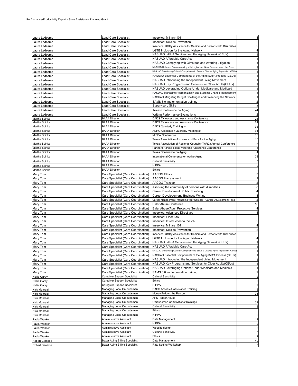| Laura Ledesma                  | Lead Care Specialist                                                | Inservice: Military 101                                                              |                                           |
|--------------------------------|---------------------------------------------------------------------|--------------------------------------------------------------------------------------|-------------------------------------------|
| aura Ledesma.                  | ead Care Specialist                                                 | Inservice: Suicide Prevention                                                        |                                           |
| aura Ledesma.                  | ead Care Specialist                                                 | Inservice: Utitlity Assistance for Seniors and Persons with Disabilities             |                                           |
| aura Ledesma.                  | ead Care Specialist                                                 | <b>LGTB Inclusion for the Aging Network</b>                                          |                                           |
| aura Ledesma.                  | Lead Care Specialist                                                | NASUAD I&R/A Services and the Aging Network (CEUs)                                   |                                           |
| aura Ledesma.                  | Lead Care Specialist                                                | NASUAD Affordable Care Act                                                           | 1                                         |
| aura Ledesma                   | ead Care Specialist                                                 | NASUAD Complying with Olmstead and Averting Litigation                               | 1                                         |
| aura Ledesma.                  | ead Care Specialist                                                 | NASUAD Data and Communicating with Legislators, New Governors and the Press          | 1                                         |
| aura Ledesma.                  | ead Care Specialist                                                 | NASUAD Developing Cultural Competence to Serve a Diverse Aging Population (CEUs      |                                           |
| aura Ledesma.                  | ead Care Specialist                                                 | NASUAD Essential Components of the Aging I&R/A Process (CEUs)                        |                                           |
| aura Ledesma.                  | Lead Care Specialist                                                | NASUAD Introducing the Independent Living Movement                                   |                                           |
| aura Ledesma.                  | Lead Care Specialist                                                | NASUAD Key Programs and Services for Older Adults(CEUs)                              |                                           |
| aura Ledesma.                  | Lead Care Specialist                                                | NASUAD Leveraging Options Under Medicare and Medicaid                                |                                           |
| aura Ledesma.                  | ead Care Specialist                                                 | NASUAD Managing Reorganization and Systems Change Management                         |                                           |
| aura Ledesma                   | ead Care Specialist                                                 | NASUAD Mitigating Budget Challenges and Preserving the Network                       | 1                                         |
| aura Ledesma.                  | Lead Care Specialist                                                | SAMS 3.0 implementation training                                                     | 2                                         |
| aura Ledesma.                  | Lead Care Specialist                                                | <b>Supervisory Skills</b>                                                            | 8                                         |
| aura Ledesma.                  | Lead Care Specialist                                                | Texas Conference on Aging                                                            | 24                                        |
| Laura Ledesma                  | Lead Care Specialist                                                | Writing Performance Evaluations                                                      | $\overline{c}$                            |
| Martha Spinks<br>Martha Spinks | <b>BAAA Director</b><br><b>BAAA Director</b>                        | DADS TX Access and Assistance Conference<br>DADS TX Access and Assistance Conference | 24<br>24                                  |
| Martha Spinks                  | <b>BAAA Director</b>                                                | DADS Quarterly Training x4                                                           | 32                                        |
| Martha Spinks                  | <b>BAAA Director</b>                                                | ADRC Association Quarterly Meeting x4                                                | 24                                        |
| Martha Spinks                  | <b>BAAA Director</b>                                                | <b>MIPPA Conference</b>                                                              | 16                                        |
| Martha Spinks                  | <b>BAAA Director</b>                                                | Texas Association of Homes and Svcs for the Aging                                    | 16                                        |
| Martha Spinks                  | <b>BAAA Director</b>                                                | Texas Association of Regional Councils (TARC) Annual Conference                      | 32                                        |
| Martha Spinks                  | <b>BAAA Director</b>                                                | Partners Across Texas Veterans Assistance Conference                                 | 8                                         |
| Martha Spinks                  | <b>BAAA Director</b>                                                | Texas Conference on Aging                                                            | 4                                         |
| Martha Spinks                  | <b>BAAA Director</b>                                                | International Conference on Active Aging                                             | 32                                        |
| Martha Spinks                  | <b>BAAA Director</b>                                                | <b>Cultural Sensitivity</b>                                                          | 1.5                                       |
| Martha Spinks                  | <b>BAAA Director</b>                                                | <b>HIPPA</b>                                                                         |                                           |
| Martha Spinks                  | <b>BAAA Director</b>                                                | <b>Ethics</b>                                                                        |                                           |
| Mary Tom                       | Care Specialist (Care Coordination)                                 | <b>AACOG Ethics</b>                                                                  | 3                                         |
| Mary Tom                       | Care Specialist (Care Coordination)                                 | <b>AACOG Harrassment</b>                                                             | $\overline{2}$                            |
| Mary Tom                       | Care Specialist (Care Coordination)                                 | <b>AACOG Trakstar</b>                                                                |                                           |
| Mary Tom                       | Care Specialist (Care Coordination)                                 | Assisting the community of persons with disabilities                                 | 8                                         |
| Mary Tom                       | Care Specialist (Care Coordination)                                 | Career Development: Public Speaking                                                  | 4                                         |
| Mary Tom                       | Care Specialist (Care Coordination)                                 | Career Developoment: Business Writing                                                |                                           |
| Mary Tom                       | Care Specialist (Care Coordination)                                 | Career Management: Managing your Careeer - Career Development Tools                  |                                           |
| Mary Tom                       | Care Specialist (Care Coordination)                                 | Elder Abuse Conferece                                                                | 16                                        |
| Mary Tom                       | Care Specialist (Care Coordination)                                 | Elder Abuse/Adult Protective Services                                                | 4                                         |
| Mary Tom                       | Care Specialist (Care Coordination)                                 | Inservice: Advanced Directives                                                       | 8                                         |
| Mary Tom                       | Care Specialist (Care Coordination)                                 | Inservice: Elder Law                                                                 | $\overline{c}$                            |
| Mary Tom                       | Care Specialist (Care Coordination)                                 | Inservice: Introduction to the VA                                                    | $\overline{2}$                            |
| Mary Tom                       | Care Specialist (Care Coordination)                                 | Inservice: Military 101                                                              |                                           |
| Mary Tom                       | Care Specialist (Care Coordination)                                 | Inservice: Suicide Prevention                                                        | $\overline{c}$                            |
| Mary Tom                       | Care Specialist (Care Coordination)                                 | Inservice: Utitlity Assistance for Seniors and Persons with Disabilities             | $\overline{c}$                            |
| Mary Tom                       | Care Specialist (Care Coordination)                                 | <b>LGTB Inclusion for the Aging Network</b>                                          |                                           |
| Mary Tom                       | Care Specialist (Care Coordination)                                 | NASUAD I&R/A Services and the Aging Network (CEUs)                                   |                                           |
| Mary Tom                       | Care Specialist (Care Coordination)                                 | NASUAD Affordable Care Act                                                           | 1                                         |
| Mary Tom                       | Care Specialist (Care Coordination)                                 | NASUAD Developing Cultural Competence to Serve a Diverse Aging Population (CEUs      |                                           |
| Mary Tom                       | Care Specialist (Care Coordination)                                 | NASUAD Essential Components of the Aging I&R/A Process (CEUs)                        | 1                                         |
| Mary Tom                       | Care Specialist (Care Coordination)                                 | NASUAD Introducing the Independent Living Movement                                   | 1                                         |
| Mary Tom                       | Care Specialist (Care Coordination)                                 | NASUAD Key Programs and Services for Older Adults(CEUs)                              | 1                                         |
| Mary Tom                       | Care Specialist (Care Coordination)                                 | NASUAD Leveraging Options Under Medicare and Medicaid                                | 1                                         |
| Mary Tom                       | Care Specialist (Care Coordination)<br>Caregiver Support Specialist | SAMS 3.0 implementation training<br><b>Cultural Sensitivity</b>                      | $\overline{\mathbf{c}}$<br>$\overline{c}$ |
| Nellie Garay                   | Caregiver Support Specialist                                        | Ethics                                                                               |                                           |
| Nellie Garay<br>Nellie Garay   | Caregiver Support Specialist                                        | <b>HIPPA</b>                                                                         | $\overline{c}$<br>$\overline{2}$          |
| Nick Monreal                   | Managing Local Ombudsman                                            | DADS Access & Assistance Training                                                    | 16                                        |
| Nick Monreal                   | Managing Local Ombudsman                                            | Money Follows the Person                                                             | 36                                        |
| Nick Monreal                   | Managing Local Ombudsman                                            | APS - Elder Abuse                                                                    | 6                                         |
| Nick Monreal                   | Managing Local Ombudsman                                            | Ombudsman Certifications/Trainings                                                   | 24                                        |
| Nick Monreal                   | Managing Local Ombudsman                                            | Cultural Sensitivity                                                                 | 2                                         |
| Nick Monreal                   | Managing Local Ombudsman                                            | Ethics                                                                               | $\overline{c}$                            |
| <b>Nick Monreal</b>            | Managing Local Ombudsman                                            | HIPPA                                                                                | $\overline{c}$                            |
| Paula Wanken                   | Administrative Assistant                                            | Data Management                                                                      | 14                                        |
| Paula Wanken                   | Administrative Assistant                                            | <b>HIPPA</b>                                                                         | $\overline{\mathbf{c}}$                   |
| Paula Wanken                   | Administrative Assistant                                            | Website design                                                                       | 6                                         |
| Paula Wanken                   | Administrative Assistant                                            | Cultural Sensitivity                                                                 | 1.5                                       |
| Paula Wanken                   | Administrative Assistant                                            | Ethics                                                                               |                                           |
| Robert Gamboa                  | Bexar Aging Billing Specialist                                      | Data Management                                                                      | 40                                        |
| Robert Gamboa                  | Bexar Aging Billing Specialist                                      | Rata Setting Workshop                                                                |                                           |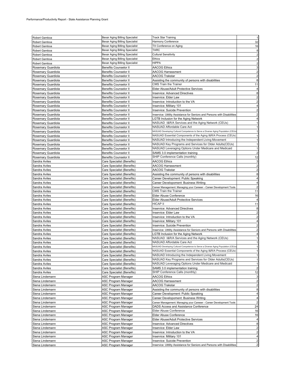| Robert Gamboa      | Bexar Aging Billing Specialist | <b>Track Star Training</b>                                                      | $\mathbf{1}$                                                                       |
|--------------------|--------------------------------|---------------------------------------------------------------------------------|------------------------------------------------------------------------------------|
| Robert Gamboa      | Bexar Aging Billing Specialist | Harmony Conference                                                              | 32                                                                                 |
|                    | Bexar Aging Billing Specialist | TX Conference on Aging                                                          |                                                                                    |
| Robert Gamboa      |                                | <b>TARC</b>                                                                     | 16                                                                                 |
| Robert Gamboa      | Bexar Aging Billing Specialist |                                                                                 | 8                                                                                  |
| Robert Gamboa      | Bexar Aging Billing Specialist | <b>Cultural Sensitivity</b>                                                     | $\overline{c}$                                                                     |
| Robert Gamboa      | Bexar Aging Billing Specialist | Ethics                                                                          | $\overline{c}$                                                                     |
| Robert Gamboa      | Bexar Aging Billing Specialist | <b>HIPPA</b>                                                                    | $\overline{c}$                                                                     |
| Rosemary Guardiola | <b>Benefits Counselor II</b>   | <b>AACOG Ethics</b>                                                             | $\mathbf{3}$                                                                       |
| Rosemary Guardiola | Benefits Counselor II          | AACOG Harrassment                                                               | $\overline{a}$                                                                     |
| Rosemary Guardiola | Benefits Counselor II          | AACOG Trakstar                                                                  | $\overline{\mathbf{c}}$                                                            |
| Rosemary Guardiola | Benefits Counselor II          | Assisting the community of persons with disabilities                            | 8                                                                                  |
| Rosemary Guardiola | Benefits Counselor II          | CMS Train the Trainer                                                           | 11                                                                                 |
| Rosemary Guardiola | <b>Benefits Counselor II</b>   | Elder Abuse/Adult Protective Services                                           | $\overline{4}$                                                                     |
| Rosemary Guardiola | Benefits Counselor II          | <b>Inservice: Advanced Directives</b>                                           | 8                                                                                  |
| Rosemary Guardiola | <b>Benefits Counselor II</b>   | Inservice: Elder Law                                                            | $\overline{\mathbf{c}}$                                                            |
| Rosemary Guardiola | <b>Benefits Counselor II</b>   | Inservice: Introduction to the VA                                               | $\overline{\mathbf{c}}$                                                            |
| Rosemary Guardiola | <b>Benefits Counselor II</b>   | <b>Inservice: Military 101</b>                                                  | 4                                                                                  |
| Rosemary Guardiola | <b>Benefits Counselor II</b>   | Inservice: Suicide Prevention                                                   | $\overline{2}$                                                                     |
| Rosemary Guardiola | <b>Benefits Counselor II</b>   | Inservice: Utitlity Assistance for Seniors and Persons with Disabilities        | $\overline{2}$                                                                     |
| Rosemary Guardiola | <b>Benefits Counselor II</b>   | LGTB Inclusion for the Aging Network                                            | $\overline{4}$                                                                     |
| Rosemary Guardiola | Benefits Counselor II          | NASUAD I&R/A Services and the Aging Network (CEUs)                              | $\mathbf{1}$                                                                       |
| Rosemary Guardiola | <b>Benefits Counselor II</b>   | NASUAD Affordable Care Act                                                      | $\mathbf{1}$                                                                       |
| Rosemary Guardiola | <b>Benefits Counselor II</b>   | NASUAD Developing Cultural Competence to Serve a Diverse Aging Population (CEUs | $\mathbf{1}$                                                                       |
| Rosemary Guardiola | Benefits Counselor II          | NASUAD Essential Components of the Aging I&R/A Process (CEUs)                   | $\mathbf{1}$                                                                       |
| Rosemary Guardiola | <b>Benefits Counselor II</b>   | NASUAD Introducing the Independent Living Movement                              | $\mathbf{1}$                                                                       |
| Rosemary Guardiola |                                | NASUAD Key Programs and Services for Older Adults(CEUs)                         | $\mathbf{1}$                                                                       |
| Rosemary Guardiola | <b>Benefits Counselor II</b>   | NASUAD Leveraging Options Under Medicare and Medicaid                           | $\mathbf{1}$                                                                       |
|                    | <b>Benefits Counselor II</b>   |                                                                                 |                                                                                    |
| Rosemary Guardiola | <b>Benefits Counselor II</b>   | SAMS 3.0 implementation training                                                | $\overline{2}$                                                                     |
| Rosemary Guardiola | <b>Benefits Counselor II</b>   | SHIP Conference Calls (monthly)                                                 | 12                                                                                 |
| Sandra Aviles      | Care Specialist (Benefits)     | <b>AACOG Ethics</b>                                                             | 3                                                                                  |
| Sandra Aviles      | Care Specialist (Benefits)     | <b>AACOG Harrassment</b>                                                        | $\overline{a}$                                                                     |
| Sandra Aviles      | Care Specialist (Benefits)     | <b>AACOG Trakstar</b>                                                           | $\overline{2}$                                                                     |
| Sandra Aviles      | Care Specialist (Benefits)     | Assisting the community of persons with disabilities                            | 8                                                                                  |
| Sandra Aviles      | Care Specialist (Benefits)     | Career Development: Public Speaking                                             | 4                                                                                  |
| Sandra Aviles      | Care Specialist (Benefits)     | Career Developoment: Business Writing                                           | $\overline{\mathbf{4}}$                                                            |
| Sandra Aviles      | Care Specialist (Benefits)     | Career Management: Managing your Careeer - Career Development Tools             | $\overline{a}$                                                                     |
| Sandra Aviles      | Care Specialist (Benefits)     | CMS Train the Trainer                                                           | 11                                                                                 |
| Sandra Aviles      | Care Specialist (Benefits)     | Elder Abuse Conference                                                          | 16                                                                                 |
| Sandra Aviles      | Care Specialist (Benefits)     | Elder Abuse/Adult Protective Services                                           |                                                                                    |
|                    |                                |                                                                                 | $\overline{4}$                                                                     |
| Sandra Aviles      | Care Specialist (Benefits)     | HICAP II                                                                        | 11                                                                                 |
| Sandra Aviles      | Care Specialist (Benefits)     | <b>Inservice: Advanced Directives</b>                                           |                                                                                    |
| Sandra Aviles      | Care Specialist (Benefits)     | Inservice: Elder Law                                                            | $\overline{\mathbf{c}}$                                                            |
| Sandra Aviles      | Care Specialist (Benefits)     | Inservice: Introduction to the VA                                               |                                                                                    |
| Sandra Aviles      | Care Specialist (Benefits)     | Inservice: Military 101                                                         | 8<br>$\overline{a}$<br>$\overline{\mathbf{4}}$                                     |
|                    | Care Specialist (Benefits)     | Inservice: Suicide Prevention                                                   |                                                                                    |
| Sandra Aviles      |                                |                                                                                 |                                                                                    |
| Sandra Aviles      | Care Specialist (Benefits)     | Inservice: Utitlity Assistance for Seniors and Persons with Disabilities        | $\overline{2}$                                                                     |
| Sandra Aviles      | Care Specialist (Benefits)     | LGTB Inclusion for the Aging Network                                            | 4                                                                                  |
| Sandra Aviles      | Care Specialist (Benefits)     | NASUAD I&R/A Services and the Aging Network (CEUs)                              |                                                                                    |
| Sandra Aviles      | Care Specialist (Benefits)     | NASUAD Affordable Care Act                                                      | $\mathbf{1}$                                                                       |
| Sandra Aviles      | Care Specialist (Benefits)     | NASUAD Developing Cultural Competence to Serve a Diverse Aging Population (CEUs | $\overline{a}$<br>$\mathbf{1}$<br>$\mathbf{1}$                                     |
| Sandra Aviles      | Care Specialist (Benefits)     | NASUAD Essential Components of the Aging I&R/A Process (CEUs)                   |                                                                                    |
| Sandra Aviles      | Care Specialist (Benefits)     | NASUAD Introducing the Independent Living Movement                              | $\mathbf{1}$                                                                       |
| Sandra Aviles      | Care Specialist (Benefits)     | NASUAD Key Programs and Services for Older Adults(CEUs)                         | $\mathbf{1}$                                                                       |
| Sandra Aviles      | Care Specialist (Benefits)     | NASUAD Leveraging Options Under Medicare and Medicaid                           | $\mathbf{1}$                                                                       |
| Sandra Aviles      | Care Specialist (Benefits)     | SAMS 3.0 implementation training                                                | $\overline{2}$                                                                     |
| Sandra Aviles      | Care Specialist (Benefits)     | SHIP Conference Calls (monthly)                                                 | 12                                                                                 |
| Siena Lindemann    | ASC Program Manager            | <b>AACOG Ethics</b>                                                             | $\mathbf{3}$                                                                       |
| Siena Lindemann    | ASC Program Manager            | AACOG Harrassment                                                               | $\overline{a}$                                                                     |
| Siena Lindemann    | ASC Program Manager            | AACOG Trakstar                                                                  | $\overline{a}$                                                                     |
| Siena Lindemann    | ASC Program Manager            | Assisting the community of persons with disabilities                            |                                                                                    |
| Siena Lindemann    | ASC Program Manager            | Career Development: Public Speaking                                             | 8<br>$\overline{4}$                                                                |
| Siena Lindemann    | ASC Program Manager            | Career Developoment: Business Writing                                           | $\overline{4}$                                                                     |
| Siena Lindemann    | <b>ASC Program Manager</b>     | Career Management: Managing your Careeer - Career Development Tools             | $\overline{a}$                                                                     |
| Siena Lindemann    | ASC Program Manager            | DADS Access and Assistance Conference                                           | 24                                                                                 |
| Siena Lindemann    | ASC Program Manager            | Elder Abuse Conference                                                          |                                                                                    |
| Siena Lindemann    | ASC Program Manager            | Elder Abuse Conference                                                          | 16<br>16                                                                           |
| Siena Lindemann    | ASC Program Manager            | Elder Abuse/Adult Protective Services                                           | 4                                                                                  |
| Siena Lindemann    | ASC Program Manager            | <b>Inservice: Advanced Directives</b>                                           |                                                                                    |
| Siena Lindemann    | ASC Program Manager            | Inservice: Elder Law                                                            |                                                                                    |
| Siena Lindemann    | ASC Program Manager            | Inservice: Introduction to the VA                                               |                                                                                    |
| Siena Lindemann    | ASC Program Manager            | Inservice: Military 101                                                         |                                                                                    |
| Siena Lindemann    | ASC Program Manager            | Inservice: Suicide Prevention                                                   | 8<br>$\overline{a}$<br>$\overline{a}$<br>$\overline{\mathbf{4}}$<br>$\overline{a}$ |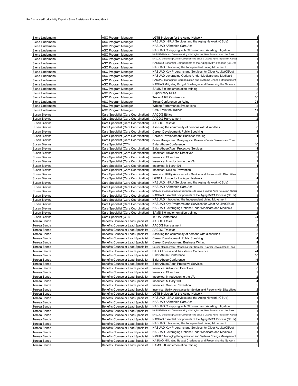| Siena Lindemann      | ASC Program Manager                       | LGTB Inclusion for the Aging Network                                            |                         |
|----------------------|-------------------------------------------|---------------------------------------------------------------------------------|-------------------------|
| Siena Lindemann      | ASC Program Manager                       | NASUAD I&R/A Services and the Aging Network (CEUs)                              |                         |
| Siena Lindemann      | ASC Program Manager                       | NASUAD Affordable Care Act                                                      |                         |
| Siena Lindemann      | ASC Program Manager                       | NASUAD Complying with Olmstead and Averting Litigation                          |                         |
| Siena Lindemann      | ASC Program Manager                       | NASUAD Data and Communicating with Legislators, New Governors and the Press     |                         |
|                      |                                           | NASUAD Developing Cultural Competence to Serve a Diverse Aging Population (CEUs |                         |
| Siena Lindemann      | <b>ASC Program Manager</b>                |                                                                                 |                         |
| Siena Lindemann      | ASC Program Manager                       | NASUAD Essential Components of the Aging I&R/A Process (CEUs)                   |                         |
| Siena Lindemann      | ASC Program Manager                       | NASUAD Introducing the Independent Living Movement                              |                         |
| Siena Lindemann      | ASC Program Manager                       | NASUAD Key Programs and Services for Older Adults(CEUs)                         |                         |
| Siena Lindemann      | ASC Program Manager                       | NASUAD Leveraging Options Under Medicare and Medicaid                           |                         |
|                      |                                           | NASUAD Managing Reorganization and Systems Change Management                    |                         |
| Siena Lindemann      | ASC Program Manager                       |                                                                                 |                         |
| Siena Lindemann      | ASC Program Manager                       | NASUAD Mitigating Budget Challenges and Preserving the Network                  | $\mathbf{1}$            |
| Siena Lindemann      | ASC Program Manager                       | SAMS 3.0 implementation training                                                | $\overline{c}$          |
| Siena Lindemann      | ASC Program Manager                       | <b>Supervisory Skills</b>                                                       | 8                       |
| Siena Lindemann      | <b>ASC Program Manager</b>                | <b>Texas AIRS Conference</b>                                                    | 16                      |
|                      |                                           |                                                                                 |                         |
| Siena Lindemann      | ASC Program Manager                       | Texas Conference on Aging                                                       | 24                      |
| Siena Lindemann      | ASC Program Manager                       | <b>Writing Performance Evaluations</b>                                          | 2                       |
| Siena Lindemann      | ASC Program Manager                       | <b>CMS Train the Trainer</b>                                                    | 11                      |
| <b>Susan Blevins</b> | Care Specialist (Care Coordination)       | <b>AACOG Ethics</b>                                                             | 3                       |
| <b>Susan Blevins</b> | Care Specialist (Care Coordination)       | <b>AACOG Harrassment</b>                                                        | $\overline{c}$          |
|                      |                                           |                                                                                 | $\overline{2}$          |
| Susan Blevins        | Care Specialist (Care Coordination)       | <b>AACOG Trakstar</b>                                                           |                         |
| Susan Blevins        | Care Specialist (Care Coordination)       | Assisting the community of persons with disabilities                            | 8                       |
| Susan Blevins        | Care Specialist (Care Coordination)       | Career Development: Public Speaking                                             | 4                       |
| Susan Blevins        | Care Specialist (Care Coordination)       | Career Developoment: Business Writing                                           | 4                       |
| Susan Blevins        | Care Specialist (Care Coordination)       | Career Management: Managing your Careeer - Career Development Tools             | $\overline{2}$          |
| <b>Susan Blevins</b> | Care Specialist (CTI)                     | Elder Abuse Conference                                                          | 16                      |
|                      |                                           |                                                                                 |                         |
| Susan Blevins        | Care Specialist (Care Coordination)       | Elder Abuse/Adult Protective Services                                           | 4                       |
| Susan Blevins        | Care Specialist (Care Coordination)       | Inservice: Advanced Directives                                                  | 8                       |
| Susan Blevins        | Care Specialist (Care Coordination)       | Inservice: Elder Law                                                            | 2                       |
| <b>Susan Blevins</b> | Care Specialist (Care Coordination)       | Inservice: Introduction to the VA                                               | $\overline{2}$          |
| Susan Blevins        |                                           |                                                                                 |                         |
|                      | Care Specialist (Care Coordination)       | Inservice: Military 101                                                         |                         |
| <b>Susan Blevins</b> | Care Specialist (Care Coordination)       | Inservice: Suicide Prevention                                                   | 2                       |
| Susan Blevins        | Care Specialist (Care Coordination)       | Inservice: Utitlity Assistance for Seniors and Persons with Disabilities        | $\overline{2}$          |
| Susan Blevins        | Care Specialist (Care Coordination)       | LGTB Inclusion for the Aging Network                                            | 4                       |
| Susan Blevins        | Care Specialist (Care Coordination)       | NASUAD I&R/A Services and the Aging Network (CEUs)                              |                         |
| Susan Blevins        | Care Specialist (Care Coordination)       | NASUAD Affordable Care Act                                                      |                         |
|                      |                                           |                                                                                 |                         |
| Susan Blevins        | Care Specialist (Care Coordination)       | NASUAD Developing Cultural Competence to Serve a Diverse Aging Population (CEUs |                         |
| Susan Blevins        | Care Specialist (Care Coordination)       | NASUAD Essential Components of the Aging I&R/A Process (CEUs)                   |                         |
| <b>Susan Blevins</b> | Care Specialist (Care Coordination)       | NASUAD Introducing the Independent Living Movement                              |                         |
| Susan Blevins        | Care Specialist (Care Coordination)       | NASUAD Key Programs and Services for Older Adults(CEUs)                         |                         |
| Susan Blevins        | Care Specialist (Care Coordination)       | NASUAD Leveraging Options Under Medicare and Medicaid                           |                         |
|                      |                                           |                                                                                 |                         |
| Susan Blevins        | Care Specialist (Care Coordination)       | SAMS 3.0 implementation training                                                |                         |
| <b>Susan Blevins</b> | Care Specialist (CTI)                     | <b>TCOA Conference</b>                                                          | 24                      |
| Teresa Banda         | Benefits Counselor Lead Specialist        | <b>AACOG Ethics</b>                                                             | 3                       |
| Teresa Banda         | <b>Benefits Counselor Lead Specialist</b> | <b>AACOG Harrassment</b>                                                        | $\overline{2}$          |
| Teresa Banda         | Benefits Counselor Lead Specialist        | <b>AACOG Trakstar</b>                                                           | $\overline{2}$          |
|                      |                                           |                                                                                 |                         |
| Teresa Banda         | Benefits Counselor Lead Specialist        | Assisting the community of persons with disabilities                            | 8                       |
| Teresa Banda         | <b>Benefits Counselor Lead Specialist</b> | Career Development: Public Speaking                                             | $\overline{4}$          |
| Teresa Banda         | Benefits Counselor Lead Specialist        | Career Developoment: Business Writing                                           |                         |
| Teresa Banda         | Benefits Counselor Lead Specialist        | Career Management: Managing your Careeer - Career Development Tools             | $\overline{2}$          |
| Teresa Banda         | Benefits Counselor Lead Specialist        | DADS Access and Assistance Conference                                           | 24                      |
| Teresa Banda         | <b>Benefits Counselor Lead Specialist</b> | Elder Abuse Conference                                                          | 16                      |
|                      |                                           |                                                                                 |                         |
| Teresa Banda         | Benefits Counselor Lead Specialist        | Elder Abuse Conference                                                          | 16                      |
| Teresa Banda         | Benefits Counselor Lead Specialist        | Elder Abuse/Adult Protective Services                                           | 4                       |
| Teresa Banda         | Benefits Counselor Lead Specialist        | <b>Inservice: Advanced Directives</b>                                           | 8                       |
| Teresa Banda         | <b>Benefits Counselor Lead Specialist</b> | Inservice: Elder Law                                                            | $\overline{c}$          |
| Teresa Banda         | Benefits Counselor Lead Specialist        | Inservice: Introduction to the VA                                               | $\overline{\mathbf{c}}$ |
| Teresa Banda         | Benefits Counselor Lead Specialist        | Inservice: Military 101                                                         | 4                       |
|                      |                                           |                                                                                 |                         |
| Teresa Banda         | Benefits Counselor Lead Specialist        | Inservice: Suicide Prevention                                                   | $\overline{\mathbf{c}}$ |
| Teresa Banda         | Benefits Counselor Lead Specialist        | Inservice: Utitlity Assistance for Seniors and Persons with Disabilities        | $\overline{\mathbf{c}}$ |
| Teresa Banda         | <b>Benefits Counselor Lead Specialist</b> | LGTB Inclusion for the Aging Network                                            | 4                       |
| Teresa Banda         | Benefits Counselor Lead Specialist        | NASUAD I&R/A Services and the Aging Network (CEUs)                              | $\mathbf{1}$            |
| Teresa Banda         | Benefits Counselor Lead Specialist        | NASUAD Affordable Care Act                                                      | 1                       |
|                      |                                           |                                                                                 |                         |
| Teresa Banda         | <b>Benefits Counselor Lead Specialist</b> | NASUAD Complying with Olmstead and Averting Litigation                          | 1                       |
| Teresa Banda         | Benefits Counselor Lead Specialist        | NASUAD Data and Communicating with Legislators, New Governors and the Press     |                         |
| Teresa Banda         | Benefits Counselor Lead Specialist        | NASUAD Developing Cultural Competence to Serve a Diverse Aging Population (CEUs |                         |
| Teresa Banda         | Benefits Counselor Lead Specialist        | NASUAD Essential Components of the Aging I&R/A Process (CEUs)                   |                         |
| Teresa Banda         | Benefits Counselor Lead Specialist        | NASUAD Introducing the Independent Living Movement                              |                         |
|                      |                                           | NASUAD Key Programs and Services for Older Adults(CEUs)                         |                         |
| Teresa Banda         | <b>Benefits Counselor Lead Specialist</b> |                                                                                 |                         |
| Teresa Banda         | Benefits Counselor Lead Specialist        | NASUAD Leveraging Options Under Medicare and Medicaid                           |                         |
| Teresa Banda         | Benefits Counselor Lead Specialist        | NASUAD Managing Reorganization and Systems Change Management                    | $\mathbf{1}$            |
| Teresa Banda         | Benefits Counselor Lead Specialist        | NASUAD Mitigating Budget Challenges and Preserving the Network                  | 1                       |
|                      | Benefits Counselor Lead Specialist        | SAMS 3.0 implementation training                                                | $\overline{\mathbf{c}}$ |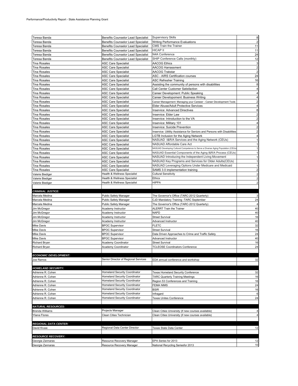| Teresa Banda                 | Benefits Counselor Lead Specialist        | <b>Supervisory Skills</b>                                                       | 8                       |
|------------------------------|-------------------------------------------|---------------------------------------------------------------------------------|-------------------------|
|                              |                                           |                                                                                 | $\overline{c}$          |
| Teresa Banda                 | Benefits Counselor Lead Specialist        | <b>Writing Performance Evaluations</b>                                          |                         |
| Teresa Banda                 | Benefits Counselor Lead Specialist        | CMS Train the Trainer                                                           | 11                      |
| Teresa Banda                 | <b>Benefits Counselor Lead Specialist</b> | HICAP II                                                                        | 11                      |
| Teresa Banda                 | Benefits Counselor Lead Specialist        | N4A Conference                                                                  | 24                      |
| Teresa Banda                 | Benefits Counselor Lead Specialist        | SHIP Conference Calls (monthly)                                                 | 12                      |
| <b>Tina Rosales</b>          | <b>ASC Care Specialist</b>                | AACOG Ethics                                                                    | 3                       |
| <b>Tina Rosales</b>          | <b>ASC Care Specialist</b>                | AACOG Harrassment                                                               | $\overline{\mathbf{c}}$ |
| <b>Tina Rosales</b>          | <b>ASC Care Specialist</b>                | AACOG Trakstar                                                                  | $\overline{c}$          |
| Tina Rosales                 | <b>ASC Care Specialist</b>                | ASC - AIRS Certification courses                                                | 24                      |
| Tina Rosales                 | <b>ASC Care Specialist</b>                | ASC Refresher Training                                                          | 16                      |
|                              |                                           |                                                                                 |                         |
| Tina Rosales                 | ASC Care Specialist                       | Assisting the community of persons with disabilities                            | 8                       |
| Tina Rosales                 | <b>ASC Care Specialist</b>                | Call Center Customer Satisfaction                                               | 4                       |
| Tina Rosales                 | ASC Care Specialist                       | Career Development: Public Speaking                                             |                         |
| Tina Rosales                 | <b>ASC Care Specialist</b>                | Career Developoment: Business Writing                                           | 4                       |
| Tina Rosales                 | <b>ASC Care Specialist</b>                | Career Management: Managing your Careeer - Career Development Tools             | 2                       |
| <b>Tina Rosales</b>          | <b>ASC Care Specialist</b>                | Elder Abuse/Adult Protective Services                                           | 4                       |
| Tina Rosales                 | <b>ASC Care Specialist</b>                | Inservice: Advanced Directives                                                  | 8                       |
| <b>Tina Rosales</b>          | <b>ASC Care Specialist</b>                | Inservice: Elder Law                                                            | $\overline{a}$          |
| <b>Tina Rosales</b>          | <b>ASC Care Specialist</b>                | Inservice: Introduction to the VA                                               | $\overline{a}$          |
| <b>Tina Rosales</b>          |                                           | Inservice: Military 101                                                         | 4                       |
|                              | <b>ASC Care Specialist</b>                |                                                                                 |                         |
| <b>Tina Rosales</b>          | <b>ASC Care Specialist</b>                | Inservice: Suicide Prevention                                                   | $\overline{c}$          |
| Tina Rosales                 | <b>ASC Care Specialist</b>                | Inservice: Utitlity Assistance for Seniors and Persons with Disabilities        | 2                       |
| Tina Rosales                 | <b>ASC Care Specialist</b>                | <b>CTB Inclusion for the Aging Network</b>                                      |                         |
| Tina Rosales                 | ASC Care Specialist                       | NASUAD I&R/A Services and the Aging Network (CEUs)                              | 1                       |
| Tina Rosales                 | <b>ASC Care Specialist</b>                | NASUAD Affordable Care Act                                                      |                         |
| Tina Rosales                 | ASC Care Specialist                       | NASUAD Developing Cultural Competence to Serve a Diverse Aging Population (CEUs |                         |
| Tina Rosales                 | <b>ASC Care Specialist</b>                | NASUAD Essential Components of the Aging I&R/A Process (CEUs)                   |                         |
| Tina Rosales                 | <b>ASC Care Specialist</b>                | NASUAD Introducing the Independent Living Movement                              |                         |
| <b>Tina Rosales</b>          | <b>ASC Care Specialist</b>                | NASUAD Key Programs and Services for Older Adults(CEUs)                         |                         |
|                              |                                           | NASUAD Leveraging Options Under Medicare and Medicaid                           |                         |
| Tina Rosales                 | <b>ASC Care Specialist</b>                |                                                                                 |                         |
| <b>Tina Rosales</b>          | <b>ASC Care Specialist</b>                | SAMS 3.0 implementation training                                                | 2                       |
| Valerie Biediger             | Health & Wellness Specialist              | <b>Cultural Sensitivity</b>                                                     | $\overline{c}$          |
| Valerie Biediger             | Health & Wellness Specialist              | <b>Ethics</b>                                                                   |                         |
| Valerie Biediger             | Health & Wellness Specialist              | HIPPA                                                                           | 2                       |
|                              |                                           |                                                                                 |                         |
|                              |                                           |                                                                                 |                         |
| <b>CRIMINAL JUSTICE:</b>     |                                           |                                                                                 |                         |
| Marcela Medina               |                                           |                                                                                 |                         |
|                              | <b>Public Safety Manager</b>              | The Governor's Office (TARC-2012 Quarterly)                                     |                         |
| Marcela Medina               | Public Safety Manager                     | CJD Mandatory Training -TARC September                                          | 24                      |
| Marcela Medina               | Public Safety Manager                     | The Governor's Office (TARC-2012 Quarterly)                                     |                         |
| Jim McGregor                 | Academy Instructor                        | ALERRT Train the Trainer                                                        | 40                      |
| Jim McGregor                 | Academy Instructor                        | <b>NAPD</b>                                                                     | 40                      |
| Jim McGregor                 | Academy Instructor                        | <b>Street Survival</b>                                                          | 16                      |
| Jim McGregor                 | Academy Instructor                        | Advanced Instructor                                                             | 40                      |
| Mike Davis                   | <b>BPOC Supervisor</b>                    | <b>FLETC</b>                                                                    | 32                      |
| Mike Davis                   | <b>BPOC Supervisor</b>                    | <b>Street Survival</b>                                                          | 16                      |
| Mike Davis                   | <b>BPOC Supervisor</b>                    | Data Driven Approaches to Crime and Traffic Safety                              | 24                      |
| Mike Davis                   | <b>BPOC Supervisor</b>                    | Advanced Instructor                                                             | 40                      |
| Richard Bryan                | Academy Coordinator                       | <b>Street Survival</b>                                                          | 16                      |
| Richard Bryan                | Academy Coordinator                       | <b>TCLEOSE Coordinators Conference</b>                                          | 24                      |
|                              |                                           |                                                                                 |                         |
|                              |                                           |                                                                                 |                         |
| <b>ECONOMIC DEVELOPMENT:</b> |                                           |                                                                                 |                         |
| Joe Ramos                    | Senior Director of Regional Services      | EDA annual conference and workshop                                              | 32                      |
|                              |                                           |                                                                                 |                         |
| <b>HOMELAND SECURITY:</b>    |                                           |                                                                                 |                         |
| Adrienne R. Cohen            | Homeland Security Coordinator             | Texas Homeland Security Conference                                              | 32                      |
| Adrienne R. Cohen            | Homeland Security Coordinator             | <b>TARC Quarterly Training Meetings</b>                                         | 16                      |
| Adrienne R. Cohen            | Homeland Security Coordinator             | Region 53 Conferences and Training                                              | 16                      |
| Adrienne R. Cohen            | Homeland Security Coordinator             | FEMA NIMS                                                                       | 24                      |
| Adrienne R. Cohen            | Homeland Security Coordinator             | <b>BSIR</b>                                                                     | 16                      |
| Adrienne R. Cohen            | Homeland Security Coordinator             | Infragard                                                                       | 6                       |
|                              | Homeland Security Coordinator             |                                                                                 | 24                      |
| Adrienne R. Cohen            |                                           | <b>Texas Unites Conference</b>                                                  |                         |
|                              |                                           |                                                                                 |                         |
| <b>NATURAL RESOURCES:</b>    |                                           |                                                                                 |                         |
| Brenda Williams              | Projects Manager                          | Clean Cities University (if new courses available)                              | 4                       |
| Yliana Flores                | Clean Cities Technician                   | Clean Cities University (if new courses available)                              | 4                       |
|                              |                                           |                                                                                 |                         |
| <b>REGIONAL DATA CENTER:</b> |                                           |                                                                                 |                         |
| David Kruse                  | Regional Data Center Director             | Texas State Data Center                                                         | 12                      |
|                              |                                           |                                                                                 |                         |
| <b>RESOURCE RECOVERY:</b>    |                                           |                                                                                 |                         |
| Georgia Zannaras             | Resource Recovery Manager                 | EPA Series for 2013                                                             | 12                      |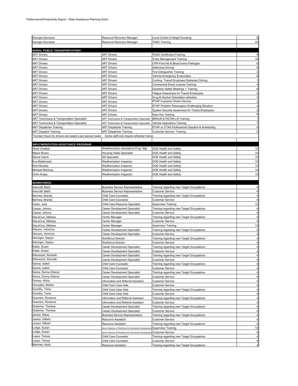| Georgia Zannaras                                          | Resource Recovery Manager                                           | Local Control of Illegal Dumping                                     | 6  |
|-----------------------------------------------------------|---------------------------------------------------------------------|----------------------------------------------------------------------|----|
| Georgia Zannaras                                          | Resource Recovery Manager                                           | <b>TARC Training</b>                                                 | 24 |
|                                                           |                                                                     |                                                                      |    |
| RURAL PUBLIC TRANSPORTATION*:                             |                                                                     |                                                                      |    |
| <b>ART Drivers</b>                                        | <b>ART Drivers</b>                                                  | PASS CertificationTraining                                           |    |
| <b>ART Drivers</b>                                        | <b>ART Drivers</b>                                                  | Crisis Management Training                                           | 16 |
| <b>ART Drivers</b>                                        | <b>ART Drivers</b>                                                  | CPR-First Aid & Blood borne Pathogen                                 | 6  |
| ART Drivers                                               | ART Drivers                                                         | Defensive Driving                                                    | 6  |
| ART Drivers                                               | <b>ART Drivers</b>                                                  | Fire Extinguisher Training                                           |    |
| ART Drivers                                               | ART Drivers                                                         | Vehicle Emergency Evalucation                                        |    |
| <b>ART Drivers</b>                                        | <b>ART Drivers</b>                                                  | Curbing Transit Employee Distracted Driving                          |    |
| <b>ART Drivers</b>                                        | <b>ART Drivers</b>                                                  | Commerical Driver License Training                                   |    |
| <b>ART Drivers</b>                                        | <b>ART Drivers</b>                                                  | Quarterly Safety Meetings + Training                                 |    |
| <b>ART Drivers</b>                                        | <b>ART Drivers</b>                                                  | Fatigue Awareness for Transit Employees                              |    |
| ART Drivers                                               | <b>ART Drivers</b>                                                  | Drug & Alcohol Orientation-refresher<br>RTAP Customer Driven Service |    |
| <b>ART Drivers</b><br><b>ART Drivers</b>                  | <b>ART Drivers</b><br><b>ART Drivers</b>                            | RTAP Problem Passengers-Challenging Situation                        |    |
| <b>ART Drivers</b>                                        | <b>ART Drivers</b>                                                  | System Security Awareness for Transit Employees                      |    |
| <b>ART Drivers</b>                                        | <b>ART Drivers</b>                                                  | New Hire Training                                                    | 6  |
| ART Technicans & Transportation Specialist                | ART Technicans & Transportation Specialist                          | BRAUN & RICON Lift Training                                          |    |
| ART Technicans & Transportation Specialist                | ART Technicans & Transportation Specialist                          | Vehicle Operations Training                                          |    |
| ART Dispatcher Training                                   | <b>ART Dispatcher Training</b>                                      | RTAP or CTAA Professional Dispatch & Scheduling                      | 6  |
| ART Dispatch Training                                     | <b>ART Dispatcher Training</b>                                      | <b>Customer Service Training</b>                                     |    |
| 'Contact Hours for drivers are based a per persion basis. | Some staff only require refresher trainer.                          |                                                                      |    |
|                                                           |                                                                     |                                                                      |    |
| <b>WEATHERIZATION ASSISTANCE PROGRAM:</b>                 |                                                                     |                                                                      |    |
| René Chadick                                              | Weatherization Assistance Prog. Mgr.                                | DOE Health and Safety                                                | 10 |
| Mayra Rivero                                              | Housing Intake Specialist                                           | DOE Health and Safety                                                | 10 |
| Glover Harris                                             | QA Specialist                                                       | DOE Health and Safety                                                | 10 |
| Eva Maldonado                                             | Weatherization Inspector                                            | DOE Health and Safety                                                | 10 |
| <b>Rick Morales</b>                                       | Weatherization Inspector                                            | DOE Health and Safety                                                | 10 |
| Michael Martinez                                          | Weatherization Inspector                                            | DOE Health and Safety                                                | 10 |
| Chris Arispe                                              | Weatherization Inspector                                            | DOE Health and Safety                                                | 10 |
|                                                           |                                                                     |                                                                      |    |
| <b>WORKFORCE:</b>                                         |                                                                     |                                                                      |    |
| Ashcraft, Marti                                           | <b>Business Service Representative</b>                              | Training regarding new Target Occupations                            |    |
| Ashcraft, Marti                                           | <b>Business Service Representative</b>                              | <b>Customer Service</b>                                              |    |
| Bermea, Brandy                                            | Child Care Counselor                                                | Training regarding new Target Occupations                            |    |
| Bermea, Brandy                                            | Child Care Counselor                                                | <b>Customer Service</b>                                              |    |
| Cantu, Julie<br>Casias, Johnny                            | Child Care Resource Specialist<br>Career Development Specialist     | Supervisor Training                                                  | 12 |
| Casias, Johnny                                            | Career Development Specialist                                       | Training regarding new Target Occupations<br><b>Customer Service</b> |    |
| DeLaCruz, Melissa                                         | Center Manager                                                      | Training regarding new Target Occupations                            |    |
| DeLaCruz, Melissa                                         | Center Manager                                                      | <b>Customer Service</b>                                              |    |
| DeLaCruz, Melissa                                         | Center Manager                                                      | <b>Supervisor Training</b>                                           | 12 |
| DeLeon, Veronica                                          | Career Development Specialist                                       | Training regarding new Target Occupations                            |    |
| DeLeon, Veronica                                          | Career Development Specialist                                       | <b>Customer Service</b>                                              |    |
| Dieringer, Gaylyn                                         | <b>Workforce Director</b>                                           | Training regarding new Target Occupations                            |    |
| Dieringer, Gaylyn                                         | <b>Workforce Director</b>                                           | Customer Service                                                     |    |
| Eakle, Susan                                              | Career Development Specialist                                       | Training regarding new Target Occupations                            |    |
| Eakle, Susan                                              | Career Development Specialist                                       | <b>Customer Service</b>                                              |    |
| Ellenwood, Kenneth                                        | Career Development Specialist                                       | Training regarding new Target Occupations                            |    |
| Ellenwood, Kenneth                                        | Career Development Specialist                                       | Customer Service                                                     |    |
| Garcia, Isabel                                            | Child Care Counselor                                                | Training regarding new Target Occupations                            |    |
| Garcia, Isabel                                            | Child Care Counselor                                                | <b>Customer Service</b>                                              |    |
| Garza, Donna (Diana)                                      | Career Development Specialist                                       | Training regarding new Target Occupations                            |    |
| Garza, Donna (Diana)                                      | Career Development Specialist                                       | <b>Customer Service</b>                                              |    |
| Gomez, Alicia                                             | Information and Referral Assistant                                  | <b>Customer Service</b>                                              |    |
| Gonzales, Bertha                                          | Child Care Case Aide                                                | <b>Customer Service</b>                                              |    |
| Goolsby, Tania<br>Goolsby, Tania                          | Child Care Case Aide<br>Child Care Case Aide                        | Training regarding new Target Occupations                            |    |
| Guerrero, Roxanne                                         |                                                                     | <b>Customer Service</b>                                              |    |
| Guerrero, Roxanne                                         | Information and Referral Assistant                                  | Training regarding new Target Occupations                            |    |
| Gutierrez, Theresa                                        | Information and Referral Assistant<br>Career Development Specialist | <b>Customer Service</b><br>Training regarding new Target Occupations |    |
| Gutierrez, Theresa                                        | Career Development Specialist                                       | <b>Customer Service</b>                                              |    |
| James, Maria                                              | <b>Business Service Representative</b>                              | Training regarding new Target Occupations                            | 4  |
| Juarez, Gilbert                                           | Resource Assistant                                                  | <b>Customer Service</b>                                              | 4  |
| Juarez, Gilbert                                           | Resource Assistant                                                  | Training regarding new Target Occupations                            | 4  |
| Lodge, Susan                                              | Senior Director of Workforce & Community Developmen                 | <b>Supervisor Training</b>                                           | 12 |
| Lodge, Susan                                              | Senior Director of Workforce & Community Development                | <b>Customer Service</b>                                              |    |
| Lopez, Teresa                                             | Child Care Counselor                                                | Training regarding new Target Occupations                            | 4  |
| Lopez, Teresa                                             | Child Care Counselor                                                | <b>Customer Service</b>                                              |    |
| Martinez, Kelly                                           | Resource Assistant                                                  | Training regarding new Target Occupations                            |    |